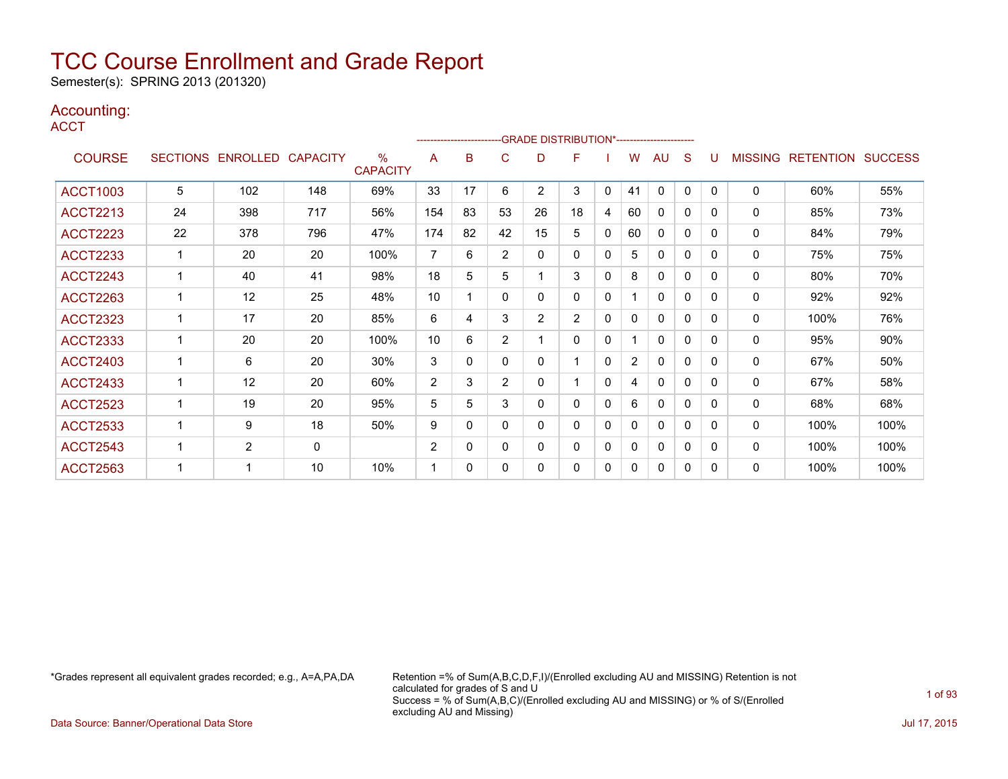Semester(s): SPRING 2013 (201320)

### Accounting:

**ACCT** 

|                 |                 |                   |              |                                  |                |          |                | -------------------------GRADE DISTRIBUTION*---------------------- |                |   |                |              |              |          |                |                  |                |
|-----------------|-----------------|-------------------|--------------|----------------------------------|----------------|----------|----------------|--------------------------------------------------------------------|----------------|---|----------------|--------------|--------------|----------|----------------|------------------|----------------|
| <b>COURSE</b>   | <b>SECTIONS</b> | ENROLLED CAPACITY |              | $\frac{0}{0}$<br><b>CAPACITY</b> | A              | B        | C              | D                                                                  | F              |   | W              | <b>AU</b>    | S            | U        | <b>MISSING</b> | <b>RETENTION</b> | <b>SUCCESS</b> |
| <b>ACCT1003</b> | 5               | 102               | 148          | 69%                              | 33             | 17       | 6              | $\overline{2}$                                                     | 3              | 0 | 41             | 0            | $\Omega$     | $\Omega$ | 0              | 60%              | 55%            |
| <b>ACCT2213</b> | 24              | 398               | 717          | 56%                              | 154            | 83       | 53             | 26                                                                 | 18             | 4 | 60             | $\mathbf 0$  | 0            | 0        | $\mathbf{0}$   | 85%              | 73%            |
| <b>ACCT2223</b> | 22              | 378               | 796          | 47%                              | 174            | 82       | 42             | 15                                                                 | 5              | 0 | 60             | $\mathbf{0}$ | 0            | 0        | $\mathbf{0}$   | 84%              | 79%            |
| <b>ACCT2233</b> |                 | 20                | 20           | 100%                             | 7              | 6        | $\overline{2}$ | 0                                                                  | 0              | 0 | 5              | 0            | 0            | 0        | $\mathbf{0}$   | 75%              | 75%            |
| <b>ACCT2243</b> |                 | 40                | 41           | 98%                              | 18             | 5        | 5              | 1                                                                  | 3              | 0 | 8              | 0            | 0            | 0        | $\mathbf{0}$   | 80%              | 70%            |
| <b>ACCT2263</b> | 1               | 12                | 25           | 48%                              | 10             |          | 0              | 0                                                                  | $\mathbf{0}$   | 0 | 1              | 0            | 0            | 0        | 0              | 92%              | 92%            |
| <b>ACCT2323</b> |                 | 17                | 20           | 85%                              | 6              | 4        | 3              | $\overline{2}$                                                     | $\overline{2}$ | 0 | 0              | $\Omega$     | 0            | 0        | $\mathbf{0}$   | 100%             | 76%            |
| <b>ACCT2333</b> |                 | 20                | 20           | 100%                             | 10             | 6        | $\overline{2}$ | 1                                                                  | $\Omega$       | 0 |                | $\Omega$     | 0            | 0        | $\mathbf{0}$   | 95%              | 90%            |
| <b>ACCT2403</b> |                 | 6                 | 20           | 30%                              | 3              | 0        | 0              | 0                                                                  |                | 0 | $\overline{2}$ | 0            | 0            | 0        | 0              | 67%              | 50%            |
| <b>ACCT2433</b> |                 | 12                | 20           | 60%                              | $\overline{2}$ | 3        | $\overline{2}$ | 0                                                                  |                | 0 | 4              | $\mathbf{0}$ | $\Omega$     | $\Omega$ | $\mathbf{0}$   | 67%              | 58%            |
| <b>ACCT2523</b> |                 | 19                | 20           | 95%                              | 5              | 5        | 3              | 0                                                                  | 0              | 0 | 6              | $\mathbf{0}$ | 0            | 0        | $\mathbf{0}$   | 68%              | 68%            |
| <b>ACCT2533</b> |                 | 9                 | 18           | 50%                              | 9              | 0        | 0              | 0                                                                  | $\mathbf{0}$   | 0 | 0              | $\mathbf{0}$ | $\mathbf{0}$ | 0        | $\mathbf{0}$   | 100%             | 100%           |
| <b>ACCT2543</b> |                 | $\overline{2}$    | $\mathbf{0}$ |                                  | $\overline{2}$ | $\Omega$ | 0              | 0                                                                  | $\mathbf{0}$   | 0 | 0              | $\mathbf{0}$ | 0            | $\Omega$ | $\mathbf{0}$   | 100%             | 100%           |
| <b>ACCT2563</b> |                 |                   | 10           | 10%                              | 1              | $\Omega$ | 0              | 0                                                                  | 0              | 0 | 0              | $\Omega$     | 0            | 0        | $\mathbf{0}$   | 100%             | 100%           |

\*Grades represent all equivalent grades recorded; e.g., A=A,PA,DA Retention =% of Sum(A,B,C,D,F,I)/(Enrolled excluding AU and MISSING) Retention is not calculated for grades of S and U Success = % of Sum(A,B,C)/(Enrolled excluding AU and MISSING) or % of S/(Enrolled excluding AU and Missing)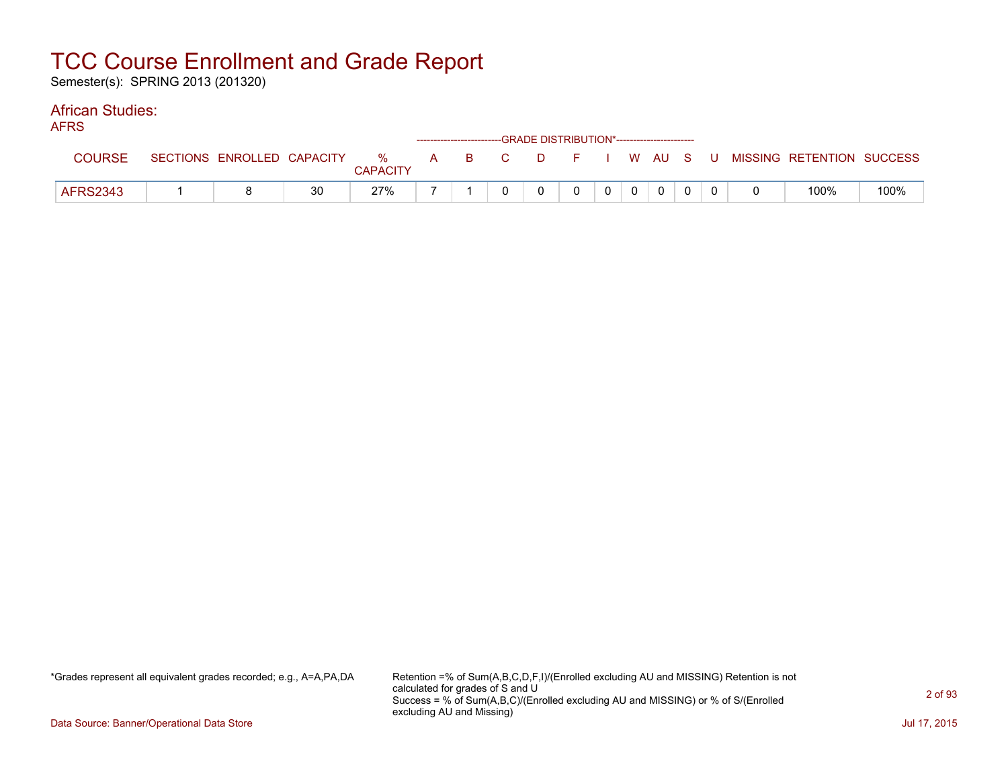Semester(s): SPRING 2013 (201320)

#### African Studies: AFRS

| AFNJ.           |                            |    |                      |  |       |          | ------------------------GRADE DISTRIBUTION*----------------------- |                |              |  |                                        |      |
|-----------------|----------------------------|----|----------------------|--|-------|----------|--------------------------------------------------------------------|----------------|--------------|--|----------------------------------------|------|
| <b>COURSE</b>   | SECTIONS ENROLLED CAPACITY |    | %<br><b>CAPACITY</b> |  | A B C | $\Box$ D |                                                                    |                |              |  | F I W AU S U MISSING RETENTION SUCCESS |      |
| <b>AFRS2343</b> |                            | 30 | 27%                  |  |       |          |                                                                    | 0 <sup>1</sup> | $\mathbf{0}$ |  | 100%                                   | 100% |

\*Grades represent all equivalent grades recorded; e.g., A=A,PA,DA Retention =% of Sum(A,B,C,D,F,I)/(Enrolled excluding AU and MISSING) Retention is not calculated for grades of S and U Success = % of Sum(A,B,C)/(Enrolled excluding AU and MISSING) or % of S/(Enrolled excluding AU and Missing)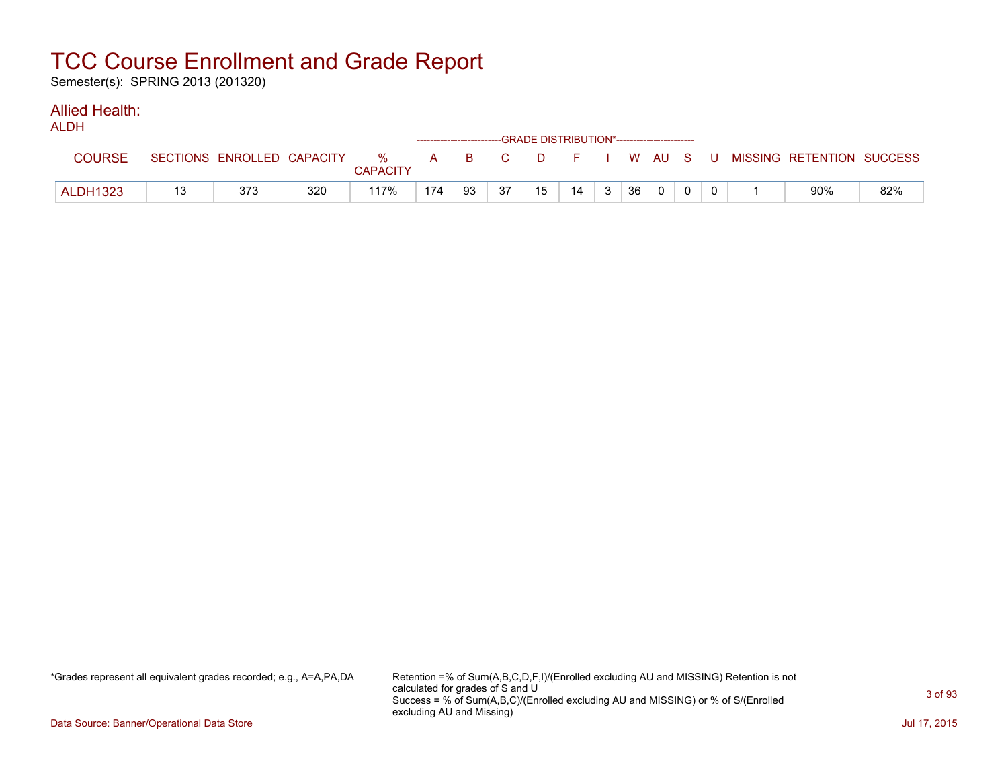Semester(s): SPRING 2013 (201320)

#### Allied Health: ALDH

| ALDN            |                            |     |                      |     |       |    |        | ------------------------GRADE DISTRIBUTION*----------------------- |    |           |  |                           |     |
|-----------------|----------------------------|-----|----------------------|-----|-------|----|--------|--------------------------------------------------------------------|----|-----------|--|---------------------------|-----|
| <b>COURSE</b>   | SECTIONS ENROLLED CAPACITY |     | %<br><b>CAPACITY</b> |     | A B C |    | $\Box$ |                                                                    |    | F I WAUSU |  | MISSING RETENTION SUCCESS |     |
| <b>ALDH1323</b> | 373                        | 320 | 117%                 | 174 | 93    | 37 | 15     | 14                                                                 | 36 | $\Omega$  |  | 90%                       | 82% |

\*Grades represent all equivalent grades recorded; e.g., A=A,PA,DA Retention =% of Sum(A,B,C,D,F,I)/(Enrolled excluding AU and MISSING) Retention is not calculated for grades of S and U Success = % of Sum(A,B,C)/(Enrolled excluding AU and MISSING) or % of S/(Enrolled excluding AU and Missing)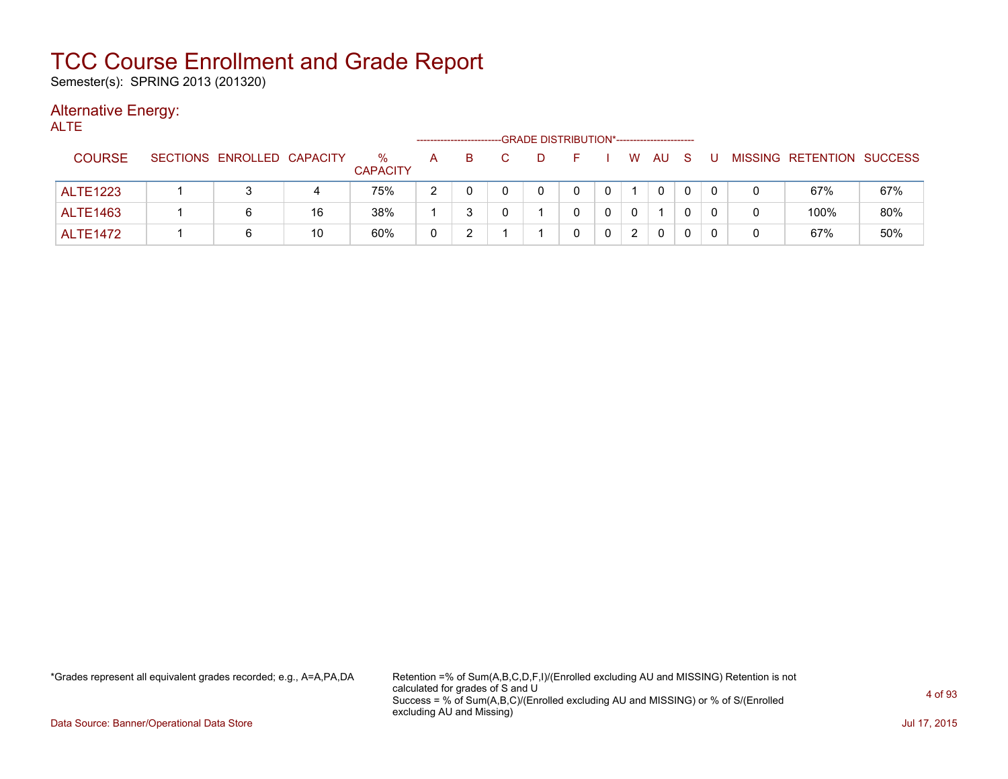Semester(s): SPRING 2013 (201320)

#### Alternative Energy: ALT<sub>F</sub>

| .               |                            |    |                      |              |    |    |    | -GRADE DISTRIBUTION*----------------------- |          |   |              |    |   |   |                           |     |
|-----------------|----------------------------|----|----------------------|--------------|----|----|----|---------------------------------------------|----------|---|--------------|----|---|---|---------------------------|-----|
| <b>COURSE</b>   | SECTIONS ENROLLED CAPACITY |    | %<br><b>CAPACITY</b> | A            | B. | C. | D. |                                             |          | W | AU           | -S | U |   | MISSING RETENTION SUCCESS |     |
| <b>ALTE1223</b> |                            | 4  | 75%                  | 2            |    |    |    | 0                                           | 0        |   | $\Omega$     |    |   | 0 | 67%                       | 67% |
| <b>ALTE1463</b> | 6                          | 16 | 38%                  |              |    |    |    |                                             | 0        |   |              |    |   | 0 | 100%                      | 80% |
| <b>ALTE1472</b> | 6                          | 10 | 60%                  | $\mathbf{0}$ |    |    |    |                                             | $\Omega$ |   | $\mathbf{0}$ |    |   | 0 | 67%                       | 50% |

\*Grades represent all equivalent grades recorded; e.g., A=A,PA,DA Retention =% of Sum(A,B,C,D,F,I)/(Enrolled excluding AU and MISSING) Retention is not calculated for grades of S and U Success = % of Sum(A,B,C)/(Enrolled excluding AU and MISSING) or % of S/(Enrolled excluding AU and Missing)

Data Source: Banner/Operational Data Store Jul 17, 2015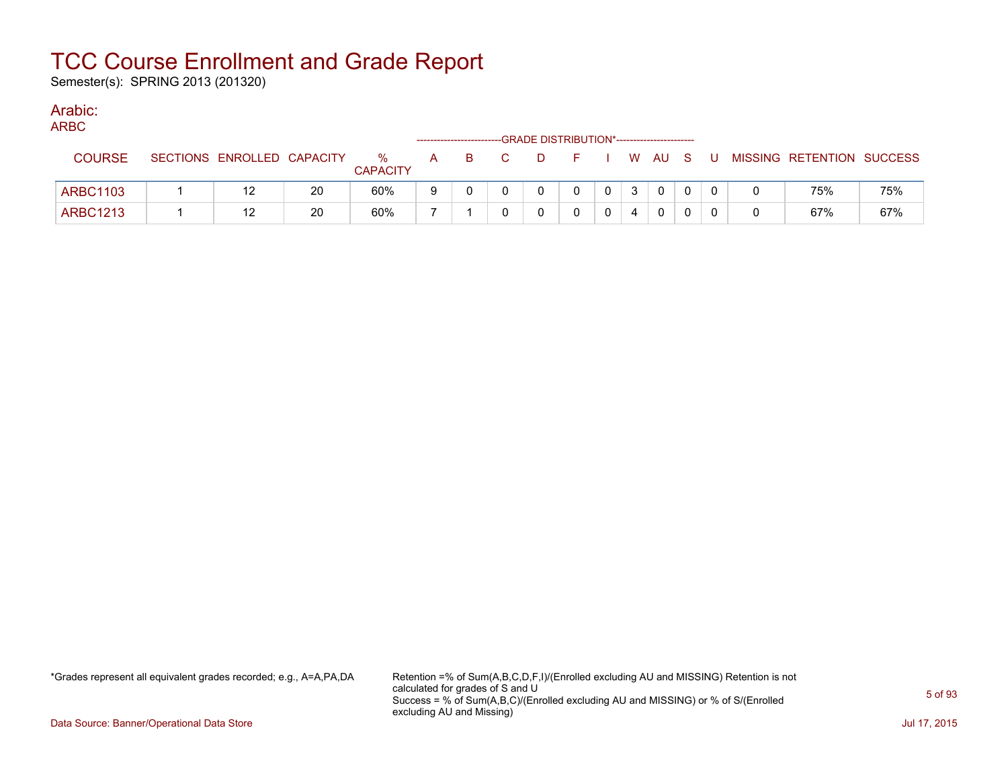Semester(s): SPRING 2013 (201320)

### Arabic:

|  | M.<br>۰. |  |
|--|----------|--|

| $\sim$          |                            |    |                      |   |   |   | ------------------------GRADE DISTRIBUTION*----------------------- |                |                |              |          |    |                           |     |
|-----------------|----------------------------|----|----------------------|---|---|---|--------------------------------------------------------------------|----------------|----------------|--------------|----------|----|---------------------------|-----|
| <b>COURSE</b>   | SECTIONS ENROLLED CAPACITY |    | %<br><b>CAPACITY</b> | A | в | D |                                                                    |                |                | W AU S       |          | J. | MISSING RETENTION SUCCESS |     |
| <b>ARBC1103</b> | 12                         | 20 | 60%                  | 9 |   |   |                                                                    | $\overline{0}$ | 3 <sup>1</sup> | $\mathbf{0}$ | $\Omega$ |    | 75%                       | 75% |
| <b>ARBC1213</b> | 12                         | 20 | 60%                  |   |   |   |                                                                    |                |                | $^{\circ}$   |          |    | 67%                       | 67% |

\*Grades represent all equivalent grades recorded; e.g., A=A,PA,DA Retention =% of Sum(A,B,C,D,F,I)/(Enrolled excluding AU and MISSING) Retention is not calculated for grades of S and U Success = % of Sum(A,B,C)/(Enrolled excluding AU and MISSING) or % of S/(Enrolled excluding AU and Missing)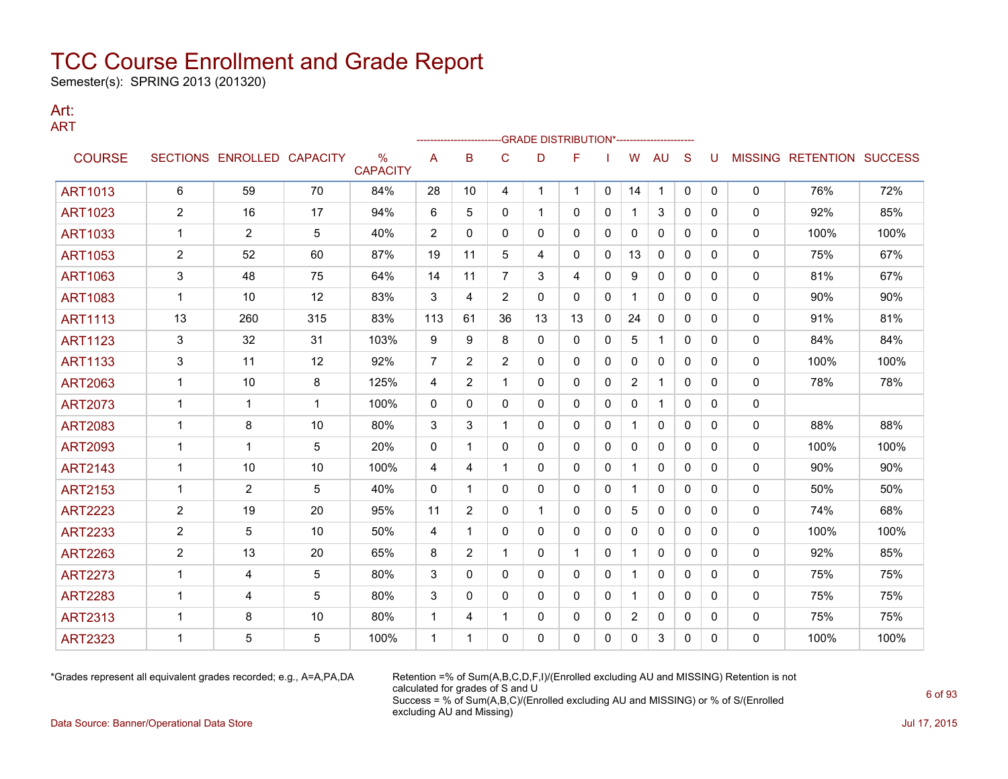Semester(s): SPRING 2013 (201320)

#### Art: ART

|                |                |                            |     |                                  |                |                |                | -GRADE DISTRIBUTION*----------------------- |              |              |                |              |              |              |              |                                  |      |
|----------------|----------------|----------------------------|-----|----------------------------------|----------------|----------------|----------------|---------------------------------------------|--------------|--------------|----------------|--------------|--------------|--------------|--------------|----------------------------------|------|
| <b>COURSE</b>  |                | SECTIONS ENROLLED CAPACITY |     | $\frac{0}{0}$<br><b>CAPACITY</b> | Α              | B              | $\mathsf{C}$   | D                                           | F            |              | W              | AU           | S            | U            |              | <b>MISSING RETENTION SUCCESS</b> |      |
| <b>ART1013</b> | 6              | 59                         | 70  | 84%                              | 28             | 10             | 4              | $\mathbf{1}$                                | $\mathbf{1}$ | $\mathbf{0}$ | 14             | $\mathbf 1$  | $\mathbf{0}$ | $\mathbf{0}$ | $\mathbf{0}$ | 76%                              | 72%  |
| <b>ART1023</b> | $\overline{c}$ | 16                         | 17  | 94%                              | 6              | 5              | 0              | 1                                           | 0            | 0            | 1              | 3            | $\Omega$     | 0            | 0            | 92%                              | 85%  |
| <b>ART1033</b> | 1              | $\overline{2}$             | 5   | 40%                              | 2              | 0              | 0              | 0                                           | 0            | 0            | $\mathbf{0}$   | $\mathbf{0}$ | $\mathbf{0}$ | 0            | 0            | 100%                             | 100% |
| <b>ART1053</b> | 2              | 52                         | 60  | 87%                              | 19             | 11             | 5              | 4                                           | 0            | 0            | 13             | 0            | $\mathbf{0}$ | 0            | 0            | 75%                              | 67%  |
| <b>ART1063</b> | 3              | 48                         | 75  | 64%                              | 14             | 11             | 7              | 3                                           | 4            | $\mathbf{0}$ | 9              | $\mathbf{0}$ | $\mathbf{0}$ | 0            | 0            | 81%                              | 67%  |
| <b>ART1083</b> | $\mathbf{1}$   | 10                         | 12  | 83%                              | 3              | 4              | $\overline{2}$ | 0                                           | 0            | $\Omega$     | $\mathbf{1}$   | $\mathbf{0}$ | $\Omega$     | $\Omega$     | 0            | 90%                              | 90%  |
| <b>ART1113</b> | 13             | 260                        | 315 | 83%                              | 113            | 61             | 36             | 13                                          | 13           | 0            | 24             | $\mathbf{0}$ | $\mathbf{0}$ | 0            | 0            | 91%                              | 81%  |
| <b>ART1123</b> | 3              | 32                         | 31  | 103%                             | 9              | 9              | 8              | 0                                           | 0            | 0            | 5              | $\mathbf{1}$ | $\mathbf{0}$ | 0            | 0            | 84%                              | 84%  |
| <b>ART1133</b> | 3              | 11                         | 12  | 92%                              | $\overline{7}$ | $\overline{2}$ | $\overline{2}$ | 0                                           | 0            | $\Omega$     | $\mathbf{0}$   | $\mathbf{0}$ | $\mathbf{0}$ | 0            | 0            | 100%                             | 100% |
| <b>ART2063</b> | $\mathbf{1}$   | 10                         | 8   | 125%                             | 4              | $\overline{2}$ | 1              | 0                                           | 0            | $\mathbf{0}$ | $\overline{2}$ | $\mathbf 1$  | $\Omega$     | 0            | 0            | 78%                              | 78%  |
| <b>ART2073</b> | 1              | 1                          | 1   | 100%                             | 0              | $\mathbf{0}$   | 0              | 0                                           | 0            | 0            | 0              | 1            | $\mathbf{0}$ | 0            | 0            |                                  |      |
| <b>ART2083</b> | $\mathbf{1}$   | 8                          | 10  | 80%                              | 3              | 3              | 1              | 0                                           | 0            | $\mathbf{0}$ | 1              | $\mathbf{0}$ | $\mathbf{0}$ | 0            | 0            | 88%                              | 88%  |
| <b>ART2093</b> | $\mathbf 1$    | 1                          | 5   | 20%                              | 0              | 1              | $\mathbf{0}$   | 0                                           | 0            | 0            | 0              | $\mathbf{0}$ | $\mathbf{0}$ | 0            | 0            | 100%                             | 100% |
| <b>ART2143</b> | $\mathbf{1}$   | 10                         | 10  | 100%                             | 4              | 4              | 1              | 0                                           | 0            | 0            | $\mathbf{1}$   | 0            | $\mathbf{0}$ | 0            | 0            | 90%                              | 90%  |
| <b>ART2153</b> | $\mathbf{1}$   | 2                          | 5   | 40%                              | $\Omega$       | 1              | $\mathbf{0}$   | 0                                           | 0            | $\Omega$     | $\mathbf 1$    | $\mathbf{0}$ | $\mathbf{0}$ | 0            | 0            | 50%                              | 50%  |
| <b>ART2223</b> | 2              | 19                         | 20  | 95%                              | 11             | $\overline{2}$ | $\mathbf{0}$   | 1                                           | 0            | 0            | 5              | $\mathbf{0}$ | $\Omega$     | 0            | 0            | 74%                              | 68%  |
| <b>ART2233</b> | $\overline{c}$ | 5                          | 10  | 50%                              | 4              | 1              | 0              | 0                                           | 0            | $\mathbf{0}$ | $\mathbf{0}$   | $\mathbf{0}$ | $\Omega$     | 0            | 0            | 100%                             | 100% |
| <b>ART2263</b> | 2              | 13                         | 20  | 65%                              | 8              | 2              | 1              | 0                                           | 1            | 0            | 1              | 0            | $\mathbf{0}$ | 0            | 0            | 92%                              | 85%  |
| <b>ART2273</b> | $\mathbf{1}$   | 4                          | 5   | 80%                              | 3              | $\mathbf{0}$   | $\mathbf{0}$   | 0                                           | 0            | $\mathbf{0}$ |                | $\mathbf{0}$ | $\mathbf{0}$ | 0            | 0            | 75%                              | 75%  |
| <b>ART2283</b> | 1              | 4                          | 5   | 80%                              | 3              | 0              | $\mathbf{0}$   | 0                                           | 0            | $\mathbf{0}$ | 1              | $\mathbf{0}$ | $\mathbf{0}$ | 0            | 0            | 75%                              | 75%  |
| <b>ART2313</b> | 1              | 8                          | 10  | 80%                              | 1              | 4              | 1              | 0                                           | 0            | 0            | $\overline{2}$ | 0            | 0            | 0            | 0            | 75%                              | 75%  |
| <b>ART2323</b> | 1              | 5                          | 5   | 100%                             | 1              | 1              | $\Omega$       | $\Omega$                                    | 0            | $\Omega$     | 0              | 3            | 0            | $\Omega$     | 0            | 100%                             | 100% |

\*Grades represent all equivalent grades recorded; e.g., A=A,PA,DA Retention =% of Sum(A,B,C,D,F,I)/(Enrolled excluding AU and MISSING) Retention is not calculated for grades of S and U Success = % of Sum(A,B,C)/(Enrolled excluding AU and MISSING) or % of S/(Enrolled excluding AU and Missing)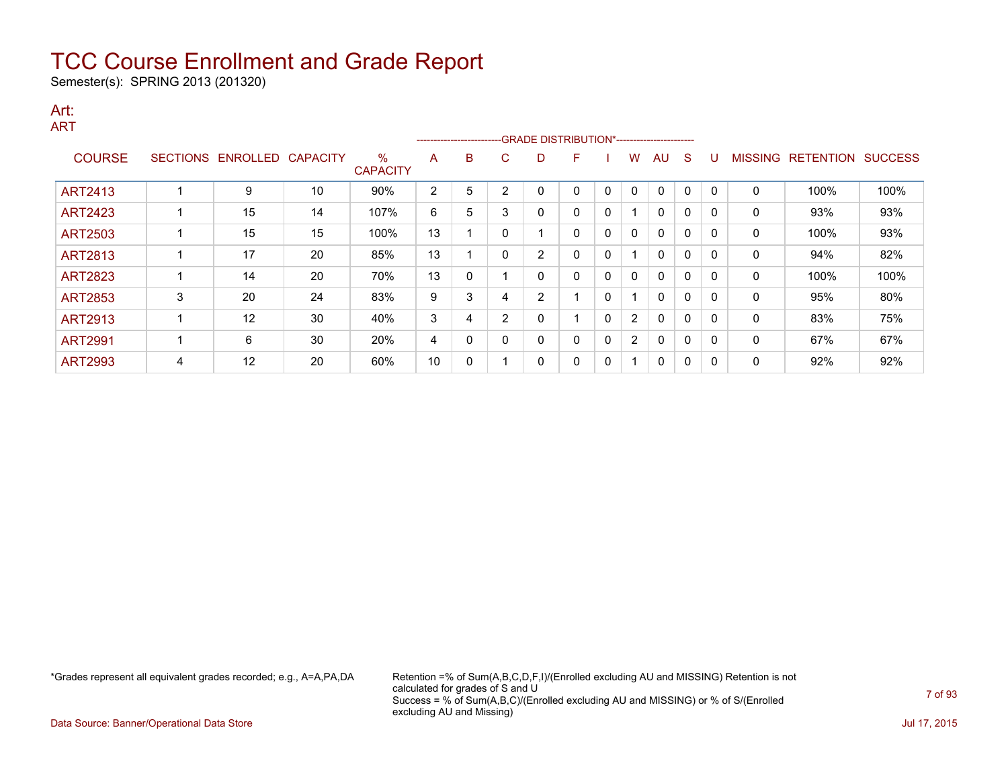Semester(s): SPRING 2013 (201320)

#### Art: ART

|                |                 |                   |                 |                         | ---------------------- |   |          |   |   |              |                |              |             |          |                |                  |                |
|----------------|-----------------|-------------------|-----------------|-------------------------|------------------------|---|----------|---|---|--------------|----------------|--------------|-------------|----------|----------------|------------------|----------------|
| <b>COURSE</b>  | <b>SECTIONS</b> | ENROLLED          | <b>CAPACITY</b> | $\%$<br><b>CAPACITY</b> | A                      | B | C        | D | F |              | w              | AU           | S           |          | <b>MISSING</b> | <b>RETENTION</b> | <b>SUCCESS</b> |
| <b>ART2413</b> |                 | 9                 | 10              | 90%                     | 2                      | 5 | $\sim$   |   | 0 | $\Omega$     | $\mathbf{0}$   | $\mathbf{0}$ | 0           | -0       | 0              | 100%             | 100%           |
| <b>ART2423</b> |                 | 15                | 14              | 107%                    | 6                      | 5 | 3        | 0 | 0 | $\mathbf{0}$ |                | $\mathbf{0}$ | $\mathbf 0$ | $\Omega$ | 0              | 93%              | 93%            |
| ART2503        |                 | 15                | 15              | 100%                    | 13                     |   |          |   | 0 | 0            | 0              | 0            | 0           |          | 0              | 100%             | 93%            |
| <b>ART2813</b> |                 | 17                | 20              | 85%                     | 13                     |   |          | 2 | 0 | 0            |                | $\mathbf{0}$ | 0           |          | 0              | 94%              | 82%            |
| <b>ART2823</b> |                 | 14                | 20              | 70%                     | 13                     | 0 |          | 0 | 0 | $\mathbf{0}$ | $\mathbf{0}$   | $\mathbf{0}$ | $\mathbf 0$ | $\Omega$ | 0              | 100%             | 100%           |
| ART2853        | 3               | 20                | 24              | 83%                     | 9                      | 3 |          | 2 |   | 0            |                | 0            | 0           |          | 0              | 95%              | 80%            |
| <b>ART2913</b> |                 | $12 \overline{ }$ | 30              | 40%                     | 3                      | 4 | 2        | 0 |   | 0            | $\overline{2}$ | $\mathbf{0}$ | $\mathbf 0$ |          | 0              | 83%              | 75%            |
| <b>ART2991</b> |                 | 6                 | 30              | 20%                     | 4                      | 0 | $\Omega$ | 0 | 0 | $\mathbf{0}$ | $\overline{2}$ | $\mathbf{0}$ | $\mathbf 0$ | $\Omega$ | 0              | 67%              | 67%            |
| <b>ART2993</b> | 4               | 12                | 20              | 60%                     | 10                     | 0 |          | 0 | 0 | 0            |                | 0            | 0           |          | 0              | 92%              | 92%            |

\*Grades represent all equivalent grades recorded; e.g., A=A,PA,DA Retention =% of Sum(A,B,C,D,F,I)/(Enrolled excluding AU and MISSING) Retention is not calculated for grades of S and U Success = % of Sum(A,B,C)/(Enrolled excluding AU and MISSING) or % of S/(Enrolled excluding AU and Missing)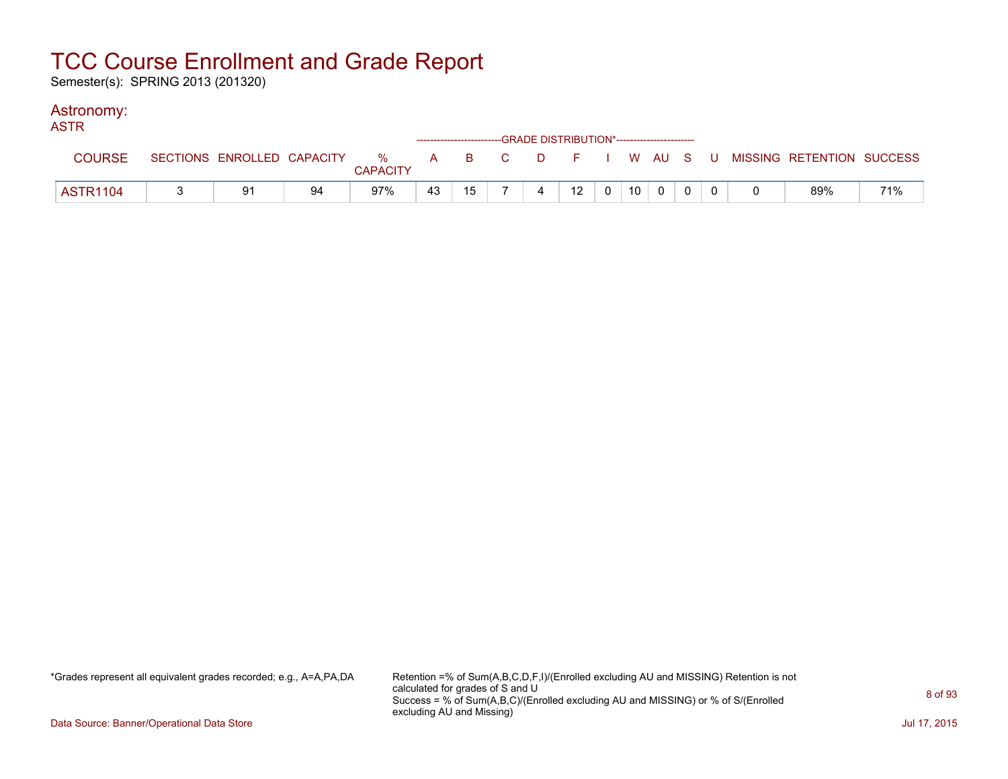Semester(s): SPRING 2013 (201320)

### Astronomy:

| <b>ASTR</b>     |    |    |                 |    |    | -----------------------GRADE DISTRIBUTION*----------------------- |    |                |                 |              |  |                                                                             |     |
|-----------------|----|----|-----------------|----|----|-------------------------------------------------------------------|----|----------------|-----------------|--------------|--|-----------------------------------------------------------------------------|-----|
| <b>COURSE</b>   |    |    | <b>CAPACITY</b> |    |    |                                                                   |    |                |                 |              |  | SECTIONS ENROLLED CAPACITY % A B C D F I W AU S U MISSING RETENTION SUCCESS |     |
| <b>ASTR1104</b> | 91 | 94 | 97%             | 43 | 15 | $\overline{4}$                                                    | 12 | $\overline{0}$ | 10 <sup>1</sup> | $\mathbf{0}$ |  | 89%                                                                         | 71% |

\*Grades represent all equivalent grades recorded; e.g., A=A,PA,DA Retention =% of Sum(A,B,C,D,F,I)/(Enrolled excluding AU and MISSING) Retention is not calculated for grades of S and U Success = % of Sum(A,B,C)/(Enrolled excluding AU and MISSING) or % of S/(Enrolled excluding AU and Missing)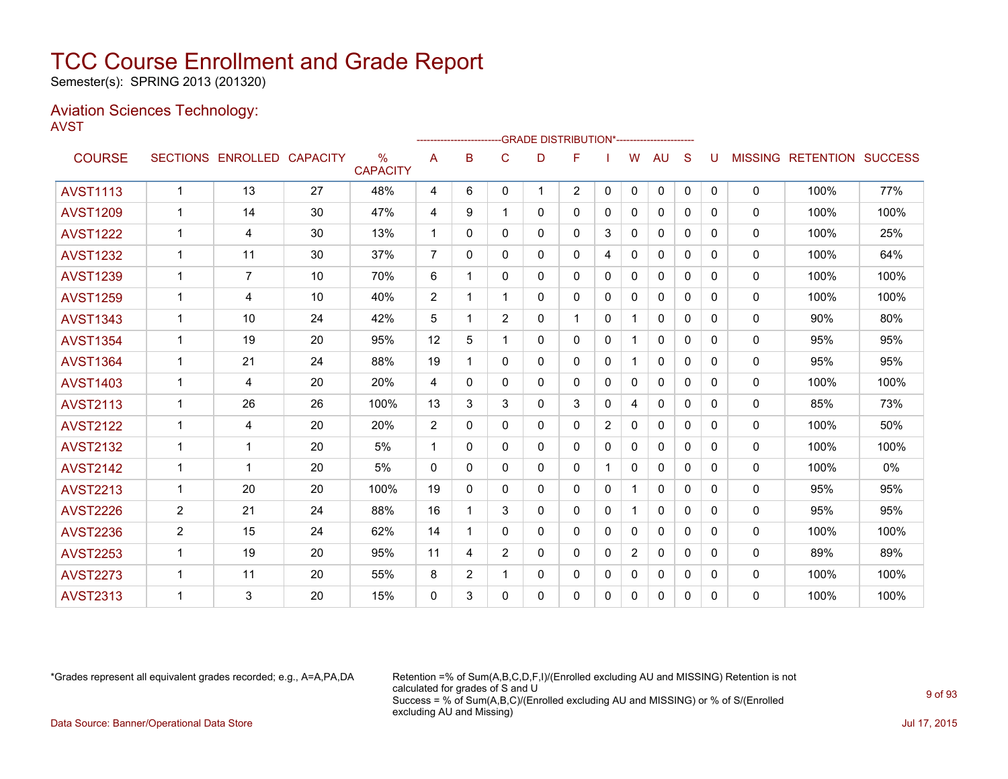Semester(s): SPRING 2013 (201320)

### Aviation Sciences Technology: AVST

|                 |                |                            |    |                                  |                | ------------------------ |                |              | -GRADE DISTRIBUTION*---------------------- |              |                |              |              |              |                |                          |      |
|-----------------|----------------|----------------------------|----|----------------------------------|----------------|--------------------------|----------------|--------------|--------------------------------------------|--------------|----------------|--------------|--------------|--------------|----------------|--------------------------|------|
| <b>COURSE</b>   |                | SECTIONS ENROLLED CAPACITY |    | $\frac{0}{0}$<br><b>CAPACITY</b> | Α              | B                        | C              | D            | F                                          |              | W              | AU           | S            | U            | <b>MISSING</b> | <b>RETENTION SUCCESS</b> |      |
| <b>AVST1113</b> | $\mathbf{1}$   | 13                         | 27 | 48%                              | 4              | 6                        | $\mathbf{0}$   | $\mathbf{1}$ | $\overline{2}$                             | $\mathbf{0}$ | $\Omega$       | $\mathbf{0}$ | $\mathbf{0}$ | $\mathbf{0}$ | $\mathbf 0$    | 100%                     | 77%  |
| <b>AVST1209</b> | 1              | 14                         | 30 | 47%                              | 4              | 9                        | 1              | 0            | 0                                          | $\Omega$     | $\Omega$       | $\Omega$     | 0            | 0            | $\mathbf{0}$   | 100%                     | 100% |
| <b>AVST1222</b> | $\mathbf{1}$   | 4                          | 30 | 13%                              | $\mathbf 1$    | $\Omega$                 | $\Omega$       | 0            | 0                                          | 3            | $\mathbf{0}$   | $\mathbf{0}$ | $\Omega$     | $\Omega$     | 0              | 100%                     | 25%  |
| <b>AVST1232</b> | $\mathbf{1}$   | 11                         | 30 | 37%                              | $\overline{7}$ | $\Omega$                 | $\mathbf{0}$   | 0            | 0                                          | 4            | $\Omega$       | $\mathbf{0}$ | 0            | $\Omega$     | 0              | 100%                     | 64%  |
| <b>AVST1239</b> | 1              | $\overline{7}$             | 10 | 70%                              | 6              | 1                        | $\mathbf{0}$   | 0            | 0                                          | $\mathbf{0}$ | $\mathbf{0}$   | $\mathbf{0}$ | $\Omega$     | $\Omega$     | $\mathbf{0}$   | 100%                     | 100% |
| <b>AVST1259</b> | $\mathbf 1$    | 4                          | 10 | 40%                              | $\overline{2}$ | 1                        | 1              | 0            | 0                                          | 0            | $\Omega$       | 0            | 0            | 0            | 0              | 100%                     | 100% |
| <b>AVST1343</b> | $\mathbf{1}$   | 10                         | 24 | 42%                              | 5              | 1                        | $\overline{2}$ | 0            | 1                                          | $\Omega$     | -1             | $\mathbf{0}$ | $\Omega$     | $\Omega$     | 0              | 90%                      | 80%  |
| <b>AVST1354</b> | $\mathbf 1$    | 19                         | 20 | 95%                              | 12             | 5                        | 1              | 0            | 0                                          | $\mathbf{0}$ |                | $\Omega$     | $\Omega$     | $\Omega$     | 0              | 95%                      | 95%  |
| <b>AVST1364</b> | $\mathbf 1$    | 21                         | 24 | 88%                              | 19             | 1                        | $\mathbf{0}$   | 0            | 0                                          | $\mathbf{0}$ | 1              | $\mathbf{0}$ | $\Omega$     | $\Omega$     | 0              | 95%                      | 95%  |
| <b>AVST1403</b> | 1              | 4                          | 20 | 20%                              | 4              | $\Omega$                 | $\mathbf{0}$   | 0            | 0                                          | 0            | 0              | $\Omega$     | 0            | 0            | $\mathbf{0}$   | 100%                     | 100% |
| <b>AVST2113</b> | $\mathbf{1}$   | 26                         | 26 | 100%                             | 13             | 3                        | 3              | 0            | 3                                          | $\mathbf 0$  | 4              | $\mathbf{0}$ | $\Omega$     | $\Omega$     | 0              | 85%                      | 73%  |
| <b>AVST2122</b> | $\mathbf{1}$   | 4                          | 20 | 20%                              | $\overline{2}$ | $\Omega$                 | $\Omega$       | 0            | $\Omega$                                   | 2            | $\mathbf{0}$   | $\mathbf{0}$ | $\Omega$     | $\Omega$     | 0              | 100%                     | 50%  |
| <b>AVST2132</b> | 1              | 1                          | 20 | 5%                               | $\mathbf 1$    | $\Omega$                 | $\mathbf{0}$   | 0            | 0                                          | 0            | 0              | 0            | 0            | 0            | $\mathbf{0}$   | 100%                     | 100% |
| <b>AVST2142</b> | $\mathbf 1$    | 1                          | 20 | 5%                               | 0              | 0                        | $\Omega$       | 0            | 0                                          |              | $\Omega$       | 0            | $\Omega$     | 0            | 0              | 100%                     | 0%   |
| <b>AVST2213</b> | $\mathbf{1}$   | 20                         | 20 | 100%                             | 19             | 0                        | $\mathbf{0}$   | 0            | 0                                          | $\Omega$     |                | $\mathbf{0}$ | $\Omega$     | $\Omega$     | 0              | 95%                      | 95%  |
| <b>AVST2226</b> | $\overline{2}$ | 21                         | 24 | 88%                              | 16             | 1                        | 3              | 0            | 0                                          | $\mathbf{0}$ |                | $\mathbf{0}$ | $\Omega$     | $\Omega$     | 0              | 95%                      | 95%  |
| <b>AVST2236</b> | $\overline{2}$ | 15                         | 24 | 62%                              | 14             | 1                        | 0              | 0            | 0                                          | $\mathbf{0}$ | $\Omega$       | $\Omega$     | 0            | 0            | $\Omega$       | 100%                     | 100% |
| <b>AVST2253</b> | $\mathbf{1}$   | 19                         | 20 | 95%                              | 11             | 4                        | $\overline{2}$ | 0            | 0                                          | $\Omega$     | $\overline{2}$ | 0            | 0            | 0            | 0              | 89%                      | 89%  |
| <b>AVST2273</b> | $\mathbf 1$    | 11                         | 20 | 55%                              | 8              | $\overline{2}$           | 1              | 0            | 0                                          | $\mathbf{0}$ | $\mathbf{0}$   | 0            | $\Omega$     | $\Omega$     | 0              | 100%                     | 100% |
| <b>AVST2313</b> | 1              | 3                          | 20 | 15%                              | $\Omega$       | 3                        | $\mathbf{0}$   | 0            | 0                                          | 0            | $\mathbf{0}$   | $\mathbf{0}$ | 0            | 0            | 0              | 100%                     | 100% |
|                 |                |                            |    |                                  |                |                          |                |              |                                            |              |                |              |              |              |                |                          |      |

\*Grades represent all equivalent grades recorded; e.g., A=A,PA,DA Retention =% of Sum(A,B,C,D,F,I)/(Enrolled excluding AU and MISSING) Retention is not calculated for grades of S and U Success = % of Sum(A,B,C)/(Enrolled excluding AU and MISSING) or % of S/(Enrolled excluding AU and Missing) Data Source: Banner/Operational Data Store Jul 17, 2015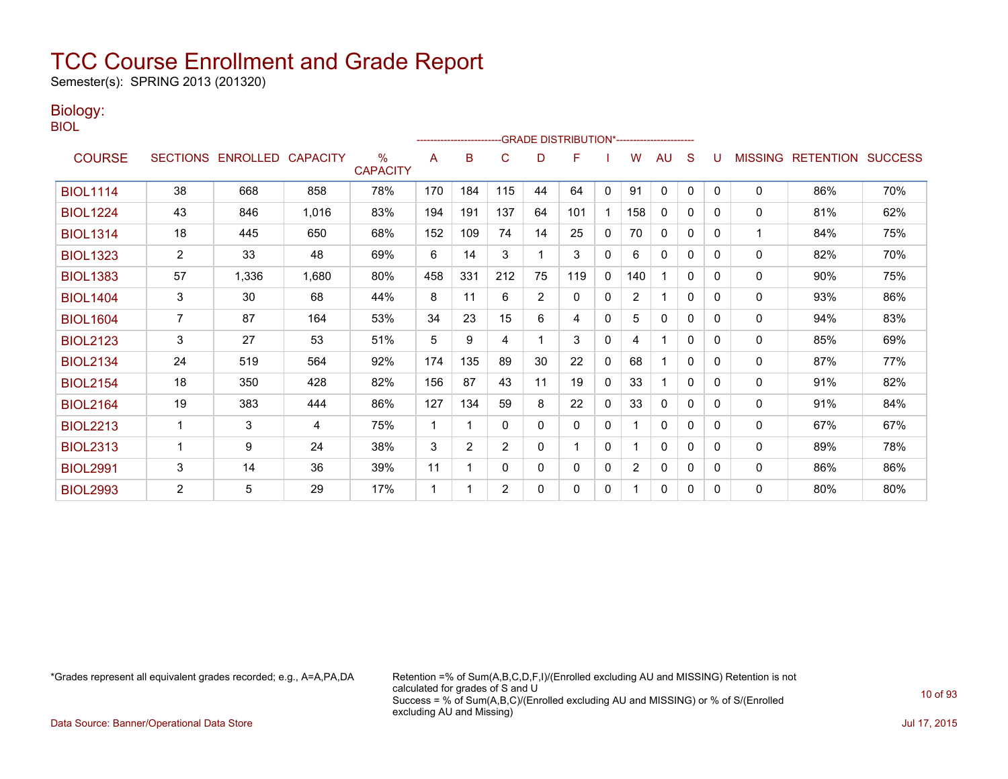Semester(s): SPRING 2013 (201320)

### Biology:

BIOL

|                 |                |                            |       |                         |     |     |              |                | -GRADE DISTRIBUTION*----------------------- |              |                |              |              |   |                |                          |     |
|-----------------|----------------|----------------------------|-------|-------------------------|-----|-----|--------------|----------------|---------------------------------------------|--------------|----------------|--------------|--------------|---|----------------|--------------------------|-----|
| <b>COURSE</b>   |                | SECTIONS ENROLLED CAPACITY |       | $\%$<br><b>CAPACITY</b> | A   | B   | C            | D              | F                                           |              | w              | AU           | S            |   | <b>MISSING</b> | <b>RETENTION SUCCESS</b> |     |
| <b>BIOL1114</b> | 38             | 668                        | 858   | 78%                     | 170 | 184 | 115          | 44             | 64                                          | $\mathbf{0}$ | 91             | 0            | $\mathbf{0}$ | 0 | 0              | 86%                      | 70% |
| <b>BIOL1224</b> | 43             | 846                        | 1,016 | 83%                     | 194 | 191 | 137          | 64             | 101                                         |              | 158            | 0            | 0            | 0 | 0              | 81%                      | 62% |
| <b>BIOL1314</b> | 18             | 445                        | 650   | 68%                     | 152 | 109 | 74           | 14             | 25                                          | $\mathbf{0}$ | 70             | $\mathbf{0}$ | $\mathbf{0}$ | 0 | 1              | 84%                      | 75% |
| <b>BIOL1323</b> | $\overline{2}$ | 33                         | 48    | 69%                     | 6   | 14  | 3            |                | 3                                           | 0            | 6              | 0            | 0            | 0 | 0              | 82%                      | 70% |
| <b>BIOL1383</b> | 57             | 1,336                      | 1,680 | 80%                     | 458 | 331 | 212          | 75             | 119                                         | $\mathbf 0$  | 140            |              | $\Omega$     | 0 | 0              | 90%                      | 75% |
| <b>BIOL1404</b> | 3              | 30                         | 68    | 44%                     | 8   | 11  | 6            | $\overline{2}$ | $\mathbf{0}$                                | $\mathbf{0}$ | $\overline{2}$ |              | $\mathbf{0}$ | 0 | 0              | 93%                      | 86% |
| <b>BIOL1604</b> | 7              | 87                         | 164   | 53%                     | 34  | 23  | 15           | 6              | 4                                           | $\mathbf{0}$ | 5              | $\mathbf{0}$ | $\mathbf{0}$ | 0 | 0              | 94%                      | 83% |
| <b>BIOL2123</b> | 3              | 27                         | 53    | 51%                     | 5   | 9   | 4            |                | 3                                           | $\mathbf{0}$ | 4              |              | $\mathbf{0}$ | 0 | 0              | 85%                      | 69% |
| <b>BIOL2134</b> | 24             | 519                        | 564   | 92%                     | 174 | 135 | 89           | 30             | 22                                          | 0            | 68             |              | $\mathbf{0}$ | 0 | 0              | 87%                      | 77% |
| <b>BIOL2154</b> | 18             | 350                        | 428   | 82%                     | 156 | 87  | 43           | 11             | 19                                          | $\mathbf{0}$ | 33             |              | $\Omega$     | 0 | 0              | 91%                      | 82% |
| <b>BIOL2164</b> | 19             | 383                        | 444   | 86%                     | 127 | 134 | 59           | 8              | 22                                          | $\mathbf{0}$ | 33             | $\mathbf{0}$ | $\mathbf{0}$ | 0 | 0              | 91%                      | 84% |
| <b>BIOL2213</b> | 1              | 3                          | 4     | 75%                     | 1   | 1   | $\mathbf{0}$ | $\mathbf{0}$   | 0                                           | $\mathbf{0}$ |                | $\mathbf{0}$ | 0            | 0 | 0              | 67%                      | 67% |
| <b>BIOL2313</b> | 1              | 9                          | 24    | 38%                     | 3   | 2   | 2            | $\mathbf{0}$   |                                             | $\mathbf{0}$ |                | $\mathbf{0}$ | 0            | 0 | $\mathbf{0}$   | 89%                      | 78% |
| <b>BIOL2991</b> | 3              | 14                         | 36    | 39%                     | 11  | 1   | $\Omega$     | 0              | 0                                           | 0            | 2              | 0            | 0            | 0 | 0              | 86%                      | 86% |
| <b>BIOL2993</b> | $\overline{2}$ | 5                          | 29    | 17%                     | 1   |     | 2            | $\Omega$       | 0                                           | 0            |                | $\mathbf{0}$ | 0            | 0 | 0              | 80%                      | 80% |

\*Grades represent all equivalent grades recorded; e.g., A=A,PA,DA Retention =% of Sum(A,B,C,D,F,I)/(Enrolled excluding AU and MISSING) Retention is not calculated for grades of S and U Success = % of Sum(A,B,C)/(Enrolled excluding AU and MISSING) or % of S/(Enrolled excluding AU and Missing)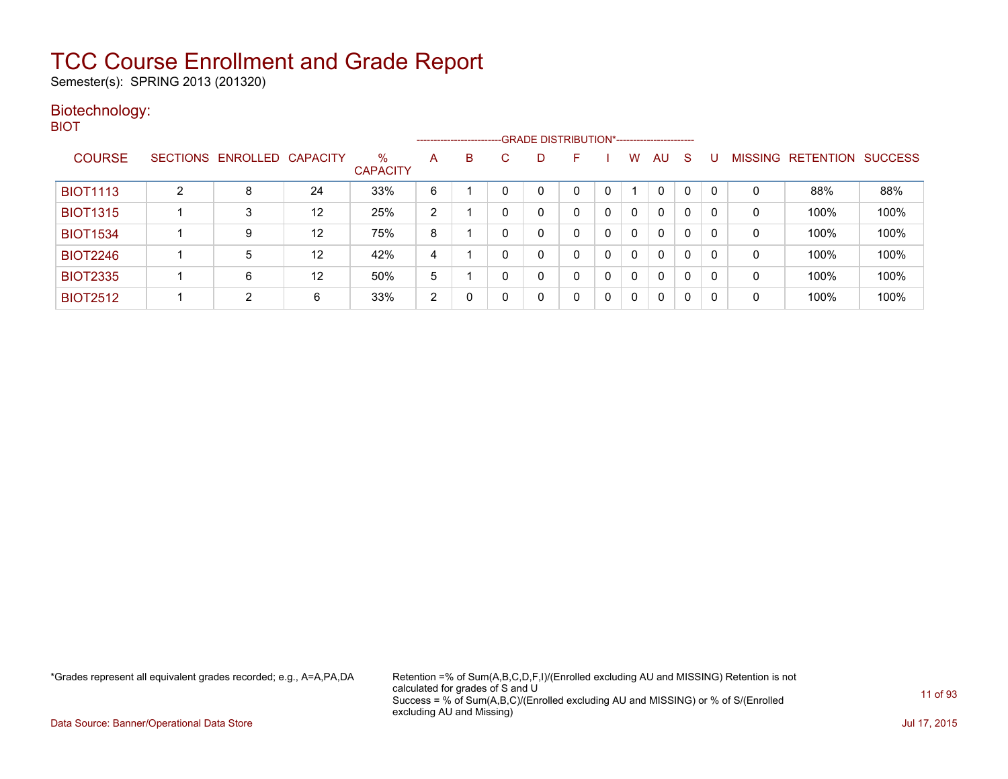Semester(s): SPRING 2013 (201320)

### Biotechnology: BIOT

|                 |   |                   |                 |                         |   | ----------------------- |   |   |    |          |   |    |   |   |                |                  |                |
|-----------------|---|-------------------|-----------------|-------------------------|---|-------------------------|---|---|----|----------|---|----|---|---|----------------|------------------|----------------|
| <b>COURSE</b>   |   | SECTIONS ENROLLED | <b>CAPACITY</b> | $\%$<br><b>CAPACITY</b> | A | B                       | C | D | F. |          | w | AU | S |   | <b>MISSING</b> | <b>RETENTION</b> | <b>SUCCESS</b> |
| <b>BIOT1113</b> | 2 | 8                 | 24              | 33%                     | 6 |                         |   |   |    |          |   | 0  | 0 | 0 | 0              | 88%              | 88%            |
| <b>BIOT1315</b> |   | 3                 | 12              | 25%                     | 2 |                         | 0 |   |    | 0        |   | 0  | 0 | 0 | 0              | 100%             | 100%           |
| <b>BIOT1534</b> |   | 9                 | 12              | 75%                     | 8 |                         |   |   |    |          | 0 | 0  | 0 | 0 | 0              | 100%             | 100%           |
| <b>BIOT2246</b> |   | 5                 | 12              | 42%                     | 4 |                         | 0 |   |    | $\Omega$ | 0 | 0  | 0 | 0 | 0              | 100%             | 100%           |
| <b>BIOT2335</b> |   | 6                 | 12              | 50%                     | 5 |                         | 0 |   |    | 0        | 0 | 0  | 0 | 0 | 0              | 100%             | 100%           |
| <b>BIOT2512</b> |   | っ                 | 6               | 33%                     | 2 |                         | 0 |   |    | 0        |   | 0  | 0 | 0 | 0              | 100%             | 100%           |

\*Grades represent all equivalent grades recorded; e.g., A=A,PA,DA Retention =% of Sum(A,B,C,D,F,I)/(Enrolled excluding AU and MISSING) Retention is not calculated for grades of S and U Success = % of Sum(A,B,C)/(Enrolled excluding AU and MISSING) or % of S/(Enrolled excluding AU and Missing)

Data Source: Banner/Operational Data Store Jul 17, 2015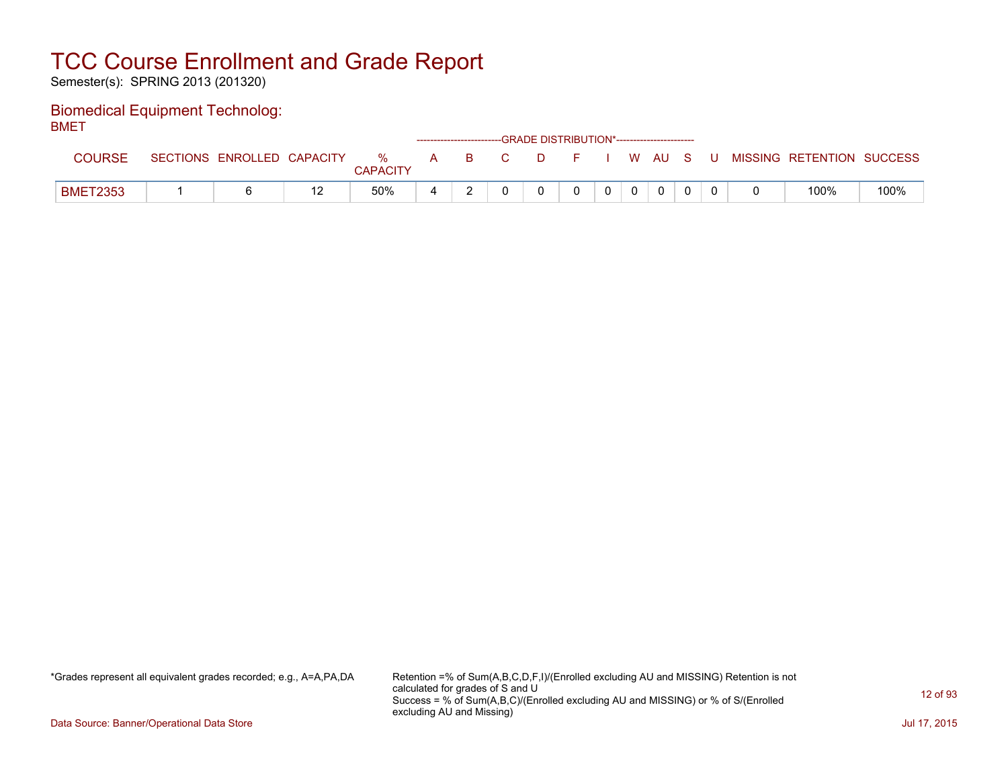Semester(s): SPRING 2013 (201320)

#### Biomedical Equipment Technolog: BMET

| -----           |                            |                      |              |   |          | ------------------------GRADE DISTRIBUTION*----------------------- |  |       |  |                           |      |
|-----------------|----------------------------|----------------------|--------------|---|----------|--------------------------------------------------------------------|--|-------|--|---------------------------|------|
| <b>COURSE</b>   | SECTIONS ENROLLED CAPACITY | %<br><b>CAPACITY</b> | $\mathsf{A}$ | B | <b>C</b> | D                                                                  |  | WAUS. |  | MISSING RETENTION SUCCESS |      |
| <b>BMET2353</b> |                            | 50%                  | ∸            |   |          |                                                                    |  |       |  | 100%                      | 100% |

\*Grades represent all equivalent grades recorded; e.g., A=A,PA,DA Retention =% of Sum(A,B,C,D,F,I)/(Enrolled excluding AU and MISSING) Retention is not calculated for grades of S and U Success = % of Sum(A,B,C)/(Enrolled excluding AU and MISSING) or % of S/(Enrolled excluding AU and Missing)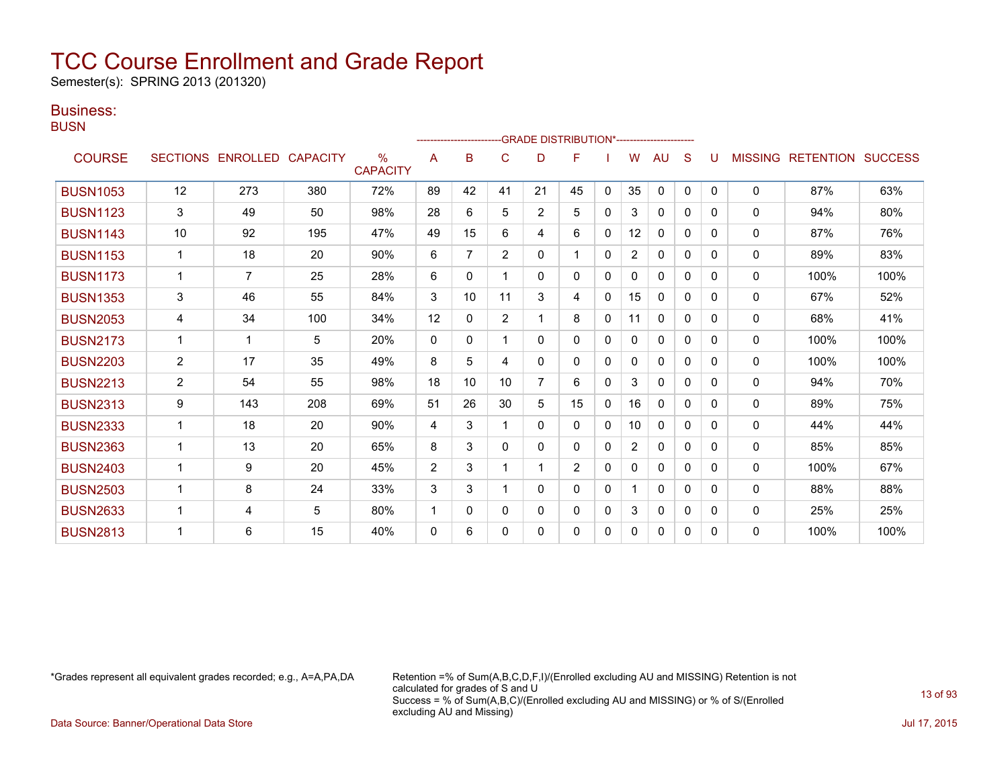Semester(s): SPRING 2013 (201320)

### Business:

**BUSN** 

|                 |                |                   |                 |                         |                |                |                |                | ------------------------GRADE                DISTRIBUTION*---------------------- |              |                |              |              |          |                |                          |      |
|-----------------|----------------|-------------------|-----------------|-------------------------|----------------|----------------|----------------|----------------|----------------------------------------------------------------------------------|--------------|----------------|--------------|--------------|----------|----------------|--------------------------|------|
| <b>COURSE</b>   |                | SECTIONS ENROLLED | <b>CAPACITY</b> | $\%$<br><b>CAPACITY</b> | A              | B              | C              | D              | F                                                                                |              | w              | AU           | S            |          | <b>MISSING</b> | <b>RETENTION SUCCESS</b> |      |
| <b>BUSN1053</b> | 12             | 273               | 380             | 72%                     | 89             | 42             | 41             | 21             | 45                                                                               | $\mathbf{0}$ | 35             | $\mathbf{0}$ | $\mathbf{0}$ | $\Omega$ | $\Omega$       | 87%                      | 63%  |
| <b>BUSN1123</b> | 3              | 49                | 50              | 98%                     | 28             | 6              | 5              | $\overline{2}$ | 5                                                                                | $\Omega$     | 3              | $\mathbf{0}$ | $\Omega$     | $\Omega$ | $\mathbf{0}$   | 94%                      | 80%  |
| <b>BUSN1143</b> | 10             | 92                | 195             | 47%                     | 49             | 15             | 6              | 4              | 6                                                                                | $\Omega$     | 12             | $\mathbf{0}$ | $\Omega$     | $\Omega$ | $\Omega$       | 87%                      | 76%  |
| <b>BUSN1153</b> |                | 18                | 20              | 90%                     | 6              | $\overline{7}$ | $\overline{2}$ | 0              | 1                                                                                | $\Omega$     | $\overline{2}$ | $\mathbf{0}$ | $\Omega$     | $\Omega$ | 0              | 89%                      | 83%  |
| <b>BUSN1173</b> | $\mathbf{1}$   | 7                 | 25              | 28%                     | 6              | 0              |                | 0              | 0                                                                                | $\mathbf{0}$ | 0              | $\mathbf{0}$ | $\Omega$     | 0        | 0              | 100%                     | 100% |
| <b>BUSN1353</b> | 3              | 46                | 55              | 84%                     | 3              | 10             | 11             | 3              | 4                                                                                | $\mathbf{0}$ | 15             | $\mathbf{0}$ | $\mathbf{0}$ | 0        | 0              | 67%                      | 52%  |
| <b>BUSN2053</b> | 4              | 34                | 100             | 34%                     | 12             | 0              | $\overline{2}$ |                | 8                                                                                | 0            | 11             | $\mathbf{0}$ | 0            | 0        | 0              | 68%                      | 41%  |
| <b>BUSN2173</b> | 1              | 1                 | 5               | 20%                     | $\mathbf{0}$   | 0              |                | 0              | 0                                                                                | 0            | 0              | 0            | $\Omega$     | 0        | 0              | 100%                     | 100% |
| <b>BUSN2203</b> | $\overline{2}$ | 17                | 35              | 49%                     | 8              | 5              | 4              | 0              | 0                                                                                | $\Omega$     | 0              | $\Omega$     | $\Omega$     | 0        | $\mathbf{0}$   | 100%                     | 100% |
| <b>BUSN2213</b> | $\overline{2}$ | 54                | 55              | 98%                     | 18             | 10             | 10             | 7              | 6                                                                                | $\Omega$     | 3              | $\mathbf{0}$ | 0            | 0        | 0              | 94%                      | 70%  |
| <b>BUSN2313</b> | 9              | 143               | 208             | 69%                     | 51             | 26             | 30             | 5              | 15                                                                               | $\mathbf{0}$ | 16             | $\mathbf{0}$ | $\Omega$     | 0        | 0              | 89%                      | 75%  |
| <b>BUSN2333</b> |                | 18                | 20              | 90%                     | 4              | 3              |                | 0              | 0                                                                                | $\mathbf{0}$ | 10             | $\mathbf{0}$ | $\Omega$     | $\Omega$ | 0              | 44%                      | 44%  |
| <b>BUSN2363</b> |                | 13                | 20              | 65%                     | 8              | 3              | 0              | 0              | 0                                                                                | $\Omega$     | 2              | $\mathbf{0}$ | $\Omega$     | 0        | 0              | 85%                      | 85%  |
| <b>BUSN2403</b> |                | 9                 | 20              | 45%                     | $\overline{2}$ | 3              |                |                | $\overline{2}$                                                                   | $\Omega$     | 0              | $\Omega$     | $\Omega$     | $\Omega$ | $\mathbf{0}$   | 100%                     | 67%  |
| <b>BUSN2503</b> |                | 8                 | 24              | 33%                     | 3              | 3              |                | $\Omega$       | 0                                                                                | $\Omega$     |                | $\Omega$     | $\Omega$     | $\Omega$ | $\Omega$       | 88%                      | 88%  |
| <b>BUSN2633</b> |                | 4                 | 5               | 80%                     | -1             | 0              | 0              | 0              | 0                                                                                | $\Omega$     | 3              | $\Omega$     | $\Omega$     | $\Omega$ | 0              | 25%                      | 25%  |
| <b>BUSN2813</b> |                | 6                 | 15              | 40%                     | $\mathbf{0}$   | 6              | 0              | 0              | 0                                                                                | $\Omega$     | 0              | $\mathbf{0}$ | 0            | 0        | $\mathbf 0$    | 100%                     | 100% |

\*Grades represent all equivalent grades recorded; e.g., A=A,PA,DA Retention =% of Sum(A,B,C,D,F,I)/(Enrolled excluding AU and MISSING) Retention is not calculated for grades of S and U Success = % of Sum(A,B,C)/(Enrolled excluding AU and MISSING) or % of S/(Enrolled excluding AU and Missing)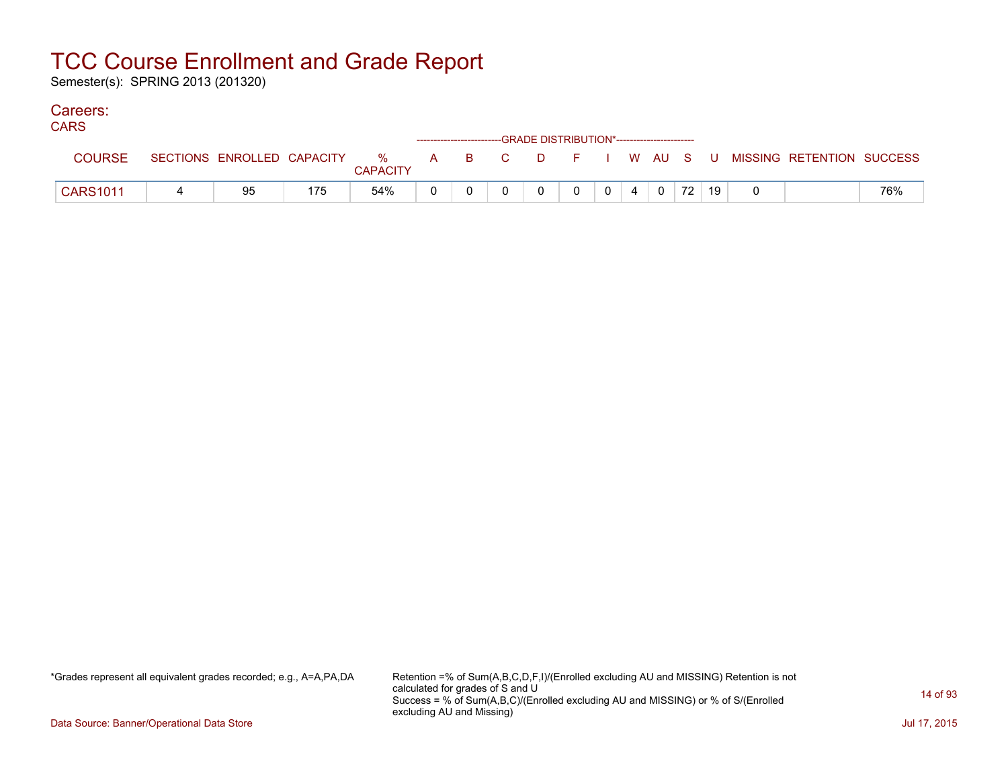Semester(s): SPRING 2013 (201320)

### Careers:

| טורוי           |                            |     |                      |  |  | ------------------------GRADE DISTRIBUTION*----------------------- |  |    |    |                                                |     |
|-----------------|----------------------------|-----|----------------------|--|--|--------------------------------------------------------------------|--|----|----|------------------------------------------------|-----|
| <b>COURSE</b>   | SECTIONS ENROLLED CAPACITY |     | %<br><b>CAPACITY</b> |  |  |                                                                    |  |    |    | A B C D F I W AU S U MISSING RETENTION SUCCESS |     |
| <b>CARS1011</b> | 95                         | 175 | 54%                  |  |  |                                                                    |  | 72 | 19 |                                                | 76% |

\*Grades represent all equivalent grades recorded; e.g., A=A,PA,DA Retention =% of Sum(A,B,C,D,F,I)/(Enrolled excluding AU and MISSING) Retention is not calculated for grades of S and U Success = % of Sum(A,B,C)/(Enrolled excluding AU and MISSING) or % of S/(Enrolled excluding AU and Missing)

Data Source: Banner/Operational Data Store Jul 17, 2015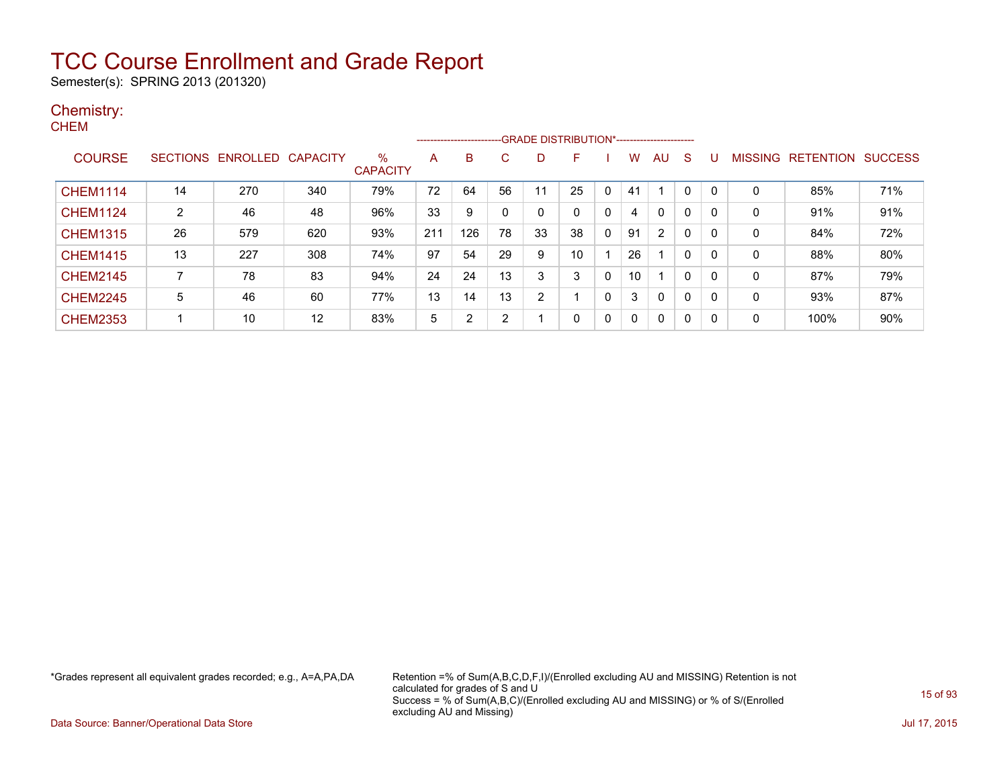Semester(s): SPRING 2013 (201320)

#### Chemistry: **CHEM**

|                 |    |                            |     |                      |     | ---------------------- |    | --GRADE DISTRIBUTION*----------------------- |    |              |              |                |              |              |                |                  |                |
|-----------------|----|----------------------------|-----|----------------------|-----|------------------------|----|----------------------------------------------|----|--------------|--------------|----------------|--------------|--------------|----------------|------------------|----------------|
| <b>COURSE</b>   |    | SECTIONS ENROLLED CAPACITY |     | %<br><b>CAPACITY</b> | A   | B                      | C. | D                                            | F. |              | w            | AU             | <sub>S</sub> | U            | <b>MISSING</b> | <b>RETENTION</b> | <b>SUCCESS</b> |
| <b>CHEM1114</b> | 14 | 270                        | 340 | 79%                  | 72  | 64                     | 56 | 11                                           | 25 | 0            | 41           |                |              |              | $\mathbf 0$    | 85%              | 71%            |
| <b>CHEM1124</b> | 2  | 46                         | 48  | 96%                  | 33  | 9                      | 0  | 0                                            |    | 0            | 4            | $\mathbf{0}$   | $\mathbf{0}$ | 0            | 0              | 91%              | 91%            |
| <b>CHEM1315</b> | 26 | 579                        | 620 | 93%                  | 211 | 126                    | 78 | 33                                           | 38 | 0            | 91           | $\overline{2}$ | 0            | 0            | 0              | 84%              | 72%            |
| <b>CHEM1415</b> | 13 | 227                        | 308 | 74%                  | 97  | 54                     | 29 | 9                                            | 10 |              | 26           |                | $\Omega$     | 0            | 0              | 88%              | 80%            |
| <b>CHEM2145</b> | 7  | 78                         | 83  | 94%                  | 24  | 24                     | 13 | 3                                            |    | $\mathbf{0}$ | 10           |                | $\Omega$     | 0            | 0              | 87%              | 79%            |
| <b>CHEM2245</b> | 5  | 46                         | 60  | 77%                  | 13  | 14                     | 13 | 2                                            |    | $\mathbf{0}$ | 3            | $\mathbf{0}$   | $\mathbf{0}$ | 0            | 0              | 93%              | 87%            |
| <b>CHEM2353</b> |    | 10                         | 12  | 83%                  | 5   | ົ                      | 2  |                                              | 0  | 0            | $\mathbf{0}$ | $\Omega$       | 0            | $\mathbf{0}$ | 0              | 100%             | 90%            |

\*Grades represent all equivalent grades recorded; e.g., A=A,PA,DA Retention =% of Sum(A,B,C,D,F,I)/(Enrolled excluding AU and MISSING) Retention is not calculated for grades of S and U Success = % of Sum(A,B,C)/(Enrolled excluding AU and MISSING) or % of S/(Enrolled excluding AU and Missing)

Data Source: Banner/Operational Data Store Jul 17, 2015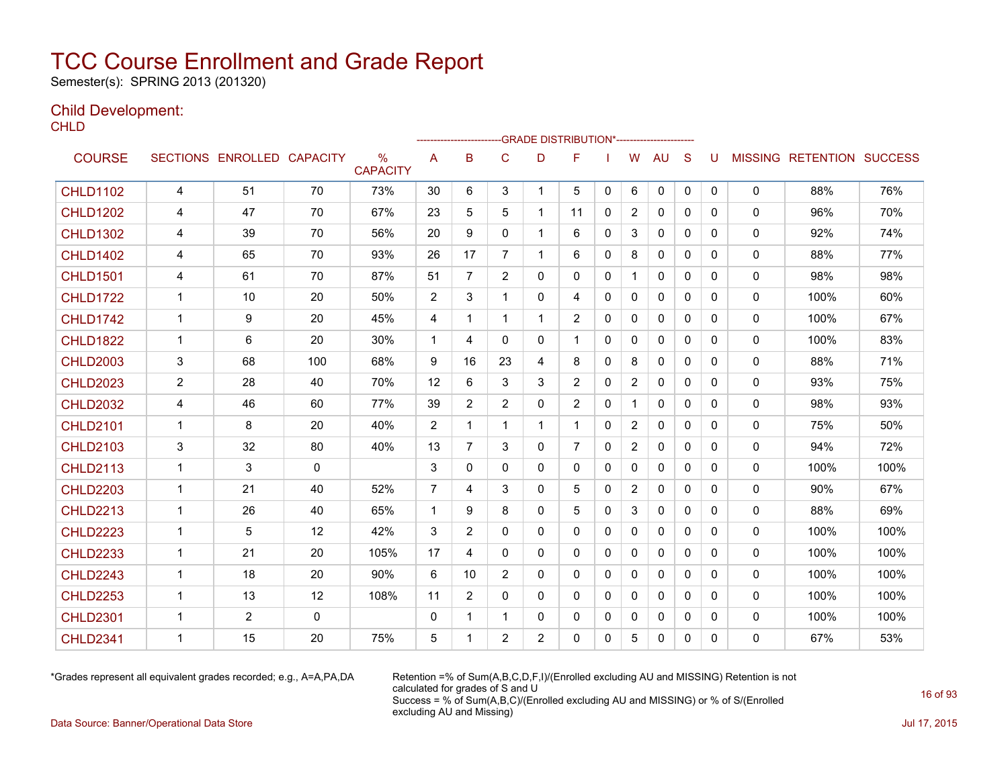Semester(s): SPRING 2013 (201320)

### Child Development:

**CHLD** 

|                 |                |                   |                 |                                  |                | -------------------- |                |                | --GRADE DISTRIBUTION*---------------------- |              |                |              |              |   |              |                                  |      |
|-----------------|----------------|-------------------|-----------------|----------------------------------|----------------|----------------------|----------------|----------------|---------------------------------------------|--------------|----------------|--------------|--------------|---|--------------|----------------------------------|------|
| <b>COURSE</b>   |                | SECTIONS ENROLLED | <b>CAPACITY</b> | $\frac{0}{0}$<br><b>CAPACITY</b> | A              | B                    | C              | D              | F                                           |              | W              | <b>AU</b>    | S            | U |              | <b>MISSING RETENTION SUCCESS</b> |      |
| <b>CHLD1102</b> | 4              | 51                | 70              | 73%                              | 30             | 6                    | 3              | $\mathbf{1}$   | 5                                           | $\mathbf{0}$ | 6              | $\mathbf 0$  | $\mathbf{0}$ | 0 | 0            | 88%                              | 76%  |
| <b>CHLD1202</b> | 4              | 47                | 70              | 67%                              | 23             | 5                    | 5              | $\mathbf{1}$   | 11                                          | $\mathbf{0}$ | 2              | $\mathbf{0}$ | $\Omega$     | 0 | 0            | 96%                              | 70%  |
| <b>CHLD1302</b> | 4              | 39                | 70              | 56%                              | 20             | 9                    | 0              |                | 6                                           | $\mathbf{0}$ | 3              | 0            | $\mathbf{0}$ | 0 | 0            | 92%                              | 74%  |
| <b>CHLD1402</b> | 4              | 65                | 70              | 93%                              | 26             | 17                   | $\overline{7}$ | 1              | 6                                           | $\mathbf{0}$ | 8              | $\mathbf{0}$ | $\mathbf{0}$ | 0 | 0            | 88%                              | 77%  |
| <b>CHLD1501</b> | 4              | 61                | 70              | 87%                              | 51             | $\overline{7}$       | $\overline{2}$ | 0              | 0                                           | $\mathbf{0}$ | $\mathbf{1}$   | $\mathbf{0}$ | $\mathbf{0}$ | 0 | 0            | 98%                              | 98%  |
| <b>CHLD1722</b> | $\mathbf 1$    | 10                | 20              | 50%                              | 2              | 3                    |                | 0              | 4                                           | $\mathbf{0}$ | 0              | 0            | $\mathbf{0}$ | 0 | 0            | 100%                             | 60%  |
| <b>CHLD1742</b> | $\mathbf{1}$   | 9                 | 20              | 45%                              | 4              | 1                    | 1              | 1              | $\overline{2}$                              | $\Omega$     | $\mathbf{0}$   | $\mathbf{0}$ | $\mathbf{0}$ | 0 | 0            | 100%                             | 67%  |
| <b>CHLD1822</b> | $\mathbf{1}$   | 6                 | 20              | 30%                              | $\overline{1}$ | 4                    | 0              | 0              | $\mathbf 1$                                 | $\Omega$     | $\mathbf{0}$   | $\Omega$     | $\Omega$     | 0 | $\mathbf{0}$ | 100%                             | 83%  |
| <b>CHLD2003</b> | 3              | 68                | 100             | 68%                              | 9              | 16                   | 23             | 4              | 8                                           | $\mathbf{0}$ | 8              | 0            | $\mathbf{0}$ | 0 | 0            | 88%                              | 71%  |
| <b>CHLD2023</b> | $\overline{2}$ | 28                | 40              | 70%                              | 12             | 6                    | 3              | 3              | $\overline{2}$                              | $\mathbf{0}$ | 2              | $\mathbf{0}$ | $\mathbf{0}$ | 0 | $\mathbf{0}$ | 93%                              | 75%  |
| <b>CHLD2032</b> | 4              | 46                | 60              | 77%                              | 39             | $\overline{2}$       | $\overline{2}$ | $\Omega$       | $\overline{2}$                              | $\mathbf{0}$ |                | $\mathbf{0}$ | $\Omega$     | 0 | 0            | 98%                              | 93%  |
| <b>CHLD2101</b> | 1              | 8                 | 20              | 40%                              | 2              | 1                    | 1              | 1              | 1.                                          | 0            | $\overline{2}$ | 0            | 0            | 0 | 0            | 75%                              | 50%  |
| <b>CHLD2103</b> | 3              | 32                | 80              | 40%                              | 13             | $\overline{7}$       | 3              | 0              | $\overline{7}$                              | $\mathbf{0}$ | $\overline{2}$ | $\mathbf{0}$ | $\mathbf{0}$ | 0 | 0            | 94%                              | 72%  |
| <b>CHLD2113</b> | $\mathbf{1}$   | 3                 | $\mathbf{0}$    |                                  | 3              | $\mathbf{0}$         | $\mathbf{0}$   | 0              | 0                                           | $\mathbf{0}$ | $\Omega$       | $\mathbf{0}$ | $\mathbf{0}$ | 0 | 0            | 100%                             | 100% |
| <b>CHLD2203</b> | $\mathbf 1$    | 21                | 40              | 52%                              | $\overline{7}$ | 4                    | 3              | $\Omega$       | 5                                           | $\Omega$     | $\overline{2}$ | $\mathbf{0}$ | $\Omega$     | 0 | 0            | 90%                              | 67%  |
| <b>CHLD2213</b> | $\overline{1}$ | 26                | 40              | 65%                              | $\mathbf{1}$   | 9                    | 8              | 0              | 5                                           | $\mathbf{0}$ | 3              | $\mathbf{0}$ | $\mathbf{0}$ | 0 | 0            | 88%                              | 69%  |
| <b>CHLD2223</b> | $\mathbf 1$    | 5                 | 12              | 42%                              | 3              | $\overline{2}$       | 0              | 0              | 0                                           | $\Omega$     | $\mathbf{0}$   | $\mathbf{0}$ | $\Omega$     | 0 | 0            | 100%                             | 100% |
| <b>CHLD2233</b> | $\overline{1}$ | 21                | 20              | 105%                             | 17             | 4                    | $\mathbf{0}$   | $\mathbf{0}$   | 0                                           | $\mathbf{0}$ | $\mathbf{0}$   | $\mathbf{0}$ | $\Omega$     | 0 | 0            | 100%                             | 100% |
| <b>CHLD2243</b> | $\mathbf 1$    | 18                | 20              | 90%                              | 6              | 10                   | $\overline{2}$ | 0              | 0                                           | $\Omega$     | $\mathbf{0}$   | $\mathbf{0}$ | $\mathbf{0}$ | 0 | 0            | 100%                             | 100% |
| <b>CHLD2253</b> | 1              | 13                | 12              | 108%                             | 11             | $\overline{2}$       | 0              | 0              | 0                                           | $\mathbf{0}$ | $\mathbf{0}$   | $\mathbf{0}$ | $\Omega$     | 0 | 0            | 100%                             | 100% |
| <b>CHLD2301</b> | $\mathbf 1$    | $\overline{2}$    | 0               |                                  | 0              | 1                    | 1              | 0              | 0                                           | 0            | $\mathbf 0$    | 0            | 0            | 0 | 0            | 100%                             | 100% |
| <b>CHLD2341</b> | 1              | 15                | 20              | 75%                              | 5              | 1                    | $\overline{2}$ | $\overline{2}$ | 0                                           | $\Omega$     | 5              | $\Omega$     | 0            | 0 | 0            | 67%                              | 53%  |

\*Grades represent all equivalent grades recorded; e.g., A=A,PA,DA Retention =% of Sum(A,B,C,D,F,I)/(Enrolled excluding AU and MISSING) Retention is not calculated for grades of S and U Success = % of Sum(A,B,C)/(Enrolled excluding AU and MISSING) or % of S/(Enrolled excluding AU and Missing)

Data Source: Banner/Operational Data Store Jul 17, 2015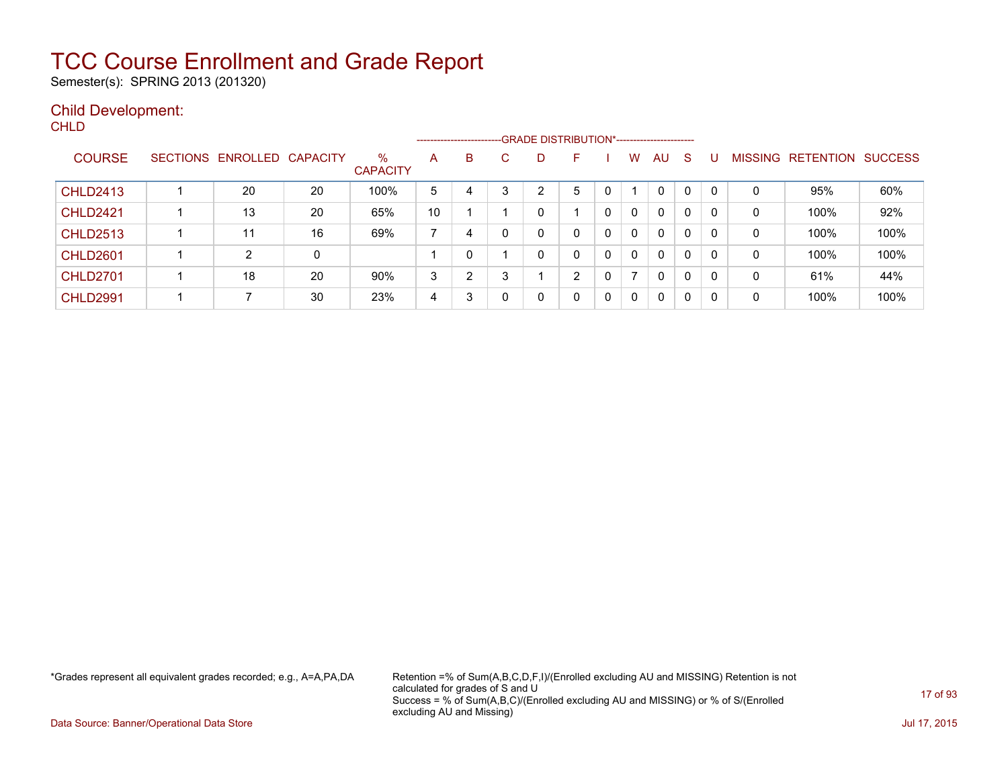Semester(s): SPRING 2013 (201320)

### Child Development:

| v |  |  |
|---|--|--|
|   |  |  |

|                 |                            |    |                         | ------------------------- |   |   |   | -GRADE DISTRIBUTION*----------------------- |   |   |              |              |   |   |                   |                |
|-----------------|----------------------------|----|-------------------------|---------------------------|---|---|---|---------------------------------------------|---|---|--------------|--------------|---|---|-------------------|----------------|
| <b>COURSE</b>   | SECTIONS ENROLLED CAPACITY |    | $\%$<br><b>CAPACITY</b> | A                         | B |   |   | F                                           |   | w | <b>AU</b>    | <sub>S</sub> |   |   | MISSING RETENTION | <b>SUCCESS</b> |
| <b>CHLD2413</b> | 20                         | 20 | 100%                    | 5                         | 4 |   | ⌒ | 5                                           |   |   | $\mathbf{0}$ | 0            |   | 0 | 95%               | 60%            |
| <b>CHLD2421</b> | 13                         | 20 | 65%                     | 10                        |   |   |   |                                             | 0 | 0 | 0            | 0            | 0 | 0 | 100%              | 92%            |
| <b>CHLD2513</b> | 11                         | 16 | 69%                     | ⇁                         | 4 |   |   | 0                                           | 0 | 0 | 0            | 0            | 0 | 0 | 100%              | 100%           |
| <b>CHLD2601</b> | 2                          | 0  |                         |                           | 0 |   |   | 0                                           | 0 | 0 | 0            | 0            | 0 | 0 | 100%              | 100%           |
| <b>CHLD2701</b> | 18                         | 20 | 90%                     | 3                         | າ | 3 |   | 2                                           | 0 |   | $\mathbf{0}$ | 0            | 0 | 0 | 61%               | 44%            |
| <b>CHLD2991</b> |                            | 30 | 23%                     | 4                         | 3 |   |   | 0                                           | 0 | 0 | $\mathbf{0}$ | $\Omega$     |   | 0 | 100%              | 100%           |

\*Grades represent all equivalent grades recorded; e.g., A=A,PA,DA Retention =% of Sum(A,B,C,D,F,I)/(Enrolled excluding AU and MISSING) Retention is not calculated for grades of S and U Success = % of Sum(A,B,C)/(Enrolled excluding AU and MISSING) or % of S/(Enrolled excluding AU and Missing)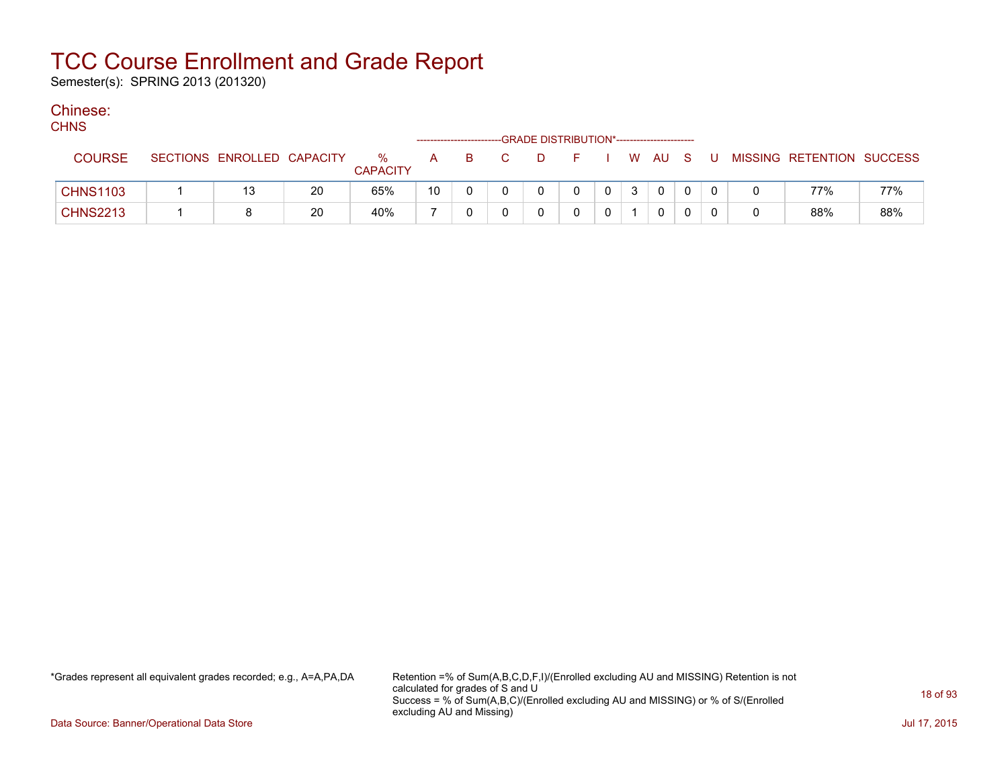Semester(s): SPRING 2013 (201320)

### Chinese:

| ۰, | ٠<br>٠ |
|----|--------|
|----|--------|

| ,,,,,           |                            |    |                         |    |  |   | ------------------------GRADE DISTRIBUTION*----------------------- |                |   |          |              |   |                           |     |
|-----------------|----------------------------|----|-------------------------|----|--|---|--------------------------------------------------------------------|----------------|---|----------|--------------|---|---------------------------|-----|
| <b>COURSE</b>   | SECTIONS ENROLLED CAPACITY |    | $\%$<br><b>CAPACITY</b> | A  |  | D |                                                                    |                |   | W AU S   |              | U | MISSING RETENTION SUCCESS |     |
| <b>CHNS1103</b> | 13                         | 20 | 65%                     | 10 |  |   |                                                                    | $\overline{0}$ | 3 | $\Omega$ | $\mathbf{0}$ |   | 77%                       | 77% |
| <b>CHNS2213</b> |                            | 20 | 40%                     |    |  |   |                                                                    |                |   |          | $\Omega$     |   | 88%                       | 88% |

\*Grades represent all equivalent grades recorded; e.g., A=A,PA,DA Retention =% of Sum(A,B,C,D,F,I)/(Enrolled excluding AU and MISSING) Retention is not calculated for grades of S and U Success = % of Sum(A,B,C)/(Enrolled excluding AU and MISSING) or % of S/(Enrolled excluding AU and Missing)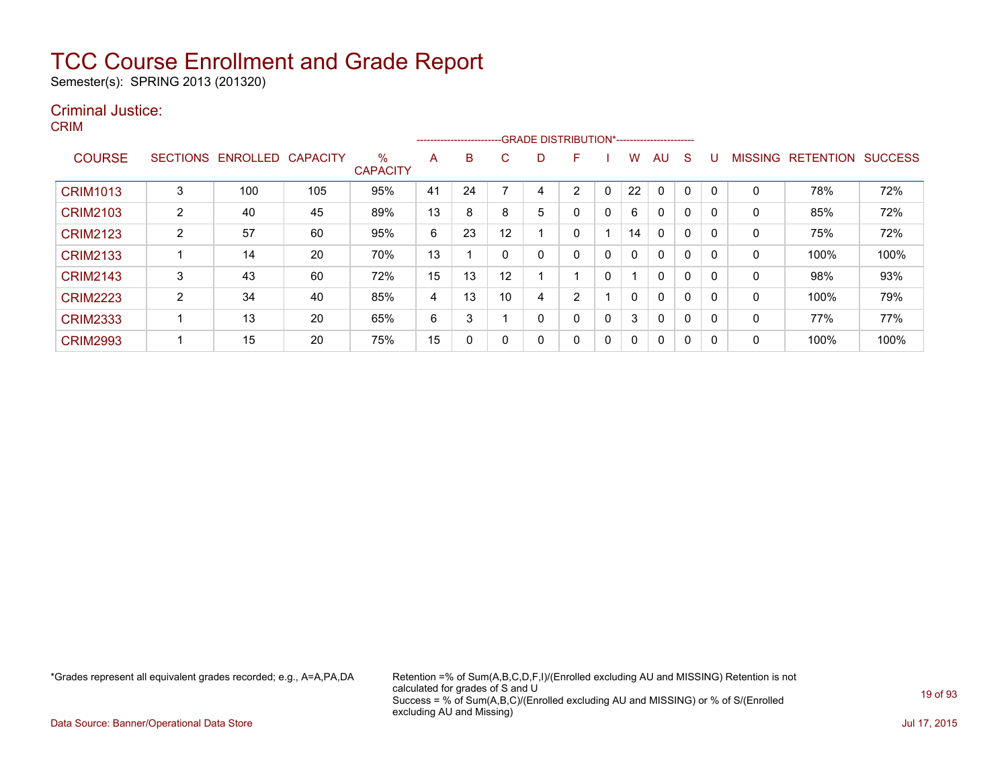Semester(s): SPRING 2013 (201320)

### Criminal Justice:

CRIM

|                 |        |                   |                 |                         |    | ------------------------ |    |   | -GRADE DISTRIBUTION*----------------------- |              |    |              |              |          |                |                  |                |
|-----------------|--------|-------------------|-----------------|-------------------------|----|--------------------------|----|---|---------------------------------------------|--------------|----|--------------|--------------|----------|----------------|------------------|----------------|
| <b>COURSE</b>   |        | SECTIONS ENROLLED | <b>CAPACITY</b> | $\%$<br><b>CAPACITY</b> | A  | B                        | C. | D | F                                           |              | w  | AU.          | <sub>S</sub> |          | <b>MISSING</b> | <b>RETENTION</b> | <b>SUCCESS</b> |
| <b>CRIM1013</b> | 3      | 100               | 105             | 95%                     | 41 | 24                       |    |   | 2                                           |              | 22 | $\Omega$     | 0            |          | 0              | 78%              | 72%            |
| <b>CRIM2103</b> | 2      | 40                | 45              | 89%                     | 13 | 8                        | 8  | 5 | 0                                           | 0            | 6  | $\mathbf{0}$ | 0            |          | 0              | 85%              | 72%            |
| <b>CRIM2123</b> | 2      | 57                | 60              | 95%                     | 6  | 23                       | 12 |   | 0                                           |              | 14 | $\mathbf{0}$ | 0            |          | 0              | 75%              | 72%            |
| <b>CRIM2133</b> |        | 14                | 20              | 70%                     | 13 |                          |    |   | 0                                           | $\mathbf{0}$ | 0  | $\mathbf{0}$ | 0            |          | 0              | 100%             | 100%           |
| <b>CRIM2143</b> | 3      | 43                | 60              | 72%                     | 15 | 13                       | 12 |   |                                             | 0            |    | $\mathbf{0}$ | 0            |          | 0              | 98%              | 93%            |
| <b>CRIM2223</b> | ົ<br>∠ | 34                | 40              | 85%                     | 4  | 13                       | 10 | 4 | C.                                          |              | 0  | $\mathbf{0}$ | 0            |          | 0              | 100%             | 79%            |
| <b>CRIM2333</b> |        | 13                | 20              | 65%                     | 6  | 3                        |    | 0 | 0                                           | 0            | 3  | $\mathbf{0}$ | 0            |          | 0              | 77%              | 77%            |
| <b>CRIM2993</b> |        | 15                | 20              | 75%                     | 15 | 0                        |    | 0 | 0                                           | 0            | 0  | $\mathbf{0}$ | 0            | $\Omega$ | 0              | 100%             | 100%           |

\*Grades represent all equivalent grades recorded; e.g., A=A,PA,DA Retention =% of Sum(A,B,C,D,F,I)/(Enrolled excluding AU and MISSING) Retention is not calculated for grades of S and U Success = % of Sum(A,B,C)/(Enrolled excluding AU and MISSING) or % of S/(Enrolled excluding AU and Missing)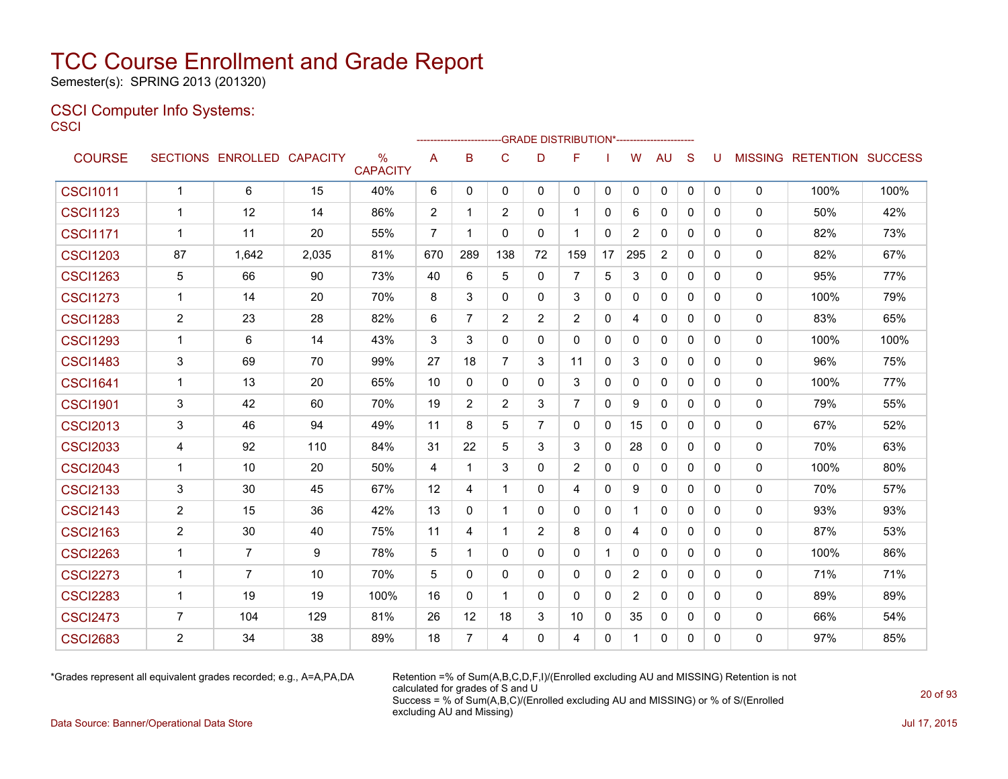Semester(s): SPRING 2013 (201320)

### CSCI Computer Info Systems: **CSCI**

|                 |                |                            |       |                                  |                |                |                |              | -GRADE DISTRIBUTION*----------------------- |              |                |                |              |              |          |                           |      |
|-----------------|----------------|----------------------------|-------|----------------------------------|----------------|----------------|----------------|--------------|---------------------------------------------|--------------|----------------|----------------|--------------|--------------|----------|---------------------------|------|
| <b>COURSE</b>   |                | SECTIONS ENROLLED CAPACITY |       | $\frac{0}{0}$<br><b>CAPACITY</b> | A              | в              | C              | D            | F                                           |              | W              | <b>AU</b>      | S            | U            |          | MISSING RETENTION SUCCESS |      |
| <b>CSCI1011</b> | $\mathbf{1}$   | 6                          | 15    | 40%                              | 6              | 0              | 0              | 0            | 0                                           | 0            | 0              | 0              | 0            | 0            | 0        | 100%                      | 100% |
| <b>CSCI1123</b> | $\mathbf 1$    | 12                         | 14    | 86%                              | 2              | 1              | $\overline{2}$ | $\Omega$     | $\mathbf 1$                                 | $\mathbf{0}$ | 6              | $\mathbf{0}$   | $\Omega$     | 0            | 0        | 50%                       | 42%  |
| <b>CSCI1171</b> | $\mathbf{1}$   | 11                         | 20    | 55%                              | $\overline{7}$ | 1              | $\Omega$       | $\Omega$     | $\mathbf 1$                                 | $\mathbf{0}$ | $\overline{2}$ | $\mathbf{0}$   | $\mathbf{0}$ | $\mathbf{0}$ | 0        | 82%                       | 73%  |
| <b>CSCI1203</b> | 87             | 1,642                      | 2,035 | 81%                              | 670            | 289            | 138            | 72           | 159                                         | 17           | 295            | $\overline{2}$ | $\Omega$     | $\Omega$     | 0        | 82%                       | 67%  |
| <b>CSCI1263</b> | 5              | 66                         | 90    | 73%                              | 40             | 6              | 5              | $\mathbf 0$  | $\overline{7}$                              | 5            | 3              | 0              | $\mathbf{0}$ | $\mathbf{0}$ | 0        | 95%                       | 77%  |
| <b>CSCI1273</b> | $\mathbf 1$    | 14                         | 20    | 70%                              | 8              | 3              | $\Omega$       | $\Omega$     | 3                                           | $\mathbf{0}$ | 0              | $\Omega$       | $\Omega$     | $\Omega$     | 0        | 100%                      | 79%  |
| <b>CSCI1283</b> | $\overline{2}$ | 23                         | 28    | 82%                              | 6              | $\overline{7}$ | 2              | 2            | 2                                           | $\mathbf{0}$ | 4              | $\Omega$       | $\mathbf{0}$ | $\mathbf{0}$ | $\Omega$ | 83%                       | 65%  |
| <b>CSCI1293</b> | 1              | 6                          | 14    | 43%                              | 3              | 3              | $\mathbf{0}$   | $\Omega$     | $\Omega$                                    | 0            | $\Omega$       | $\Omega$       | $\Omega$     | $\Omega$     | 0        | 100%                      | 100% |
| <b>CSCI1483</b> | 3              | 69                         | 70    | 99%                              | 27             | 18             | $\overline{7}$ | 3            | 11                                          | $\mathbf{0}$ | 3              | $\mathbf{0}$   | $\Omega$     | $\Omega$     | $\Omega$ | 96%                       | 75%  |
| <b>CSCI1641</b> | $\mathbf 1$    | 13                         | 20    | 65%                              | 10             | $\mathbf{0}$   | $\mathbf{0}$   | $\mathbf{0}$ | 3                                           | 0            | 0              | $\mathbf{0}$   | $\Omega$     | 0            | 0        | 100%                      | 77%  |
| <b>CSCI1901</b> | 3              | 42                         | 60    | 70%                              | 19             | $\overline{2}$ | 2              | 3            | $\overline{7}$                              | $\mathbf{0}$ | 9              | $\mathbf{0}$   | $\Omega$     | 0            | 0        | 79%                       | 55%  |
| <b>CSCI2013</b> | 3              | 46                         | 94    | 49%                              | 11             | 8              | 5              | 7            | $\mathbf{0}$                                | 0            | 15             | $\mathbf{0}$   | $\mathbf{0}$ | 0            | 0        | 67%                       | 52%  |
| <b>CSCI2033</b> | 4              | 92                         | 110   | 84%                              | 31             | 22             | 5              | 3            | 3                                           | $\mathbf{0}$ | 28             | $\mathbf{0}$   | $\Omega$     | 0            | 0        | 70%                       | 63%  |
| <b>CSCI2043</b> | $\mathbf 1$    | 10                         | 20    | 50%                              | 4              | $\mathbf{1}$   | 3              | $\Omega$     | 2                                           | 0            | 0              | 0              | $\mathbf{0}$ | 0            | 0        | 100%                      | 80%  |
| <b>CSCI2133</b> | 3              | 30                         | 45    | 67%                              | 12             | 4              | $\mathbf{1}$   | $\Omega$     | 4                                           | $\mathbf{0}$ | 9              | $\mathbf{0}$   | $\Omega$     | 0            | 0        | 70%                       | 57%  |
| <b>CSCI2143</b> | $\overline{2}$ | 15                         | 36    | 42%                              | 13             | $\Omega$       | $\mathbf{1}$   | $\Omega$     | $\Omega$                                    | $\mathbf{0}$ | 1              | $\Omega$       | $\mathbf{0}$ | $\mathbf{0}$ | 0        | 93%                       | 93%  |
| <b>CSCI2163</b> | $\overline{2}$ | 30                         | 40    | 75%                              | 11             | 4              | $\mathbf{1}$   | 2            | 8                                           | $\mathbf{0}$ | 4              | $\mathbf{0}$   | $\Omega$     | $\Omega$     | 0        | 87%                       | 53%  |
| <b>CSCI2263</b> | $\mathbf 1$    | $\overline{7}$             | 9     | 78%                              | 5              | 1              | $\Omega$       | $\Omega$     | $\Omega$                                    | $\mathbf{1}$ | $\Omega$       | $\Omega$       | $\Omega$     | $\Omega$     | 0        | 100%                      | 86%  |
| <b>CSCI2273</b> | 1              | 7                          | 10    | 70%                              | 5              | $\Omega$       | $\mathbf{0}$   | $\Omega$     | $\mathbf{0}$                                | $\mathbf{0}$ | $\overline{2}$ | $\Omega$       | $\mathbf{0}$ | $\Omega$     | 0        | 71%                       | 71%  |
| <b>CSCI2283</b> | $\mathbf 1$    | 19                         | 19    | 100%                             | 16             | $\Omega$       | $\mathbf{1}$   | $\Omega$     | $\Omega$                                    | $\mathbf{0}$ | 2              | $\Omega$       | $\Omega$     | $\Omega$     | $\Omega$ | 89%                       | 89%  |
| <b>CSCI2473</b> | 7              | 104                        | 129   | 81%                              | 26             | 12             | 18             | 3            | 10                                          | 0            | 35             | 0              | $\mathbf{0}$ | $\Omega$     | 0        | 66%                       | 54%  |
| <b>CSCI2683</b> | $\overline{2}$ | 34                         | 38    | 89%                              | 18             | $\overline{7}$ | 4              | $\Omega$     | 4                                           | $\mathbf{0}$ | 1              | $\Omega$       | $\mathbf{0}$ | 0            | $\Omega$ | 97%                       | 85%  |

\*Grades represent all equivalent grades recorded; e.g., A=A,PA,DA Retention =% of Sum(A,B,C,D,F,I)/(Enrolled excluding AU and MISSING) Retention is not calculated for grades of S and U Success = % of Sum(A,B,C)/(Enrolled excluding AU and MISSING) or % of S/(Enrolled excluding AU and Missing)

Data Source: Banner/Operational Data Store Jul 17, 2015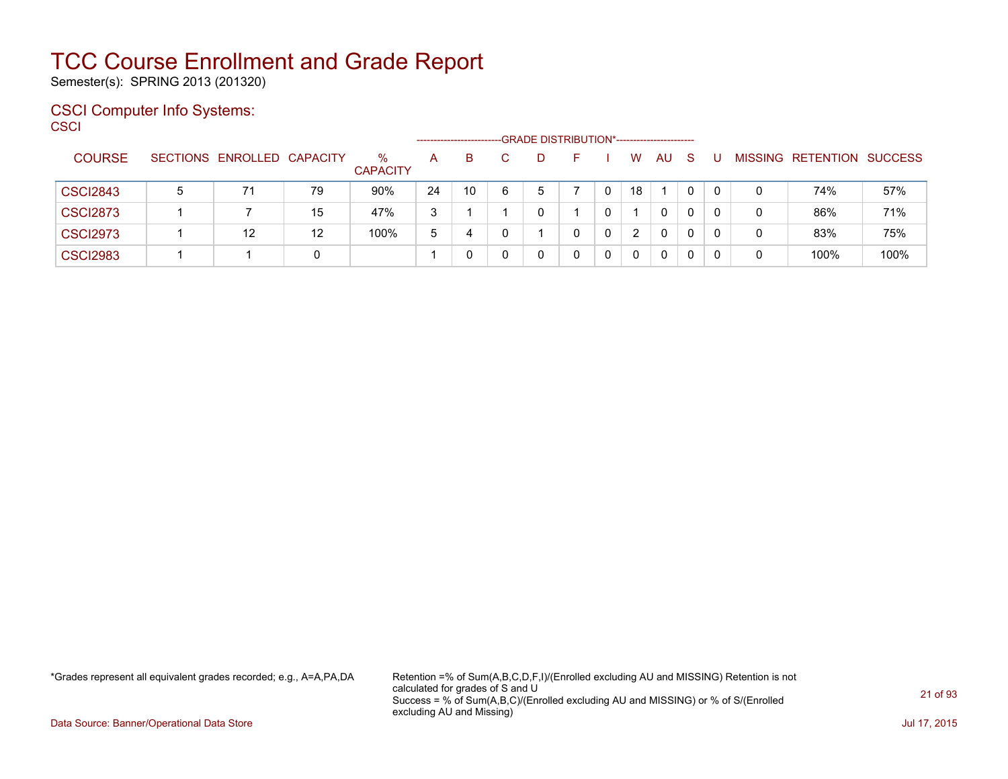Semester(s): SPRING 2013 (201320)

### CSCI Computer Info Systems: **CSCI**

|                 |   |                            |    |                         |    | ----------------------- |   | --GRADE DISTRIBUTION*----------------------- |   |    |              |    |          |   |                                  |      |
|-----------------|---|----------------------------|----|-------------------------|----|-------------------------|---|----------------------------------------------|---|----|--------------|----|----------|---|----------------------------------|------|
| <b>COURSE</b>   |   | SECTIONS ENROLLED CAPACITY |    | $\%$<br><b>CAPACITY</b> | A  | B                       |   |                                              |   | W  | AU.          | -S |          |   | <b>MISSING RETENTION SUCCESS</b> |      |
| <b>CSCI2843</b> | 5 | 71                         | 79 | 90%                     | 24 | 10                      | 6 | 5                                            | 0 | 18 |              |    | $\Omega$ | 0 | 74%                              | 57%  |
| <b>CSCI2873</b> |   |                            | 15 | 47%                     | 3  |                         |   | 0                                            | 0 |    | $\Omega$     | 0  | 0        | 0 | 86%                              | 71%  |
| <b>CSCI2973</b> |   | 12                         | 12 | 100%                    | 5  | 4                       | 0 |                                              | 0 | 2  | $\mathbf{0}$ | 0  | $\Omega$ | 0 | 83%                              | 75%  |
| <b>CSCI2983</b> |   |                            | 0  |                         |    |                         |   | 0                                            | 0 |    | 0            | 0  | 0        | 0 | 100%                             | 100% |

\*Grades represent all equivalent grades recorded; e.g., A=A,PA,DA Retention =% of Sum(A,B,C,D,F,I)/(Enrolled excluding AU and MISSING) Retention is not calculated for grades of S and U Success = % of Sum(A,B,C)/(Enrolled excluding AU and MISSING) or % of S/(Enrolled excluding AU and Missing)

Data Source: Banner/Operational Data Store Jul 17, 2015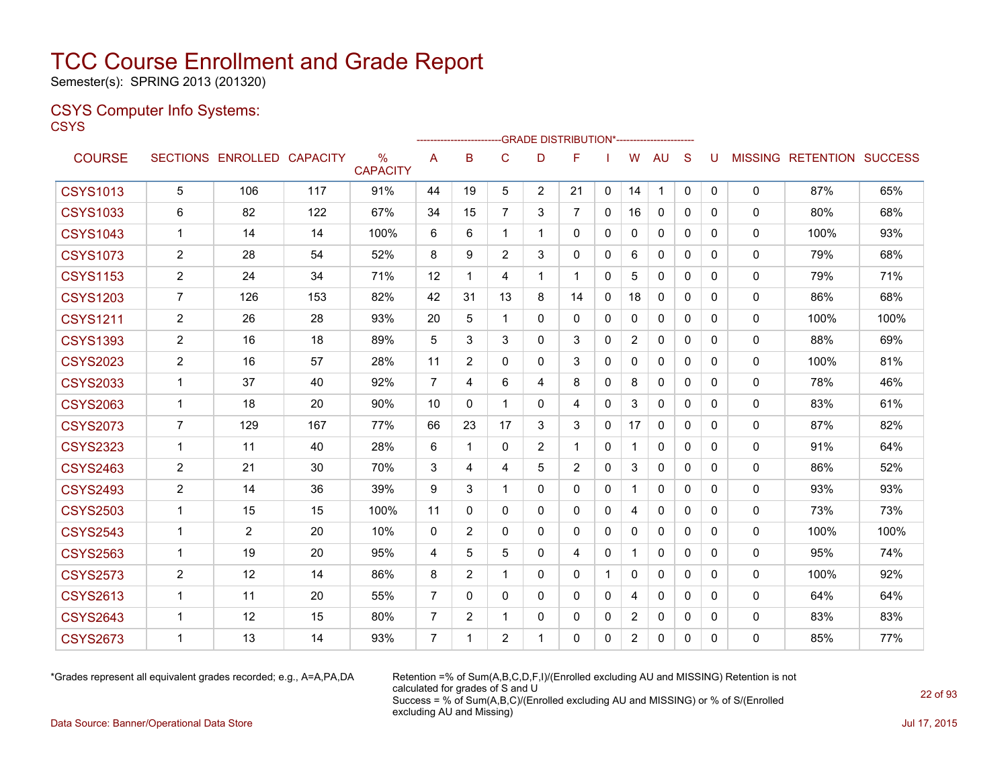Semester(s): SPRING 2013 (201320)

### CSYS Computer Info Systems: **CSYS**

|                 |                |                            |     |                         |                |                |                |                | -GRADE DISTRIBUTION*----------------------- |              |                |              |              |              |              |                                  |      |
|-----------------|----------------|----------------------------|-----|-------------------------|----------------|----------------|----------------|----------------|---------------------------------------------|--------------|----------------|--------------|--------------|--------------|--------------|----------------------------------|------|
| <b>COURSE</b>   |                | SECTIONS ENROLLED CAPACITY |     | $\%$<br><b>CAPACITY</b> | A              | в              | C              | D              | F                                           |              | W              | AU           | S            | U            |              | <b>MISSING RETENTION SUCCESS</b> |      |
| <b>CSYS1013</b> | 5              | 106                        | 117 | 91%                     | 44             | 19             | 5              | $\overline{2}$ | 21                                          | 0            | 14             | 1            | $\mathbf{0}$ | $\mathbf{0}$ | $\mathbf{0}$ | 87%                              | 65%  |
| <b>CSYS1033</b> | 6              | 82                         | 122 | 67%                     | 34             | 15             | 7              | 3              | 7                                           | 0            | 16             | 0            | 0            | 0            | 0            | 80%                              | 68%  |
| <b>CSYS1043</b> | 1              | 14                         | 14  | 100%                    | 6              | 6              | 1              | 1              | 0                                           | 0            | 0              | 0            | 0            | $\Omega$     | $\mathbf{0}$ | 100%                             | 93%  |
| <b>CSYS1073</b> | 2              | 28                         | 54  | 52%                     | 8              | 9              | $\overline{2}$ | 3              | 0                                           | 0            | 6              | 0            | 0            | 0            | 0            | 79%                              | 68%  |
| <b>CSYS1153</b> | $\overline{2}$ | 24                         | 34  | 71%                     | 12             | $\mathbf 1$    | 4              | 1              | 1                                           | $\mathbf{0}$ | 5              | $\mathbf{0}$ | 0            | $\mathbf{0}$ | $\mathbf{0}$ | 79%                              | 71%  |
| <b>CSYS1203</b> | 7              | 126                        | 153 | 82%                     | 42             | 31             | 13             | 8              | 14                                          | $\mathbf{0}$ | 18             | $\mathbf{0}$ | $\Omega$     | $\Omega$     | $\mathbf{0}$ | 86%                              | 68%  |
| <b>CSYS1211</b> | $\overline{2}$ | 26                         | 28  | 93%                     | 20             | 5              | $\mathbf{1}$   | 0              | 0                                           | 0            | $\mathbf{0}$   | $\mathbf{0}$ | $\mathbf{0}$ | $\mathbf{0}$ | $\mathbf{0}$ | 100%                             | 100% |
| <b>CSYS1393</b> | $\overline{2}$ | 16                         | 18  | 89%                     | 5              | 3              | 3              | 0              | 3                                           | $\Omega$     | $\overline{2}$ | $\mathbf{0}$ | $\Omega$     | $\Omega$     | $\mathbf{0}$ | 88%                              | 69%  |
| <b>CSYS2023</b> | 2              | 16                         | 57  | 28%                     | 11             | 2              | 0              | 0              | 3                                           | 0            | 0              | 0            | 0            | $\mathbf{0}$ | 0            | 100%                             | 81%  |
| <b>CSYS2033</b> | 1              | 37                         | 40  | 92%                     | $\overline{7}$ | 4              | 6              | 4              | 8                                           | $\Omega$     | 8              | $\mathbf{0}$ | $\Omega$     | $\Omega$     | $\mathbf{0}$ | 78%                              | 46%  |
| <b>CSYS2063</b> | $\mathbf{1}$   | 18                         | 20  | 90%                     | 10             | $\mathbf{0}$   | $\mathbf{1}$   | 0              | 4                                           | $\mathbf{0}$ | 3              | 0            | 0            | $\mathbf{0}$ | 0            | 83%                              | 61%  |
| <b>CSYS2073</b> | 7              | 129                        | 167 | 77%                     | 66             | 23             | 17             | 3              | 3                                           | $\Omega$     | 17             | $\mathbf{0}$ | $\Omega$     | $\Omega$     | $\mathbf{0}$ | 87%                              | 82%  |
| <b>CSYS2323</b> | 1              | 11                         | 40  | 28%                     | 6              | 1              | $\Omega$       | 2              | 1                                           | $\mathbf{0}$ | 1              | 0            | 0            | $\mathbf{0}$ | $\Omega$     | 91%                              | 64%  |
| <b>CSYS2463</b> | 2              | 21                         | 30  | 70%                     | 3              | 4              | 4              | 5              | $\overline{2}$                              | $\Omega$     | 3              | 0            | $\Omega$     | $\Omega$     | $\mathbf{0}$ | 86%                              | 52%  |
| <b>CSYS2493</b> | $\overline{2}$ | 14                         | 36  | 39%                     | 9              | 3              | 1              | 0              | 0                                           | 0            | 1              | 0            | $\mathbf{0}$ | $\mathbf{0}$ | $\mathbf{0}$ | 93%                              | 93%  |
| <b>CSYS2503</b> | 1              | 15                         | 15  | 100%                    | 11             | $\mathbf{0}$   | $\mathbf{0}$   | 0              | 0                                           | 0            | 4              | 0            | 0            | $\Omega$     | $\mathbf{0}$ | 73%                              | 73%  |
| <b>CSYS2543</b> | 1              | 2                          | 20  | 10%                     | $\mathbf{0}$   | 2              | 0              | 0              | 0                                           | 0            | 0              | 0            | 0            | $\Omega$     | 0            | 100%                             | 100% |
| <b>CSYS2563</b> | $\mathbf 1$    | 19                         | 20  | 95%                     | 4              | 5              | 5              | 0              | 4                                           | 0            | $\mathbf 1$    | $\mathbf{0}$ | 0            | $\Omega$     | $\mathbf{0}$ | 95%                              | 74%  |
| <b>CSYS2573</b> | $\sqrt{2}$     | 12                         | 14  | 86%                     | 8              | 2              | 1              | 0              | 0                                           | 1            | 0              | 0            | $\Omega$     | $\Omega$     | $\Omega$     | 100%                             | 92%  |
| <b>CSYS2613</b> | 1              | 11                         | 20  | 55%                     | $\overline{7}$ | $\mathbf{0}$   | $\Omega$       | 0              | 0                                           | $\mathbf{0}$ | 4              | $\mathbf{0}$ | $\mathbf{0}$ | $\mathbf{0}$ | $\mathbf{0}$ | 64%                              | 64%  |
| <b>CSYS2643</b> | 1              | 12                         | 15  | 80%                     | $\overline{7}$ | $\overline{2}$ | 1              | 0              | 0                                           | $\mathbf{0}$ | $\overline{2}$ | 0            | 0            | $\Omega$     | 0            | 83%                              | 83%  |
| <b>CSYS2673</b> | 1              | 13                         | 14  | 93%                     | $\overline{7}$ | 1              | $\overline{2}$ | 1              | 0                                           | 0            | $\overline{2}$ | $\mathbf{0}$ | 0            | $\mathbf{0}$ | $\Omega$     | 85%                              | 77%  |
|                 |                |                            |     |                         |                |                |                |                |                                             |              |                |              |              |              |              |                                  |      |

\*Grades represent all equivalent grades recorded; e.g., A=A,PA,DA Retention =% of Sum(A,B,C,D,F,I)/(Enrolled excluding AU and MISSING) Retention is not calculated for grades of S and U Success = % of Sum(A,B,C)/(Enrolled excluding AU and MISSING) or % of S/(Enrolled excluding AU and Missing)

Data Source: Banner/Operational Data Store Jul 17, 2015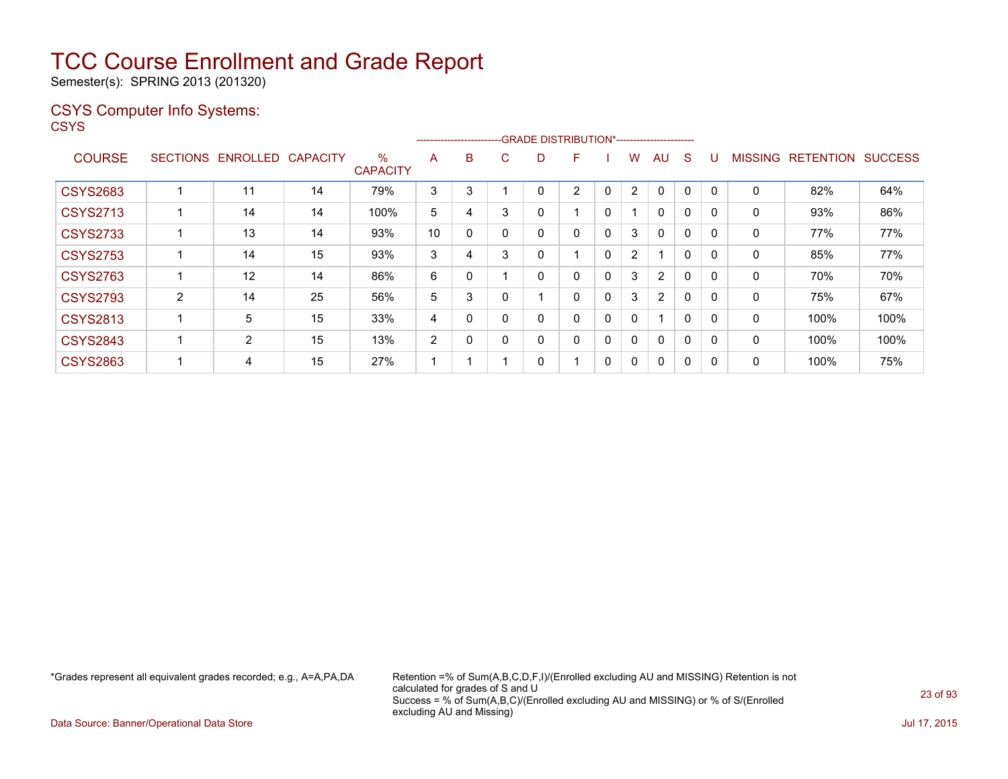Semester(s): SPRING 2013 (201320)

### CSYS Computer Info Systems:

**CSYS** 

|                 |                 |                |                 |                         |    |   |   |          | ------------------------GRADE DISTRIBUTION*----------------------- |          |                          |                |              |             |                |                  |                |
|-----------------|-----------------|----------------|-----------------|-------------------------|----|---|---|----------|--------------------------------------------------------------------|----------|--------------------------|----------------|--------------|-------------|----------------|------------------|----------------|
| <b>COURSE</b>   | <b>SECTIONS</b> | ENROLLED       | <b>CAPACITY</b> | $\%$<br><b>CAPACITY</b> | A  | B | C | D        | F                                                                  |          | w                        | AU             | S            |             | <b>MISSING</b> | <b>RETENTION</b> | <b>SUCCESS</b> |
| <b>CSYS2683</b> |                 | 11             | 14              | 79%                     | 3  | 3 |   | 0        | $\overline{2}$                                                     | 0        | $\overline{2}$           | $\Omega$       | 0            | $\mathbf 0$ | $\Omega$       | 82%              | 64%            |
| <b>CSYS2713</b> |                 | 14             | 14              | 100%                    | 5  | 4 | 3 | 0        |                                                                    | 0        | $\overline{\phantom{a}}$ | $\Omega$       | $\Omega$     |             | 0              | 93%              | 86%            |
| <b>CSYS2733</b> |                 | 13             | 14              | 93%                     | 10 |   |   | 0        | 0                                                                  | 0        | 3                        | $\Omega$       | 0            |             | 0              | 77%              | 77%            |
| <b>CSYS2753</b> |                 | 14             | 15              | 93%                     | 3  |   | 3 | 0        |                                                                    | 0        | $\overline{2}$           |                | $\mathbf{0}$ | 0           | 0              | 85%              | 77%            |
| <b>CSYS2763</b> |                 | 12             | 14              | 86%                     | 6  |   |   | $\Omega$ | $\Omega$                                                           | $\Omega$ | 3                        | $\overline{2}$ | $\Omega$     | 0           | $\Omega$       | 70%              | 70%            |
| <b>CSYS2793</b> | $\overline{2}$  | 14             | 25              | 56%                     | 5  |   |   |          | 0                                                                  | 0        | 3                        | $\overline{2}$ | 0            |             | 0              | 75%              | 67%            |
| <b>CSYS2813</b> |                 | 5              | 15              | 33%                     | 4  |   |   | 0        | 0                                                                  | 0        | 0                        |                | 0            | 0           | 0              | 100%             | 100%           |
| <b>CSYS2843</b> |                 | $\overline{2}$ | 15              | 13%                     | 2  |   | 0 | 0        | $\mathbf{0}$                                                       | 0        | 0                        | $\Omega$       | $\Omega$     | $\Omega$    | $\mathbf{0}$   | 100%             | 100%           |
| <b>CSYS2863</b> |                 | 4              | 15              | 27%                     |    |   |   | 0        |                                                                    | 0        | 0                        | $\Omega$       | 0            |             | 0              | 100%             | 75%            |

\*Grades represent all equivalent grades recorded; e.g., A=A,PA,DA Retention =% of Sum(A,B,C,D,F,I)/(Enrolled excluding AU and MISSING) Retention is not calculated for grades of S and U Success = % of Sum(A,B,C)/(Enrolled excluding AU and MISSING) or % of S/(Enrolled excluding AU and Missing)

Data Source: Banner/Operational Data Store Jul 17, 2015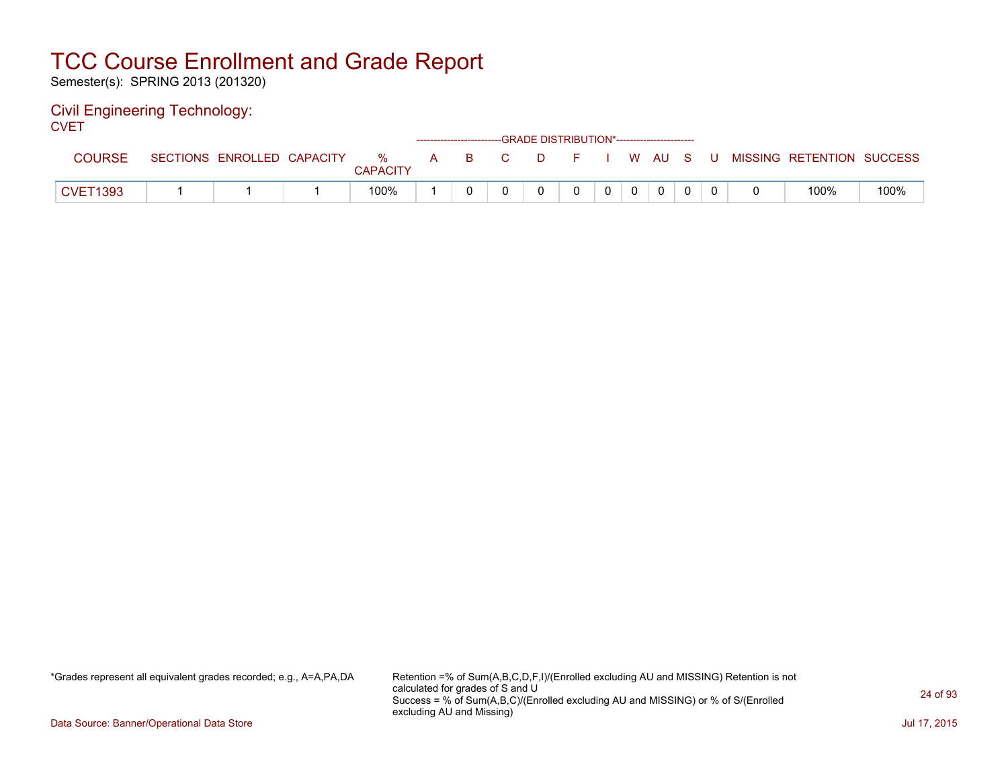Semester(s): SPRING 2013 (201320)

#### Civil Engineering Technology: **CVET**

| ---             |                 |                   |                         |              |    |    | ------------------------GRADE DISTRIBUTION*----------------------- |  |   |        |  |                           |      |
|-----------------|-----------------|-------------------|-------------------------|--------------|----|----|--------------------------------------------------------------------|--|---|--------|--|---------------------------|------|
| <b>COURSE</b>   | <b>SECTIONS</b> | ENROLLED CAPACITY | $\%$<br><b>CAPACITY</b> | $\mathsf{A}$ | в. | C. | D.                                                                 |  |   | W AU S |  | MISSING RETENTION SUCCESS |      |
| <b>CVET1393</b> |                 |                   | 100%                    |              |    |    |                                                                    |  | 0 |        |  | 100%                      | 100% |

\*Grades represent all equivalent grades recorded; e.g., A=A,PA,DA Retention =% of Sum(A,B,C,D,F,I)/(Enrolled excluding AU and MISSING) Retention is not calculated for grades of S and U Success = % of Sum(A,B,C)/(Enrolled excluding AU and MISSING) or % of S/(Enrolled excluding AU and Missing)

Data Source: Banner/Operational Data Store Jul 17, 2015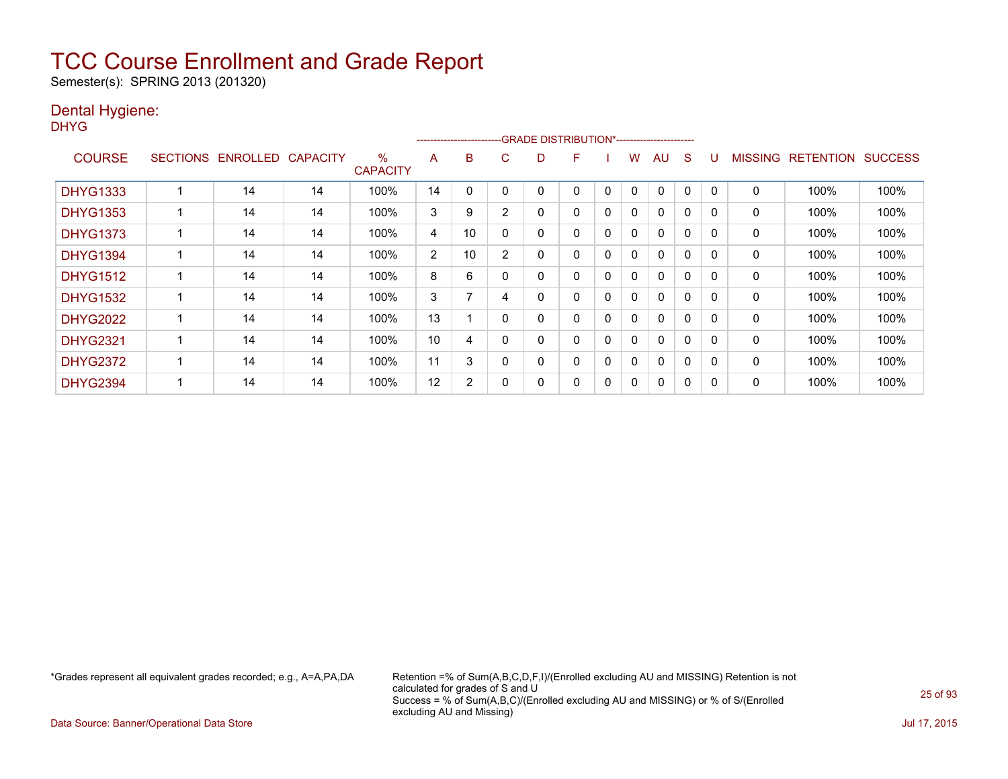Semester(s): SPRING 2013 (201320)

### Dental Hygiene:

DHYG

|                 |                 |                 |                 |                         |                | ------------------------ |                | -GRADE DISTRIBUTION*----------------------- |   |          |              |              |          |              |                |                  |                |
|-----------------|-----------------|-----------------|-----------------|-------------------------|----------------|--------------------------|----------------|---------------------------------------------|---|----------|--------------|--------------|----------|--------------|----------------|------------------|----------------|
| <b>COURSE</b>   | <b>SECTIONS</b> | <b>ENROLLED</b> | <b>CAPACITY</b> | $\%$<br><b>CAPACITY</b> | A              | B                        | C              | D                                           | F |          | w            | AU           | S        |              | <b>MISSING</b> | <b>RETENTION</b> | <b>SUCCESS</b> |
| <b>DHYG1333</b> |                 | 14              | 14              | 100%                    | 14             | 0                        |                |                                             | 0 | 0        | $\mathbf{0}$ | 0            | 0        | 0            | 0              | 100%             | 100%           |
| <b>DHYG1353</b> |                 | 14              | 14              | 100%                    | 3              | 9                        | $\overline{2}$ | 0                                           | 0 | 0        | 0            | $\mathbf{0}$ | 0        | 0            | 0              | 100%             | 100%           |
| <b>DHYG1373</b> |                 | 14              | 14              | 100%                    | 4              | 10                       | 0              | 0                                           | 0 | 0        | 0            | 0            | 0        | <sup>0</sup> | 0              | 100%             | 100%           |
| <b>DHYG1394</b> |                 | 14              | 14              | 100%                    | $\overline{2}$ | 10                       | 2              | 0                                           | 0 | $\Omega$ | 0            | 0            | $\Omega$ | $\Omega$     | 0              | 100%             | 100%           |
| <b>DHYG1512</b> |                 | 14              | 14              | 100%                    | 8              | 6                        |                | 0                                           | 0 | $\Omega$ | 0            | $\mathbf{0}$ | $\Omega$ | $\Omega$     | 0              | 100%             | 100%           |
| <b>DHYG1532</b> |                 | 14              | 14              | 100%                    | 3              | 7                        | 4              | 0                                           | 0 | 0        | $\Omega$     | $\mathbf{0}$ | $\Omega$ | $\Omega$     | 0              | 100%             | 100%           |
| <b>DHYG2022</b> |                 | 14              | 14              | 100%                    | 13             |                          | 0              | 0                                           | 0 | 0        | 0            | $\mathbf{0}$ | $\Omega$ | <sup>n</sup> | 0              | 100%             | 100%           |
| <b>DHYG2321</b> |                 | 14              | 14              | 100%                    | 10             | 4                        |                | 0                                           | 0 | 0        | 0            | $\mathbf{0}$ | 0        | <sup>0</sup> | 0              | 100%             | 100%           |
| <b>DHYG2372</b> |                 | 14              | 14              | 100%                    | 11             | 3                        | 0              | 0                                           | 0 | 0        | 0            | 0            | 0        | $\Omega$     | 0              | 100%             | 100%           |
| <b>DHYG2394</b> |                 | 14              | 14              | 100%                    | 12             | 2                        |                | 0                                           | 0 | 0        | 0            | 0            | 0        |              | 0              | 100%             | 100%           |

\*Grades represent all equivalent grades recorded; e.g., A=A,PA,DA Retention =% of Sum(A,B,C,D,F,I)/(Enrolled excluding AU and MISSING) Retention is not calculated for grades of S and U Success = % of Sum(A,B,C)/(Enrolled excluding AU and MISSING) or % of S/(Enrolled excluding AU and Missing)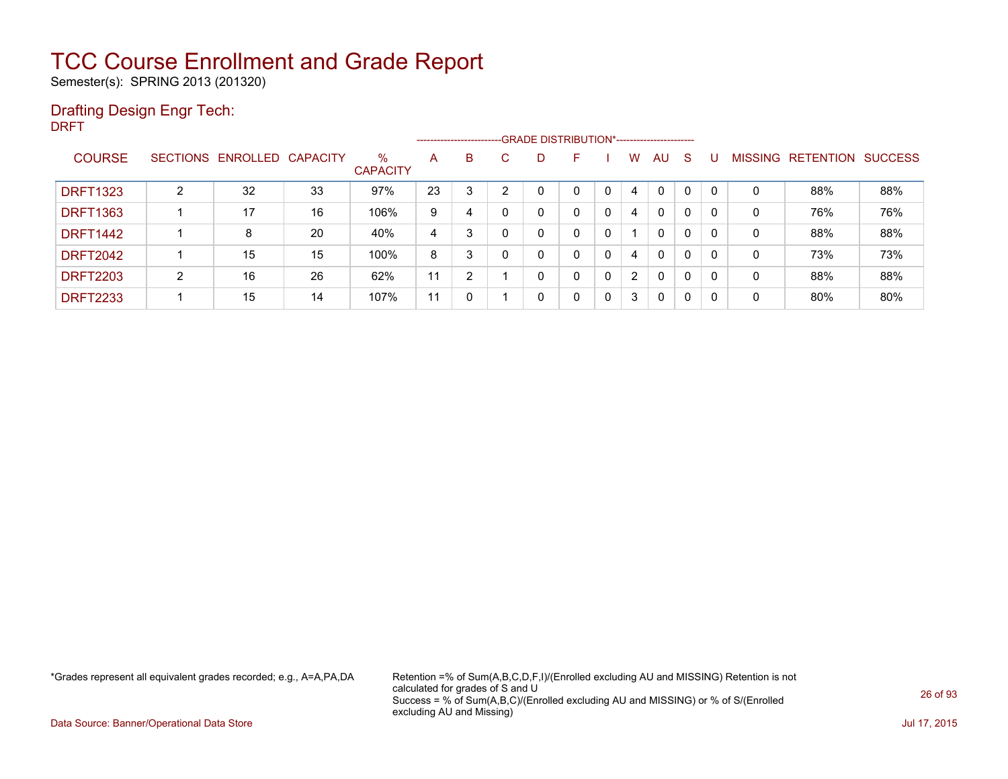Semester(s): SPRING 2013 (201320)

### Drafting Design Engr Tech:

DRFT

|                 |   |                            |    |                         |    | ------------------------- |   |   | --GRADE DISTRIBUTION*----------------------- |          |                |              |              |              |                |           |                |
|-----------------|---|----------------------------|----|-------------------------|----|---------------------------|---|---|----------------------------------------------|----------|----------------|--------------|--------------|--------------|----------------|-----------|----------------|
| <b>COURSE</b>   |   | SECTIONS ENROLLED CAPACITY |    | $\%$<br><b>CAPACITY</b> | A  | B                         | С | D |                                              |          | W              | AU.          | S.           |              | <b>MISSING</b> | RETENTION | <b>SUCCESS</b> |
| <b>DRFT1323</b> | 2 | 32                         | 33 | 97%                     | 23 |                           | ົ | 0 | ∩                                            | 0        | 4              | $\Omega$     | $\Omega$     | $\mathbf{0}$ | 0              | 88%       | 88%            |
| <b>DRFT1363</b> |   | 17                         | 16 | 106%                    | 9  | 4                         |   | 0 | 0                                            | $\Omega$ | 4              | $\mathbf{0}$ | $\Omega$     | 0            | 0              | 76%       | 76%            |
| <b>DRFT1442</b> |   | 8                          | 20 | 40%                     | 4  | 3                         |   | 0 | 0                                            | 0        |                | $\mathbf{0}$ | $\mathbf{0}$ | 0            | 0              | 88%       | 88%            |
| <b>DRFT2042</b> |   | 15                         | 15 | 100%                    | 8  | 3                         |   | 0 | 0                                            | 0        | 4              | $\mathbf{0}$ | $\Omega$     | 0            | 0              | 73%       | 73%            |
| <b>DRFT2203</b> | 2 | 16                         | 26 | 62%                     | 11 | 2                         |   | 0 | 0                                            | 0        | $\overline{2}$ | 0            | 0            | 0            | 0              | 88%       | 88%            |
| <b>DRFT2233</b> |   | 15                         | 14 | 107%                    | 11 |                           |   | 0 | 0                                            | 0        | 3              | $\mathbf{0}$ | 0            | 0            | 0              | 80%       | 80%            |

\*Grades represent all equivalent grades recorded; e.g., A=A,PA,DA Retention =% of Sum(A,B,C,D,F,I)/(Enrolled excluding AU and MISSING) Retention is not calculated for grades of S and U Success = % of Sum(A,B,C)/(Enrolled excluding AU and MISSING) or % of S/(Enrolled excluding AU and Missing)

Data Source: Banner/Operational Data Store Jul 17, 2015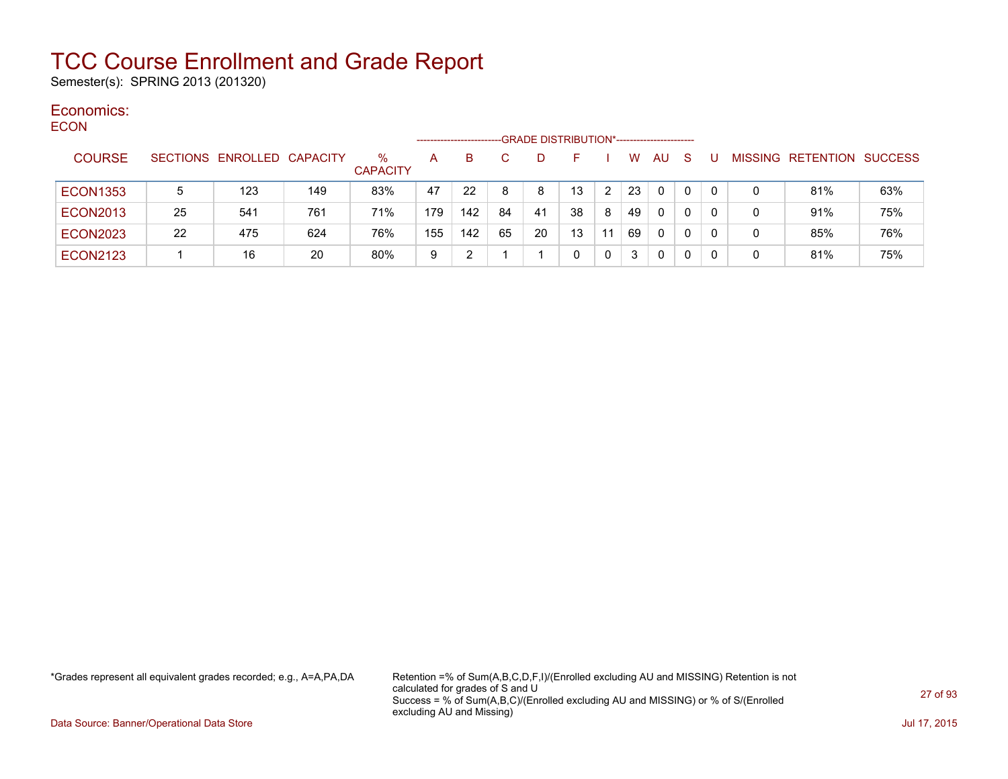Semester(s): SPRING 2013 (201320)

#### Economics: ECON

| ᆫᇰᇰᇅ |                 |    |                            |     |                         | ----------------- |     |    | -GRADE DISTRIBUTION*----------------------- |    |    |    |              |              |          |   |                                  |     |
|------|-----------------|----|----------------------------|-----|-------------------------|-------------------|-----|----|---------------------------------------------|----|----|----|--------------|--------------|----------|---|----------------------------------|-----|
|      | <b>COURSE</b>   |    | SECTIONS ENROLLED CAPACITY |     | $\%$<br><b>CAPACITY</b> | A                 | B.  |    | D.                                          |    |    | w  | AU.          | <sub>S</sub> |          |   | <b>MISSING RETENTION SUCCESS</b> |     |
|      | <b>ECON1353</b> |    | 123                        | 149 | 83%                     | 47                | 22  | 8  | 8                                           | 13 |    | 23 | $\mathbf{0}$ | 0            | 0        | 0 | 81%                              | 63% |
|      | <b>ECON2013</b> | 25 | 541                        | 761 | 71%                     | 179               | 142 | 84 | 41                                          | 38 | 8  | 49 | 0            | $\Omega$     |          | 0 | 91%                              | 75% |
|      | <b>ECON2023</b> | 22 | 475                        | 624 | 76%                     | 155               | 142 | 65 | 20                                          | 13 | 11 | 69 | $\Omega$     | 0            | $\Omega$ | 0 | 85%                              | 76% |
|      | <b>ECON2123</b> |    | 16                         | 20  | 80%                     | 9                 |     |    |                                             |    | 0  | 3  | 0            | 0            | 0        | 0 | 81%                              | 75% |

\*Grades represent all equivalent grades recorded; e.g., A=A,PA,DA Retention =% of Sum(A,B,C,D,F,I)/(Enrolled excluding AU and MISSING) Retention is not calculated for grades of S and U Success = % of Sum(A,B,C)/(Enrolled excluding AU and MISSING) or % of S/(Enrolled excluding AU and Missing)

Data Source: Banner/Operational Data Store Jul 17, 2015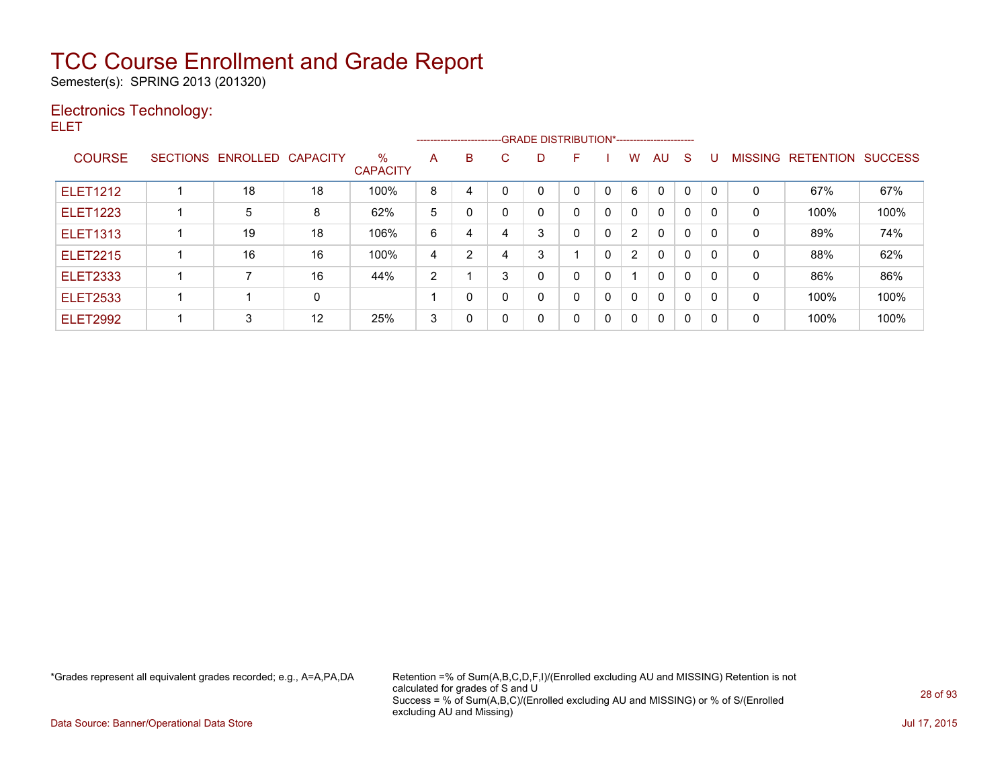Semester(s): SPRING 2013 (201320)

### Electronics Technology:

ELET

|                 |                            |    |                         |   |                | --------------------------GRADE DISTRIBUTION*----------------------- |   |          |   |                |              |              |          |   |                          |                |
|-----------------|----------------------------|----|-------------------------|---|----------------|----------------------------------------------------------------------|---|----------|---|----------------|--------------|--------------|----------|---|--------------------------|----------------|
| <b>COURSE</b>   | SECTIONS ENROLLED CAPACITY |    | $\%$<br><b>CAPACITY</b> | A | B              | С                                                                    | D | F        |   | W              | AU.          | <sub>S</sub> | U        |   | <b>MISSING RETENTION</b> | <b>SUCCESS</b> |
| <b>ELET1212</b> | 18                         | 18 | 100%                    | 8 | 4              |                                                                      | 0 | $\Omega$ |   | 6              | $\Omega$     | $\Omega$     | $\Omega$ | 0 | 67%                      | 67%            |
| <b>ELET1223</b> | 5                          | 8  | 62%                     | 5 |                |                                                                      | 0 | $\Omega$ | 0 | $\mathbf{0}$   | $\mathbf{0}$ | $\Omega$     | $\Omega$ | 0 | 100%                     | 100%           |
| <b>ELET1313</b> | 19                         | 18 | 106%                    | 6 | 4              |                                                                      | 3 | 0        | 0 | $\overline{2}$ | $\mathbf{0}$ | $\Omega$     | 0        | 0 | 89%                      | 74%            |
| <b>ELET2215</b> | 16                         | 16 | 100%                    | 4 | $\overline{2}$ | 4                                                                    | 3 |          | 0 | $\overline{2}$ | $\Omega$     | $\mathbf{0}$ | 0        | 0 | 88%                      | 62%            |
| <b>ELET2333</b> |                            | 16 | 44%                     | 2 |                | 3                                                                    | 0 | 0        | 0 |                | $\Omega$     | $\mathbf{0}$ | 0        | 0 | 86%                      | 86%            |
| <b>ELET2533</b> |                            | 0  |                         |   | $\Omega$       |                                                                      | 0 | 0        | 0 | $\mathbf{0}$   | $\Omega$     | $\Omega$     | 0        | 0 | 100%                     | 100%           |
| <b>ELET2992</b> | 3                          | 12 | 25%                     | 3 | $\Omega$       |                                                                      | 0 | $\Omega$ | 0 | 0              | $\Omega$     | $\mathbf{0}$ | 0        | 0 | 100%                     | 100%           |

\*Grades represent all equivalent grades recorded; e.g., A=A,PA,DA Retention =% of Sum(A,B,C,D,F,I)/(Enrolled excluding AU and MISSING) Retention is not calculated for grades of S and U Success = % of Sum(A,B,C)/(Enrolled excluding AU and MISSING) or % of S/(Enrolled excluding AU and Missing)

Data Source: Banner/Operational Data Store Jul 17, 2015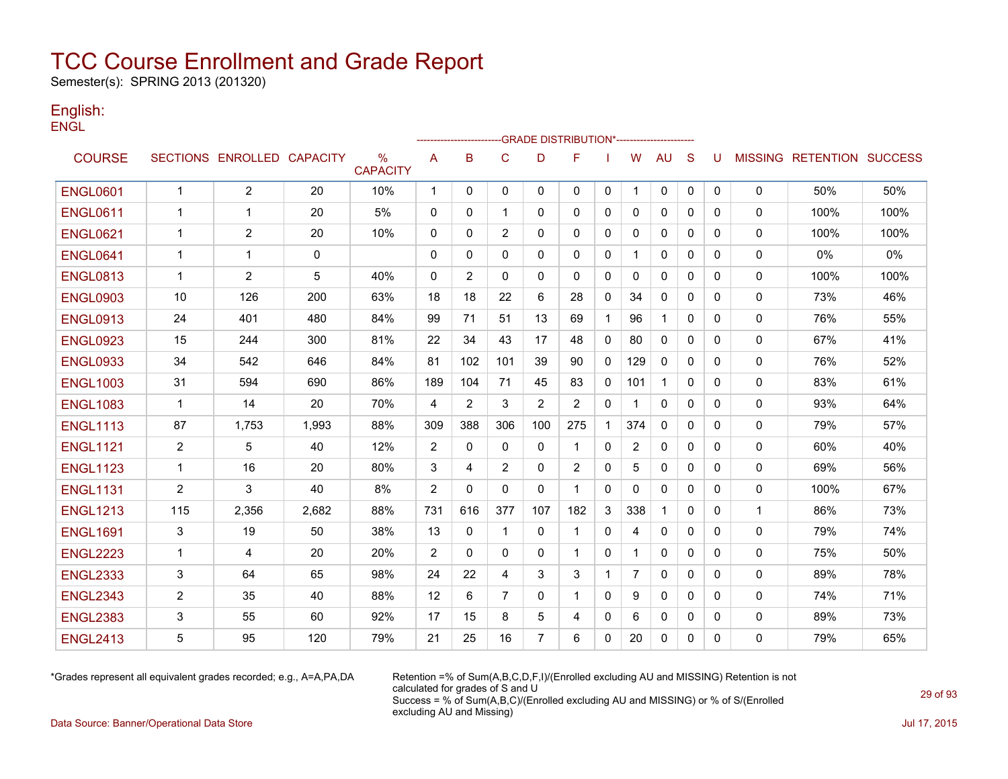Semester(s): SPRING 2013 (201320)

### English: **ENGL**

|                 |                |                            |             |                         |              |                |                | -GRADE DISTRIBUTION*---------------------- |                         |              |                |              |              |              |              |                                  |       |
|-----------------|----------------|----------------------------|-------------|-------------------------|--------------|----------------|----------------|--------------------------------------------|-------------------------|--------------|----------------|--------------|--------------|--------------|--------------|----------------------------------|-------|
| <b>COURSE</b>   |                | SECTIONS ENROLLED CAPACITY |             | $\%$<br><b>CAPACITY</b> | A            | B              | $\mathbf C$    | D                                          | F                       |              | W              | <b>AU</b>    | S            | U            |              | <b>MISSING RETENTION SUCCESS</b> |       |
| <b>ENGL0601</b> | $\mathbf{1}$   | 2                          | 20          | 10%                     | $\mathbf{1}$ | 0              | 0              | $\mathbf{0}$                               | $\mathbf{0}$            | 0            | 1.             | 0            | 0            | 0            | 0            | 50%                              | 50%   |
| <b>ENGL0611</b> | -1             | 1                          | 20          | 5%                      | 0            | 0              | $\mathbf{1}$   | 0                                          | $\mathbf{0}$            | 0            | 0              | $\mathbf{0}$ | $\mathbf{0}$ | $\Omega$     | 0            | 100%                             | 100%  |
| <b>ENGL0621</b> | 1              | 2                          | 20          | 10%                     | 0            | 0              | $\overline{2}$ | 0                                          | 0                       | 0            | 0              | 0            | $\mathbf{0}$ | 0            | 0            | 100%                             | 100%  |
| <b>ENGL0641</b> | -1             | 1                          | $\mathbf 0$ |                         | $\Omega$     | $\Omega$       | $\mathbf{0}$   | $\Omega$                                   | $\mathbf{0}$            | $\mathbf{0}$ |                | $\mathbf{0}$ | $\mathbf{0}$ | 0            | 0            | $0\%$                            | $0\%$ |
| <b>ENGL0813</b> | $\mathbf 1$    | $\overline{2}$             | 5           | 40%                     | $\mathbf{0}$ | $\overline{2}$ | $\mathbf{0}$   | $\Omega$                                   | $\mathbf{0}$            | 0            | 0              | $\mathbf{0}$ | $\mathbf{0}$ | $\Omega$     | $\mathbf 0$  | 100%                             | 100%  |
| <b>ENGL0903</b> | 10             | 126                        | 200         | 63%                     | 18           | 18             | 22             | 6                                          | 28                      | $\mathbf{0}$ | 34             | $\mathbf{0}$ | $\Omega$     | $\mathbf{0}$ | 0            | 73%                              | 46%   |
| <b>ENGL0913</b> | 24             | 401                        | 480         | 84%                     | 99           | 71             | 51             | 13                                         | 69                      | $\mathbf{1}$ | 96             | $\mathbf{1}$ | $\mathbf{0}$ | $\Omega$     | $\mathbf 0$  | 76%                              | 55%   |
| <b>ENGL0923</b> | 15             | 244                        | 300         | 81%                     | 22           | 34             | 43             | 17                                         | 48                      | $\mathbf{0}$ | 80             | $\mathbf{0}$ | $\Omega$     | $\Omega$     | 0            | 67%                              | 41%   |
| <b>ENGL0933</b> | 34             | 542                        | 646         | 84%                     | 81           | 102            | 101            | 39                                         | 90                      | 0            | 129            | $\mathbf{0}$ | $\mathbf{0}$ | $\Omega$     | 0            | 76%                              | 52%   |
| <b>ENGL1003</b> | 31             | 594                        | 690         | 86%                     | 189          | 104            | 71             | 45                                         | 83                      | 0            | 101            | $\mathbf{1}$ | $\mathbf{0}$ | $\mathbf{0}$ | 0            | 83%                              | 61%   |
| <b>ENGL1083</b> | $\mathbf 1$    | 14                         | 20          | 70%                     | 4            | 2              | 3              | $\overline{2}$                             | 2                       | $\mathbf{0}$ |                | $\mathbf{0}$ | $\mathbf{0}$ | $\mathbf{0}$ | 0            | 93%                              | 64%   |
| <b>ENGL1113</b> | 87             | 1,753                      | 1,993       | 88%                     | 309          | 388            | 306            | 100                                        | 275                     | $\mathbf{1}$ | 374            | $\mathbf{0}$ | $\mathbf{0}$ | 0            | 0            | 79%                              | 57%   |
| <b>ENGL1121</b> | $\overline{2}$ | 5                          | 40          | 12%                     | 2            | $\mathbf{0}$   | $\Omega$       | $\mathbf{0}$                               | -1                      | $\mathbf{0}$ | $\overline{2}$ | $\mathbf{0}$ | $\Omega$     | 0            | 0            | 60%                              | 40%   |
| <b>ENGL1123</b> | $\mathbf 1$    | 16                         | 20          | 80%                     | 3            | 4              | $\overline{2}$ | $\mathbf{0}$                               | 2                       | 0            | 5              | 0            | $\mathbf{0}$ | $\Omega$     | 0            | 69%                              | 56%   |
| <b>ENGL1131</b> | $\overline{2}$ | 3                          | 40          | 8%                      | 2            | $\mathbf{0}$   | $\Omega$       | $\mathbf{0}$                               | $\overline{\mathbf{1}}$ | $\mathbf{0}$ | 0              | $\mathbf{0}$ | $\mathbf{0}$ | $\mathbf{0}$ | 0            | 100%                             | 67%   |
| <b>ENGL1213</b> | 115            | 2,356                      | 2,682       | 88%                     | 731          | 616            | 377            | 107                                        | 182                     | 3            | 338            | $\mathbf{1}$ | $\mathbf{0}$ | 0            | $\mathbf{1}$ | 86%                              | 73%   |
| <b>ENGL1691</b> | 3              | 19                         | 50          | 38%                     | 13           | $\mathbf{0}$   | $\mathbf{1}$   | $\mathbf{0}$                               | $\mathbf 1$             | $\mathbf{0}$ | 4              | $\mathbf{0}$ | $\mathbf{0}$ | $\mathbf{0}$ | 0            | 79%                              | 74%   |
| <b>ENGL2223</b> | $\mathbf 1$    | 4                          | 20          | 20%                     | 2            | $\Omega$       | $\mathbf{0}$   | $\mathbf{0}$                               | $\mathbf 1$             | $\mathbf{0}$ |                | $\mathbf{0}$ | $\mathbf{0}$ | $\mathbf{0}$ | $\mathbf 0$  | 75%                              | 50%   |
| <b>ENGL2333</b> | 3              | 64                         | 65          | 98%                     | 24           | 22             | 4              | 3                                          | 3                       | $\mathbf{1}$ | $\overline{7}$ | $\mathbf{0}$ | $\Omega$     | $\Omega$     | 0            | 89%                              | 78%   |
| <b>ENGL2343</b> | $\overline{2}$ | 35                         | 40          | 88%                     | 12           | 6              | 7              | $\mathbf{0}$                               | 1                       | $\mathbf{0}$ | 9              | $\mathbf{0}$ | $\Omega$     | $\Omega$     | 0            | 74%                              | 71%   |
| <b>ENGL2383</b> | 3              | 55                         | 60          | 92%                     | 17           | 15             | 8              | 5                                          | 4                       | 0            | 6              | 0            | 0            | 0            | 0            | 89%                              | 73%   |
| <b>ENGL2413</b> | 5              | 95                         | 120         | 79%                     | 21           | 25             | 16             | $\overline{7}$                             | 6                       | 0            | 20             | $\mathbf{0}$ | 0            | 0            | 0            | 79%                              | 65%   |

\*Grades represent all equivalent grades recorded; e.g., A=A,PA,DA Retention =% of Sum(A,B,C,D,F,I)/(Enrolled excluding AU and MISSING) Retention is not calculated for grades of S and U Success = % of Sum(A,B,C)/(Enrolled excluding AU and MISSING) or % of S/(Enrolled excluding AU and Missing)

Data Source: Banner/Operational Data Store Jul 17, 2015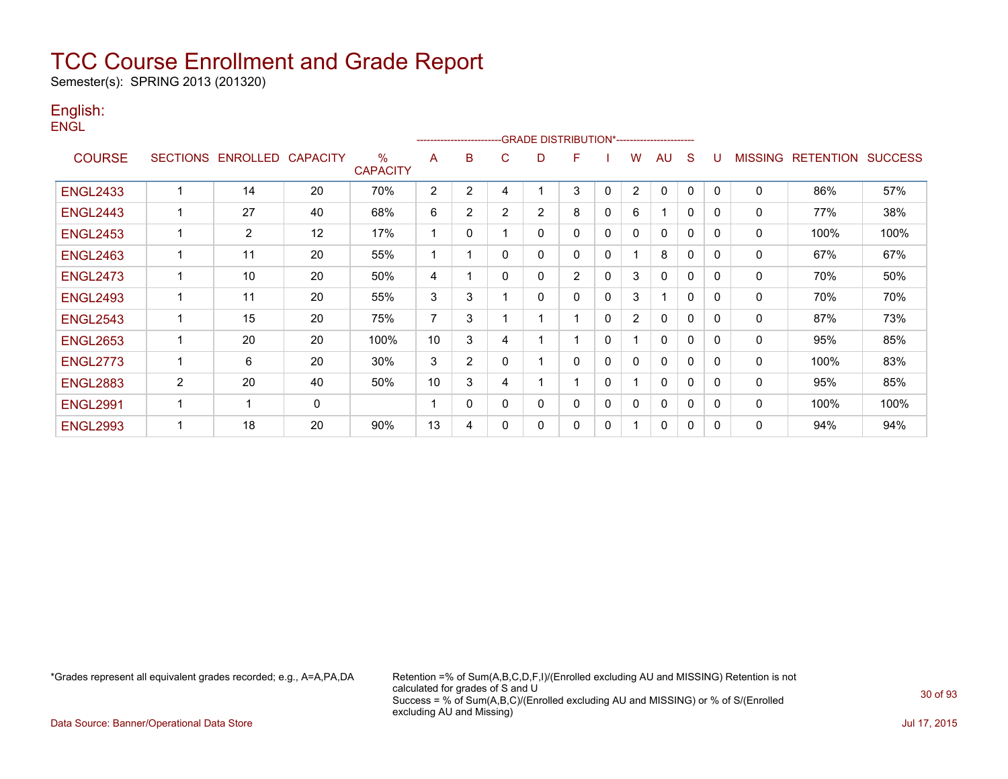Semester(s): SPRING 2013 (201320)

### English: **ENGL**

|                 |                |                            |    |                      |    | ---------------------- |                |                | -GRADE DISTRIBUTION*----------------------- |              |                |              |              |          |                |                          |      |
|-----------------|----------------|----------------------------|----|----------------------|----|------------------------|----------------|----------------|---------------------------------------------|--------------|----------------|--------------|--------------|----------|----------------|--------------------------|------|
| <b>COURSE</b>   |                | SECTIONS ENROLLED CAPACITY |    | %<br><b>CAPACITY</b> | A  | B                      | C              | D              | F                                           |              | W              | <b>AU</b>    | S            | U        | <b>MISSING</b> | <b>RETENTION SUCCESS</b> |      |
| <b>ENGL2433</b> | 1              | 14                         | 20 | 70%                  | 2  | $\overline{2}$         | 4              |                | 3                                           | $\mathbf{0}$ | $\overline{2}$ | $\mathbf{0}$ | $\mathbf{0}$ | $\Omega$ | $\mathbf{0}$   | 86%                      | 57%  |
| <b>ENGL2443</b> |                | 27                         | 40 | 68%                  | 6  | $\overline{2}$         | $\overline{2}$ | $\overline{2}$ | 8                                           | $\mathbf 0$  | 6              |              | $\mathbf{0}$ | $\Omega$ | 0              | 77%                      | 38%  |
| <b>ENGL2453</b> | 1              | 2                          | 12 | 17%                  | 1  | $\Omega$               |                | $\mathbf{0}$   | $\mathbf{0}$                                | $\Omega$     | 0              | $\Omega$     | $\mathbf{0}$ | $\Omega$ | $\mathbf 0$    | 100%                     | 100% |
| <b>ENGL2463</b> | 1              | 11                         | 20 | 55%                  | 1  | 1                      | $\mathbf{0}$   | $\Omega$       | $\Omega$                                    | $\mathbf{0}$ |                | 8            | $\mathbf{0}$ | $\Omega$ | 0              | 67%                      | 67%  |
| <b>ENGL2473</b> | 1              | 10                         | 20 | 50%                  | 4  | 1                      | $\mathbf{0}$   | $\Omega$       | 2                                           | $\Omega$     | 3              | $\mathbf{0}$ | $\Omega$     | $\Omega$ | $\mathbf{0}$   | 70%                      | 50%  |
| <b>ENGL2493</b> | 1              | 11                         | 20 | 55%                  | 3  | 3                      |                | $\Omega$       | $\Omega$                                    | $\Omega$     | 3              |              | $\mathbf{0}$ | 0        | 0              | 70%                      | 70%  |
| <b>ENGL2543</b> | 1              | 15                         | 20 | 75%                  | 7  | 3                      |                |                |                                             | 0            | $\overline{2}$ | 0            | $\mathbf{0}$ | 0        | 0              | 87%                      | 73%  |
| <b>ENGL2653</b> | 1              | 20                         | 20 | 100%                 | 10 | 3                      | 4              |                |                                             | 0            |                | $\mathbf{0}$ | $\Omega$     | 0        | 0              | 95%                      | 85%  |
| <b>ENGL2773</b> | 1              | 6                          | 20 | $30\%$               | 3  | 2                      | $\Omega$       |                | $\Omega$                                    | $\mathbf{0}$ | 0              | $\mathbf{0}$ | $\mathbf{0}$ | 0        | $\mathbf{0}$   | 100%                     | 83%  |
| <b>ENGL2883</b> | $\overline{2}$ | 20                         | 40 | 50%                  | 10 | 3                      | 4              |                |                                             | 0            |                | 0            | $\mathbf{0}$ | 0        | 0              | 95%                      | 85%  |
| <b>ENGL2991</b> |                | -1                         | 0  |                      | 1  | $\Omega$               | $\Omega$       | 0              | 0                                           | 0            | 0              | 0            | 0            | 0        | 0              | 100%                     | 100% |
| <b>ENGL2993</b> | -1             | 18                         | 20 | 90%                  | 13 | 4                      | $\Omega$       | 0              | $\mathbf{0}$                                | 0            |                | 0            | 0            | 0        | 0              | 94%                      | 94%  |

\*Grades represent all equivalent grades recorded; e.g., A=A,PA,DA Retention =% of Sum(A,B,C,D,F,I)/(Enrolled excluding AU and MISSING) Retention is not calculated for grades of S and U Success = % of Sum(A,B,C)/(Enrolled excluding AU and MISSING) or % of S/(Enrolled excluding AU and Missing)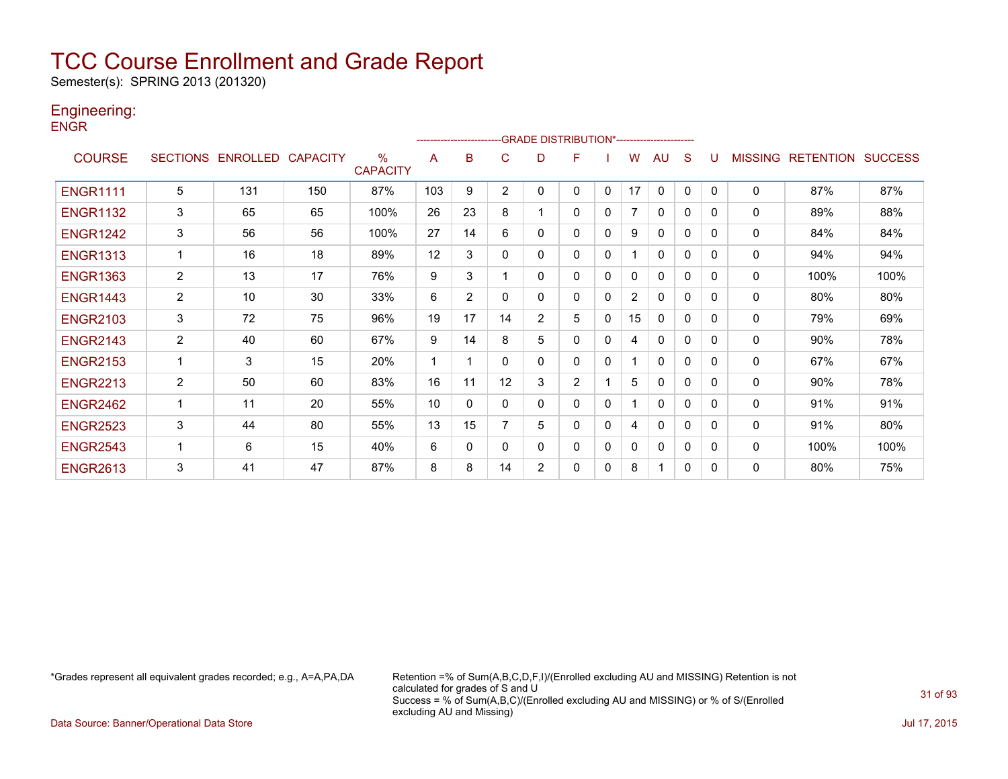Semester(s): SPRING 2013 (201320)

### Engineering:

**ENGR** 

|                 |                 |                 |                 |                                  |     | ------------------------ |                | -GRADE DISTRIBUTION*---------------------- |                |              |                |              |              |              |                |                  |                |
|-----------------|-----------------|-----------------|-----------------|----------------------------------|-----|--------------------------|----------------|--------------------------------------------|----------------|--------------|----------------|--------------|--------------|--------------|----------------|------------------|----------------|
| <b>COURSE</b>   | <b>SECTIONS</b> | <b>ENROLLED</b> | <b>CAPACITY</b> | $\frac{0}{0}$<br><b>CAPACITY</b> | A   | в                        | С              | D                                          | F              |              | w              | AU           | S            |              | <b>MISSING</b> | <b>RETENTION</b> | <b>SUCCESS</b> |
| <b>ENGR1111</b> | 5               | 131             | 150             | 87%                              | 103 | 9                        | $\overline{2}$ | 0                                          | 0              | $\mathbf{0}$ | 17             | $\mathbf{0}$ | $\mathbf{0}$ | $\Omega$     | $\mathbf{0}$   | 87%              | 87%            |
| <b>ENGR1132</b> | 3               | 65              | 65              | 100%                             | 26  | 23                       | 8              |                                            | 0              | 0            | 7              | 0            | 0            | 0            | 0              | 89%              | 88%            |
| <b>ENGR1242</b> | 3               | 56              | 56              | 100%                             | 27  | 14                       | 6              | 0                                          | 0              | $\mathbf{0}$ | 9              | $\mathbf{0}$ | $\Omega$     | <sup>0</sup> | 0              | 84%              | 84%            |
| <b>ENGR1313</b> |                 | 16              | 18              | 89%                              | 12  | 3                        | 0              | 0                                          | 0              | 0            |                | $\mathbf{0}$ | $\Omega$     | $\Omega$     | 0              | 94%              | 94%            |
| <b>ENGR1363</b> | $\overline{2}$  | 13              | 17              | 76%                              | 9   | 3                        |                | 0                                          | 0              | $\Omega$     | 0              | 0            | $\Omega$     | 0            | 0              | 100%             | 100%           |
| <b>ENGR1443</b> | $\overline{2}$  | 10              | 30              | 33%                              | 6   | $\overline{2}$           | 0              | 0                                          | 0              | 0            | $\overline{2}$ | 0            | $\Omega$     | 0            | 0              | 80%              | 80%            |
| <b>ENGR2103</b> | 3               | 72              | 75              | 96%                              | 19  | 17                       | 14             | $\overline{2}$                             | 5              | 0            | 15             | $\mathbf{0}$ | $\Omega$     | 0            | 0              | 79%              | 69%            |
| <b>ENGR2143</b> | $\overline{2}$  | 40              | 60              | 67%                              | 9   | 14                       | 8              | 5                                          | 0              | $\Omega$     | 4              | 0            | $\Omega$     | 0            | 0              | 90%              | 78%            |
| <b>ENGR2153</b> |                 | 3               | 15              | 20%                              |     |                          | 0              | 0                                          | 0              | $\Omega$     |                | $\mathbf{0}$ | $\Omega$     | 0            | 0              | 67%              | 67%            |
| <b>ENGR2213</b> | $\overline{2}$  | 50              | 60              | 83%                              | 16  | 11                       | 12             | 3                                          | $\overline{2}$ |              | 5              | 0            | $\Omega$     | 0            | 0              | 90%              | 78%            |
| <b>ENGR2462</b> |                 | 11              | 20              | 55%                              | 10  | $\Omega$                 | $\Omega$       | 0                                          | 0              | $\Omega$     |                | $\mathbf{0}$ | $\Omega$     | 0            | 0              | 91%              | 91%            |
| <b>ENGR2523</b> | 3               | 44              | 80              | 55%                              | 13  | 15                       |                | 5                                          | 0              | 0            | 4              | $\mathbf{0}$ | $\Omega$     | <sup>0</sup> | $\mathbf{0}$   | 91%              | 80%            |
| <b>ENGR2543</b> |                 | 6               | 15              | 40%                              | 6   | 0                        | 0              | 0                                          | 0              | 0            | $\mathbf{0}$   | 0            | $\mathbf{0}$ | 0            | 0              | 100%             | 100%           |
| <b>ENGR2613</b> | 3               | 41              | 47              | 87%                              | 8   | 8                        | 14             | $\overline{2}$                             | 0              | 0            | 8              |              | $\Omega$     | <sup>0</sup> | 0              | 80%              | 75%            |

\*Grades represent all equivalent grades recorded; e.g., A=A,PA,DA Retention =% of Sum(A,B,C,D,F,I)/(Enrolled excluding AU and MISSING) Retention is not calculated for grades of S and U Success = % of Sum(A,B,C)/(Enrolled excluding AU and MISSING) or % of S/(Enrolled excluding AU and Missing)

Data Source: Banner/Operational Data Store Jul 17, 2015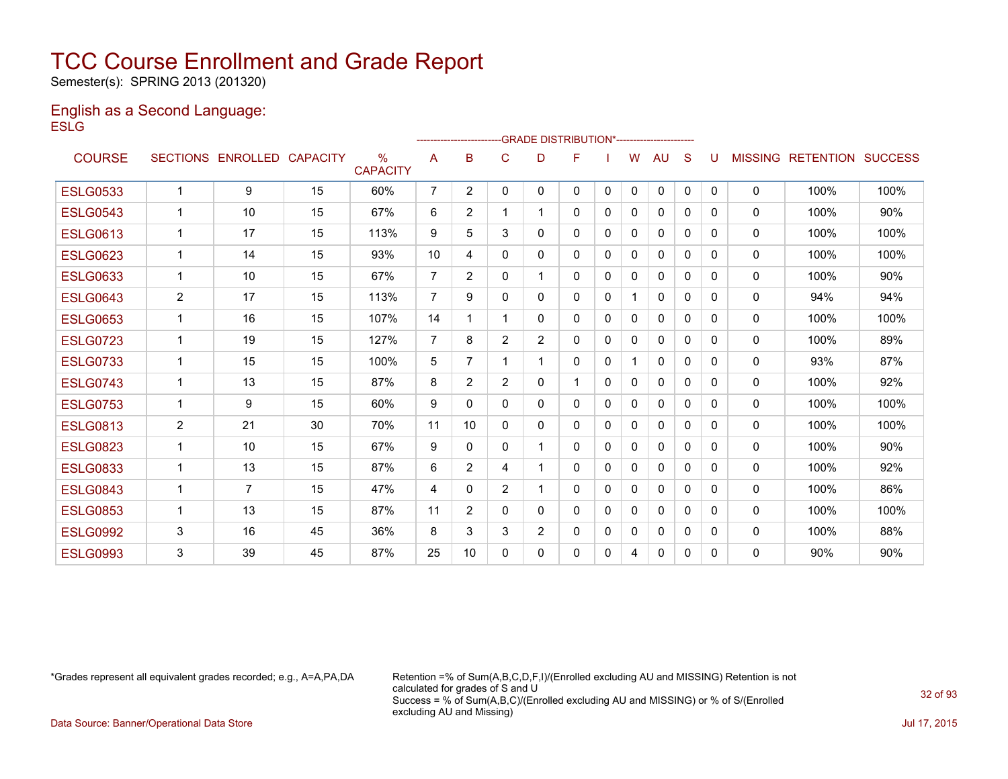Semester(s): SPRING 2013 (201320)

#### English as a Second Language: **ESLG**

|                 |              |                   |                 |                                  |                | ------------------------GRADE                DISTRIBUTION*---------------------- |                |                |          |              |          |              |              |              |                |                  |                |
|-----------------|--------------|-------------------|-----------------|----------------------------------|----------------|----------------------------------------------------------------------------------|----------------|----------------|----------|--------------|----------|--------------|--------------|--------------|----------------|------------------|----------------|
| <b>COURSE</b>   |              | SECTIONS ENROLLED | <b>CAPACITY</b> | $\frac{0}{0}$<br><b>CAPACITY</b> | A              | B                                                                                | C              | D              | F        |              | W        | AU           | S            |              | <b>MISSING</b> | <b>RETENTION</b> | <b>SUCCESS</b> |
| <b>ESLG0533</b> | $\mathbf{1}$ | 9                 | 15              | 60%                              | 7              | $\overline{2}$                                                                   | $\mathbf{0}$   | $\mathbf{0}$   | 0        | 0            | $\Omega$ | 0            | $\mathbf{0}$ | $\mathbf{0}$ | 0              | 100%             | 100%           |
| <b>ESLG0543</b> | $\mathbf{1}$ | 10                | 15              | 67%                              | 6              | $\overline{2}$                                                                   |                |                | 0        | $\Omega$     | 0        | $\mathbf{0}$ | 0            | 0            | $\mathbf{0}$   | 100%             | 90%            |
| <b>ESLG0613</b> | $\mathbf 1$  | 17                | 15              | 113%                             | 9              | 5                                                                                | 3              | $\Omega$       | 0        | 0            | 0        | 0            | 0            | 0            | $\mathbf{0}$   | 100%             | 100%           |
| <b>ESLG0623</b> | $\mathbf{1}$ | 14                | 15              | 93%                              | 10             | 4                                                                                | 0              | 0              | 0        | 0            | 0        | 0            | 0            | 0            | 0              | 100%             | 100%           |
| <b>ESLG0633</b> | 1            | 10                | 15              | 67%                              | $\overline{7}$ | $\overline{2}$                                                                   | 0              | 1              | 0        | 0            | 0        | $\mathbf{0}$ | 0            | 0            | $\mathbf{0}$   | 100%             | 90%            |
| <b>ESLG0643</b> | 2            | 17                | 15              | 113%                             | $\overline{7}$ | 9                                                                                | 0              | 0              | 0        | 0            |          | $\mathbf{0}$ | 0            | $\Omega$     | $\mathbf{0}$   | 94%              | 94%            |
| <b>ESLG0653</b> | $\mathbf{1}$ | 16                | 15              | 107%                             | 14             |                                                                                  |                | 0              | 0        | 0            | 0        | $\mathbf{0}$ | $\Omega$     | 0            | $\mathbf{0}$   | 100%             | 100%           |
| <b>ESLG0723</b> | $\mathbf 1$  | 19                | 15              | 127%                             | 7              | 8                                                                                | $\overline{2}$ | $\overline{2}$ | 0        | 0            | 0        | 0            | 0            | 0            | 0              | 100%             | 89%            |
| <b>ESLG0733</b> | $\mathbf{1}$ | 15                | 15              | 100%                             | 5              | 7                                                                                |                |                | 0        | $\mathbf{0}$ | 1        | $\mathbf{0}$ | 0            | 0            | 0              | 93%              | 87%            |
| <b>ESLG0743</b> | $\mathbf 1$  | 13                | 15              | 87%                              | 8              | $\overline{2}$                                                                   | $\overline{2}$ | $\mathbf{0}$   | 1        | $\Omega$     | 0        | $\mathbf{0}$ | 0            | 0            | $\mathbf{0}$   | 100%             | 92%            |
| <b>ESLG0753</b> | $\mathbf{1}$ | 9                 | 15              | 60%                              | 9              | 0                                                                                | 0              | 0              | 0        | 0            | 0        | 0            | 0            | 0            | 0              | 100%             | 100%           |
| <b>ESLG0813</b> | 2            | 21                | 30              | 70%                              | 11             | 10                                                                               | 0              | 0              | 0        | 0            | 0        | 0            | 0            | 0            | $\mathbf{0}$   | 100%             | 100%           |
| <b>ESLG0823</b> | $\mathbf{1}$ | 10                | 15              | 67%                              | 9              | 0                                                                                | 0              |                | 0        | $\Omega$     | 0        | $\mathbf{0}$ | 0            | 0            | $\mathbf{0}$   | 100%             | 90%            |
| <b>ESLG0833</b> | $\mathbf 1$  | 13                | 15              | 87%                              | 6              | $\overline{2}$                                                                   | 4              |                | 0        | 0            | 0        | $\Omega$     | 0            | 0            | $\mathbf{0}$   | 100%             | 92%            |
| <b>ESLG0843</b> | $\mathbf{1}$ | $\overline{7}$    | 15              | 47%                              | 4              | 0                                                                                | 2              | $\mathbf{1}$   | 0        | 0            | 0        | $\mathbf{0}$ | 0            | 0            | $\mathbf{0}$   | 100%             | 86%            |
| <b>ESLG0853</b> | $\mathbf 1$  | 13                | 15              | 87%                              | 11             | $\overline{2}$                                                                   | 0              | $\mathbf{0}$   | 0        | 0            | 0        | $\mathbf{0}$ | 0            | 0            | $\mathbf{0}$   | 100%             | 100%           |
| <b>ESLG0992</b> | 3            | 16                | 45              | 36%                              | 8              | 3                                                                                | 3              | 2              | $\Omega$ | $\Omega$     | 0        | $\mathbf{0}$ | 0            | 0            | 0              | 100%             | 88%            |
| <b>ESLG0993</b> | 3            | 39                | 45              | 87%                              | 25             | 10                                                                               | $\Omega$       | 0              | 0        | 0            | 4        | 0            | 0            | $\Omega$     | 0              | 90%              | 90%            |

\*Grades represent all equivalent grades recorded; e.g., A=A,PA,DA Retention =% of Sum(A,B,C,D,F,I)/(Enrolled excluding AU and MISSING) Retention is not calculated for grades of S and U Success = % of Sum(A,B,C)/(Enrolled excluding AU and MISSING) or % of S/(Enrolled excluding AU and Missing)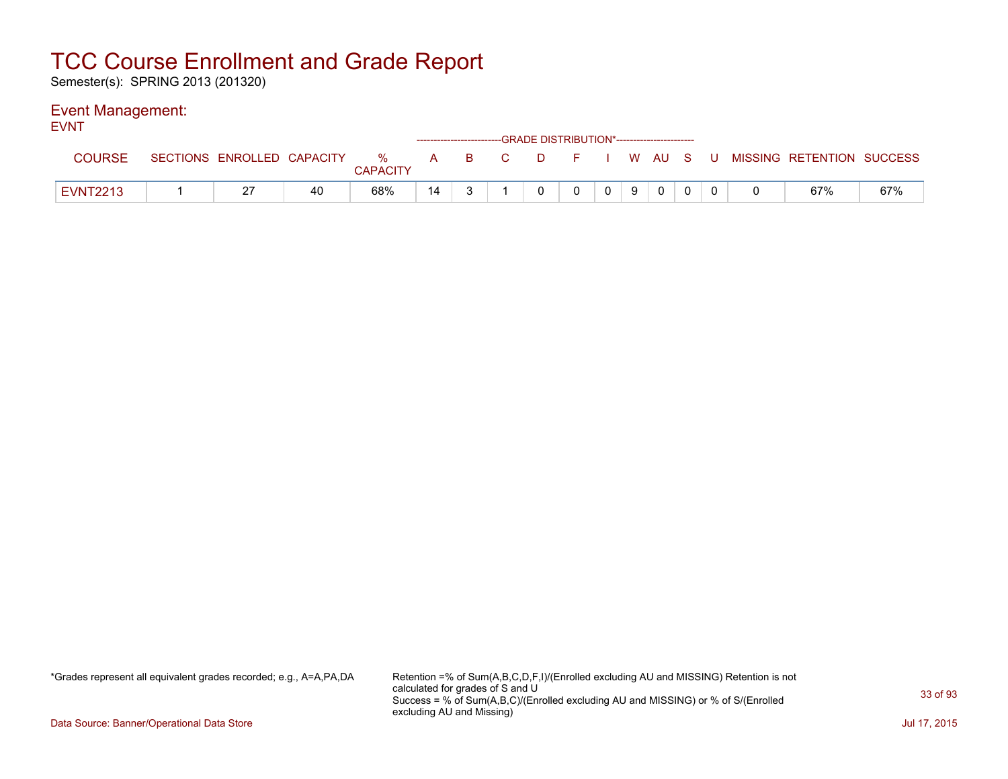Semester(s): SPRING 2013 (201320)

### Event Management:

| <b>EVNT</b>     |  |    |                 |    | ------------------------GRADE DISTRIBUTION*----------------------- |          |              |       |              |  |                                                                             |     |
|-----------------|--|----|-----------------|----|--------------------------------------------------------------------|----------|--------------|-------|--------------|--|-----------------------------------------------------------------------------|-----|
| <b>COURSE</b>   |  |    | <b>CAPACITY</b> |    |                                                                    |          |              |       |              |  | SECTIONS ENROLLED CAPACITY % A B C D F I W AU S U MISSING RETENTION SUCCESS |     |
| <b>EVNT2213</b> |  | 40 | 68%             | 14 |                                                                    | $\Omega$ | $\mathbf{0}$ | $0$ 9 | $\mathbf{0}$ |  | 67%                                                                         | 67% |

\*Grades represent all equivalent grades recorded; e.g., A=A,PA,DA Retention =% of Sum(A,B,C,D,F,I)/(Enrolled excluding AU and MISSING) Retention is not calculated for grades of S and U Success = % of Sum(A,B,C)/(Enrolled excluding AU and MISSING) or % of S/(Enrolled excluding AU and Missing)

Data Source: Banner/Operational Data Store Jul 17, 2015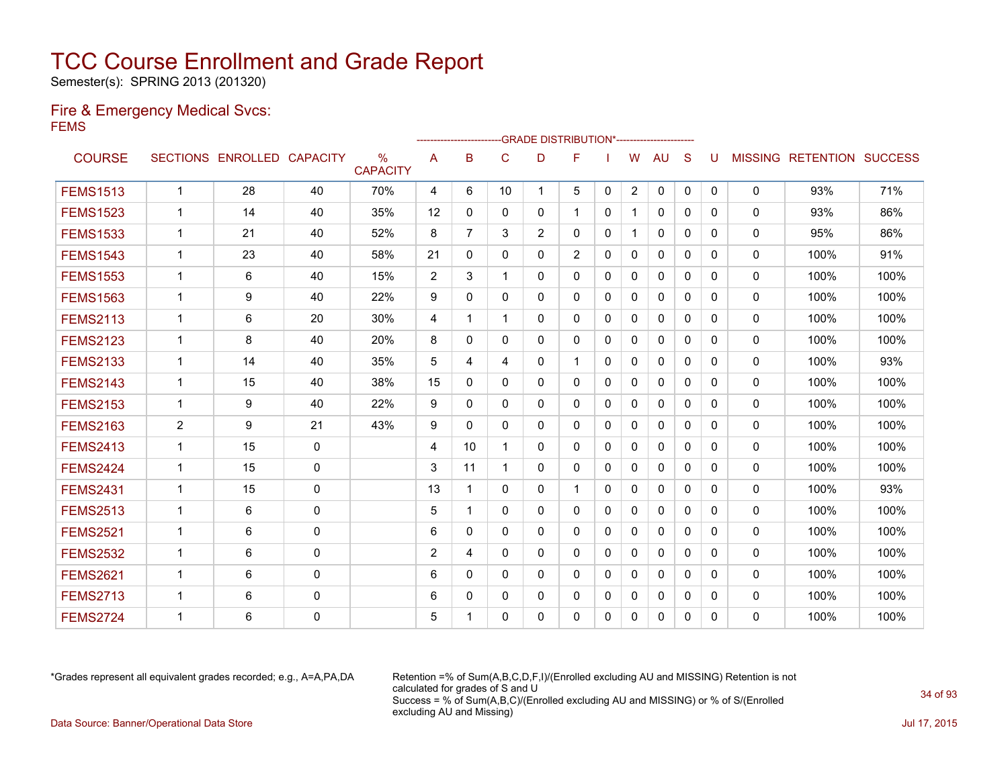Semester(s): SPRING 2013 (201320)

### Fire & Emergency Medical Svcs: FEMS

|                 |                |                            |              |                                  | ------------------------GRADE                DISTRIBUTION*---------------------- |                |              |                |                |              |                |              |              |          |              |                                  |      |
|-----------------|----------------|----------------------------|--------------|----------------------------------|----------------------------------------------------------------------------------|----------------|--------------|----------------|----------------|--------------|----------------|--------------|--------------|----------|--------------|----------------------------------|------|
| <b>COURSE</b>   |                | SECTIONS ENROLLED CAPACITY |              | $\frac{0}{0}$<br><b>CAPACITY</b> | A                                                                                | B              | C            | D              | F              |              | W              | AU           | S            | U        |              | <b>MISSING RETENTION SUCCESS</b> |      |
| <b>FEMS1513</b> | $\mathbf 1$    | 28                         | 40           | 70%                              | 4                                                                                | 6              | 10           | 1              | 5              | 0            | $\overline{2}$ | 0            | $\mathbf 0$  | 0        | $\mathbf 0$  | 93%                              | 71%  |
| <b>FEMS1523</b> | $\mathbf 1$    | 14                         | 40           | 35%                              | 12                                                                               | $\mathbf{0}$   | $\mathbf{0}$ | 0              |                | 0            | $\mathbf{1}$   | $\mathbf{0}$ | $\mathbf{0}$ | 0        | 0            | 93%                              | 86%  |
| <b>FEMS1533</b> | $\mathbf 1$    | 21                         | 40           | 52%                              | 8                                                                                | $\overline{7}$ | 3            | $\overline{2}$ | 0              | $\mathbf{0}$ | $\mathbf{1}$   | $\mathbf{0}$ | $\mathbf{0}$ | 0        | $\mathbf 0$  | 95%                              | 86%  |
| <b>FEMS1543</b> | 1              | 23                         | 40           | 58%                              | 21                                                                               | $\mathbf{0}$   | $\mathbf{0}$ | $\mathbf{0}$   | $\overline{2}$ | $\mathbf{0}$ | $\mathbf{0}$   | $\mathbf{0}$ | $\Omega$     | 0        | $\Omega$     | 100%                             | 91%  |
| <b>FEMS1553</b> | $\mathbf 1$    | 6                          | 40           | 15%                              | $\overline{2}$                                                                   | 3              | $\mathbf{1}$ | $\mathbf{0}$   | $\mathbf{0}$   | $\Omega$     | $\mathbf{0}$   | $\mathbf{0}$ | $\Omega$     | $\Omega$ | $\mathbf{0}$ | 100%                             | 100% |
| <b>FEMS1563</b> | $\mathbf 1$    | 9                          | 40           | 22%                              | 9                                                                                | 0              | $\mathbf{0}$ | $\mathbf{0}$   | 0              | 0            | $\Omega$       | $\mathbf{0}$ | $\Omega$     | 0        | 0            | 100%                             | 100% |
| <b>FEMS2113</b> | $\mathbf 1$    | 6                          | 20           | 30%                              | 4                                                                                | 1              | 1            | $\Omega$       | $\Omega$       | $\mathbf{0}$ | $\Omega$       | $\Omega$     | $\Omega$     | $\Omega$ | 0            | 100%                             | 100% |
| <b>FEMS2123</b> | 1              | 8                          | 40           | 20%                              | 8                                                                                | $\Omega$       | $\mathbf{0}$ | $\Omega$       | 0              | $\Omega$     | $\Omega$       | $\Omega$     | $\Omega$     | $\Omega$ | $\Omega$     | 100%                             | 100% |
| <b>FEMS2133</b> | 1              | 14                         | 40           | 35%                              | 5                                                                                | 4              | 4            | $\Omega$       |                | $\Omega$     | $\Omega$       | $\Omega$     | $\Omega$     | $\Omega$ | $\mathbf{0}$ | 100%                             | 93%  |
| <b>FEMS2143</b> | 1              | 15                         | 40           | 38%                              | 15                                                                               | 0              | $\Omega$     | 0              | 0              | 0            | $\Omega$       | $\Omega$     | $\Omega$     | 0        | 0            | 100%                             | 100% |
| <b>FEMS2153</b> | 1              | 9                          | 40           | 22%                              | 9                                                                                | 0              | $\mathbf{0}$ | 0              | 0              | 0            | $\Omega$       | $\mathbf{0}$ | $\Omega$     | 0        | 0            | 100%                             | 100% |
| <b>FEMS2163</b> | 2              | 9                          | 21           | 43%                              | 9                                                                                | $\Omega$       | $\mathbf{0}$ | $\mathbf{0}$   | 0              | 0            | $\Omega$       | $\mathbf{0}$ | $\Omega$     | $\Omega$ | 0            | 100%                             | 100% |
| <b>FEMS2413</b> | 1              | 15                         | 0            |                                  | 4                                                                                | 10             | 1            | $\Omega$       | $\mathbf{0}$   | $\Omega$     | $\mathbf{0}$   | $\mathbf{0}$ | $\Omega$     | $\Omega$ | 0            | 100%                             | 100% |
| <b>FEMS2424</b> | $\mathbf 1$    | 15                         | 0            |                                  | 3                                                                                | 11             | 1            | $\mathbf{0}$   | $\mathbf{0}$   | $\Omega$     | $\mathbf{0}$   | $\mathbf{0}$ | $\mathbf{0}$ | 0        | 0            | 100%                             | 100% |
| <b>FEMS2431</b> | $\mathbf 1$    | 15                         | $\mathbf 0$  |                                  | 13                                                                               | 1              | $\mathbf{0}$ | $\mathbf{0}$   | $\mathbf{1}$   | $\Omega$     | $\Omega$       | $\mathbf{0}$ | $\mathbf{0}$ | 0        | 0            | 100%                             | 93%  |
| <b>FEMS2513</b> | $\overline{1}$ | 6                          | $\mathbf{0}$ |                                  | 5                                                                                | 1              | $\mathbf{0}$ | $\mathbf{0}$   | $\mathbf{0}$   | 0            | $\Omega$       | $\mathbf{0}$ | $\mathbf{0}$ | 0        | $\Omega$     | 100%                             | 100% |
| <b>FEMS2521</b> | $\mathbf 1$    | 6                          | 0            |                                  | 6                                                                                | $\mathbf{0}$   | $\mathbf{0}$ | $\Omega$       | 0              | $\mathbf{0}$ | $\Omega$       | $\mathbf{0}$ | $\Omega$     | 0        | 0            | 100%                             | 100% |
| <b>FEMS2532</b> | $\mathbf 1$    | 6                          | $\mathbf{0}$ |                                  | $\overline{2}$                                                                   | 4              | $\mathbf{0}$ | $\Omega$       | 0              | $\Omega$     | $\mathbf{0}$   | $\mathbf{0}$ | $\Omega$     | 0        | $\Omega$     | 100%                             | 100% |
| <b>FEMS2621</b> | $\mathbf 1$    | 6                          | $\mathbf{0}$ |                                  | 6                                                                                | $\Omega$       | $\mathbf{0}$ | $\mathbf{0}$   | 0              | $\mathbf{0}$ | $\Omega$       | $\mathbf{0}$ | $\Omega$     | 0        | 0            | 100%                             | 100% |
| <b>FEMS2713</b> | $\mathbf 1$    | 6                          | $\mathbf 0$  |                                  | 6                                                                                | $\Omega$       | $\mathbf{0}$ | $\mathbf{0}$   | 0              | $\mathbf{0}$ | $\Omega$       | $\mathbf{0}$ | $\Omega$     | $\Omega$ | 0            | 100%                             | 100% |
| <b>FEMS2724</b> | 1              | 6                          | $\Omega$     |                                  | 5                                                                                | -1             | $\Omega$     | 0              | 0              | $\Omega$     | $\Omega$       | $\mathbf{0}$ | $\Omega$     | 0        | $\Omega$     | 100%                             | 100% |

\*Grades represent all equivalent grades recorded; e.g., A=A,PA,DA Retention =% of Sum(A,B,C,D,F,I)/(Enrolled excluding AU and MISSING) Retention is not calculated for grades of S and U Success = % of Sum(A,B,C)/(Enrolled excluding AU and MISSING) or % of S/(Enrolled excluding AU and Missing) Data Source: Banner/Operational Data Store Jul 17, 2015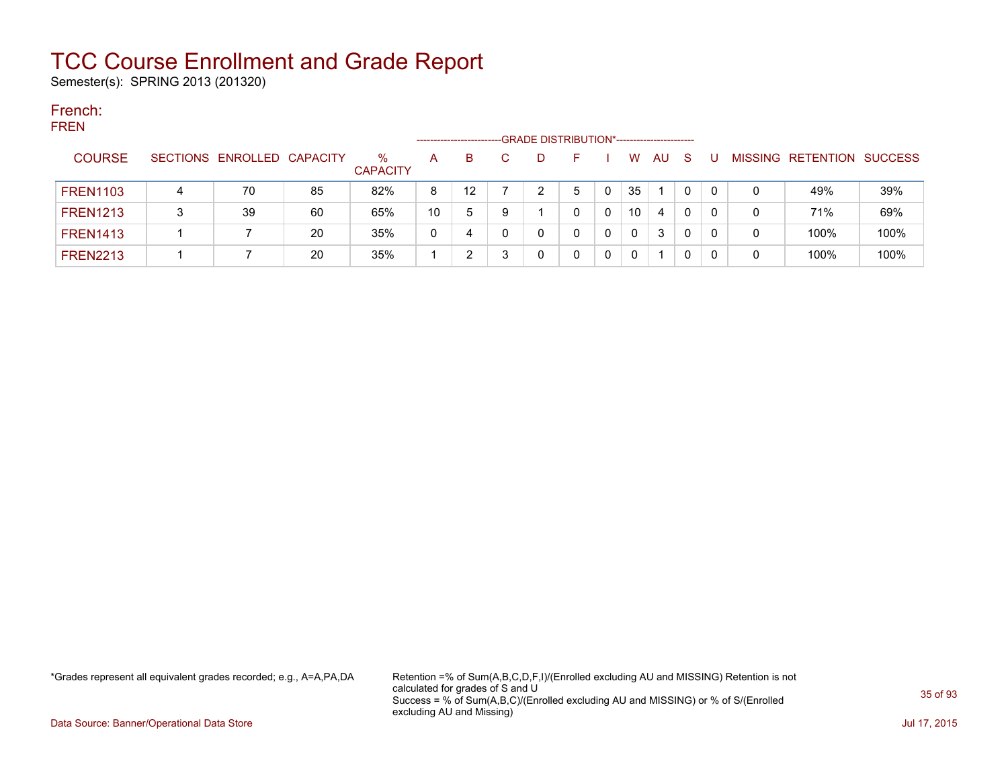Semester(s): SPRING 2013 (201320)

#### French: **EDEN**

| ENEN            |   |                            |    | -GRADE DISTRIBUTION*-----------------------<br>-------------------- |    |    |  |   |   |   |             |     |              |  |   |                   |                |
|-----------------|---|----------------------------|----|---------------------------------------------------------------------|----|----|--|---|---|---|-------------|-----|--------------|--|---|-------------------|----------------|
| <b>COURSE</b>   |   | SECTIONS ENROLLED CAPACITY |    | %<br><b>CAPACITY</b>                                                | A  | B. |  |   |   |   | w           | AU. | <sub>S</sub> |  |   | MISSING RETENTION | <b>SUCCESS</b> |
| <b>FREN1103</b> | 4 | 70                         | 85 | 82%                                                                 | 8  | 12 |  | າ | 5 |   | 35          |     | $\mathbf{0}$ |  | 0 | 49%               | 39%            |
| <b>FREN1213</b> |   | 39                         | 60 | 65%                                                                 | 10 | 5  |  |   |   |   | 10          | 4   | 0            |  |   | 71%               | 69%            |
| <b>FREN1413</b> |   |                            | 20 | 35%                                                                 | 0  | 4  |  |   |   | 0 | $\mathbf 0$ | 3   | 0            |  | 0 | 100%              | 100%           |
| <b>FREN2213</b> |   |                            | 20 | 35%                                                                 |    |    |  |   |   | 0 | 0           |     | 0            |  | 0 | 100%              | 100%           |

\*Grades represent all equivalent grades recorded; e.g., A=A,PA,DA Retention =% of Sum(A,B,C,D,F,I)/(Enrolled excluding AU and MISSING) Retention is not calculated for grades of S and U Success = % of Sum(A,B,C)/(Enrolled excluding AU and MISSING) or % of S/(Enrolled excluding AU and Missing)

Data Source: Banner/Operational Data Store Jul 17, 2015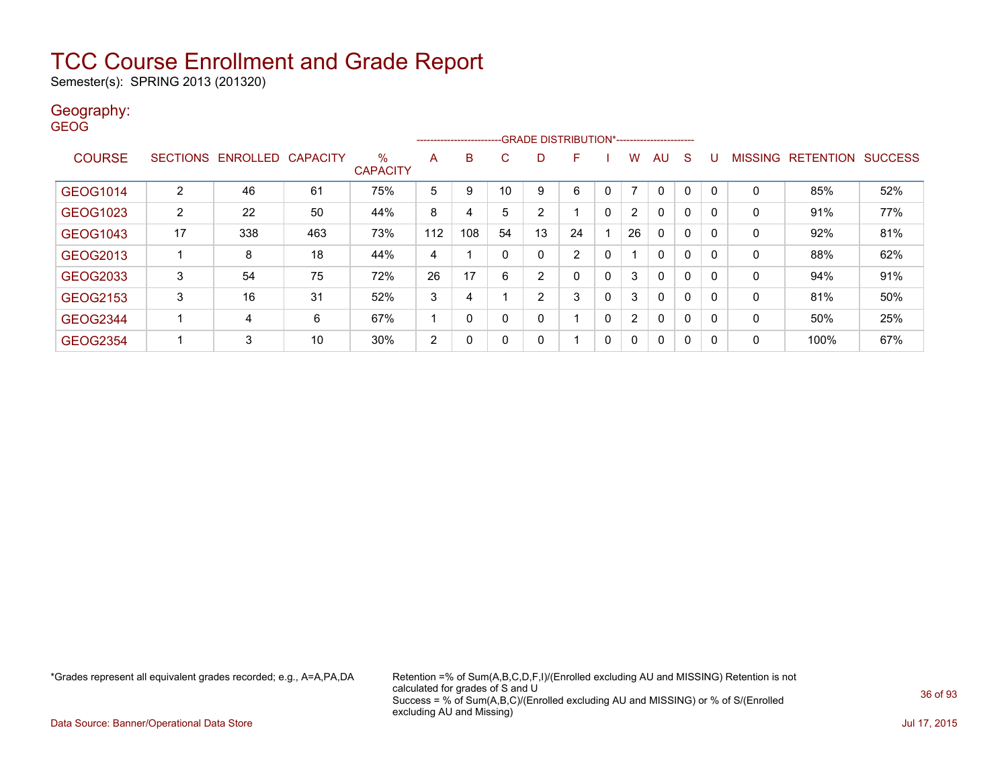Semester(s): SPRING 2013 (201320)

#### Geography: **GEOG**

|                 |                |                            | --------------------------GRADE DISTRIBUTION*----------------------- |                      |     |          |              |    |                |              |                |              |              |   |              |                   |                |
|-----------------|----------------|----------------------------|----------------------------------------------------------------------|----------------------|-----|----------|--------------|----|----------------|--------------|----------------|--------------|--------------|---|--------------|-------------------|----------------|
| <b>COURSE</b>   |                | SECTIONS ENROLLED CAPACITY |                                                                      | %<br><b>CAPACITY</b> | A   | B        | C            | D  | F              |              | W              | AU           | <sub>S</sub> | U |              | MISSING RETENTION | <b>SUCCESS</b> |
|                 |                |                            |                                                                      |                      |     |          |              |    |                |              |                |              |              |   |              |                   |                |
| <b>GEOG1014</b> | $\overline{2}$ | 46                         | 61                                                                   | 75%                  | 5   | 9        | 10           | 9  | 6              | 0            |                | $\mathbf{0}$ | $\mathbf{0}$ | 0 | 0            | 85%               | 52%            |
| GEOG1023        | 2              | 22                         | 50                                                                   | 44%                  | 8   | 4        | 5            | 2  |                | $\mathbf{0}$ | $\overline{2}$ | $\mathbf{0}$ | $\mathbf{0}$ | 0 | $\mathbf{0}$ | 91%               | 77%            |
| <b>GEOG1043</b> | 17             | 338                        | 463                                                                  | 73%                  | 112 | 108      | 54           | 13 | 24             |              | 26             | $\mathbf{0}$ | $\mathbf{0}$ | 0 | 0            | 92%               | 81%            |
| GEOG2013        |                | 8                          | 18                                                                   | 44%                  | 4   |          | $\mathbf{0}$ | 0  | $\overline{2}$ | 0            |                | $\mathbf{0}$ | $\mathbf{0}$ | 0 | $\mathbf{0}$ | 88%               | 62%            |
| GEOG2033        | 3              | 54                         | 75                                                                   | 72%                  | 26  | 17       | 6            | 2  | $\Omega$       | $\mathbf{0}$ | 3              | $\mathbf{0}$ | $\mathbf{0}$ | 0 | $\mathbf{0}$ | 94%               | 91%            |
| GEOG2153        | 3              | 16                         | 31                                                                   | 52%                  | 3   | 4        |              | 2  | 3              | 0            | 3              | $\mathbf{0}$ | $\mathbf{0}$ | 0 | 0            | 81%               | 50%            |
| <b>GEOG2344</b> |                | 4                          | 6                                                                    | 67%                  |     | $\Omega$ | $\mathbf{0}$ | 0  |                | $\mathbf{0}$ | $\overline{2}$ | $\mathbf{0}$ | $\mathbf{0}$ | 0 | $\mathbf{0}$ | 50%               | 25%            |
| <b>GEOG2354</b> |                | 3                          | 10                                                                   | 30%                  | 2   | 0        | 0            | 0  |                | 0            | $\mathbf{0}$   | $\mathbf{0}$ | $\mathbf{0}$ | 0 | 0            | 100%              | 67%            |

\*Grades represent all equivalent grades recorded; e.g., A=A,PA,DA Retention =% of Sum(A,B,C,D,F,I)/(Enrolled excluding AU and MISSING) Retention is not calculated for grades of S and U Success = % of Sum(A,B,C)/(Enrolled excluding AU and MISSING) or % of S/(Enrolled excluding AU and Missing)

Data Source: Banner/Operational Data Store Jul 17, 2015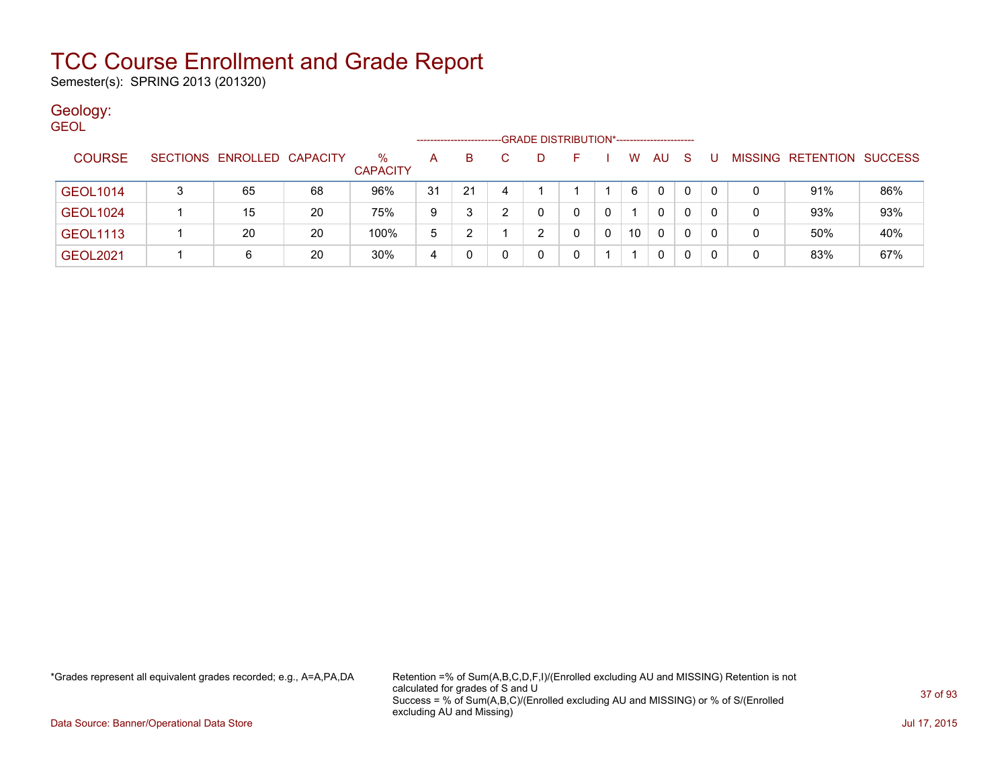Semester(s): SPRING 2013 (201320)

### Geology:

| <b>GEOL</b> |                 |                            |    |                 |                    |    |    |                                             |   |   |    |              |              |     |   |                           |     |
|-------------|-----------------|----------------------------|----|-----------------|--------------------|----|----|---------------------------------------------|---|---|----|--------------|--------------|-----|---|---------------------------|-----|
|             |                 |                            |    |                 | ------------------ |    |    | -GRADE DISTRIBUTION*----------------------- |   |   |    |              |              |     |   |                           |     |
|             | <b>COURSE</b>   | SECTIONS ENROLLED CAPACITY |    | %               | A                  | B. | C. | D                                           |   |   | W  | AU           | -S           | - U |   | MISSING RETENTION SUCCESS |     |
|             |                 |                            |    | <b>CAPACITY</b> |                    |    |    |                                             |   |   |    |              |              |     |   |                           |     |
|             | <b>GEOL1014</b> | 65                         | 68 | 96%             | 31                 | 21 |    |                                             |   |   | 6  | $\mathbf{0}$ | $\mathbf{0}$ |     |   | 91%                       | 86% |
|             | <b>GEOL1024</b> | 15                         | 20 | 75%             | 9                  | າ  |    |                                             | 0 |   |    | 0            | $\mathbf{0}$ |     | 0 | 93%                       | 93% |
|             | <b>GEOL1113</b> | 20                         | 20 | 100%            | 5                  |    |    | ົ                                           |   | 0 | 10 | 0            | 0            |     |   | 50%                       | 40% |
|             | <b>GEOL2021</b> | 6                          | 20 | 30%             | 4                  |    |    |                                             |   |   |    | 0            | 0            |     | 0 | 83%                       | 67% |

\*Grades represent all equivalent grades recorded; e.g., A=A,PA,DA Retention =% of Sum(A,B,C,D,F,I)/(Enrolled excluding AU and MISSING) Retention is not calculated for grades of S and U Success = % of Sum(A,B,C)/(Enrolled excluding AU and MISSING) or % of S/(Enrolled excluding AU and Missing)

Data Source: Banner/Operational Data Store Jul 17, 2015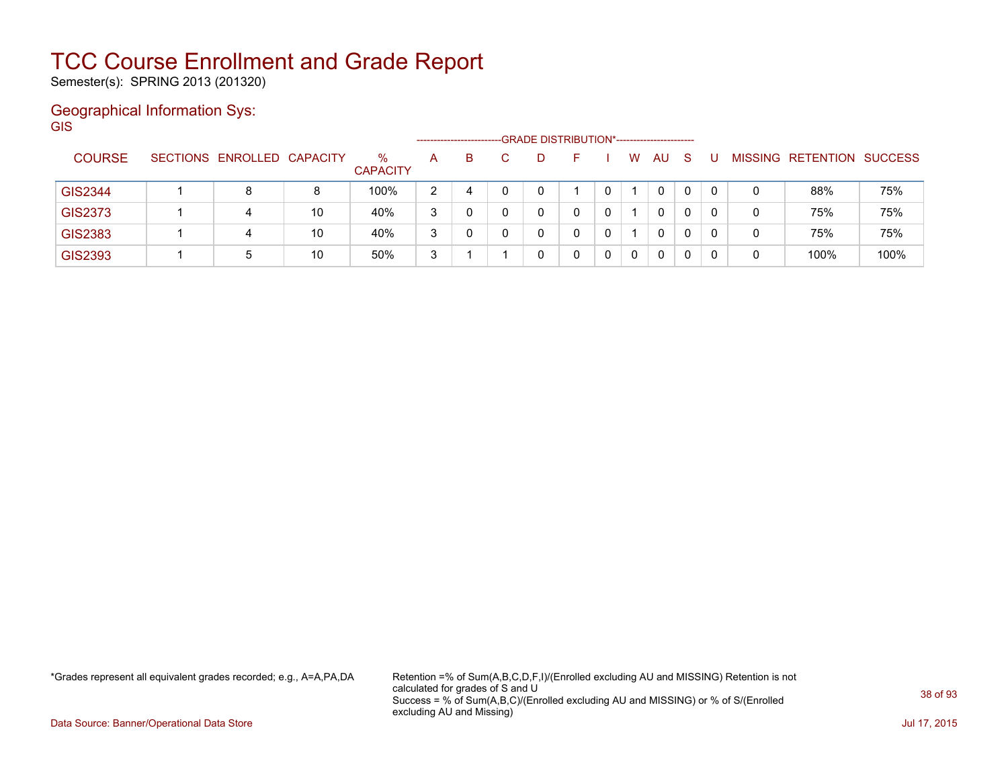Semester(s): SPRING 2013 (201320)

#### Geographical Information Sys: GIS

--GRADE DISTRIBUTION\*-----------------------COURSE SECTIONS ENROLLED CAPACITY % **CAPACITY** A B C D F I W AU S U MISSING RETENTION SUCCESS GIS2344 | 1 | 8 | 8 | 100% | 2 | 4 | 0 | 0 | 1 | 0 | 0 | 0 | 0 | 0 | 88% | 75% GIS2373 1 4 10 40% 3 0 0 0 0 0 1 0 0 0 0 75% 75% GIS2383 1 4 10 40% 3 0 0 0 0 0 1 0 0 0 0 75% 75% GIS2393 | 1 | 5 | 10 | 50% | 3 | 1 | 1 | 0 | 0 | 0 | 0 | 0 | 0 | 0 | 0 100% | 100%

\*Grades represent all equivalent grades recorded; e.g., A=A,PA,DA Retention =% of Sum(A,B,C,D,F,I)/(Enrolled excluding AU and MISSING) Retention is not calculated for grades of S and U Success = % of Sum(A,B,C)/(Enrolled excluding AU and MISSING) or % of S/(Enrolled excluding AU and Missing)

Data Source: Banner/Operational Data Store Jul 17, 2015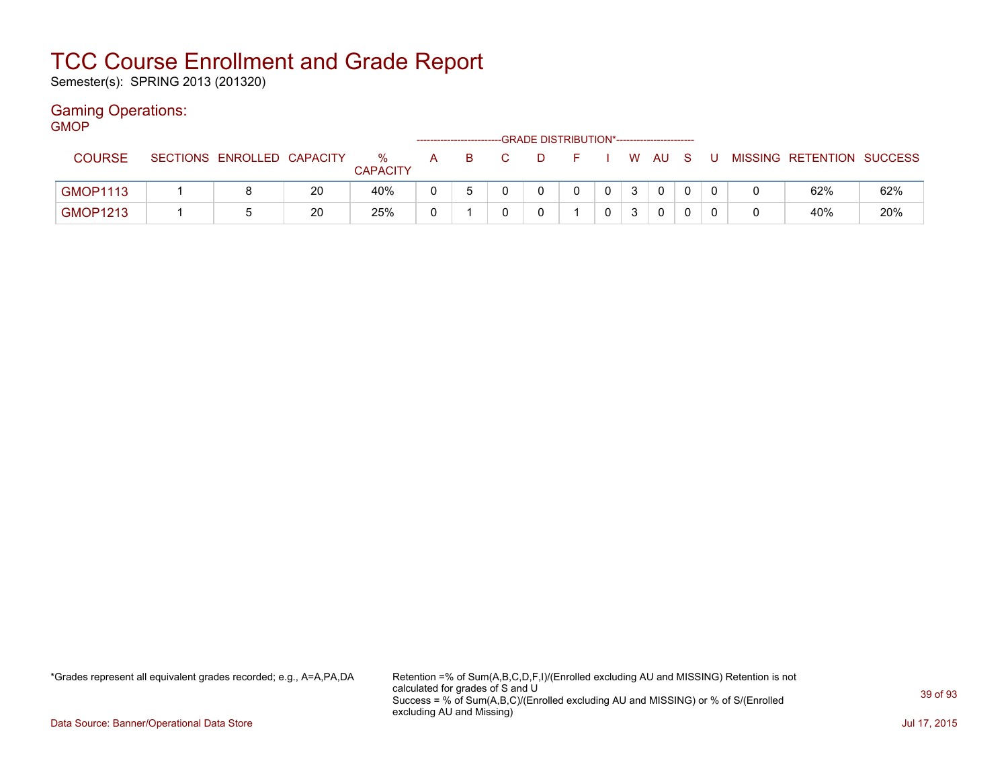Semester(s): SPRING 2013 (201320)

#### Gaming Operations: GMOP

| דשועוכ          |                            |    |                      |   |   |    | -- GRADE DISTRIBUTION*----------------------- |              |   |      |    |   |                           |     |
|-----------------|----------------------------|----|----------------------|---|---|----|-----------------------------------------------|--------------|---|------|----|---|---------------------------|-----|
| <b>COURSE</b>   | SECTIONS ENROLLED CAPACITY |    | %<br><b>CAPACITY</b> | A | в | D. |                                               |              |   | WAUS | -U |   | MISSING RETENTION SUCCESS |     |
| <b>GMOP1113</b> |                            | 20 | 40%                  |   |   |    |                                               | $\mathbf{0}$ | 3 |      |    |   | 62%                       | 62% |
| <b>GMOP1213</b> |                            | 20 | 25%                  |   |   |    |                                               |              |   |      |    | 0 | 40%                       | 20% |

\*Grades represent all equivalent grades recorded; e.g., A=A,PA,DA Retention =% of Sum(A,B,C,D,F,I)/(Enrolled excluding AU and MISSING) Retention is not calculated for grades of S and U Success = % of Sum(A,B,C)/(Enrolled excluding AU and MISSING) or % of S/(Enrolled excluding AU and Missing)

Data Source: Banner/Operational Data Store Jul 17, 2015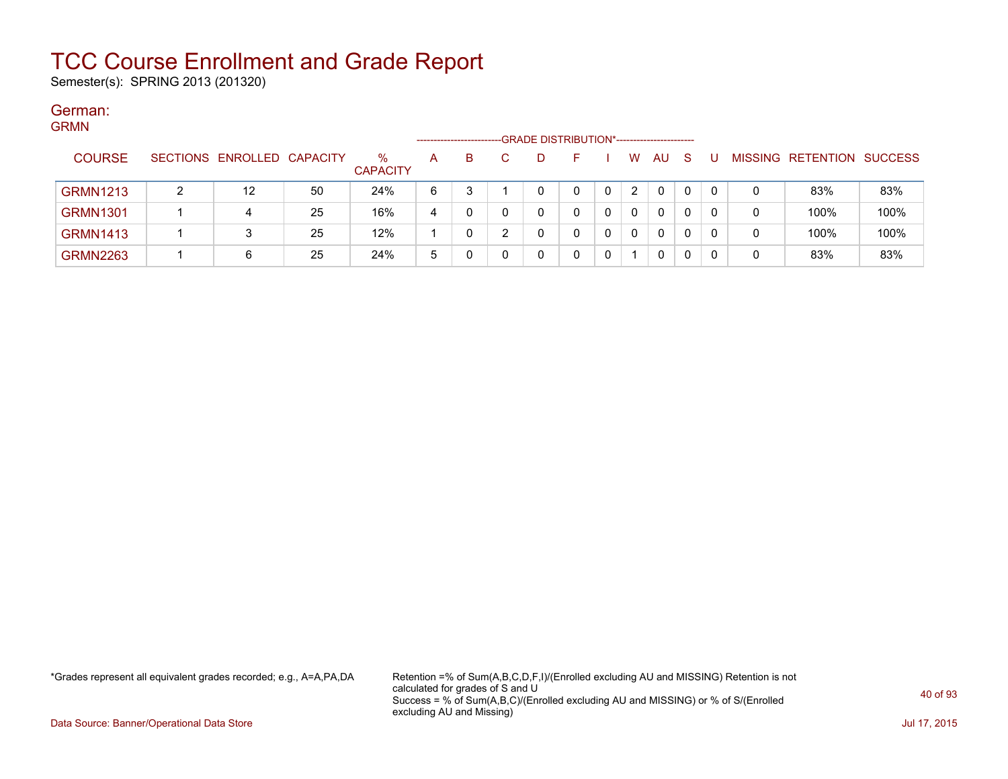Semester(s): SPRING 2013 (201320)

#### German: **CDMM**

| יוויוויוט       |                            |    |                         |   | ---------------------- | -GRADE DISTRIBUTION*----------------------- |   |              |              |    |   |                   |                |
|-----------------|----------------------------|----|-------------------------|---|------------------------|---------------------------------------------|---|--------------|--------------|----|---|-------------------|----------------|
| <b>COURSE</b>   | SECTIONS ENROLLED CAPACITY |    | $\%$<br><b>CAPACITY</b> | A | в                      | D                                           |   | W            | AU.          | -S |   | MISSING RETENTION | <b>SUCCESS</b> |
| <b>GRMN1213</b> | $12 \overline{ }$          | 50 | 24%                     | 6 |                        |                                             | 0 | $\mathbf{2}$ | 0            | 0  |   | 83%               | 83%            |
| <b>GRMN1301</b> | 4                          | 25 | 16%                     | 4 |                        |                                             |   | $\mathbf{0}$ | $\mathbf{0}$ | 0  | 0 | 100%              | 100%           |
| <b>GRMN1413</b> |                            | 25 | 12%                     |   |                        |                                             |   | $\mathbf 0$  | 0            | 0  |   | 100%              | 100%           |
| <b>GRMN2263</b> |                            | 25 | 24%                     | 5 |                        |                                             |   |              | 0            |    |   | 83%               | 83%            |

\*Grades represent all equivalent grades recorded; e.g., A=A,PA,DA Retention =% of Sum(A,B,C,D,F,I)/(Enrolled excluding AU and MISSING) Retention is not calculated for grades of S and U Success = % of Sum(A,B,C)/(Enrolled excluding AU and MISSING) or % of S/(Enrolled excluding AU and Missing)

Data Source: Banner/Operational Data Store Jul 17, 2015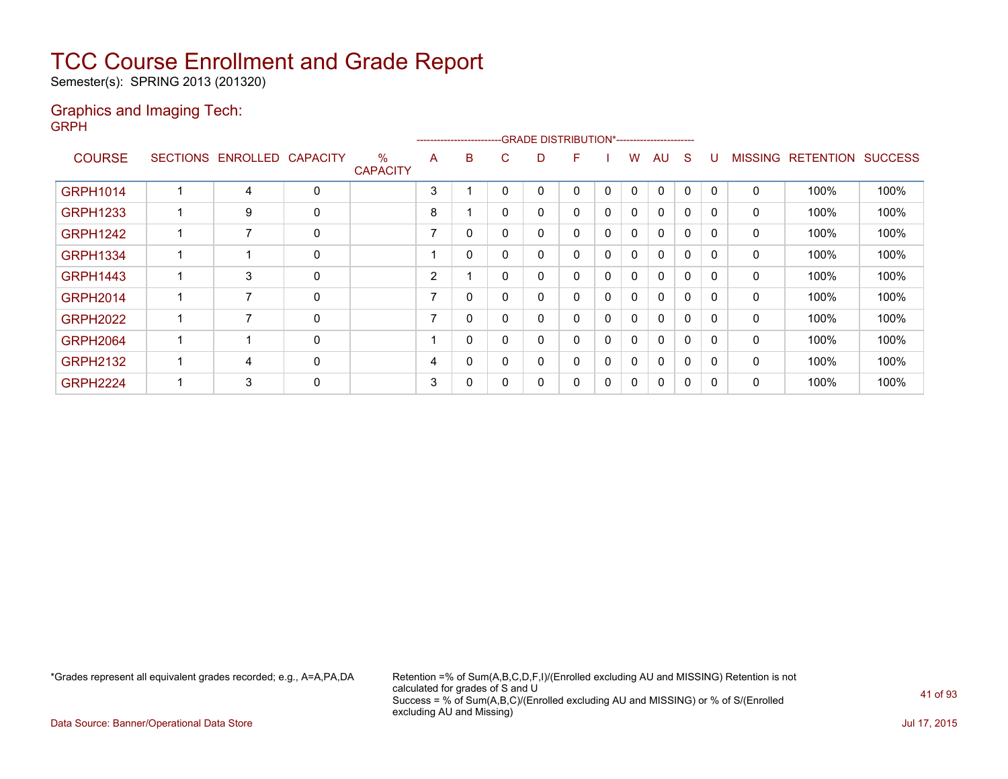Semester(s): SPRING 2013 (201320)

#### Graphics and Imaging Tech: GRPH

|                 |                 |          |                 |                         |                          | ---------------------- |   | -GRADE DISTRIBUTION*----------------------- |              |   |              |              |              |              |                |                  |                |
|-----------------|-----------------|----------|-----------------|-------------------------|--------------------------|------------------------|---|---------------------------------------------|--------------|---|--------------|--------------|--------------|--------------|----------------|------------------|----------------|
| <b>COURSE</b>   | <b>SECTIONS</b> | ENROLLED | <b>CAPACITY</b> | $\%$<br><b>CAPACITY</b> | A                        | B                      | С | D                                           | F.           |   | w            | AU           | <sub>S</sub> | U            | <b>MISSING</b> | <b>RETENTION</b> | <b>SUCCESS</b> |
| <b>GRPH1014</b> |                 | 4        | $\mathbf{0}$    |                         | 3                        |                        | 0 | $\Omega$                                    | $\mathbf{0}$ | 0 | $\mathbf{0}$ | $\mathbf{0}$ | 0            | $\Omega$     | $\mathbf{0}$   | 100%             | 100%           |
| <b>GRPH1233</b> |                 | 9        | 0               |                         | 8                        |                        | 0 | 0                                           | $\mathbf{0}$ | 0 | $\mathbf{0}$ | $\mathbf{0}$ | 0            | $\Omega$     | $\mathbf{0}$   | 100%             | 100%           |
| <b>GRPH1242</b> |                 |          | 0               |                         | $\overline{\phantom{a}}$ | 0                      | 0 | 0                                           | $\mathbf{0}$ | 0 | $\mathbf{0}$ | $\mathbf{0}$ | 0            | $\Omega$     | 0              | 100%             | 100%           |
| <b>GRPH1334</b> |                 |          | $\mathbf{0}$    |                         |                          | 0                      | 0 | 0                                           | $\mathbf{0}$ | 0 | $\mathbf{0}$ | $\mathbf{0}$ | $\mathbf{0}$ | $\Omega$     | $\mathbf{0}$   | 100%             | 100%           |
| <b>GRPH1443</b> |                 | 3        | $\mathbf{0}$    |                         | 2                        |                        | 0 | 0                                           | $\mathbf{0}$ | 0 | $\mathbf{0}$ | $\mathbf{0}$ | $\mathbf{0}$ | $\Omega$     | $\mathbf{0}$   | 100%             | 100%           |
| <b>GRPH2014</b> |                 |          | $\mathbf{0}$    |                         |                          | 0                      | 0 | 0                                           | $\mathbf{0}$ | 0 | $\mathbf{0}$ | $\mathbf{0}$ | 0            | $\Omega$     | $\mathbf{0}$   | 100%             | 100%           |
| <b>GRPH2022</b> |                 |          | $\mathbf{0}$    |                         |                          | 0                      | 0 | 0                                           | $\mathbf{0}$ | 0 | $\mathbf{0}$ | $\mathbf{0}$ | 0            | $\mathbf{0}$ | $\mathbf{0}$   | 100%             | 100%           |
| <b>GRPH2064</b> |                 |          | $\mathbf{0}$    |                         |                          | 0                      | 0 | 0                                           | $\mathbf{0}$ | 0 | 0            | $\mathbf{0}$ | 0            | 0            | 0              | 100%             | 100%           |
| <b>GRPH2132</b> |                 | 4        | $\mathbf{0}$    |                         | 4                        | 0                      | 0 | 0                                           | 0            | 0 | 0            | 0            | 0            | 0            | 0              | 100%             | 100%           |
| <b>GRPH2224</b> |                 | 3        | 0               |                         | 3                        | 0                      | 0 | 0                                           | 0            | 0 | 0            | 0            | $\mathbf{0}$ | $\Omega$     | 0              | 100%             | 100%           |

\*Grades represent all equivalent grades recorded; e.g., A=A,PA,DA Retention =% of Sum(A,B,C,D,F,I)/(Enrolled excluding AU and MISSING) Retention is not calculated for grades of S and U Success = % of Sum(A,B,C)/(Enrolled excluding AU and MISSING) or % of S/(Enrolled excluding AU and Missing)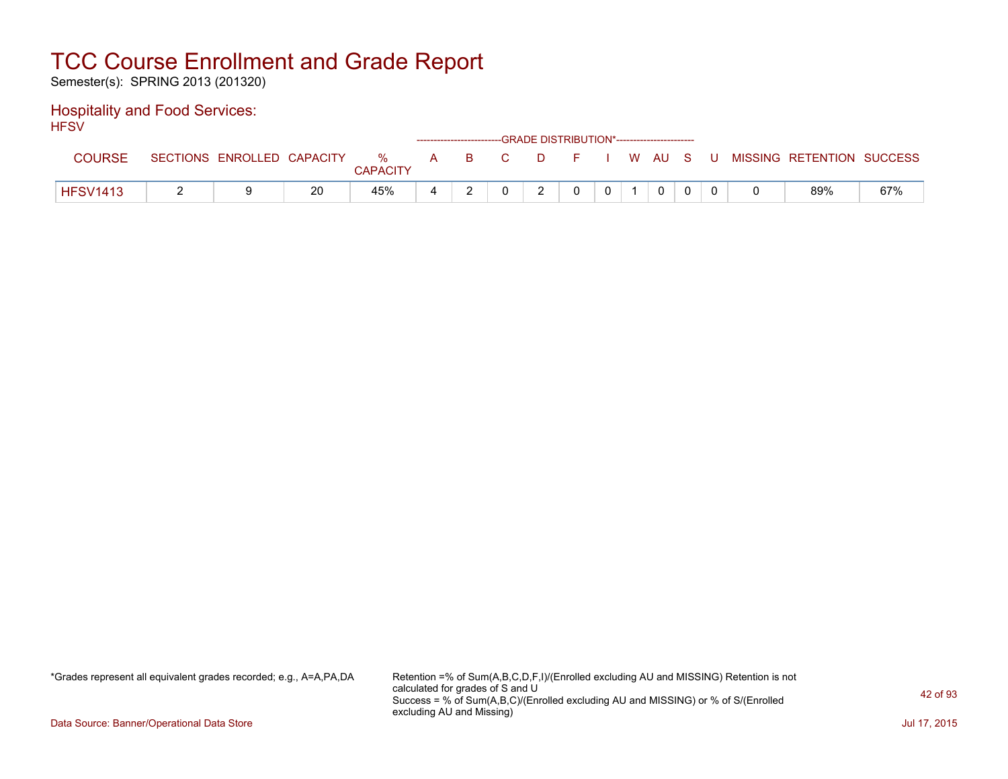Semester(s): SPRING 2013 (201320)

#### Hospitality and Food Services: **HFSV**

| .               |                            |    |                      |       | ------------------------GRADE DISTRIBUTION*----------------------- |          |          |       |             |  |                           |     |
|-----------------|----------------------------|----|----------------------|-------|--------------------------------------------------------------------|----------|----------|-------|-------------|--|---------------------------|-----|
| COURSE          | SECTIONS ENROLLED CAPACITY |    | %<br><b>CAPACITY</b> | A B C |                                                                    | DFIWAUSU |          |       |             |  | MISSING RETENTION SUCCESS |     |
| <b>HFSV1413</b> |                            | 20 | 45%                  |       |                                                                    |          | $\Omega$ | $0-1$ | $\mathbf 0$ |  | 89%                       | 67% |

\*Grades represent all equivalent grades recorded; e.g., A=A,PA,DA Retention =% of Sum(A,B,C,D,F,I)/(Enrolled excluding AU and MISSING) Retention is not calculated for grades of S and U Success = % of Sum(A,B,C)/(Enrolled excluding AU and MISSING) or % of S/(Enrolled excluding AU and Missing)

Data Source: Banner/Operational Data Store Jul 17, 2015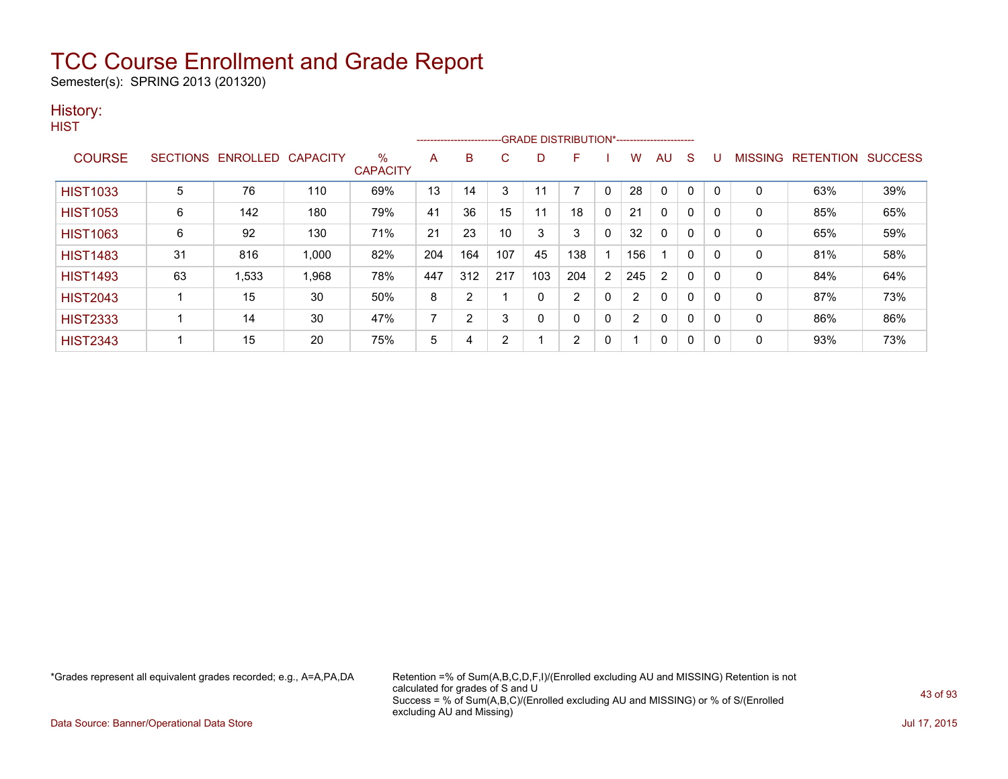Semester(s): SPRING 2013 (201320)

### History:

| v.<br>۹ |  |
|---------|--|
|         |  |

|                 |    |                            |       |                         |                | ------------------------- |     |          | -GRADE DISTRIBUTION*----------------------- |             |     |              |              |             |              |                   |                |
|-----------------|----|----------------------------|-------|-------------------------|----------------|---------------------------|-----|----------|---------------------------------------------|-------------|-----|--------------|--------------|-------------|--------------|-------------------|----------------|
| <b>COURSE</b>   |    | SECTIONS ENROLLED CAPACITY |       | $\%$<br><b>CAPACITY</b> | A              | в                         | C   | D        | F                                           |             | w   | AU           | S            | υ           |              | MISSING RETENTION | <b>SUCCESS</b> |
| <b>HIST1033</b> | 5  | 76                         | 110   | 69%                     | 13             | 14                        | 3   |          |                                             | $\mathbf 0$ | 28  | 0            |              | $\mathbf 0$ | 0            | 63%               | 39%            |
| <b>HIST1053</b> | 6  | 142                        | 180   | 79%                     | 41             | 36                        | 15  |          | 18                                          | $\Omega$    | 21  | $\mathbf{0}$ | 0            | 0           | $\mathbf{0}$ | 85%               | 65%            |
| <b>HIST1063</b> | 6  | 92                         | 130   | 71%                     | 21             | 23                        | 10  | 3        | 3                                           | $\mathbf 0$ | 32  | 0            | $\mathbf 0$  | 0           | $\mathbf{0}$ | 65%               | 59%            |
| <b>HIST1483</b> | 31 | 816                        | 1,000 | 82%                     | 204            | 164                       | 107 | 45       | 138                                         |             | 156 |              | 0            | 0           | 0            | 81%               | 58%            |
| <b>HIST1493</b> | 63 | 1,533                      | 1,968 | 78%                     | 447            | 312                       | 217 | 103      | 204                                         | 2           | 245 | 2            | 0            | 0           | 0            | 84%               | 64%            |
| <b>HIST2043</b> |    | 15                         | 30    | 50%                     | 8              | $\overline{2}$            |     | $\Omega$ | 2                                           | 0           | 2   | $\mathbf{0}$ | $\mathbf{0}$ | 0           | $\mathbf{0}$ | 87%               | 73%            |
| <b>HIST2333</b> |    | 14                         | 30    | 47%                     | $\overline{ }$ | $\overline{2}$            | 3   | 0        | 0                                           | $\mathbf 0$ | 2   | $\mathbf{0}$ | 0            | 0           | 0            | 86%               | 86%            |
| <b>HIST2343</b> |    | 15                         | 20    | 75%                     | 5              | 4                         | 2   |          | 2                                           | 0           |     | 0            | 0            | 0           | 0            | 93%               | 73%            |

\*Grades represent all equivalent grades recorded; e.g., A=A,PA,DA Retention =% of Sum(A,B,C,D,F,I)/(Enrolled excluding AU and MISSING) Retention is not calculated for grades of S and U Success = % of Sum(A,B,C)/(Enrolled excluding AU and MISSING) or % of S/(Enrolled excluding AU and Missing)

Data Source: Banner/Operational Data Store Jul 17, 2015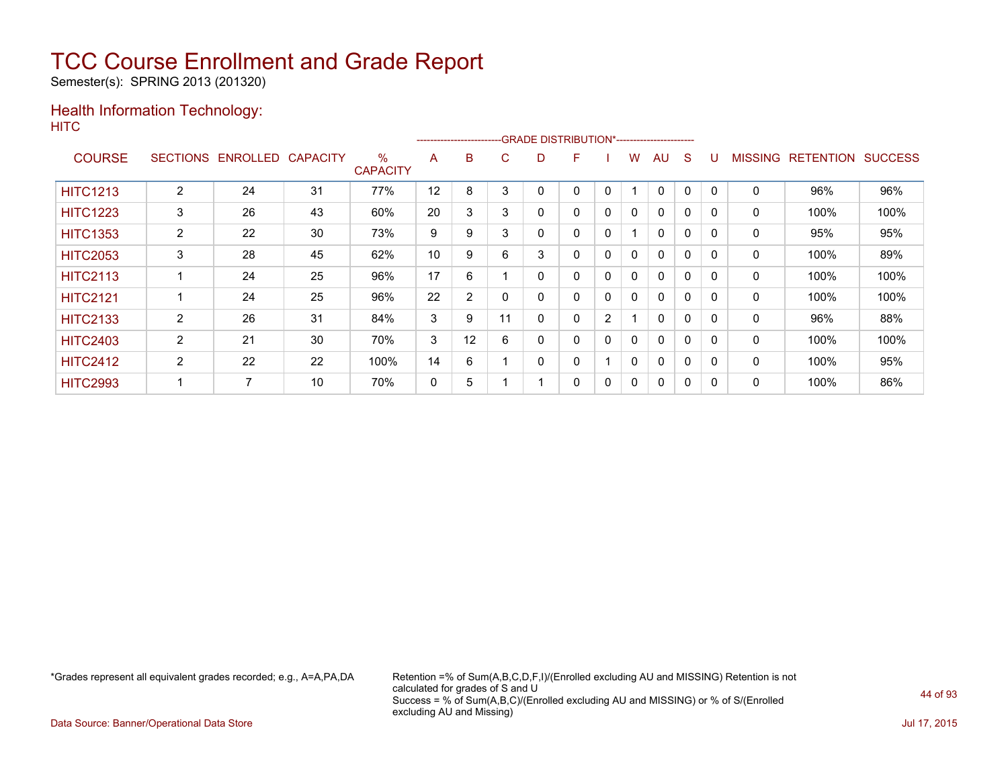Semester(s): SPRING 2013 (201320)

#### Health Information Technology: **HITC**

|                 |                 |          |                 |                      |    |    | ------------------------GRADE                DISTRIBUTION*---------------------- |   |   |              |              |              |              |          |                |                  |                |
|-----------------|-----------------|----------|-----------------|----------------------|----|----|----------------------------------------------------------------------------------|---|---|--------------|--------------|--------------|--------------|----------|----------------|------------------|----------------|
| <b>COURSE</b>   | <b>SECTIONS</b> | ENROLLED | <b>CAPACITY</b> | %<br><b>CAPACITY</b> | A  | в  | C                                                                                | D | F |              | w            | AU           | S            |          | <b>MISSING</b> | <b>RETENTION</b> | <b>SUCCESS</b> |
| <b>HITC1213</b> | $\overline{2}$  | 24       | 31              | 77%                  | 12 | 8  | 3                                                                                |   | 0 | 0            |              | $\mathbf{0}$ | 0            | $\Omega$ | 0              | 96%              | 96%            |
| <b>HITC1223</b> | 3               | 26       | 43              | 60%                  | 20 | 3  | 3                                                                                |   | 0 | $\mathbf{0}$ | $\mathbf{0}$ | $\mathbf{0}$ | 0            | $\Omega$ | 0              | 100%             | 100%           |
| <b>HITC1353</b> | $\overline{2}$  | 22       | 30              | 73%                  | 9  | 9  | 3                                                                                |   | 0 | 0            |              | $\mathbf{0}$ | 0            | $\Omega$ | 0              | 95%              | 95%            |
| <b>HITC2053</b> | 3               | 28       | 45              | 62%                  | 10 | 9  | 6                                                                                | 3 | 0 | $\mathbf 0$  | $\mathbf{0}$ | $\mathbf{0}$ | $\mathbf{0}$ | $\Omega$ | 0              | 100%             | 89%            |
| <b>HITC2113</b> |                 | 24       | 25              | 96%                  | 17 | 6  |                                                                                  |   | 0 | 0            | 0            | $\mathbf{0}$ | $\mathbf{0}$ | $\Omega$ | 0              | 100%             | 100%           |
| <b>HITC2121</b> |                 | 24       | 25              | 96%                  | 22 | 2  |                                                                                  | ი | 0 | 0            | $\mathbf{0}$ | $\mathbf{0}$ | 0            | $\Omega$ | 0              | 100%             | 100%           |
| <b>HITC2133</b> | $\overline{2}$  | 26       | 31              | 84%                  | 3  | 9  | 11                                                                               | 0 | 0 | 2            |              | $\mathbf{0}$ | 0            | $\Omega$ | 0              | 96%              | 88%            |
| <b>HITC2403</b> | $\overline{2}$  | 21       | 30              | 70%                  | 3  | 12 | 6                                                                                |   | 0 | 0            | 0            | $\mathbf{0}$ | 0            | $\Omega$ | $\mathbf 0$    | 100%             | 100%           |
| <b>HITC2412</b> | $\overline{2}$  | 22       | 22              | 100%                 | 14 | 6  |                                                                                  | 0 | 0 |              | $\mathbf{0}$ | $\mathbf{0}$ | 0            | $\Omega$ | 0              | 100%             | 95%            |
| <b>HITC2993</b> |                 | 7        | 10              | 70%                  | 0  | 5  |                                                                                  |   | 0 | 0            | 0            | $\mathbf{0}$ | 0            | 0        | 0              | 100%             | 86%            |

\*Grades represent all equivalent grades recorded; e.g., A=A,PA,DA Retention =% of Sum(A,B,C,D,F,I)/(Enrolled excluding AU and MISSING) Retention is not calculated for grades of S and U Success = % of Sum(A,B,C)/(Enrolled excluding AU and MISSING) or % of S/(Enrolled excluding AU and Missing)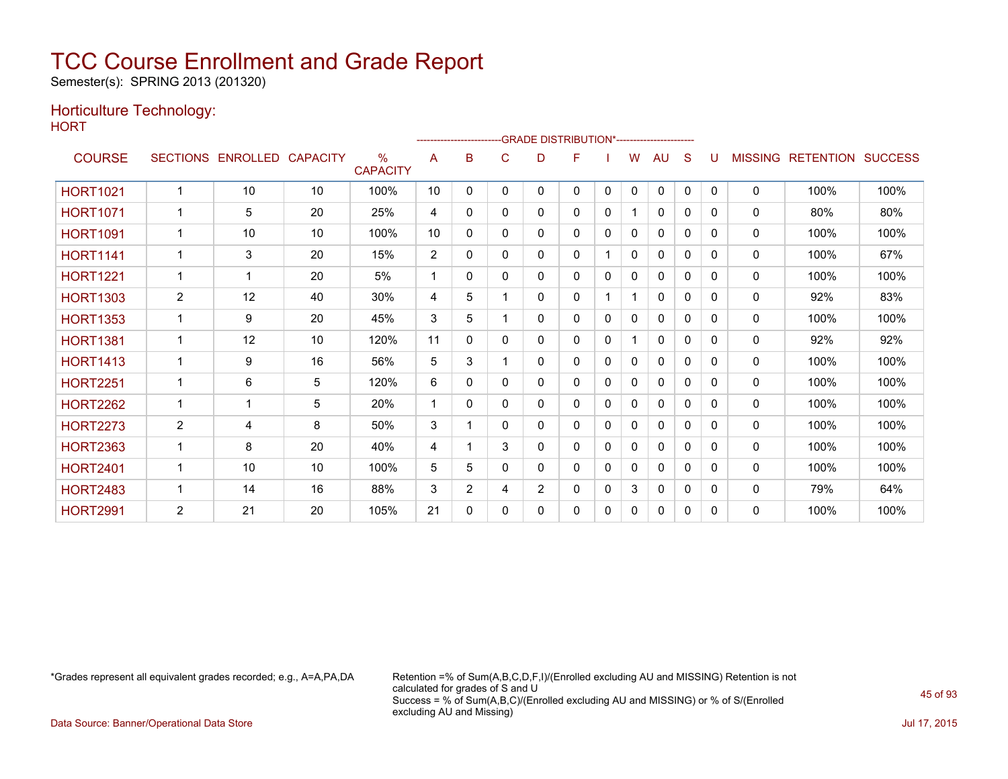Semester(s): SPRING 2013 (201320)

### Horticulture Technology:

**HORT** 

|                 |                 |                   |    |                         |                | -------------------------GRADE                DISTRIBUTION*---------------------- |          |   |              |   |              |              |              |              |                |                  |                |
|-----------------|-----------------|-------------------|----|-------------------------|----------------|-----------------------------------------------------------------------------------|----------|---|--------------|---|--------------|--------------|--------------|--------------|----------------|------------------|----------------|
| <b>COURSE</b>   | <b>SECTIONS</b> | ENROLLED CAPACITY |    | $\%$<br><b>CAPACITY</b> | A              | B                                                                                 | C        | D | F            |   | w            | AU           | S            | U            | <b>MISSING</b> | <b>RETENTION</b> | <b>SUCCESS</b> |
| <b>HORT1021</b> | 1               | 10                | 10 | 100%                    | 10             | 0                                                                                 | 0        | 0 | 0            | 0 | 0            | $\mathbf{0}$ | 0            | $\mathbf{0}$ | $\mathbf{0}$   | 100%             | 100%           |
| <b>HORT1071</b> |                 | 5                 | 20 | 25%                     | 4              | 0                                                                                 | 0        | 0 | $\mathbf{0}$ | 0 |              | 0            | 0            | 0            | $\mathbf{0}$   | 80%              | 80%            |
| <b>HORT1091</b> |                 | 10                | 10 | 100%                    | 10             | 0                                                                                 | 0        | 0 | $\mathbf{0}$ | 0 | 0            | $\mathbf{0}$ | 0            | 0            | $\mathbf{0}$   | 100%             | 100%           |
| <b>HORT1141</b> | 1               | 3                 | 20 | 15%                     | $\overline{2}$ | 0                                                                                 | 0        | 0 | $\mathbf{0}$ |   | 0            | 0            | 0            | $\Omega$     | $\mathbf{0}$   | 100%             | 67%            |
| <b>HORT1221</b> |                 |                   | 20 | 5%                      | 1              | 0                                                                                 | 0        | 0 | 0            | 0 | 0            | $\mathbf{0}$ | 0            | 0            | $\mathbf{0}$   | 100%             | 100%           |
| <b>HORT1303</b> | 2               | 12                | 40 | 30%                     | 4              | 5                                                                                 |          | 0 | $\mathbf{0}$ |   |              | $\mathbf{0}$ | 0            | 0            | $\mathbf{0}$   | 92%              | 83%            |
| <b>HORT1353</b> |                 | 9                 | 20 | 45%                     | 3              | 5                                                                                 |          | 0 | 0            | 0 | 0            | $\mathbf{0}$ | 0            | $\Omega$     | $\mathbf{0}$   | 100%             | 100%           |
| <b>HORT1381</b> | 1               | 12                | 10 | 120%                    | 11             | 0                                                                                 | 0        | 0 | $\mathbf{0}$ | 0 | 1            | 0            | $\Omega$     | $\Omega$     | $\mathbf{0}$   | 92%              | 92%            |
| <b>HORT1413</b> |                 | 9                 | 16 | 56%                     | 5              | 3                                                                                 |          | 0 | $\mathbf{0}$ | 0 | $\mathbf{0}$ | $\mathbf{0}$ | $\mathbf{0}$ | $\mathbf{0}$ | $\mathbf{0}$   | 100%             | 100%           |
| <b>HORT2251</b> |                 | 6                 | 5  | 120%                    | 6              | 0                                                                                 | 0        | 0 | 0            | 0 | 0            | $\mathbf{0}$ | $\Omega$     | <sup>0</sup> | $\mathbf{0}$   | 100%             | 100%           |
| <b>HORT2262</b> | 1               |                   | 5  | 20%                     | 1              | 0                                                                                 | $\Omega$ | 0 | $\Omega$     | 0 | 0            | 0            | $\Omega$     | 0            | $\mathbf{0}$   | 100%             | 100%           |
| <b>HORT2273</b> | $\overline{2}$  | 4                 | 8  | 50%                     | 3              |                                                                                   | $\Omega$ | 0 | 0            | 0 | 0            | 0            | 0            | $\Omega$     | $\mathbf{0}$   | 100%             | 100%           |
| <b>HORT2363</b> |                 | 8                 | 20 | 40%                     | 4              |                                                                                   | 3        | 0 | 0            | 0 | 0            | $\mathbf{0}$ | 0            | 0            | 0              | 100%             | 100%           |
| <b>HORT2401</b> | 1               | 10                | 10 | 100%                    | 5              | 5                                                                                 | 0        | 0 | 0            | 0 | 0            | 0            | 0            | 0            | $\Omega$       | 100%             | 100%           |
| <b>HORT2483</b> | 1               | 14                | 16 | 88%                     | 3              | $\overline{2}$                                                                    | 4        | 2 | 0            | 0 | 3            | $\mathbf{0}$ | 0            | 0            | $\mathbf{0}$   | 79%              | 64%            |
| <b>HORT2991</b> | $\overline{2}$  | 21                | 20 | 105%                    | 21             | 0                                                                                 | 0        | 0 | $\mathbf{0}$ | 0 | 0            | $\mathbf{0}$ | 0            | 0            | 0              | 100%             | 100%           |

\*Grades represent all equivalent grades recorded; e.g., A=A,PA,DA Retention =% of Sum(A,B,C,D,F,I)/(Enrolled excluding AU and MISSING) Retention is not calculated for grades of S and U Success = % of Sum(A,B,C)/(Enrolled excluding AU and MISSING) or % of S/(Enrolled excluding AU and Missing)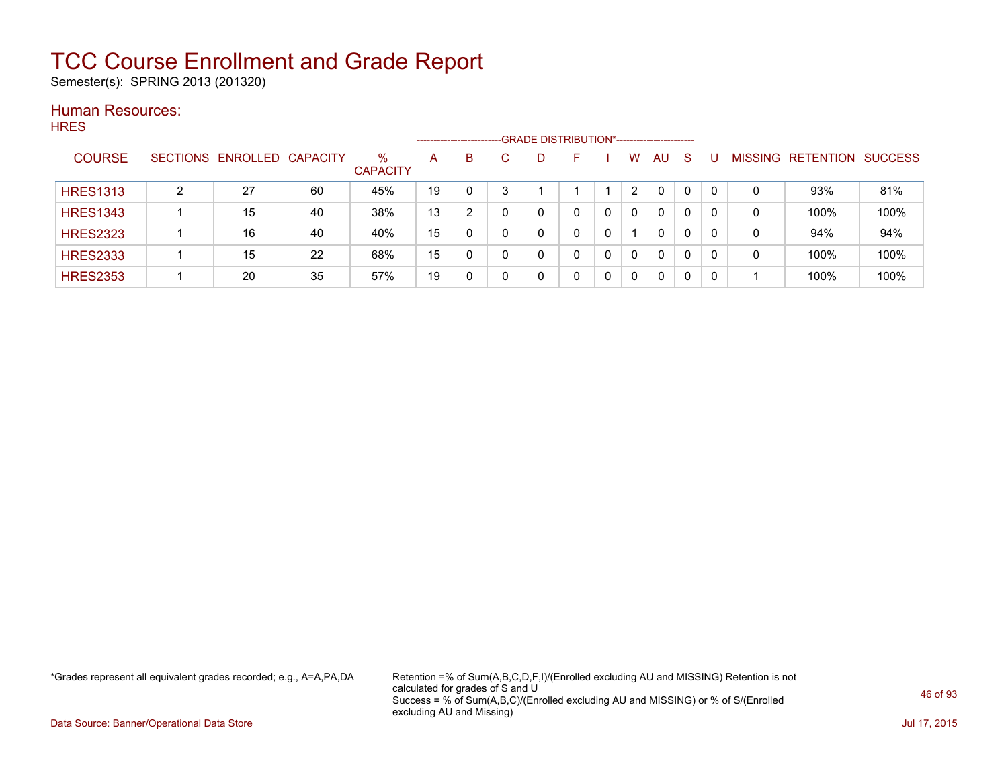Semester(s): SPRING 2013 (201320)

#### Human Resources: **HRES**

| .  .__          |   |                            |    |                         | --------------------- |   |   | -GRADE DISTRIBUTION*----------------------- |              |              |    |   |                |                  |                |
|-----------------|---|----------------------------|----|-------------------------|-----------------------|---|---|---------------------------------------------|--------------|--------------|----|---|----------------|------------------|----------------|
| <b>COURSE</b>   |   | SECTIONS ENROLLED CAPACITY |    | $\%$<br><b>CAPACITY</b> | A                     | B | D | <b>-</b>                                    | W            | AU           | -S |   | <b>MISSING</b> | <b>RETENTION</b> | <b>SUCCESS</b> |
| <b>HRES1313</b> | ົ | 27                         | 60 | 45%                     | 19                    |   |   |                                             | 2            | $\Omega$     |    |   | 0              | 93%              | 81%            |
| <b>HRES1343</b> |   | 15                         | 40 | 38%                     | 13                    | າ |   | 0                                           | 0            | 0            | 0  |   | 0              | 100%             | 100%           |
| <b>HRES2323</b> |   | 16                         | 40 | 40%                     | 15                    |   |   | 0                                           |              | $\mathbf{0}$ | 0  |   | 0              | 94%              | 94%            |
| <b>HRES2333</b> |   | 15                         | 22 | 68%                     | 15                    |   |   |                                             | $\Omega$     | 0            | 0  |   | 0              | 100%             | 100%           |
| <b>HRES2353</b> |   | 20                         | 35 | 57%                     | 19                    |   |   |                                             | $\mathbf{0}$ | 0            | 0  | 0 |                | 100%             | 100%           |

\*Grades represent all equivalent grades recorded; e.g., A=A,PA,DA Retention =% of Sum(A,B,C,D,F,I)/(Enrolled excluding AU and MISSING) Retention is not calculated for grades of S and U Success = % of Sum(A,B,C)/(Enrolled excluding AU and MISSING) or % of S/(Enrolled excluding AU and Missing)

Data Source: Banner/Operational Data Store Jul 17, 2015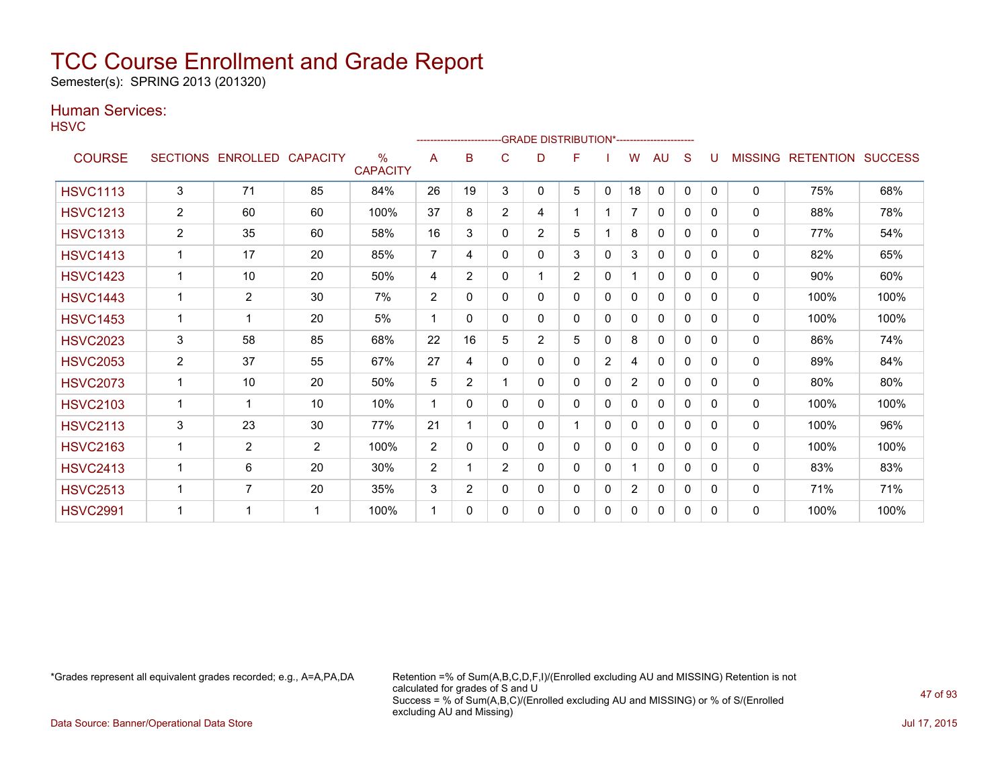Semester(s): SPRING 2013 (201320)

### Human Services:

**HSVC** 

|                 |                |                   |                 |                         |                | ------------------------GRADE                DISTRIBUTION*---------------------- |                |                |                |          |                |              |              |              |                |                          |      |
|-----------------|----------------|-------------------|-----------------|-------------------------|----------------|----------------------------------------------------------------------------------|----------------|----------------|----------------|----------|----------------|--------------|--------------|--------------|----------------|--------------------------|------|
| <b>COURSE</b>   |                | SECTIONS ENROLLED | <b>CAPACITY</b> | $\%$<br><b>CAPACITY</b> | A              | в                                                                                | C              | D              | F              |          | w              | AU           | S            | U            | <b>MISSING</b> | <b>RETENTION SUCCESS</b> |      |
| <b>HSVC1113</b> | 3              | 71                | 85              | 84%                     | 26             | 19                                                                               | 3              | 0              | 5              | 0        | 18             | 0            | $\mathbf{0}$ | $\mathbf{0}$ | $\mathbf 0$    | 75%                      | 68%  |
| <b>HSVC1213</b> | $\overline{2}$ | 60                | 60              | 100%                    | 37             | 8                                                                                | $\overline{2}$ | 4              |                |          | 7              | 0            | 0            | 0            | 0              | 88%                      | 78%  |
| <b>HSVC1313</b> | $\overline{2}$ | 35                | 60              | 58%                     | 16             | 3                                                                                | 0              | $\overline{2}$ | 5              |          | 8              | 0            | $\Omega$     | 0            | $\mathbf{0}$   | 77%                      | 54%  |
| <b>HSVC1413</b> | 1              | 17                | 20              | 85%                     | $\overline{7}$ | 4                                                                                | $\Omega$       | 0              | 3              | 0        | 3              | 0            | $\Omega$     | 0            | $\mathbf{0}$   | 82%                      | 65%  |
| <b>HSVC1423</b> |                | 10                | 20              | 50%                     | 4              | $\overline{2}$                                                                   | $\Omega$       |                | $\overline{2}$ | $\Omega$ | 1              | $\Omega$     | $\Omega$     | 0            | 0              | 90%                      | 60%  |
| <b>HSVC1443</b> |                | $\overline{2}$    | 30              | 7%                      | 2              | 0                                                                                | 0              | 0              | $\Omega$       | 0        | 0              | $\mathbf{0}$ | $\Omega$     | 0            | 0              | 100%                     | 100% |
| <b>HSVC1453</b> | 1              |                   | 20              | 5%                      | 1              | 0                                                                                | 0              | 0              | 0              | 0        | 0              | $\mathbf{0}$ | 0            | 0            | 0              | 100%                     | 100% |
| <b>HSVC2023</b> | 3              | 58                | 85              | 68%                     | 22             | 16                                                                               | 5              | 2              | 5              | $\Omega$ | 8              | 0            | 0            | 0            | 0              | 86%                      | 74%  |
| <b>HSVC2053</b> | $\overline{2}$ | 37                | 55              | 67%                     | 27             | 4                                                                                | 0              | 0              | 0              | 2        | 4              | 0            | $\mathbf{0}$ | 0            | 0              | 89%                      | 84%  |
| <b>HSVC2073</b> | $\mathbf{1}$   | 10 <sup>°</sup>   | 20              | 50%                     | 5              | $\overline{2}$                                                                   |                | 0              | 0              | $\Omega$ | $\overline{2}$ | $\mathbf{0}$ | $\Omega$     | 0            | $\mathbf{0}$   | 80%                      | 80%  |
| <b>HSVC2103</b> | 1              |                   | 10              | 10%                     | 1              | $\Omega$                                                                         | $\Omega$       | 0              | 0              | 0        | 0              | $\mathbf{0}$ | $\Omega$     | 0            | $\mathbf{0}$   | 100%                     | 100% |
| <b>HSVC2113</b> | 3              | 23                | 30              | 77%                     | 21             | 1                                                                                | $\Omega$       | 0              |                | $\Omega$ | 0              | $\mathbf{0}$ | $\Omega$     | 0            | $\mathbf{0}$   | 100%                     | 96%  |
| <b>HSVC2163</b> | 1              | $\overline{2}$    | $\overline{2}$  | 100%                    | 2              | $\Omega$                                                                         | 0              | 0              | 0              | 0        | 0              | 0            | $\Omega$     | 0            | 0              | 100%                     | 100% |
| <b>HSVC2413</b> | 1              | 6                 | 20              | 30%                     | 2              |                                                                                  | $\overline{2}$ | 0              | 0              | 0        | 1              | $\mathbf{0}$ | $\Omega$     | 0            | $\mathbf{0}$   | 83%                      | 83%  |
| <b>HSVC2513</b> | 1              | $\overline{7}$    | 20              | 35%                     | 3              | $\overline{2}$                                                                   | 0              | 0              | 0              | 0        | $\overline{2}$ | 0            | $\mathbf{0}$ | 0            | 0              | 71%                      | 71%  |
| <b>HSVC2991</b> |                |                   | -1              | 100%                    |                | 0                                                                                | 0              | 0              | 0              | 0        | 0              | 0            | 0            | 0            | $\mathbf 0$    | 100%                     | 100% |

\*Grades represent all equivalent grades recorded; e.g., A=A,PA,DA Retention =% of Sum(A,B,C,D,F,I)/(Enrolled excluding AU and MISSING) Retention is not calculated for grades of S and U Success = % of Sum(A,B,C)/(Enrolled excluding AU and MISSING) or % of S/(Enrolled excluding AU and Missing)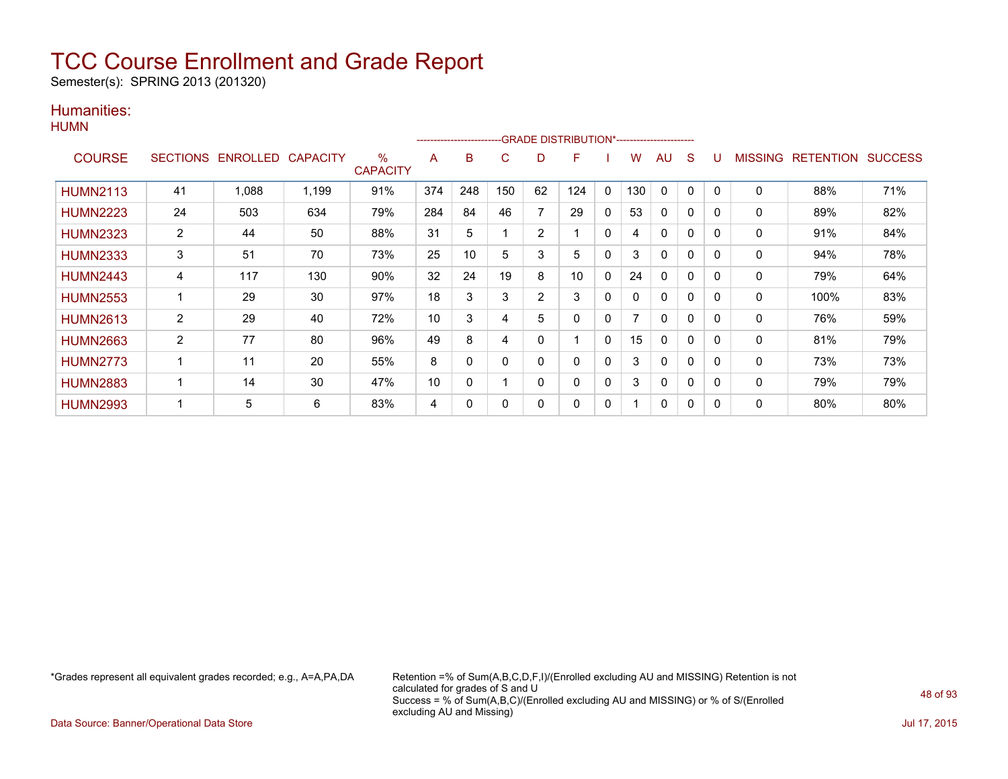Semester(s): SPRING 2013 (201320)

#### Humanities: **HUMN**

|                 |                 |                 |                 |                         |     | --------------------- |          |                | -GRADE DISTRIBUTION*----------------------- |              |     |              |              |              |         |                   |     |
|-----------------|-----------------|-----------------|-----------------|-------------------------|-----|-----------------------|----------|----------------|---------------------------------------------|--------------|-----|--------------|--------------|--------------|---------|-------------------|-----|
| <b>COURSE</b>   | <b>SECTIONS</b> | <b>ENROLLED</b> | <b>CAPACITY</b> | $\%$<br><b>CAPACITY</b> | A   | B                     | C        | D              | F                                           |              | w   | AU           | S            | U            | MISSING | RETENTION SUCCESS |     |
| <b>HUMN2113</b> | 41              | 1,088           | 1,199           | 91%                     | 374 | 248                   | 150      | 62             | 124                                         | $\mathbf{0}$ | 130 | $\Omega$     | 0            | 0            | 0       | 88%               | 71% |
| <b>HUMN2223</b> | 24              | 503             | 634             | 79%                     | 284 | 84                    | 46       | 7              | 29                                          | $\mathbf{0}$ | 53  | $\mathbf{0}$ | 0            | 0            | 0       | 89%               | 82% |
| <b>HUMN2323</b> | 2               | 44              | 50              | 88%                     | 31  | 5                     |          | $\overline{2}$ |                                             | $\mathbf{0}$ | 4   | $\Omega$     | $\mathbf{0}$ | $\mathbf{0}$ | 0       | 91%               | 84% |
| <b>HUMN2333</b> | 3               | 51              | 70              | 73%                     | 25  | 10                    | 5        | 3              | 5                                           | $\mathbf{0}$ | 3   | 0            | $\mathbf{0}$ | 0            | 0       | 94%               | 78% |
| <b>HUMN2443</b> | 4               | 117             | 130             | 90%                     | 32  | 24                    | 19       | 8              | 10                                          | $\mathbf{0}$ | 24  | $\mathbf{0}$ | 0            | 0            | 0       | 79%               | 64% |
| <b>HUMN2553</b> |                 | 29              | 30              | 97%                     | 18  | 3                     | 3        | 2              | 3                                           | $\mathbf{0}$ | 0   | $\mathbf{0}$ | 0            | $\mathbf{0}$ | 0       | 100%              | 83% |
| <b>HUMN2613</b> | $\overline{2}$  | 29              | 40              | 72%                     | 10  | 3                     | 4        | 5              | 0                                           | $\mathbf{0}$ |     | $\mathbf{0}$ | $\mathbf{0}$ | $\Omega$     | 0       | 76%               | 59% |
| <b>HUMN2663</b> | 2               | 77              | 80              | 96%                     | 49  | 8                     | 4        | 0              |                                             | $\mathbf{0}$ | 15  | $\mathbf{0}$ | $\Omega$     | 0            | 0       | 81%               | 79% |
| <b>HUMN2773</b> |                 | 11              | 20              | 55%                     | 8   | 0                     | $\Omega$ | $\Omega$       | $\Omega$                                    | $\mathbf{0}$ | 3   | $\Omega$     | $\mathbf{0}$ | 0            | 0       | 73%               | 73% |
| <b>HUMN2883</b> | 1               | 14              | 30              | 47%                     | 10  | 0                     | и        | 0              | $\mathbf 0$                                 | $\mathbf{0}$ | 3   | $\mathbf{0}$ | $\mathbf{0}$ | $\Omega$     | 0       | 79%               | 79% |
| <b>HUMN2993</b> |                 | 5               | 6               | 83%                     | 4   | 0                     | 0        | 0              | 0                                           | 0            |     | 0            | 0            | 0            | 0       | 80%               | 80% |

\*Grades represent all equivalent grades recorded; e.g., A=A,PA,DA Retention =% of Sum(A,B,C,D,F,I)/(Enrolled excluding AU and MISSING) Retention is not calculated for grades of S and U Success = % of Sum(A,B,C)/(Enrolled excluding AU and MISSING) or % of S/(Enrolled excluding AU and Missing)

Data Source: Banner/Operational Data Store Jul 17, 2015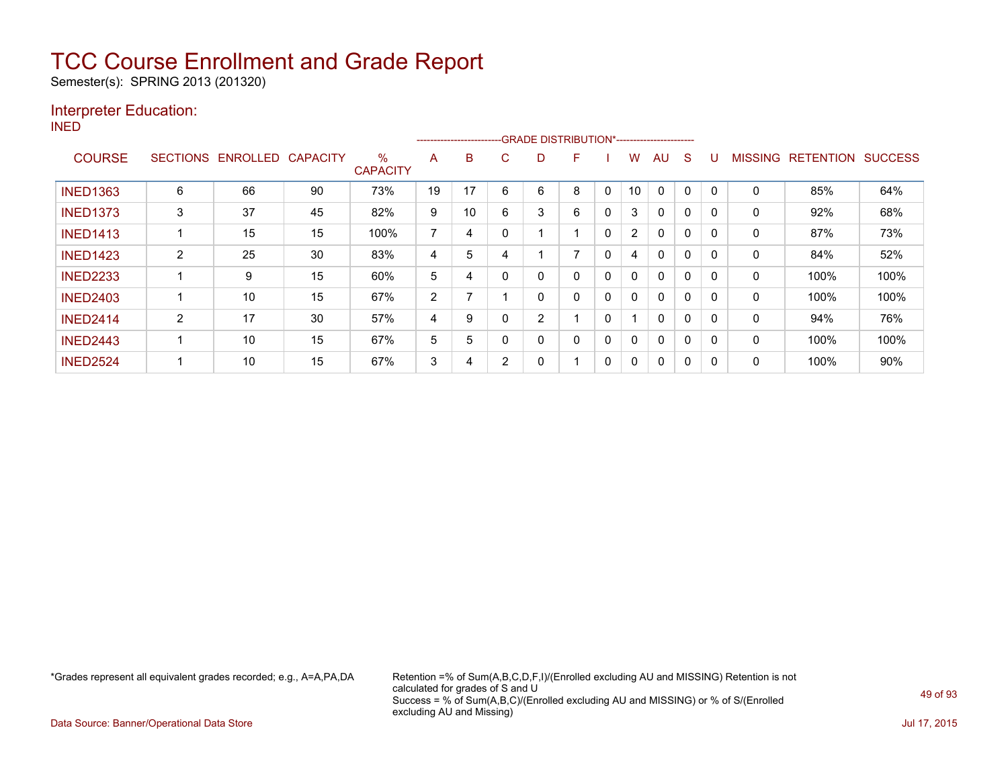Semester(s): SPRING 2013 (201320)

### Interpreter Education:

INED

|                 |                 |          |                 |                      | --------------------------GRADE DISTRIBUTION*----------------------- |    |   |                |                |          |                |          |          |          |                |                  |                |
|-----------------|-----------------|----------|-----------------|----------------------|----------------------------------------------------------------------|----|---|----------------|----------------|----------|----------------|----------|----------|----------|----------------|------------------|----------------|
| <b>COURSE</b>   | <b>SECTIONS</b> | ENROLLED | <b>CAPACITY</b> | %<br><b>CAPACITY</b> | A                                                                    | B  | C | D              | F              |          | w              | AU       | S        |          | <b>MISSING</b> | <b>RETENTION</b> | <b>SUCCESS</b> |
| <b>INED1363</b> | 6               | 66       | 90              | 73%                  | 19                                                                   | 17 | 6 | 6              | 8              | 0        | 10             | 0        | $\Omega$ | $\Omega$ | 0              | 85%              | 64%            |
| <b>INED1373</b> | 3               | 37       | 45              | 82%                  | 9                                                                    | 10 | 6 | 3              | 6              | 0        | 3              | $\Omega$ | 0        |          | 0              | 92%              | 68%            |
| <b>INED1413</b> |                 | 15       | 15              | 100%                 | 7                                                                    | 4  |   |                |                | $\Omega$ | $\overline{2}$ | $\Omega$ | 0        | 0        | $\mathbf{0}$   | 87%              | 73%            |
| <b>INED1423</b> | 2               | 25       | 30              | 83%                  | 4                                                                    | 5  | 4 |                | $\overline{ }$ | 0        | 4              | $\Omega$ | $\Omega$ |          | 0              | 84%              | 52%            |
| <b>INED2233</b> |                 | 9        | 15              | 60%                  | 5                                                                    | 4  |   | 0              | 0              | 0        | 0              | $\Omega$ | $\Omega$ | 0        | 0              | 100%             | 100%           |
| <b>INED2403</b> |                 | 10       | 15              | 67%                  | $\overline{2}$                                                       |    |   | 0              | 0              | 0        | 0              | $\Omega$ | 0        |          | 0              | 100%             | 100%           |
| <b>INED2414</b> | $\overline{2}$  | 17       | 30              | 57%                  | 4                                                                    | 9  |   | $\overline{2}$ |                | 0        |                | $\Omega$ | 0        |          | $\mathbf{0}$   | 94%              | 76%            |
| <b>INED2443</b> |                 | 10       | 15              | 67%                  | 5                                                                    | 5  | 0 | 0              | $\mathbf{0}$   | 0        | 0              | $\Omega$ | $\Omega$ | 0        | $\mathbf{0}$   | 100%             | 100%           |
| <b>INED2524</b> |                 | 10       | 15              | 67%                  | 3                                                                    | 4  | 2 | 0              |                | 0        | 0              | 0        | 0        |          | 0              | 100%             | 90%            |

\*Grades represent all equivalent grades recorded; e.g., A=A,PA,DA Retention =% of Sum(A,B,C,D,F,I)/(Enrolled excluding AU and MISSING) Retention is not calculated for grades of S and U Success = % of Sum(A,B,C)/(Enrolled excluding AU and MISSING) or % of S/(Enrolled excluding AU and Missing)

Data Source: Banner/Operational Data Store Jul 17, 2015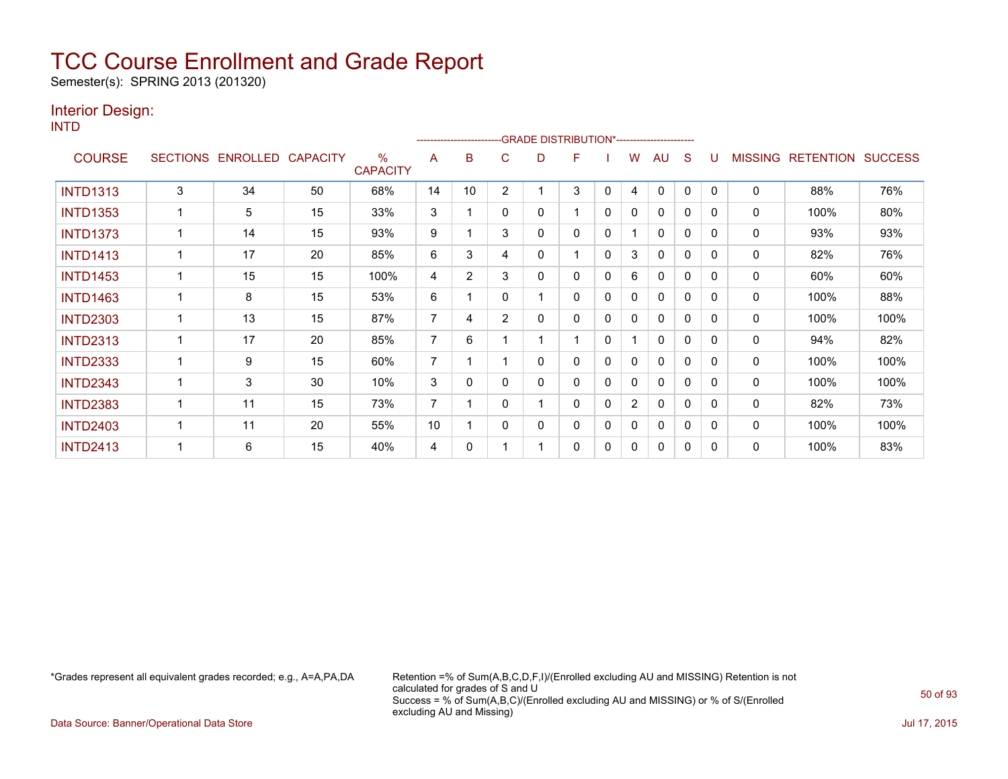Semester(s): SPRING 2013 (201320)

### Interior Design:

INTD

|                 |                 |          |                 |                                  |    |                |                | ------------------------GRADE                DISTRIBUTION*---------------------- |   |              |                |    |              |              |                |                  |                |
|-----------------|-----------------|----------|-----------------|----------------------------------|----|----------------|----------------|----------------------------------------------------------------------------------|---|--------------|----------------|----|--------------|--------------|----------------|------------------|----------------|
| <b>COURSE</b>   | <b>SECTIONS</b> | ENROLLED | <b>CAPACITY</b> | $\frac{0}{0}$<br><b>CAPACITY</b> | A  | B              | C              | D                                                                                | F |              | w              | AU | S            |              | <b>MISSING</b> | <b>RETENTION</b> | <b>SUCCESS</b> |
| <b>INTD1313</b> | 3               | 34       | 50              | 68%                              | 14 | 10             | $\overline{2}$ |                                                                                  | 3 | 0            | 4              | 0  | 0            | $\Omega$     | 0              | 88%              | 76%            |
| <b>INTD1353</b> |                 | 5        | 15              | 33%                              | 3  |                | 0              | 0                                                                                |   | $\mathbf{0}$ | 0              | 0  | 0            | 0            | 0              | 100%             | 80%            |
| <b>INTD1373</b> |                 | 14       | 15              | 93%                              | 9  |                | 3              | 0                                                                                | 0 | 0            |                | 0  | 0            | $\Omega$     | 0              | 93%              | 93%            |
| <b>INTD1413</b> |                 | 17       | 20              | 85%                              | 6  | 3              | 4              | 0                                                                                |   | $\mathbf{0}$ | 3              | 0  | 0            | $\mathbf{0}$ | 0              | 82%              | 76%            |
| <b>INTD1453</b> |                 | 15       | 15              | 100%                             | 4  | $\overline{2}$ | 3              | 0                                                                                | 0 | 0            | 6              | 0  | $\mathbf{0}$ | $\Omega$     | 0              | 60%              | 60%            |
| <b>INTD1463</b> |                 | 8        | 15              | 53%                              | 6  |                | 0              |                                                                                  | 0 | 0            | 0              | 0  | $\mathbf{0}$ | 0            | 0              | 100%             | 88%            |
| <b>INTD2303</b> |                 | 13       | 15              | 87%                              | 7  | 4              | $\overline{2}$ | 0                                                                                | 0 | 0            | 0              | 0  | $\mathbf{0}$ | $\Omega$     | 0              | 100%             | 100%           |
| <b>INTD2313</b> |                 | 17       | 20              | 85%                              | 7  | 6              |                |                                                                                  |   | 0            |                | 0  | 0            | 0            | 0              | 94%              | 82%            |
| <b>INTD2333</b> |                 | 9        | 15              | 60%                              | 7  |                |                | 0                                                                                | 0 | 0            | 0              | 0  | $\mathbf{0}$ | $\Omega$     | 0              | 100%             | 100%           |
| <b>INTD2343</b> |                 | 3        | 30              | 10%                              | 3  | 0              | 0              | 0                                                                                | 0 | 0            | 0              | 0  | 0            | 0            | 0              | 100%             | 100%           |
| <b>INTD2383</b> |                 | 11       | 15              | 73%                              | 7  |                | 0              |                                                                                  | 0 | 0            | $\overline{2}$ | 0  | $\mathbf{0}$ | $\Omega$     | 0              | 82%              | 73%            |
| <b>INTD2403</b> |                 | 11       | 20              | 55%                              | 10 |                | 0              | 0                                                                                | 0 | 0            | 0              | 0  | 0            | $\Omega$     | 0              | 100%             | 100%           |
| <b>INTD2413</b> |                 | 6        | 15              | 40%                              | 4  | 0              |                |                                                                                  | 0 | 0            | 0              | 0  | 0            | $\Omega$     | 0              | 100%             | 83%            |

\*Grades represent all equivalent grades recorded; e.g., A=A,PA,DA Retention =% of Sum(A,B,C,D,F,I)/(Enrolled excluding AU and MISSING) Retention is not calculated for grades of S and U Success = % of Sum(A,B,C)/(Enrolled excluding AU and MISSING) or % of S/(Enrolled excluding AU and Missing)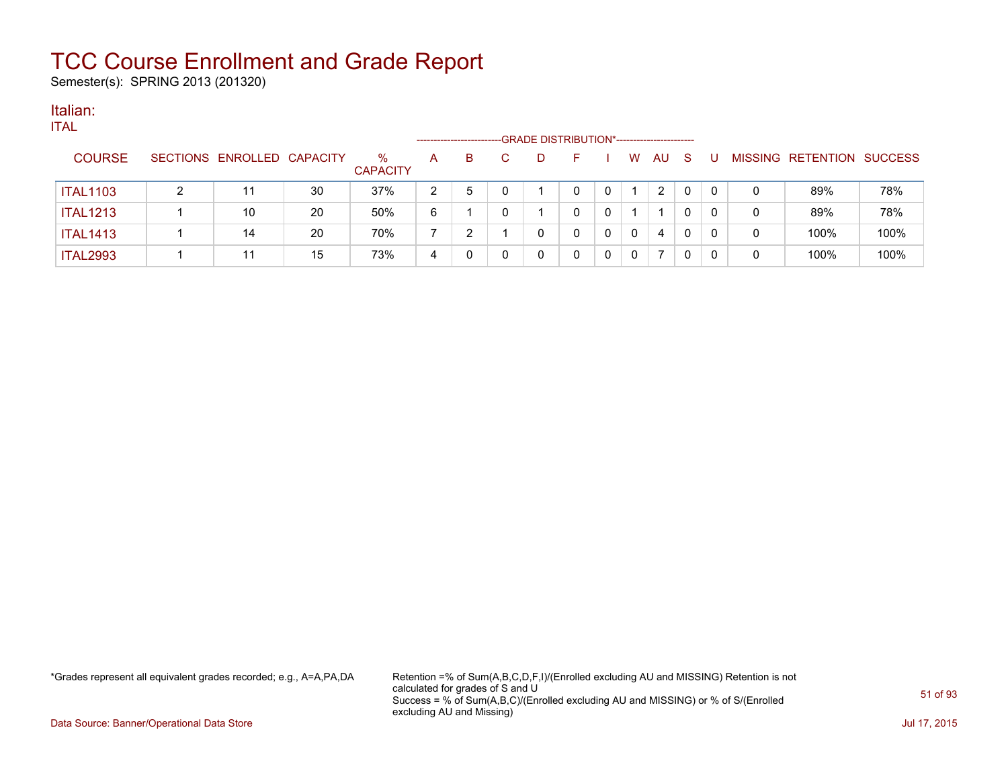Semester(s): SPRING 2013 (201320)

#### Italian: ITAL

| ╹╹┍┸            |                            |    |                         | -------------------- |    |    | -GRADE DISTRIBUTION*----------------------- |   |   |    |          |          |   |                           |      |
|-----------------|----------------------------|----|-------------------------|----------------------|----|----|---------------------------------------------|---|---|----|----------|----------|---|---------------------------|------|
| <b>COURSE</b>   | SECTIONS ENROLLED CAPACITY |    | $\%$<br><b>CAPACITY</b> | A                    | B. | D. |                                             |   | W | AU | -S       |          |   | MISSING RETENTION SUCCESS |      |
| <b>ITAL1103</b> |                            | 30 | 37%                     | 2                    | 5  |    |                                             | 0 |   | 2  | $\Omega$ | 0        | 0 | 89%                       | 78%  |
| <b>ITAL1213</b> | 10                         | 20 | 50%                     | 6                    |    |    |                                             | 0 |   |    | 0        | $\Omega$ | 0 | 89%                       | 78%  |
| <b>ITAL1413</b> | 14                         | 20 | 70%                     |                      |    | 0  |                                             | 0 | 0 | 4  |          | 0        | 0 | 100%                      | 100% |
| <b>ITAL2993</b> |                            | 15 | 73%                     | 4                    |    | 0  |                                             | 0 | 0 |    |          | 0        | 0 | 100%                      | 100% |
|                 |                            |    |                         |                      |    |    |                                             |   |   |    |          |          |   |                           |      |

\*Grades represent all equivalent grades recorded; e.g., A=A,PA,DA Retention =% of Sum(A,B,C,D,F,I)/(Enrolled excluding AU and MISSING) Retention is not calculated for grades of S and U Success = % of Sum(A,B,C)/(Enrolled excluding AU and MISSING) or % of S/(Enrolled excluding AU and Missing)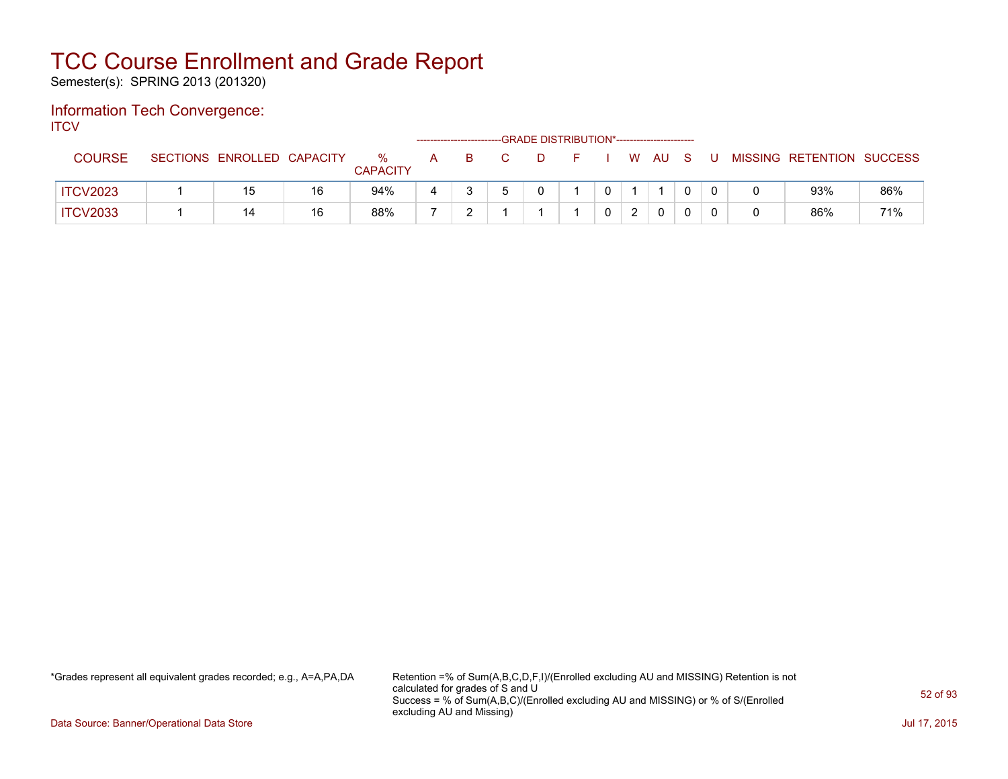Semester(s): SPRING 2013 (201320)

#### Information Tech Convergence: **ITCV**

| .               |                            |    |                      |     |                                                         | -GRADE DISTRIBUTION*----------------------- |         |  |              |    |                           |     |
|-----------------|----------------------------|----|----------------------|-----|---------------------------------------------------------|---------------------------------------------|---------|--|--------------|----|---------------------------|-----|
| <b>COURSE</b>   | SECTIONS ENROLLED CAPACITY |    | %<br><b>CAPACITY</b> | A B | $\cdot$ . Construction of $\mathbf{C}$ and $\mathbf{C}$ | $\Box$                                      | $F = 1$ |  | W AU S       | -U | MISSING RETENTION SUCCESS |     |
| <b>ITCV2023</b> |                            | 16 | 94%                  |     |                                                         |                                             |         |  |              |    | 93%                       | 86% |
| <b>ITCV2033</b> | 14                         | 16 | 88%                  |     |                                                         |                                             |         |  | $\mathbf{0}$ |    | 86%                       | 71% |

\*Grades represent all equivalent grades recorded; e.g., A=A,PA,DA Retention =% of Sum(A,B,C,D,F,I)/(Enrolled excluding AU and MISSING) Retention is not calculated for grades of S and U Success = % of Sum(A,B,C)/(Enrolled excluding AU and MISSING) or % of S/(Enrolled excluding AU and Missing)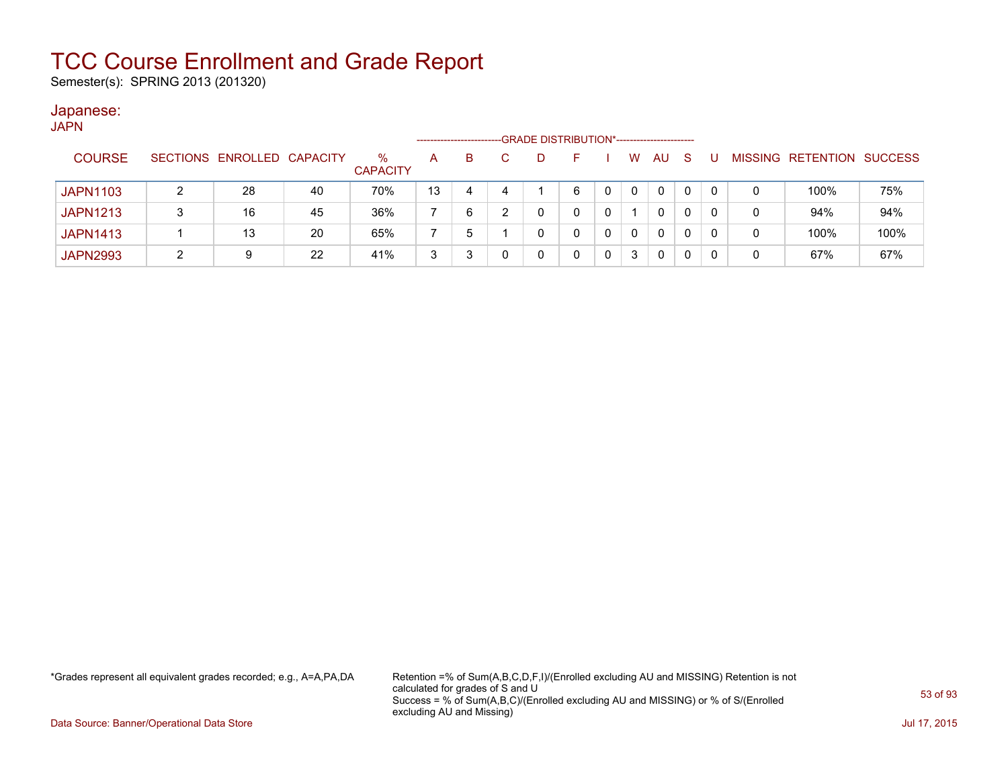Semester(s): SPRING 2013 (201320)

#### Japanese:

| <b>JAPN</b>     |   |                            |    |                 |                    |    |   |                                             |   |   |          |              |          |          |   |                                  |      |
|-----------------|---|----------------------------|----|-----------------|--------------------|----|---|---------------------------------------------|---|---|----------|--------------|----------|----------|---|----------------------------------|------|
|                 |   |                            |    |                 | ------------------ |    |   | -GRADE DISTRIBUTION*----------------------- |   |   |          |              |          |          |   |                                  |      |
| <b>COURSE</b>   |   | SECTIONS ENROLLED CAPACITY |    | $\%$            | A                  | B. |   | D                                           |   |   | W        | AU           | -S       |          |   | <b>MISSING RETENTION SUCCESS</b> |      |
|                 |   |                            |    | <b>CAPACITY</b> |                    |    |   |                                             |   |   |          |              |          |          |   |                                  |      |
| <b>JAPN1103</b> |   | 28                         | 40 | 70%             | 13                 | 4  |   |                                             | 6 |   | $\Omega$ | $\mathbf{0}$ | $\Omega$ | $\Omega$ | 0 | 100%                             | 75%  |
| <b>JAPN1213</b> | 3 | 16                         | 45 | 36%             |                    | 6  | ົ | 0                                           |   | 0 |          | $\mathbf{0}$ | 0        | -0       | 0 | 94%                              | 94%  |
| <b>JAPN1413</b> |   | 13                         | 20 | 65%             |                    | 5  |   |                                             |   | 0 | 0        | $\mathbf{0}$ | 0        | -0       | 0 | 100%                             | 100% |
| <b>JAPN2993</b> | ົ | 9                          | 22 | 41%             | 3                  |    |   | 0                                           | 0 |   | 3        | $\mathbf{0}$ | 0        |          | 0 | 67%                              | 67%  |

\*Grades represent all equivalent grades recorded; e.g., A=A,PA,DA Retention =% of Sum(A,B,C,D,F,I)/(Enrolled excluding AU and MISSING) Retention is not calculated for grades of S and U Success = % of Sum(A,B,C)/(Enrolled excluding AU and MISSING) or % of S/(Enrolled excluding AU and Missing)

Data Source: Banner/Operational Data Store Jul 17, 2015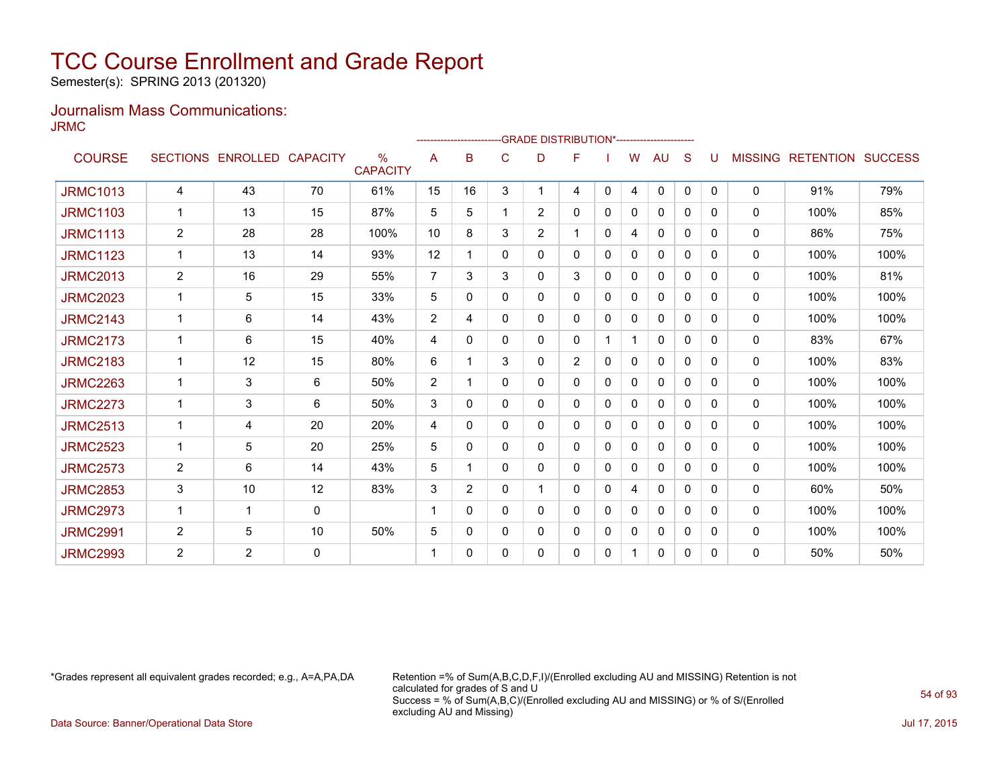Semester(s): SPRING 2013 (201320)

#### Journalism Mass Communications: JRMC

|                 |                |                   |                 |                                  |                          |                |   |                | -------------------------GRADE                 DISTRIBUTION*--------------------- |              |          |              |              |              |                |                          |      |
|-----------------|----------------|-------------------|-----------------|----------------------------------|--------------------------|----------------|---|----------------|-----------------------------------------------------------------------------------|--------------|----------|--------------|--------------|--------------|----------------|--------------------------|------|
| <b>COURSE</b>   |                | SECTIONS ENROLLED | <b>CAPACITY</b> | $\frac{0}{0}$<br><b>CAPACITY</b> | A                        | в              | C | D              | F                                                                                 |              | W        | AU           | S            |              | <b>MISSING</b> | <b>RETENTION SUCCESS</b> |      |
| <b>JRMC1013</b> | 4              | 43                | 70              | 61%                              | 15                       | 16             | 3 | 1              | 4                                                                                 | $\mathbf{0}$ | 4        | $\Omega$     | $\mathbf{0}$ | $\mathbf{0}$ | $\mathbf{0}$   | 91%                      | 79%  |
| <b>JRMC1103</b> |                | 13                | 15              | 87%                              | 5                        | 5              |   | $\overline{2}$ | 0                                                                                 | 0            | 0        | 0            | $\Omega$     | $\Omega$     | 0              | 100%                     | 85%  |
| <b>JRMC1113</b> | 2              | 28                | 28              | 100%                             | 10                       | 8              | 3 | $\overline{2}$ | 1                                                                                 | 0            | 4        | 0            | $\Omega$     | 0            | $\mathbf{0}$   | 86%                      | 75%  |
| <b>JRMC1123</b> | $\mathbf 1$    | 13                | 14              | 93%                              | 12                       |                | 0 | 0              | 0                                                                                 | 0            | 0        | 0            | 0            | 0            | 0              | 100%                     | 100% |
| <b>JRMC2013</b> | $\overline{2}$ | 16                | 29              | 55%                              | $\overline{7}$           | 3              | 3 | 0              | 3                                                                                 | 0            | 0        | 0            | 0            | 0            | $\mathbf{0}$   | 100%                     | 81%  |
| <b>JRMC2023</b> |                | 5                 | 15              | 33%                              | 5                        | 0              | 0 | 0              | 0                                                                                 | 0            | 0        | $\mathbf{0}$ | $\Omega$     | 0            | $\mathbf{0}$   | 100%                     | 100% |
| <b>JRMC2143</b> | 1              | 6                 | 14              | 43%                              | 2                        | 4              | 0 | 0              | 0                                                                                 | 0            | 0        | $\mathbf{0}$ | $\Omega$     | 0            | $\mathbf{0}$   | 100%                     | 100% |
| <b>JRMC2173</b> |                | 6                 | 15              | 40%                              | 4                        | $\Omega$       | 0 | 0              | 0                                                                                 |              | 1        | 0            | $\Omega$     | 0            | 0              | 83%                      | 67%  |
| <b>JRMC2183</b> |                | 12                | 15              | 80%                              | 6                        |                | 3 | 0              | 2                                                                                 | $\Omega$     | $\Omega$ | $\mathbf{0}$ | $\Omega$     | 0            | 0              | 100%                     | 83%  |
| <b>JRMC2263</b> |                | 3                 | 6               | 50%                              | 2                        |                | 0 | 0              | 0                                                                                 | $\Omega$     | 0        | 0            | $\Omega$     | 0            | 0              | 100%                     | 100% |
| <b>JRMC2273</b> |                | 3                 | 6               | 50%                              | 3                        | 0              | 0 | 0              | 0                                                                                 | 0            | 0        | 0            | 0            | 0            | 0              | 100%                     | 100% |
| <b>JRMC2513</b> | $\mathbf 1$    | 4                 | 20              | 20%                              | 4                        | 0              | 0 | 0              | 0                                                                                 | 0            | 0        | 0            | 0            | 0            | $\mathbf{0}$   | 100%                     | 100% |
| <b>JRMC2523</b> |                | 5                 | 20              | 25%                              | 5                        | 0              | 0 | 0              | 0                                                                                 | 0            | 0        | 0            | $\Omega$     | 0            | $\mathbf{0}$   | 100%                     | 100% |
| <b>JRMC2573</b> | $\overline{c}$ | 6                 | 14              | 43%                              | 5                        | 1              | 0 | 0              | 0                                                                                 | 0            | 0        | 0            | $\Omega$     | 0            | 0              | 100%                     | 100% |
| <b>JRMC2853</b> | 3              | 10                | 12              | 83%                              | 3                        | $\overline{2}$ | 0 |                | 0                                                                                 | 0            | 4        | 0            | $\Omega$     | 0            | 0              | 60%                      | 50%  |
| <b>JRMC2973</b> | $\mathbf 1$    | 1                 | 0               |                                  | $\overline{\phantom{a}}$ | 0              | 0 | 0              | 0                                                                                 | 0            | $\Omega$ | $\mathbf{0}$ | $\Omega$     | 0            | 0              | 100%                     | 100% |
| <b>JRMC2991</b> | $\overline{c}$ | 5                 | 10              | 50%                              | 5                        | 0              | 0 | 0              | 0                                                                                 | 0            | 0        | 0            | $\Omega$     | 0            | $\mathbf{0}$   | 100%                     | 100% |
| <b>JRMC2993</b> | 2              | 2                 | $\mathbf 0$     |                                  |                          | 0              | 0 | 0              | 0                                                                                 | 0            | 1        | 0            | 0            | 0            | $\mathbf{0}$   | 50%                      | 50%  |

\*Grades represent all equivalent grades recorded; e.g., A=A,PA,DA Retention =% of Sum(A,B,C,D,F,I)/(Enrolled excluding AU and MISSING) Retention is not calculated for grades of S and U Success = % of Sum(A,B,C)/(Enrolled excluding AU and MISSING) or % of S/(Enrolled excluding AU and Missing)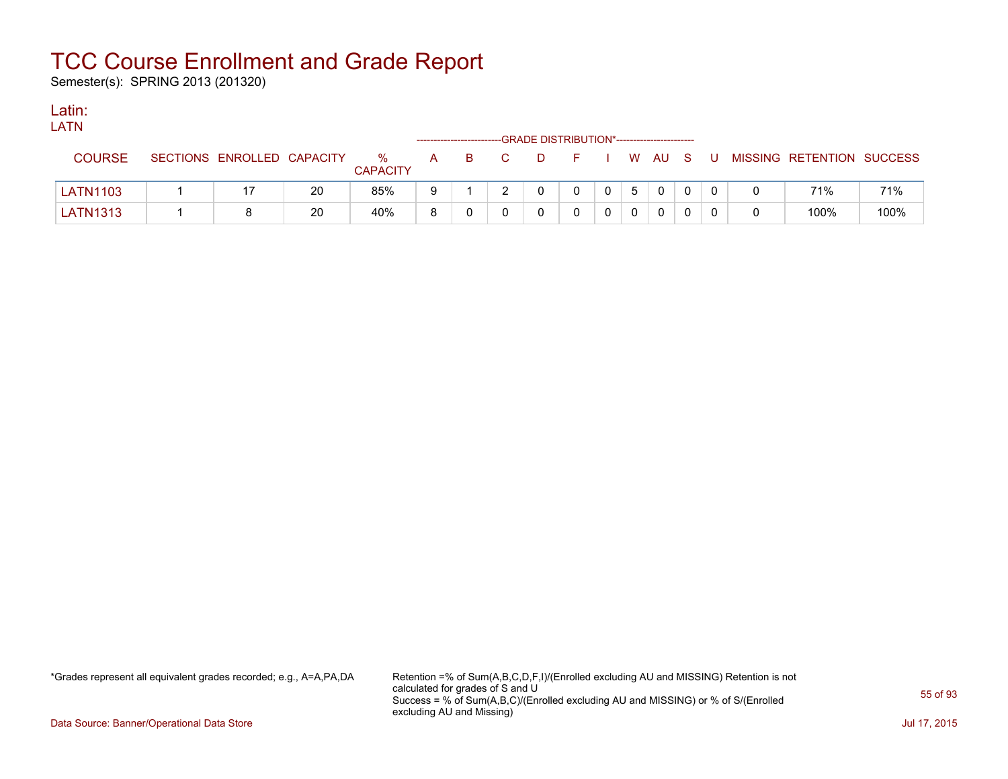Semester(s): SPRING 2013 (201320)

### Latin:

| . .<br>M.<br>- |  |
|----------------|--|
|                |  |
|                |  |
|                |  |

|                 |                            |    |                         |   |   | ------------------------GRADE DISTRIBUTION*----------------------- |   |                |                |                |        |              |    |                           |      |
|-----------------|----------------------------|----|-------------------------|---|---|--------------------------------------------------------------------|---|----------------|----------------|----------------|--------|--------------|----|---------------------------|------|
| <b>COURSE</b>   | SECTIONS ENROLLED CAPACITY |    | $\%$<br><b>CAPACITY</b> | A | в |                                                                    | D | $\overline{a}$ |                |                | W AU S |              | J. | MISSING RETENTION SUCCESS |      |
| LATN1103        |                            | 20 | 85%                     | 9 |   |                                                                    |   |                | $\overline{0}$ | 5 <sup>1</sup> |        | $\mathbf{0}$ |    | 71%                       | 71%  |
| <b>LATN1313</b> |                            | 20 | 40%                     |   |   |                                                                    |   |                |                |                |        | $\Omega$     |    | 100%                      | 100% |

\*Grades represent all equivalent grades recorded; e.g., A=A,PA,DA Retention =% of Sum(A,B,C,D,F,I)/(Enrolled excluding AU and MISSING) Retention is not calculated for grades of S and U Success = % of Sum(A,B,C)/(Enrolled excluding AU and MISSING) or % of S/(Enrolled excluding AU and Missing)

Data Source: Banner/Operational Data Store Jul 17, 2015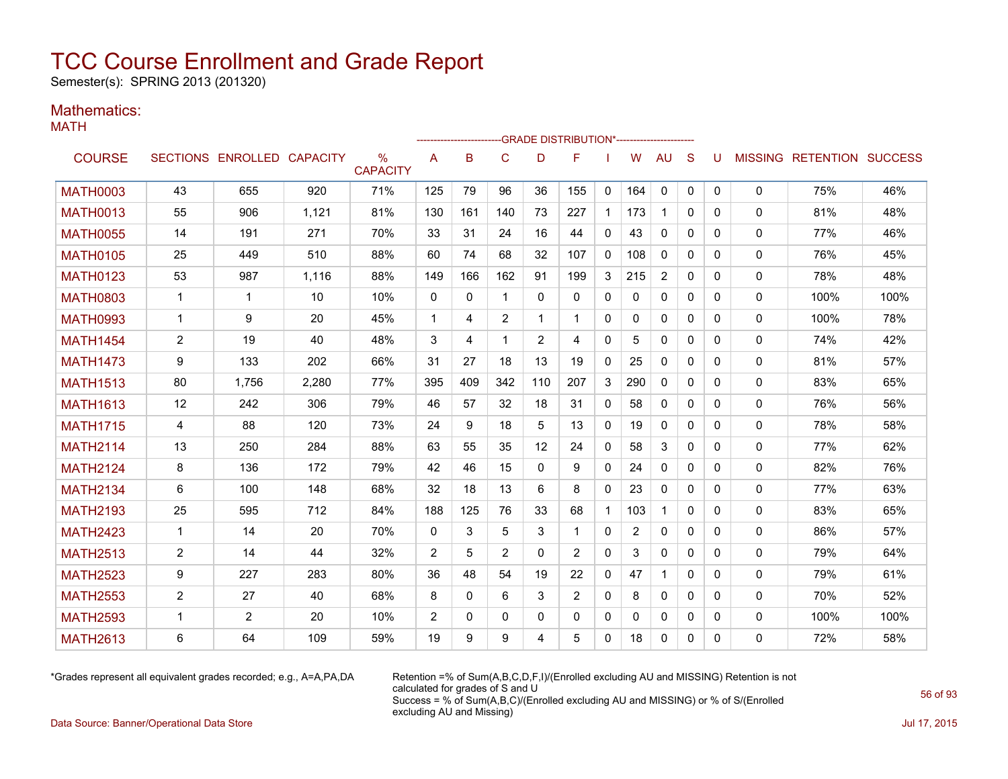Semester(s): SPRING 2013 (201320)

### Mathematics:

MATH

|                 |                |                            |       |                         |              |          |             |                | ------------------------GRADE                DISTRIBUTION*---------------------- |              |                |              |              |              |              |                                  |      |
|-----------------|----------------|----------------------------|-------|-------------------------|--------------|----------|-------------|----------------|----------------------------------------------------------------------------------|--------------|----------------|--------------|--------------|--------------|--------------|----------------------------------|------|
| <b>COURSE</b>   |                | SECTIONS ENROLLED CAPACITY |       | $\%$<br><b>CAPACITY</b> | A            | B        | C           | D              | F                                                                                |              | W              | <b>AU</b>    | S            | U            |              | <b>MISSING RETENTION SUCCESS</b> |      |
| <b>MATH0003</b> | 43             | 655                        | 920   | 71%                     | 125          | 79       | 96          | 36             | 155                                                                              | 0            | 164            | $\mathbf 0$  | 0            | $\mathbf{0}$ | $\mathbf 0$  | 75%                              | 46%  |
| <b>MATH0013</b> | 55             | 906                        | 1,121 | 81%                     | 130          | 161      | 140         | 73             | 227                                                                              | $\mathbf{1}$ | 173            | $\mathbf{1}$ | $\Omega$     | $\Omega$     | $\mathbf{0}$ | 81%                              | 48%  |
| <b>MATH0055</b> | 14             | 191                        | 271   | 70%                     | 33           | 31       | 24          | 16             | 44                                                                               | $\mathbf{0}$ | 43             | 0            | $\Omega$     | $\Omega$     | 0            | 77%                              | 46%  |
| <b>MATH0105</b> | 25             | 449                        | 510   | 88%                     | 60           | 74       | 68          | 32             | 107                                                                              | 0            | 108            | $\mathbf{0}$ | 0            | 0            | 0            | 76%                              | 45%  |
| <b>MATH0123</b> | 53             | 987                        | 1,116 | 88%                     | 149          | 166      | 162         | 91             | 199                                                                              | 3            | 215            | 2            | 0            | 0            | 0            | 78%                              | 48%  |
| <b>MATH0803</b> | $\mathbf{1}$   | $\mathbf{1}$               | 10    | 10%                     | $\mathbf{0}$ | $\Omega$ | $\mathbf 1$ | $\Omega$       | $\mathbf{0}$                                                                     | $\mathbf{0}$ | $\mathbf{0}$   | $\Omega$     | $\Omega$     | $\Omega$     | 0            | 100%                             | 100% |
| <b>MATH0993</b> | $\mathbf{1}$   | 9                          | 20    | 45%                     | $\mathbf{1}$ | 4        | 2           | 1              | $\mathbf 1$                                                                      | 0            | $\mathbf{0}$   | 0            | $\mathbf{0}$ | $\mathbf{0}$ | 0            | 100%                             | 78%  |
| <b>MATH1454</b> | $\overline{2}$ | 19                         | 40    | 48%                     | 3            | 4        | 1           | $\overline{2}$ | 4                                                                                | $\mathbf{0}$ | 5              | $\mathbf{0}$ | $\Omega$     | $\Omega$     | 0            | 74%                              | 42%  |
| <b>MATH1473</b> | 9              | 133                        | 202   | 66%                     | 31           | 27       | 18          | 13             | 19                                                                               | $\mathbf{0}$ | 25             | $\Omega$     | $\Omega$     | $\Omega$     | 0            | 81%                              | 57%  |
| <b>MATH1513</b> | 80             | 1,756                      | 2,280 | 77%                     | 395          | 409      | 342         | 110            | 207                                                                              | 3            | 290            | $\Omega$     | $\Omega$     | $\Omega$     | 0            | 83%                              | 65%  |
| <b>MATH1613</b> | 12             | 242                        | 306   | 79%                     | 46           | 57       | 32          | 18             | 31                                                                               | 0            | 58             | $\mathbf{0}$ | $\Omega$     | $\Omega$     | 0            | 76%                              | 56%  |
| <b>MATH1715</b> | 4              | 88                         | 120   | 73%                     | 24           | 9        | 18          | 5              | 13                                                                               | $\mathbf{0}$ | 19             | $\mathbf{0}$ | $\mathbf{0}$ | 0            | 0            | 78%                              | 58%  |
| <b>MATH2114</b> | 13             | 250                        | 284   | 88%                     | 63           | 55       | 35          | 12             | 24                                                                               | $\mathbf{0}$ | 58             | 3            | $\Omega$     | 0            | 0            | 77%                              | 62%  |
| <b>MATH2124</b> | 8              | 136                        | 172   | 79%                     | 42           | 46       | 15          | $\mathbf{0}$   | 9                                                                                | 0            | 24             | 0            | $\mathbf{0}$ | 0            | 0            | 82%                              | 76%  |
| <b>MATH2134</b> | 6              | 100                        | 148   | 68%                     | 32           | 18       | 13          | 6              | 8                                                                                | $\mathbf{0}$ | 23             | $\Omega$     | $\Omega$     | $\Omega$     | 0            | 77%                              | 63%  |
| <b>MATH2193</b> | 25             | 595                        | 712   | 84%                     | 188          | 125      | 76          | 33             | 68                                                                               | $\mathbf{1}$ | 103            | $\mathbf{1}$ | $\Omega$     | 0            | 0            | 83%                              | 65%  |
| <b>MATH2423</b> | $\mathbf{1}$   | 14                         | 20    | 70%                     | $\mathbf{0}$ | 3        | 5           | 3              | $\overline{\mathbf{1}}$                                                          | $\mathbf{0}$ | $\overline{2}$ | $\Omega$     | $\Omega$     | $\Omega$     | 0            | 86%                              | 57%  |
| <b>MATH2513</b> | $\overline{2}$ | 14                         | 44    | 32%                     | 2            | 5        | 2           | $\Omega$       | 2                                                                                | 0            | 3              | $\mathbf{0}$ | $\Omega$     | 0            | 0            | 79%                              | 64%  |
| <b>MATH2523</b> | 9              | 227                        | 283   | 80%                     | 36           | 48       | 54          | 19             | 22                                                                               | $\mathbf{0}$ | 47             |              | $\mathbf{0}$ | $\Omega$     | 0            | 79%                              | 61%  |
| <b>MATH2553</b> | $\overline{c}$ | 27                         | 40    | 68%                     | 8            | $\Omega$ | 6           | 3              | 2                                                                                | $\mathbf{0}$ | 8              | 0            | $\Omega$     | 0            | 0            | 70%                              | 52%  |
| <b>MATH2593</b> | $\mathbf 1$    | 2                          | 20    | 10%                     | 2            | 0        | 0           | 0              | 0                                                                                | 0            | 0              | 0            | 0            | 0            | 0            | 100%                             | 100% |
| <b>MATH2613</b> | 6              | 64                         | 109   | 59%                     | 19           | 9        | 9           | 4              | 5                                                                                | 0            | 18             | 0            | $\mathbf{0}$ | 0            | 0            | 72%                              | 58%  |

\*Grades represent all equivalent grades recorded; e.g., A=A,PA,DA Retention =% of Sum(A,B,C,D,F,I)/(Enrolled excluding AU and MISSING) Retention is not calculated for grades of S and U Success = % of Sum(A,B,C)/(Enrolled excluding AU and MISSING) or % of S/(Enrolled excluding AU and Missing)

Data Source: Banner/Operational Data Store Jul 17, 2015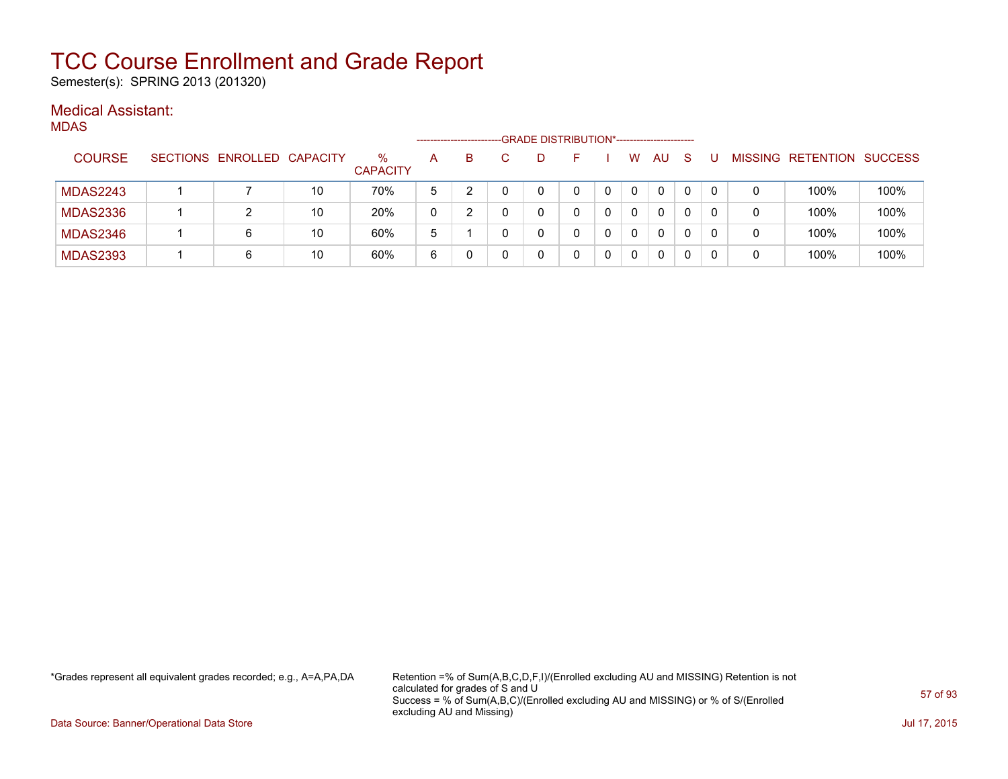Semester(s): SPRING 2013 (201320)

### Medical Assistant:

|                 |                            |    |                      |   |   |   | -GRADE DISTRIBUTION*----------------------- |          |              |     |    |   |                           |      |
|-----------------|----------------------------|----|----------------------|---|---|---|---------------------------------------------|----------|--------------|-----|----|---|---------------------------|------|
| <b>COURSE</b>   | SECTIONS ENROLLED CAPACITY |    | ℅<br><b>CAPACITY</b> | А | B |   |                                             |          | W            | AU. | -S |   | MISSING RETENTION SUCCESS |      |
| <b>MDAS2243</b> |                            | 10 | 70%                  | 5 |   |   |                                             | $\Omega$ | 0            | 0   | 0  | 0 | 100%                      | 100% |
| <b>MDAS2336</b> |                            | 10 | 20%                  | 0 |   | 0 |                                             |          | 0            | 0   | 0  | 0 | 100%                      | 100% |
| <b>MDAS2346</b> | 6                          | 10 | 60%                  | 5 |   | 0 |                                             |          | <sup>n</sup> | 0   | 0  | 0 | 100%                      | 100% |
| <b>MDAS2393</b> | 6                          | 10 | 60%                  | 6 |   |   |                                             |          | <sup>n</sup> | 0   | 0  | 0 | 100%                      | 100% |

\*Grades represent all equivalent grades recorded; e.g., A=A,PA,DA Retention =% of Sum(A,B,C,D,F,I)/(Enrolled excluding AU and MISSING) Retention is not calculated for grades of S and U Success = % of Sum(A,B,C)/(Enrolled excluding AU and MISSING) or % of S/(Enrolled excluding AU and Missing)

Data Source: Banner/Operational Data Store Jul 17, 2015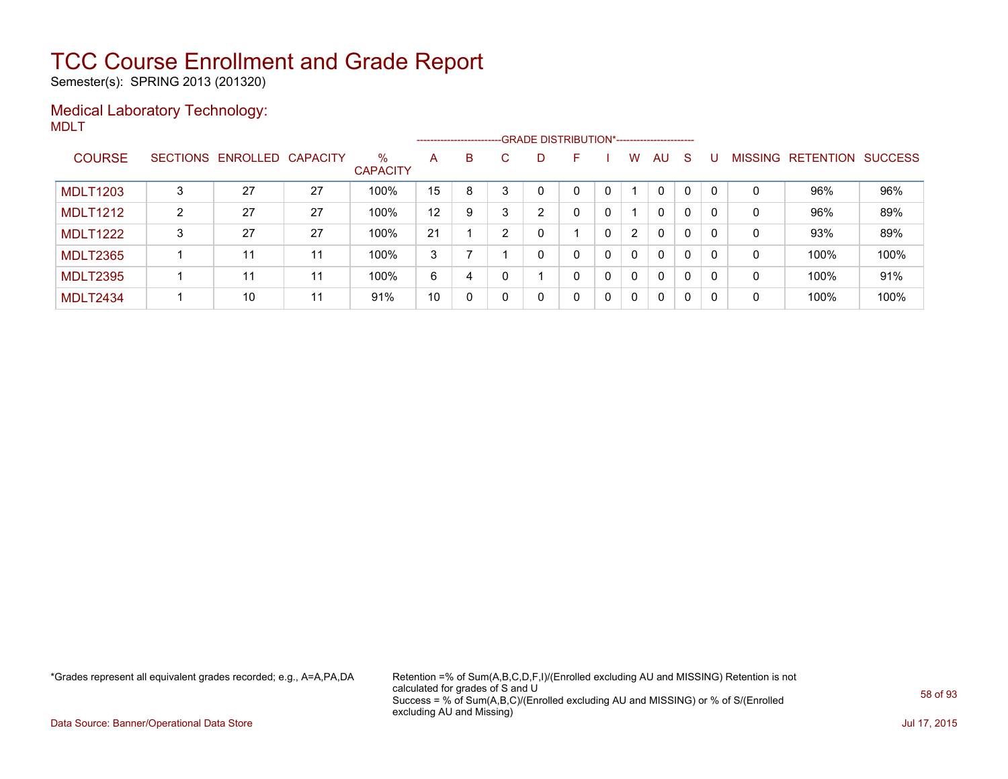Semester(s): SPRING 2013 (201320)

#### Medical Laboratory Technology: MDLT

|                 |   |                            |    |                         |         |    |   | ------------------------GRADE DISTRIBUTION*----------------------- |   |   |                |              |              |          |   |                   |                |
|-----------------|---|----------------------------|----|-------------------------|---------|----|---|--------------------------------------------------------------------|---|---|----------------|--------------|--------------|----------|---|-------------------|----------------|
| <b>COURSE</b>   |   | SECTIONS ENROLLED CAPACITY |    | $\%$<br><b>CAPACITY</b> | A       | B. | C | D.                                                                 | F |   | w              | <b>AU</b>    | <sub>S</sub> |          |   | MISSING RETENTION | <b>SUCCESS</b> |
| <b>MDLT1203</b> | 3 | 27                         | 27 | 100%                    | 15      | 8  |   |                                                                    | 0 | 0 |                | $\mathbf{0}$ | $\mathbf{0}$ | $\Omega$ | 0 | 96%               | 96%            |
| <b>MDLT1212</b> | 2 | 27                         | 27 | 100%                    | $12 \,$ | 9  |   | $\overline{2}$                                                     | 0 | 0 |                | $\mathbf{0}$ | $\mathbf{0}$ | $\Omega$ | 0 | 96%               | 89%            |
| <b>MDLT1222</b> | 3 | 27                         | 27 | 100%                    | 21      |    | ົ | 0                                                                  |   | 0 | $\overline{2}$ | $\mathbf{0}$ | 0            | $\Omega$ | 0 | 93%               | 89%            |
| <b>MDLT2365</b> |   | 11                         | 11 | 100%                    | 3       |    |   | 0                                                                  | 0 | 0 | $\mathbf{0}$   | $\mathbf{0}$ | $\mathbf{0}$ | $\Omega$ | 0 | 100%              | 100%           |
| <b>MDLT2395</b> |   | 11                         | 11 | 100%                    | 6       | 4  |   |                                                                    | 0 | 0 | $\Omega$       | $\mathbf{0}$ | 0            | $\Omega$ | 0 | 100%              | 91%            |
| <b>MDLT2434</b> |   | 10                         | 11 | 91%                     | 10      | 0  |   | 0                                                                  | 0 | 0 | $\Omega$       | 0            | $\Omega$     | $\Omega$ | 0 | 100%              | 100%           |

\*Grades represent all equivalent grades recorded; e.g., A=A,PA,DA Retention =% of Sum(A,B,C,D,F,I)/(Enrolled excluding AU and MISSING) Retention is not calculated for grades of S and U Success = % of Sum(A,B,C)/(Enrolled excluding AU and MISSING) or % of S/(Enrolled excluding AU and Missing)

Data Source: Banner/Operational Data Store Jul 17, 2015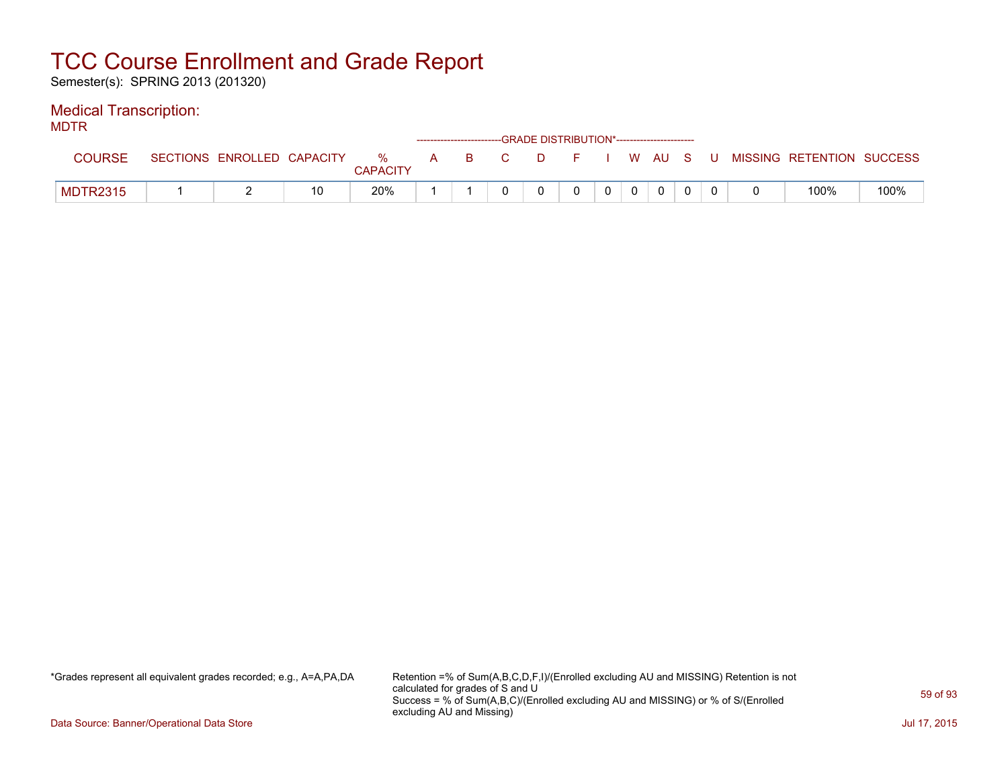Semester(s): SPRING 2013 (201320)

### Medical Transcription:

MDTR

| .               |                            |               |          | ------------------------GRADE DISTRIBUTION*----------------------- |     |          |  |                |  |                           |      |
|-----------------|----------------------------|---------------|----------|--------------------------------------------------------------------|-----|----------|--|----------------|--|---------------------------|------|
| <b>COURSE</b>   | SECTIONS ENROLLED CAPACITY | %<br>CAPACITY | <b>A</b> |                                                                    | B C | DFIWAUSU |  |                |  | MISSING RETENTION SUCCESS |      |
| <b>MDTR2315</b> | -                          | 20%           |          |                                                                    |     |          |  | $\overline{0}$ |  | 100%                      | 100% |

\*Grades represent all equivalent grades recorded; e.g., A=A,PA,DA Retention =% of Sum(A,B,C,D,F,I)/(Enrolled excluding AU and MISSING) Retention is not calculated for grades of S and U Success = % of Sum(A,B,C)/(Enrolled excluding AU and MISSING) or % of S/(Enrolled excluding AU and Missing)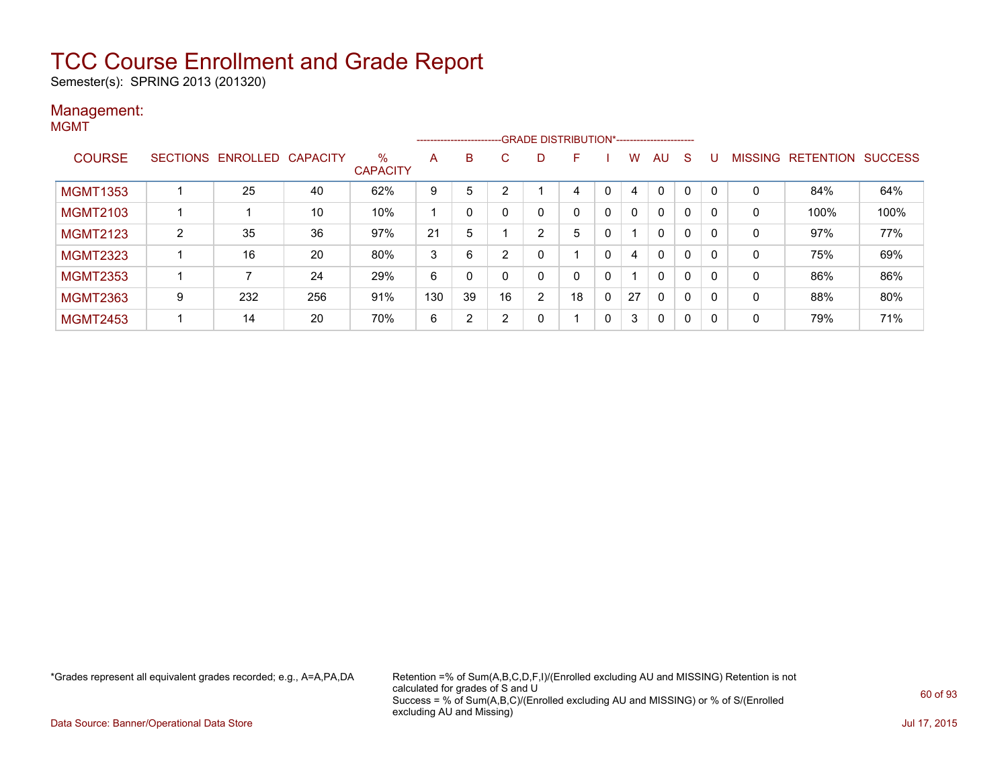Semester(s): SPRING 2013 (201320)

#### Management: **MGMT**

|                 |   |                   |                 |                         | -------------------- |    |        |                | -GRADE DISTRIBUTION*----------------------- |              |    |              |              |          |                |                  |                |
|-----------------|---|-------------------|-----------------|-------------------------|----------------------|----|--------|----------------|---------------------------------------------|--------------|----|--------------|--------------|----------|----------------|------------------|----------------|
| <b>COURSE</b>   |   | SECTIONS ENROLLED | <b>CAPACITY</b> | $\%$<br><b>CAPACITY</b> | A                    | B  | C.     | D              | F                                           |              | w  | AU           | <sub>S</sub> |          | <b>MISSING</b> | <b>RETENTION</b> | <b>SUCCESS</b> |
| <b>MGMT1353</b> |   | 25                | 40              | 62%                     | 9                    | 5  | $\sim$ |                | 4                                           | $\mathbf{0}$ | 4  | $\Omega$     | $\mathbf{0}$ | $\Omega$ | 0              | 84%              | 64%            |
| <b>MGMT2103</b> |   |                   | 10              | 10%                     |                      | 0  |        | 0              | 0                                           | 0            | 0  | $\mathbf{0}$ | 0            | - 0      | 0              | 100%             | 100%           |
| <b>MGMT2123</b> | 2 | 35                | 36              | 97%                     | 21                   | 5  |        | 2              | 5                                           |              |    | $\mathbf{0}$ | $\Omega$     |          | 0              | 97%              | 77%            |
| <b>MGMT2323</b> |   | 16                | 20              | 80%                     | 3                    | 6  |        |                |                                             | 0            | 4  | $\mathbf{0}$ | $\Omega$     | - 0      | 0              | 75%              | 69%            |
| <b>MGMT2353</b> |   | 7                 | 24              | 29%                     | 6                    | 0  |        | 0              | 0                                           | 0            |    | $\mathbf{0}$ | $\Omega$     | - 0      | 0              | 86%              | 86%            |
| <b>MGMT2363</b> | 9 | 232               | 256             | 91%                     | 130                  | 39 | 16     | $\overline{2}$ | 18                                          | 0            | 27 | $\mathbf{0}$ | $\Omega$     | $\Omega$ | 0              | 88%              | 80%            |
| <b>MGMT2453</b> |   | 14                | 20              | 70%                     | 6                    | 2  |        | 0              |                                             | 0            | 3  | $\mathbf{0}$ | 0            | -0       | 0              | 79%              | 71%            |

\*Grades represent all equivalent grades recorded; e.g., A=A,PA,DA Retention =% of Sum(A,B,C,D,F,I)/(Enrolled excluding AU and MISSING) Retention is not calculated for grades of S and U Success = % of Sum(A,B,C)/(Enrolled excluding AU and MISSING) or % of S/(Enrolled excluding AU and Missing)

Data Source: Banner/Operational Data Store Jul 17, 2015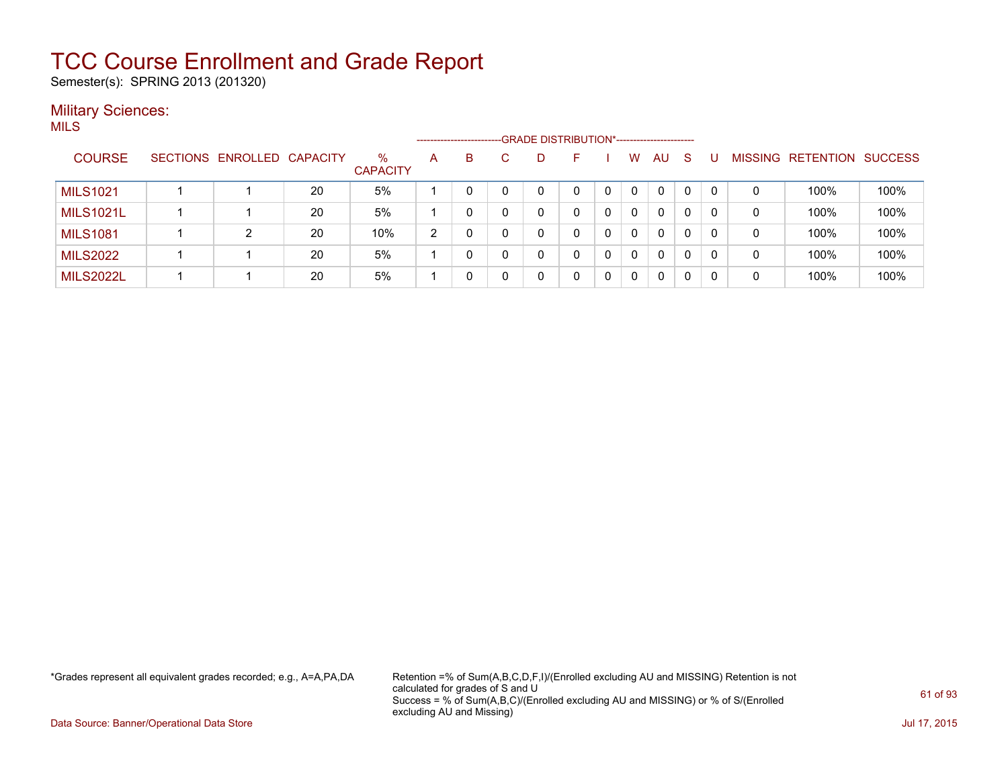Semester(s): SPRING 2013 (201320)

#### **Military Sciences:** MILS

|                  |                            |    |                         |   | ------------------------- | -GRADE DISTRIBUTION*----------------------- |   |   |          |              |          |          |         |           |                |
|------------------|----------------------------|----|-------------------------|---|---------------------------|---------------------------------------------|---|---|----------|--------------|----------|----------|---------|-----------|----------------|
| <b>COURSE</b>    | SECTIONS ENROLLED CAPACITY |    | $\%$<br><b>CAPACITY</b> | A | B.                        | D                                           | ⊢ |   | W        | AU           | -S       |          | MISSING | RETENTION | <b>SUCCESS</b> |
| <b>MILS1021</b>  |                            | 20 | 5%                      |   |                           | 0                                           |   | 0 | $\Omega$ | 0            | $\Omega$ | 0        | 0       | 100%      | 100%           |
| <b>MILS1021L</b> |                            | 20 | 5%                      |   |                           | 0                                           |   | 0 | 0        | $\mathbf{0}$ | 0        | $\Omega$ | 0       | 100%      | 100%           |
| <b>MILS1081</b>  | 2                          | 20 | 10%                     | 2 |                           | 0                                           |   | 0 | $\Omega$ | 0            | 0        | 0        | 0       | 100%      | 100%           |
| <b>MILS2022</b>  |                            | 20 | 5%                      |   |                           | 0                                           | 0 | 0 | $\Omega$ | 0            | $\Omega$ | 0        | 0       | 100%      | 100%           |
| <b>MILS2022L</b> |                            | 20 | 5%                      |   |                           | 0                                           |   | 0 | $\Omega$ | 0            | 0        | 0        | 0       | 100%      | 100%           |

\*Grades represent all equivalent grades recorded; e.g., A=A,PA,DA Retention =% of Sum(A,B,C,D,F,I)/(Enrolled excluding AU and MISSING) Retention is not calculated for grades of S and U Success = % of Sum(A,B,C)/(Enrolled excluding AU and MISSING) or % of S/(Enrolled excluding AU and Missing)

Data Source: Banner/Operational Data Store Jul 17, 2015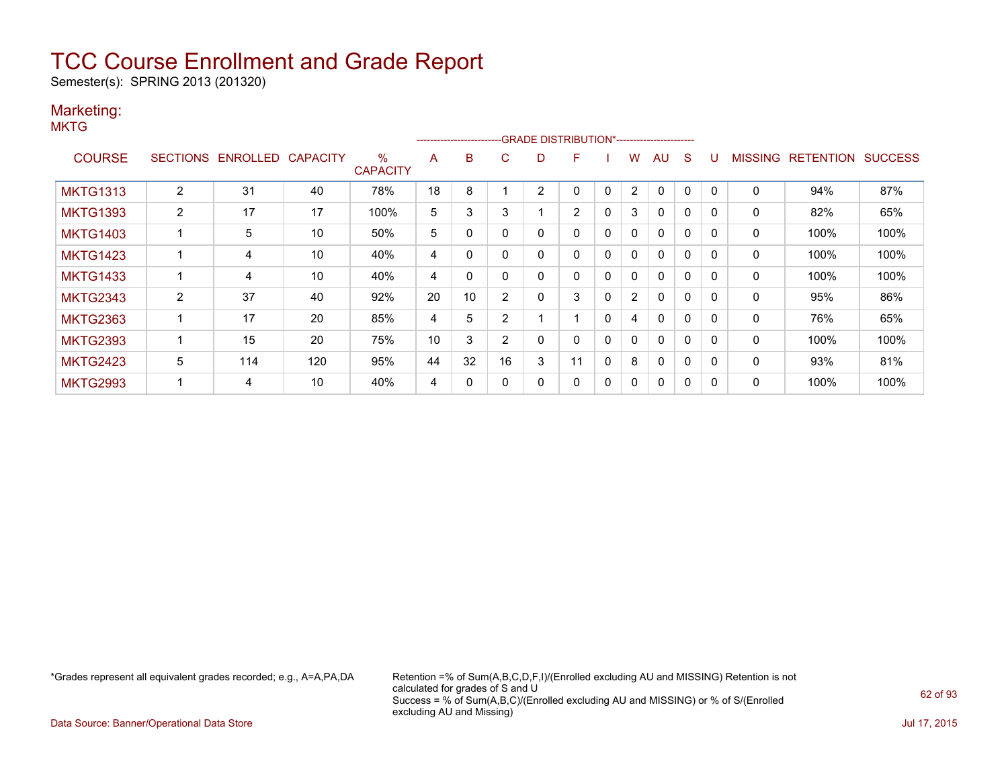Semester(s): SPRING 2013 (201320)

### Marketing:

**MKTG** 

|                 |                |                   |                 |                      |    | ------------------------ |                |                | -GRADE DISTRIBUTION*----------------------- |              |                |              |              |          |                |                  |                |
|-----------------|----------------|-------------------|-----------------|----------------------|----|--------------------------|----------------|----------------|---------------------------------------------|--------------|----------------|--------------|--------------|----------|----------------|------------------|----------------|
| <b>COURSE</b>   |                | SECTIONS ENROLLED | <b>CAPACITY</b> | %<br><b>CAPACITY</b> | A  | B                        | C.             | D              | F                                           |              | W              | AU           | S            |          | <b>MISSING</b> | <b>RETENTION</b> | <b>SUCCESS</b> |
| <b>MKTG1313</b> | 2              | 31                | 40              | 78%                  | 18 | 8                        |                | $\overline{2}$ | 0                                           | $\mathbf{0}$ | $\overline{2}$ | $\mathbf{0}$ | 0            |          | 0              | 94%              | 87%            |
| <b>MKTG1393</b> | $\overline{2}$ | 17                | 17              | 100%                 | 5  | 3                        | 3              |                | $\overline{2}$                              | 0            | 3              | $\mathbf{0}$ | $\Omega$     | $\Omega$ | 0              | 82%              | 65%            |
| <b>MKTG1403</b> |                | 5                 | 10              | 50%                  | 5  | 0                        |                | 0              | 0                                           | 0            | 0              | $\mathbf{0}$ | $\Omega$     | $\Omega$ | 0              | 100%             | 100%           |
| <b>MKTG1423</b> |                | 4                 | 10              | 40%                  | 4  | $\Omega$                 |                | 0              | 0                                           | $\mathbf{0}$ | $\mathbf{0}$   | $\mathbf{0}$ | $\mathbf{0}$ | $\Omega$ | 0              | 100%             | 100%           |
| <b>MKTG1433</b> |                | 4                 | 10              | 40%                  | 4  | 0                        |                | 0              | 0                                           | $\mathbf{0}$ | $\mathbf{0}$   | $\mathbf{0}$ | $\mathbf{0}$ | $\Omega$ | 0              | 100%             | 100%           |
| <b>MKTG2343</b> | $\overline{2}$ | 37                | 40              | 92%                  | 20 | 10                       | $\overline{2}$ | 0              | 3                                           | $\mathbf{0}$ | $\overline{2}$ | $\mathbf{0}$ | $\mathbf{0}$ | $\Omega$ | 0              | 95%              | 86%            |
| <b>MKTG2363</b> |                | 17                | 20              | 85%                  | 4  | 5                        | $\overline{2}$ |                |                                             | $\mathbf{0}$ | 4              | $\mathbf{0}$ | $\mathbf{0}$ | $\Omega$ | $\mathbf{0}$   | 76%              | 65%            |
| <b>MKTG2393</b> |                | 15                | 20              | 75%                  | 10 | 3                        | $\overline{2}$ | 0              | 0                                           | $\mathbf{0}$ | $\mathbf{0}$   | $\mathbf{0}$ | 0            |          | $\mathbf{0}$   | 100%             | 100%           |
| <b>MKTG2423</b> | 5              | 114               | 120             | 95%                  | 44 | 32                       | 16             | 3              | 11                                          | 0            | 8              | $\mathbf{0}$ | 0            | $\Omega$ | 0              | 93%              | 81%            |
| <b>MKTG2993</b> |                | 4                 | 10              | 40%                  | 4  | 0                        |                | 0              | 0                                           | 0            | 0              | 0            | 0            |          | 0              | 100%             | 100%           |

\*Grades represent all equivalent grades recorded; e.g., A=A,PA,DA Retention =% of Sum(A,B,C,D,F,I)/(Enrolled excluding AU and MISSING) Retention is not calculated for grades of S and U Success = % of Sum(A,B,C)/(Enrolled excluding AU and MISSING) or % of S/(Enrolled excluding AU and Missing)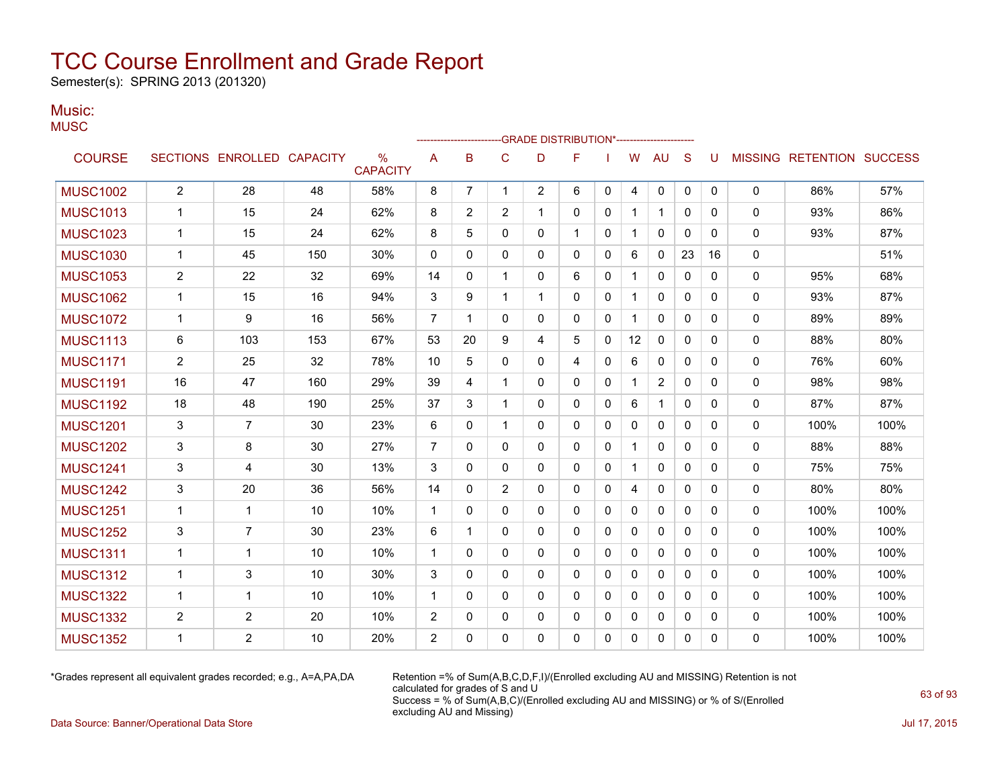Semester(s): SPRING 2013 (201320)

#### Music: **MUSC**

|                 |                |                            |     |                                  |                |                |              | -GRADE DISTRIBUTION*---------------------- |              |              |              |                |              |             |              |                   |                |
|-----------------|----------------|----------------------------|-----|----------------------------------|----------------|----------------|--------------|--------------------------------------------|--------------|--------------|--------------|----------------|--------------|-------------|--------------|-------------------|----------------|
| <b>COURSE</b>   |                | SECTIONS ENROLLED CAPACITY |     | $\frac{0}{0}$<br><b>CAPACITY</b> | A              | B              | $\mathsf{C}$ | D                                          | F            |              | W            | <b>AU</b>      | S            |             |              | MISSING RETENTION | <b>SUCCESS</b> |
| <b>MUSC1002</b> | $\mathbf{2}$   | 28                         | 48  | 58%                              | 8              | $\overline{7}$ | $\mathbf{1}$ | $\overline{2}$                             | 6            | $\mathbf{0}$ | 4            | 0              | $\mathbf{0}$ | $\mathbf 0$ | $\mathbf 0$  | 86%               | 57%            |
| <b>MUSC1013</b> | $\mathbf 1$    | 15                         | 24  | 62%                              | 8              | 2              | 2            | 1                                          | 0            | 0            | $\mathbf 1$  | $\mathbf{1}$   | $\Omega$     | 0           | 0            | 93%               | 86%            |
| <b>MUSC1023</b> | 1              | 15                         | 24  | 62%                              | 8              | 5              | $\Omega$     | 0                                          |              | 0            |              | $\mathbf{0}$   | $\Omega$     | $\Omega$    | $\Omega$     | 93%               | 87%            |
| <b>MUSC1030</b> | $\mathbf 1$    | 45                         | 150 | 30%                              | 0              | 0              | 0            | 0                                          | 0            | 0            | 6            | 0              | 23           | 16          | 0            |                   | 51%            |
| <b>MUSC1053</b> | $\overline{2}$ | 22                         | 32  | 69%                              | 14             | 0              | $\mathbf 1$  | 0                                          | 6            | 0            | 1            | $\mathbf{0}$   | $\Omega$     | 0           | $\mathbf{0}$ | 95%               | 68%            |
| <b>MUSC1062</b> | $\mathbf 1$    | 15                         | 16  | 94%                              | 3              | 9              | $\mathbf 1$  | 1                                          | $\Omega$     | $\mathbf{0}$ | $\mathbf{1}$ | 0              | 0            | 0           | $\Omega$     | 93%               | 87%            |
| <b>MUSC1072</b> | $\mathbf{1}$   | 9                          | 16  | 56%                              | $\overline{7}$ | 1              | $\Omega$     | 0                                          | 0            | $\mathbf{0}$ | $\mathbf{1}$ | $\mathbf{0}$   | $\Omega$     | $\Omega$    | $\mathbf{0}$ | 89%               | 89%            |
| <b>MUSC1113</b> | 6              | 103                        | 153 | 67%                              | 53             | 20             | 9            | 4                                          | 5            | $\Omega$     | 12           | $\mathbf{0}$   | $\Omega$     | $\Omega$    | 0            | 88%               | 80%            |
| <b>MUSC1171</b> | $\overline{2}$ | 25                         | 32  | 78%                              | 10             | 5              | 0            | 0                                          | 4            | $\mathbf{0}$ | 6            | 0              | $\Omega$     | 0           | 0            | 76%               | 60%            |
| <b>MUSC1191</b> | 16             | 47                         | 160 | 29%                              | 39             | 4              | $\mathbf 1$  | 0                                          | 0            | 0            | $\mathbf 1$  | $\overline{c}$ | 0            | $\Omega$    | 0            | 98%               | 98%            |
| <b>MUSC1192</b> | 18             | 48                         | 190 | 25%                              | 37             | 3              | $\mathbf{1}$ | 0                                          | 0            | 0            | 6            | $\mathbf 1$    | 0            | 0           | 0            | 87%               | 87%            |
| <b>MUSC1201</b> | 3              | $\overline{7}$             | 30  | 23%                              | 6              | $\Omega$       | $\mathbf{1}$ | 0                                          | $\mathbf{0}$ | $\Omega$     | 0            | $\mathbf{0}$   | $\mathbf{0}$ | $\Omega$    | $\Omega$     | 100%              | 100%           |
| <b>MUSC1202</b> | 3              | 8                          | 30  | 27%                              | 7              | 0              | $\mathbf{0}$ | 0                                          | $\mathbf{0}$ | 0            | 1            | 0              | $\Omega$     | 0           | $\Omega$     | 88%               | 88%            |
| <b>MUSC1241</b> | 3              | 4                          | 30  | 13%                              | 3              | $\Omega$       | $\mathbf{0}$ | 0                                          | $\mathbf{0}$ | 0            | $\mathbf 1$  | $\mathbf{0}$   | $\mathbf{0}$ | 0           | $\Omega$     | 75%               | 75%            |
| <b>MUSC1242</b> | 3              | 20                         | 36  | 56%                              | 14             | 0              | 2            | 0                                          | 0            | 0            | 4            | 0              | $\Omega$     | 0           | $\Omega$     | 80%               | 80%            |
| <b>MUSC1251</b> | 1              | $\mathbf{1}$               | 10  | 10%                              | $\mathbf{1}$   | 0              | 0            | 0                                          | 0            | 0            | 0            | 0              | $\Omega$     | 0           | $\mathbf{0}$ | 100%              | 100%           |
| <b>MUSC1252</b> | 3              | $\overline{7}$             | 30  | 23%                              | 6              | 1              | $\mathbf 0$  | 0                                          | 0            | 0            | 0            | 0              | $\Omega$     | 0           | 0            | 100%              | 100%           |
| <b>MUSC1311</b> | $\mathbf{1}$   | $\mathbf{1}$               | 10  | 10%                              | $\mathbf{1}$   | 0              | 0            | 0                                          | 0            | 0            | $\mathbf 0$  | 0              | $\mathbf{0}$ | 0           | 0            | 100%              | 100%           |
| <b>MUSC1312</b> | $\mathbf{1}$   | 3                          | 10  | 30%                              | 3              | $\Omega$       | $\Omega$     | 0                                          | $\Omega$     | $\Omega$     | 0            | $\mathbf{0}$   | $\Omega$     | $\Omega$    | $\mathbf{0}$ | 100%              | 100%           |
| <b>MUSC1322</b> | $\mathbf{1}$   | 1                          | 10  | 10%                              | $\mathbf{1}$   | 0              | $\Omega$     | 0                                          | $\mathbf{0}$ | $\Omega$     | 0            | 0              | $\Omega$     | $\Omega$    | $\mathbf{0}$ | 100%              | 100%           |
| <b>MUSC1332</b> | 2              | 2                          | 20  | 10%                              | 2              | 0              | 0            | 0                                          | 0            | 0            | 0            | 0              | 0            | 0           | 0            | 100%              | 100%           |
| <b>MUSC1352</b> | 1              | $\overline{2}$             | 10  | 20%                              | $\overline{2}$ | 0              | $\Omega$     | 0                                          | 0            | 0            | 0            | 0              | $\mathbf{0}$ | 0           | $\Omega$     | 100%              | 100%           |
|                 |                |                            |     |                                  |                |                |              |                                            |              |              |              |                |              |             |              |                   |                |

\*Grades represent all equivalent grades recorded; e.g., A=A,PA,DA Retention =% of Sum(A,B,C,D,F,I)/(Enrolled excluding AU and MISSING) Retention is not calculated for grades of S and U Success = % of Sum(A,B,C)/(Enrolled excluding AU and MISSING) or % of S/(Enrolled excluding AU and Missing)

Data Source: Banner/Operational Data Store Jul 17, 2015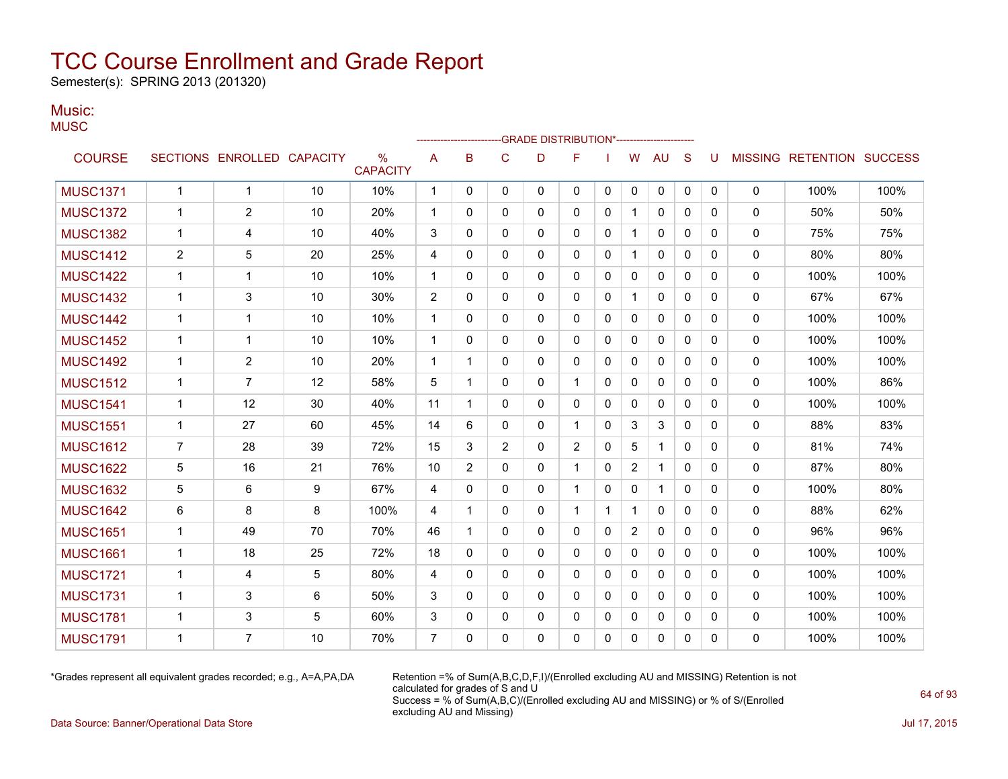Semester(s): SPRING 2013 (201320)

### Music:

| .<br>MUSC |  |  |
|-----------|--|--|
|           |  |  |

|                 |                |                            |    |                                  |                |                         |                | -GRADE DISTRIBUTION*----------------------- |              |              |                |              |              |              |                |                          |      |
|-----------------|----------------|----------------------------|----|----------------------------------|----------------|-------------------------|----------------|---------------------------------------------|--------------|--------------|----------------|--------------|--------------|--------------|----------------|--------------------------|------|
| <b>COURSE</b>   |                | SECTIONS ENROLLED CAPACITY |    | $\frac{0}{0}$<br><b>CAPACITY</b> | A              | B                       | C              | D                                           | F            |              | W              | AU           | S            | U            | <b>MISSING</b> | <b>RETENTION SUCCESS</b> |      |
| <b>MUSC1371</b> | $\mathbf{1}$   | $\overline{1}$             | 10 | 10%                              | $\mathbf{1}$   | $\mathbf{0}$            | 0              | $\mathbf{0}$                                | $\mathbf{0}$ | 0            | 0              | 0            | $\mathbf 0$  | $\mathbf{0}$ | $\mathbf 0$    | 100%                     | 100% |
| <b>MUSC1372</b> | 1              | 2                          | 10 | 20%                              | 1              | $\mathbf{0}$            | $\mathbf{0}$   | 0                                           | $\mathbf{0}$ | 0            | 1              | 0            | $\mathbf{0}$ | 0            | 0              | 50%                      | 50%  |
| <b>MUSC1382</b> | 1              | 4                          | 10 | 40%                              | 3              | $\mathbf{0}$            | $\mathbf{0}$   | 0                                           | $\mathbf{0}$ | 0            | $\mathbf{1}$   | 0            | $\mathbf{0}$ | 0            | 0              | 75%                      | 75%  |
| <b>MUSC1412</b> | $\overline{2}$ | 5                          | 20 | 25%                              | 4              | $\Omega$                | 0              | 0                                           | $\mathbf{0}$ | 0            | $\mathbf{1}$   | $\mathbf{0}$ | $\mathbf{0}$ | 0            | 0              | 80%                      | 80%  |
| <b>MUSC1422</b> | $\mathbf 1$    | $\mathbf 1$                | 10 | 10%                              | 1              | $\Omega$                | 0              | 0                                           | $\mathbf{0}$ | 0            | $\mathbf{0}$   | $\mathbf{0}$ | $\mathbf{0}$ | 0            | 0              | 100%                     | 100% |
| <b>MUSC1432</b> | $\mathbf{1}$   | 3                          | 10 | 30%                              | $\overline{2}$ | $\Omega$                | $\Omega$       | $\Omega$                                    | $\Omega$     | $\Omega$     | $\mathbf{1}$   | $\mathbf{0}$ | $\Omega$     | $\Omega$     | $\mathbf 0$    | 67%                      | 67%  |
| <b>MUSC1442</b> | $\mathbf 1$    | $\mathbf{1}$               | 10 | 10%                              | 1              | $\mathbf{0}$            | $\Omega$       | 0                                           | $\mathbf{0}$ | 0            | $\mathbf{0}$   | $\mathbf{0}$ | $\mathbf{0}$ | 0            | $\mathbf 0$    | 100%                     | 100% |
| <b>MUSC1452</b> | 1              | $\mathbf 1$                | 10 | 10%                              | 1              | $\mathbf{0}$            | 0              | 0                                           | $\mathbf{0}$ | 0            | $\mathbf{0}$   | $\mathbf{0}$ | $\mathbf{0}$ | 0            | 0              | 100%                     | 100% |
| <b>MUSC1492</b> | 1              | $\overline{2}$             | 10 | 20%                              | 1              | -1                      | 0              | 0                                           | $\mathbf{0}$ | 0            | 0              | $\mathbf{0}$ | $\mathbf{0}$ | 0            | 0              | 100%                     | 100% |
| <b>MUSC1512</b> | 1              | $\overline{7}$             | 12 | 58%                              | 5              | $\overline{\mathbf{1}}$ | 0              | 0                                           | $\mathbf 1$  | $\Omega$     | $\mathbf{0}$   | $\mathbf{0}$ | $\Omega$     | $\Omega$     | 0              | 100%                     | 86%  |
| <b>MUSC1541</b> | 1              | 12                         | 30 | 40%                              | 11             | 1                       | $\Omega$       | $\Omega$                                    | $\Omega$     | $\Omega$     | $\mathbf{0}$   | $\mathbf{0}$ | $\Omega$     | $\Omega$     | $\mathbf 0$    | 100%                     | 100% |
| <b>MUSC1551</b> | 1              | 27                         | 60 | 45%                              | 14             | 6                       | 0              | 0                                           |              | 0            | 3              | 3            | $\mathbf{0}$ | $\Omega$     | 0              | 88%                      | 83%  |
| <b>MUSC1612</b> | $\overline{7}$ | 28                         | 39 | 72%                              | 15             | 3                       | $\overline{2}$ | 0                                           | 2            | 0            | 5              | 1            | $\mathbf{0}$ | 0            | 0              | 81%                      | 74%  |
| <b>MUSC1622</b> | 5              | 16                         | 21 | 76%                              | 10             | $\overline{2}$          | 0              | 0                                           | -1           | 0            | $\overline{2}$ | 1            | $\mathbf{0}$ | 0            | 0              | 87%                      | 80%  |
| <b>MUSC1632</b> | 5              | 6                          | 9  | 67%                              | 4              | $\mathbf{0}$            | $\mathbf{0}$   | 0                                           | $\mathbf 1$  | 0            | 0              | $\mathbf 1$  | $\mathbf{0}$ | 0            | 0              | 100%                     | 80%  |
| <b>MUSC1642</b> | 6              | 8                          | 8  | 100%                             | 4              | 1                       | $\mathbf{0}$   | 0                                           | 1            | 1            | $\mathbf{1}$   | $\mathbf{0}$ | $\Omega$     | $\Omega$     | $\mathbf 0$    | 88%                      | 62%  |
| <b>MUSC1651</b> | $\mathbf{1}$   | 49                         | 70 | 70%                              | 46             | $\overline{1}$          | $\Omega$       | $\Omega$                                    | $\mathbf{0}$ | $\Omega$     | $\overline{2}$ | $\mathbf{0}$ | $\Omega$     | $\Omega$     | 0              | 96%                      | 96%  |
| <b>MUSC1661</b> | 1              | 18                         | 25 | 72%                              | 18             | $\Omega$                | $\Omega$       | 0                                           | $\mathbf{0}$ | 0            | $\mathbf{0}$   | $\mathbf{0}$ | $\Omega$     | $\Omega$     | $\Omega$       | 100%                     | 100% |
| <b>MUSC1721</b> | 1              | $\overline{4}$             | 5  | 80%                              | 4              | $\Omega$                | $\Omega$       | $\Omega$                                    | $\Omega$     | $\Omega$     | $\mathbf{0}$   | $\mathbf{0}$ | $\Omega$     | 0            | $\Omega$       | 100%                     | 100% |
| <b>MUSC1731</b> | 1              | 3                          | 6  | 50%                              | 3              | 0                       | $\mathbf{0}$   | 0                                           | $\mathbf{0}$ | 0            | 0              | $\mathbf{0}$ | $\Omega$     | 0            | 0              | 100%                     | 100% |
| <b>MUSC1781</b> | 1              | 3                          | 5  | 60%                              | 3              | $\mathbf{0}$            | $\mathbf{0}$   | 0                                           | $\mathbf{0}$ | $\Omega$     | $\mathbf{0}$   | 0            | $\mathbf{0}$ | 0            | 0              | 100%                     | 100% |
| <b>MUSC1791</b> | 1              | $\overline{7}$             | 10 | 70%                              | $\overline{7}$ | $\Omega$                | $\Omega$       | 0                                           | $\mathbf{0}$ | $\mathbf{0}$ | $\Omega$       | $\mathbf{0}$ | $\Omega$     | $\Omega$     | 0              | 100%                     | 100% |

\*Grades represent all equivalent grades recorded; e.g., A=A,PA,DA Retention =% of Sum(A,B,C,D,F,I)/(Enrolled excluding AU and MISSING) Retention is not calculated for grades of S and U Success = % of Sum(A,B,C)/(Enrolled excluding AU and MISSING) or % of S/(Enrolled excluding AU and Missing)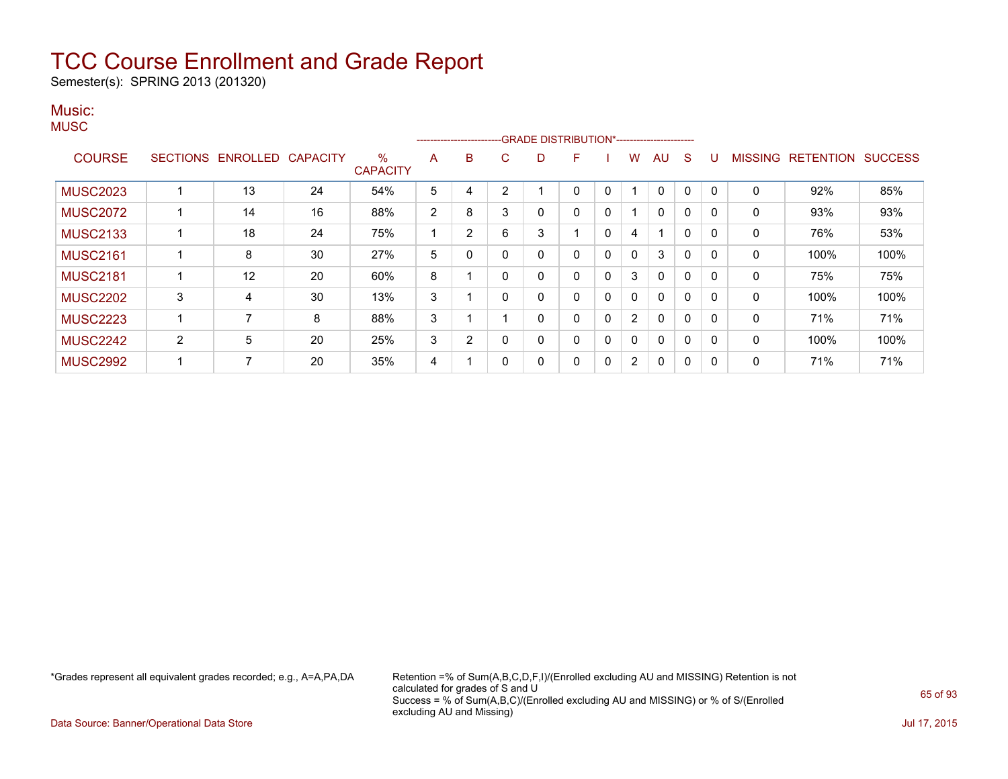Semester(s): SPRING 2013 (201320)

#### Music: **MUSC**

|                 |                 |          |                 |                         |                | ------------------------- |   |              | -GRADE DISTRIBUTION*---------------------- |   |              |              |              |              |                |                  |                |
|-----------------|-----------------|----------|-----------------|-------------------------|----------------|---------------------------|---|--------------|--------------------------------------------|---|--------------|--------------|--------------|--------------|----------------|------------------|----------------|
| <b>COURSE</b>   | <b>SECTIONS</b> | ENROLLED | <b>CAPACITY</b> | $\%$<br><b>CAPACITY</b> | A              | B                         | С | D            | F.                                         |   | W            | AU           | <sub>S</sub> | U            | <b>MISSING</b> | <b>RETENTION</b> | <b>SUCCESS</b> |
| <b>MUSC2023</b> |                 | 13       | 24              | 54%                     | 5              |                           | 2 |              | 0                                          | 0 |              | $\Omega$     | 0            | $\Omega$     | 0              | 92%              | 85%            |
| <b>MUSC2072</b> |                 | 14       | 16              | 88%                     | $\overline{2}$ | 8                         | 3 | 0            | 0                                          | 0 |              | 0            | $\mathbf{0}$ | $\Omega$     | 0              | 93%              | 93%            |
| <b>MUSC2133</b> |                 | 18       | 24              | 75%                     |                | $\overline{2}$            | 6 | 3            |                                            | 0 | 4            |              | 0            | 0            | $\mathbf{0}$   | 76%              | 53%            |
| <b>MUSC2161</b> |                 | 8        | 30              | 27%                     | 5              |                           | 0 | 0            | $\mathbf{0}$                               | 0 | 0            | 3            | 0            | $\mathbf{0}$ | 0              | 100%             | 100%           |
| <b>MUSC2181</b> |                 | 12       | 20              | 60%                     | 8              |                           | 0 | 0            | 0                                          | 0 | 3            | $\Omega$     | $\mathbf{0}$ | $\Omega$     | $\mathbf{0}$   | 75%              | 75%            |
| <b>MUSC2202</b> | 3               | 4        | 30              | 13%                     | 3              |                           | 0 | 0            | $\mathbf{0}$                               | 0 | $\mathbf{0}$ | $\Omega$     | $\Omega$     | $\Omega$     | $\mathbf{0}$   | 100%             | 100%           |
| <b>MUSC2223</b> |                 |          | 8               | 88%                     | 3              |                           |   | $\mathbf{0}$ | $\mathbf{0}$                               | 0 | 2            | $\Omega$     | 0            | $\Omega$     | $\mathbf{0}$   | 71%              | 71%            |
| <b>MUSC2242</b> | 2               | 5        | 20              | 25%                     | 3              | $\overline{2}$            | 0 | 0            | 0                                          | 0 | 0            | $\Omega$     | $\Omega$     | $\Omega$     | $\mathbf{0}$   | 100%             | 100%           |
| <b>MUSC2992</b> |                 |          | 20              | 35%                     | 4              |                           | 0 | 0            | 0                                          | 0 | 2            | $\mathbf{0}$ | 0            | 0            | 0              | 71%              | 71%            |

\*Grades represent all equivalent grades recorded; e.g., A=A,PA,DA Retention =% of Sum(A,B,C,D,F,I)/(Enrolled excluding AU and MISSING) Retention is not calculated for grades of S and U Success = % of Sum(A,B,C)/(Enrolled excluding AU and MISSING) or % of S/(Enrolled excluding AU and Missing)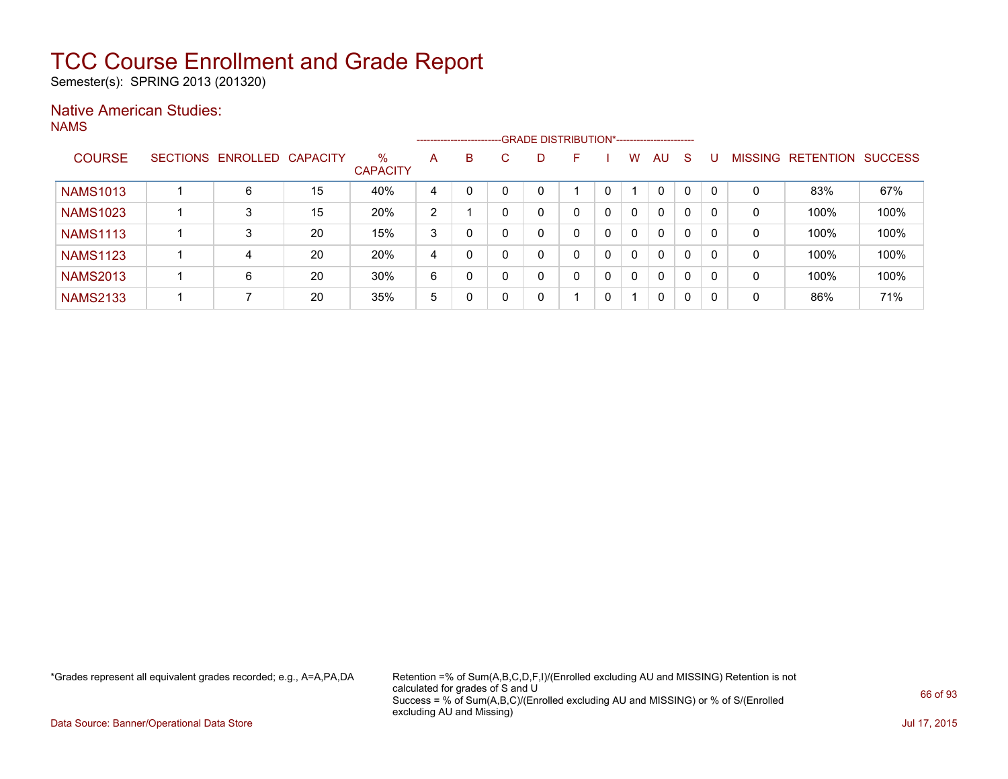Semester(s): SPRING 2013 (201320)

### Native American Studies:

NAMS

|                 |                 |          |                 |                         |   | ------------------------ |   | -GRADE DISTRIBUTION*----------------------- |   |   |              |              |              |              |                |                  |                |
|-----------------|-----------------|----------|-----------------|-------------------------|---|--------------------------|---|---------------------------------------------|---|---|--------------|--------------|--------------|--------------|----------------|------------------|----------------|
| <b>COURSE</b>   | <b>SECTIONS</b> | ENROLLED | <b>CAPACITY</b> | $\%$<br><b>CAPACITY</b> | A | B                        | C | D                                           | F |   | w            | AU           | S            |              | <b>MISSING</b> | <b>RETENTION</b> | <b>SUCCESS</b> |
| <b>NAMS1013</b> |                 | 6        | 15              | 40%                     | 4 |                          |   | $\Omega$                                    |   | 0 |              | $\Omega$     |              | $\mathbf{0}$ | 0              | 83%              | 67%            |
| <b>NAMS1023</b> |                 | 3        | 15              | 20%                     | 2 |                          |   | 0                                           | 0 | 0 | $\mathbf{0}$ | $\Omega$     | 0            | $\Omega$     | 0              | 100%             | 100%           |
| <b>NAMS1113</b> |                 |          | 20              | 15%                     | 3 |                          |   | 0                                           | 0 | 0 | $\mathbf{0}$ | $\Omega$     | $\Omega$     | $\Omega$     | 0              | 100%             | 100%           |
| <b>NAMS1123</b> |                 | 4        | 20              | 20%                     | 4 |                          | ∩ | 0                                           | 0 | 0 | $\mathbf{0}$ | $\Omega$     | $\mathbf{0}$ | $\mathbf{0}$ | 0              | 100%             | 100%           |
| <b>NAMS2013</b> |                 | 6        | 20              | 30%                     | 6 |                          |   | 0                                           | 0 | 0 | 0            | $\mathbf{0}$ | $\Omega$     | 0            | 0              | 100%             | 100%           |
| <b>NAMS2133</b> |                 |          | 20              | 35%                     | 5 |                          |   | 0                                           |   | 0 |              | 0            | 0            | 0            | 0              | 86%              | 71%            |

\*Grades represent all equivalent grades recorded; e.g., A=A,PA,DA Retention =% of Sum(A,B,C,D,F,I)/(Enrolled excluding AU and MISSING) Retention is not calculated for grades of S and U Success = % of Sum(A,B,C)/(Enrolled excluding AU and MISSING) or % of S/(Enrolled excluding AU and Missing)

Data Source: Banner/Operational Data Store Jul 17, 2015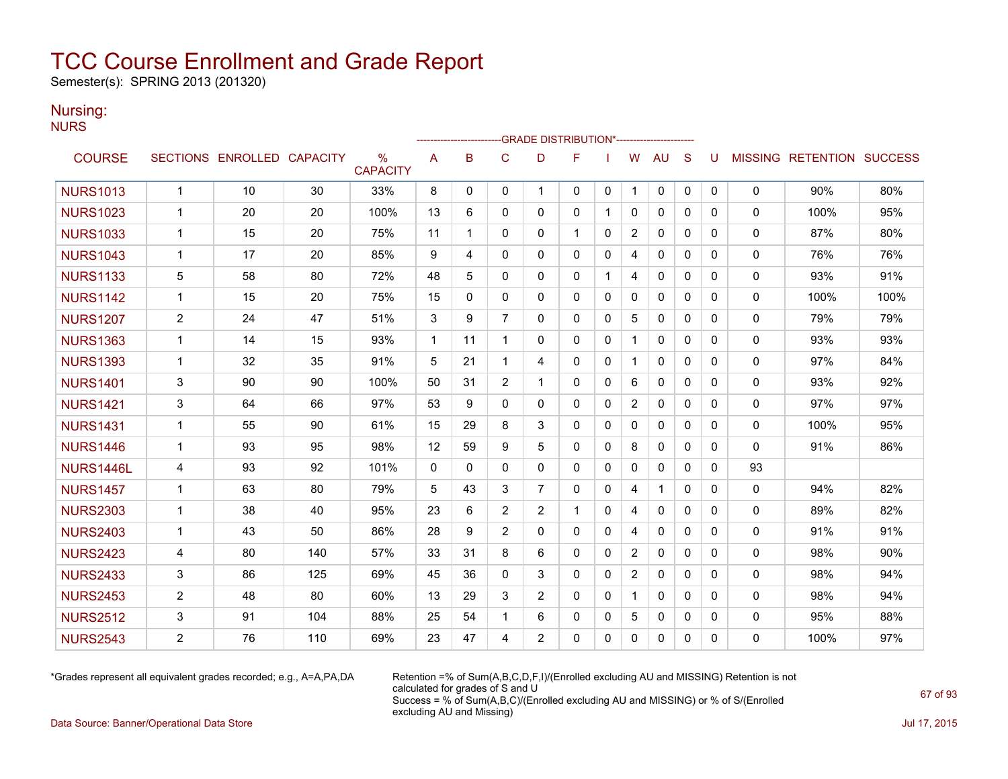Semester(s): SPRING 2013 (201320)

### Nursing:

NURS

|                  |                |                            |     |                                  |             | ------------------------ |                | -GRADE DISTRIBUTION*---------------------- |              |              |                |              |              |          |              |                                  |      |
|------------------|----------------|----------------------------|-----|----------------------------------|-------------|--------------------------|----------------|--------------------------------------------|--------------|--------------|----------------|--------------|--------------|----------|--------------|----------------------------------|------|
| <b>COURSE</b>    |                | SECTIONS ENROLLED CAPACITY |     | $\frac{0}{0}$<br><b>CAPACITY</b> | A           | B                        | C              | D                                          | F            |              | W              | <b>AU</b>    | S            | U        |              | <b>MISSING RETENTION SUCCESS</b> |      |
| <b>NURS1013</b>  | $\mathbf{1}$   | 10                         | 30  | 33%                              | 8           | $\mathbf{0}$             | 0              | 1                                          | 0            | 0            | $\mathbf 1$    | 0            | 0            | 0        | 0            | 90%                              | 80%  |
| <b>NURS1023</b>  | $\mathbf{1}$   | 20                         | 20  | 100%                             | 13          | 6                        | $\mathbf{0}$   | $\Omega$                                   | $\Omega$     | -1           | $\mathbf{0}$   | $\mathbf{0}$ | $\Omega$     | 0        | $\mathbf{0}$ | 100%                             | 95%  |
| <b>NURS1033</b>  | $\mathbf{1}$   | 15                         | 20  | 75%                              | 11          | 1                        | $\mathbf{0}$   | 0                                          |              | 0            | $\overline{2}$ | 0            | $\mathbf{0}$ | 0        | 0            | 87%                              | 80%  |
| <b>NURS1043</b>  | 1              | 17                         | 20  | 85%                              | 9           | 4                        | 0              | 0                                          | $\mathbf{0}$ | 0            | 4              | 0            | $\mathbf{0}$ | 0        | 0            | 76%                              | 76%  |
| <b>NURS1133</b>  | 5              | 58                         | 80  | 72%                              | 48          | 5                        | 0              | 0                                          | 0            | 1            | 4              | 0            | $\mathbf{0}$ | 0        | 0            | 93%                              | 91%  |
| <b>NURS1142</b>  | $\mathbf{1}$   | 15                         | 20  | 75%                              | 15          | $\Omega$                 | $\mathbf{0}$   | 0                                          | $\mathbf{0}$ | 0            | $\Omega$       | $\mathbf{0}$ | $\Omega$     | 0        | $\mathbf{0}$ | 100%                             | 100% |
| <b>NURS1207</b>  | $\overline{c}$ | 24                         | 47  | 51%                              | 3           | 9                        | $\overline{7}$ | 0                                          | 0            | 0            | 5              | 0            | $\mathbf{0}$ | 0        | 0            | 79%                              | 79%  |
| <b>NURS1363</b>  | $\mathbf{1}$   | 14                         | 15  | 93%                              | $\mathbf 1$ | 11                       | $\mathbf 1$    | 0                                          | $\mathbf{0}$ | $\mathbf{0}$ | $\mathbf 1$    | $\mathbf{0}$ | $\Omega$     | 0        | 0            | 93%                              | 93%  |
| <b>NURS1393</b>  | $\mathbf{1}$   | 32                         | 35  | 91%                              | 5           | 21                       | $\mathbf 1$    | 4                                          | $\mathbf{0}$ | $\mathbf{0}$ | 1              | $\mathbf{0}$ | $\Omega$     | 0        | 0            | 97%                              | 84%  |
| <b>NURS1401</b>  | 3              | 90                         | 90  | 100%                             | 50          | 31                       | $\overline{c}$ | 1                                          | $\mathbf{0}$ | $\Omega$     | 6              | $\mathbf{0}$ | $\Omega$     | $\Omega$ | 0            | 93%                              | 92%  |
| <b>NURS1421</b>  | 3              | 64                         | 66  | 97%                              | 53          | 9                        | $\mathbf{0}$   | 0                                          | $\mathbf{0}$ | 0            | $\overline{2}$ | 0            | $\mathbf{0}$ | 0        | 0            | 97%                              | 97%  |
| <b>NURS1431</b>  | $\mathbf{1}$   | 55                         | 90  | 61%                              | 15          | 29                       | 8              | 3                                          | $\mathbf{0}$ | 0            | $\mathbf{0}$   | $\mathbf{0}$ | $\mathbf{0}$ | 0        | $\mathbf{0}$ | 100%                             | 95%  |
| <b>NURS1446</b>  | $\mathbf{1}$   | 93                         | 95  | 98%                              | 12          | 59                       | 9              | 5                                          | $\mathbf{0}$ | $\mathbf{0}$ | 8              | $\mathbf{0}$ | $\Omega$     | 0        | $\Omega$     | 91%                              | 86%  |
| <b>NURS1446L</b> | 4              | 93                         | 92  | 101%                             | 0           | 0                        | 0              | 0                                          | $\mathbf{0}$ | 0            | 0              | 0            | $\mathbf{0}$ | 0        | 93           |                                  |      |
| <b>NURS1457</b>  | $\mathbf{1}$   | 63                         | 80  | 79%                              | 5           | 43                       | 3              | $\overline{7}$                             | $\mathbf{0}$ | 0            | 4              | $\mathbf{1}$ | $\Omega$     | 0        | 0            | 94%                              | 82%  |
| <b>NURS2303</b>  | $\mathbf{1}$   | 38                         | 40  | 95%                              | 23          | 6                        | $\overline{2}$ | $\overline{2}$                             | 1            | 0            | 4              | $\mathbf{0}$ | $\Omega$     | 0        | 0            | 89%                              | 82%  |
| <b>NURS2403</b>  | $\mathbf{1}$   | 43                         | 50  | 86%                              | 28          | 9                        | $\overline{2}$ | $\Omega$                                   | $\Omega$     | $\mathbf{0}$ | 4              | $\mathbf{0}$ | $\Omega$     | 0        | 0            | 91%                              | 91%  |
| <b>NURS2423</b>  | 4              | 80                         | 140 | 57%                              | 33          | 31                       | 8              | 6                                          | $\mathbf{0}$ | 0            | $\overline{c}$ | $\mathbf{0}$ | $\Omega$     | 0        | 0            | 98%                              | 90%  |
| <b>NURS2433</b>  | 3              | 86                         | 125 | 69%                              | 45          | 36                       | $\mathbf{0}$   | 3                                          | $\mathbf{0}$ | 0            | $\overline{2}$ | $\mathbf{0}$ | $\mathbf{0}$ | 0        | 0            | 98%                              | 94%  |
| <b>NURS2453</b>  | $\overline{2}$ | 48                         | 80  | 60%                              | 13          | 29                       | 3              | $\overline{2}$                             | $\Omega$     | $\mathbf{0}$ |                | $\mathbf{0}$ | $\Omega$     | 0        | 0            | 98%                              | 94%  |
| <b>NURS2512</b>  | 3              | 91                         | 104 | 88%                              | 25          | 54                       | 1              | 6                                          | 0            | 0            | 5              | 0            | $\mathbf{0}$ | 0        | 0            | 95%                              | 88%  |
| <b>NURS2543</b>  | $\overline{2}$ | 76                         | 110 | 69%                              | 23          | 47                       | 4              | $\overline{2}$                             | $\mathbf{0}$ | 0            | 0              | $\mathbf{0}$ | 0            | 0        | 0            | 100%                             | 97%  |

\*Grades represent all equivalent grades recorded; e.g., A=A,PA,DA Retention =% of Sum(A,B,C,D,F,I)/(Enrolled excluding AU and MISSING) Retention is not calculated for grades of S and U Success = % of Sum(A,B,C)/(Enrolled excluding AU and MISSING) or % of S/(Enrolled excluding AU and Missing)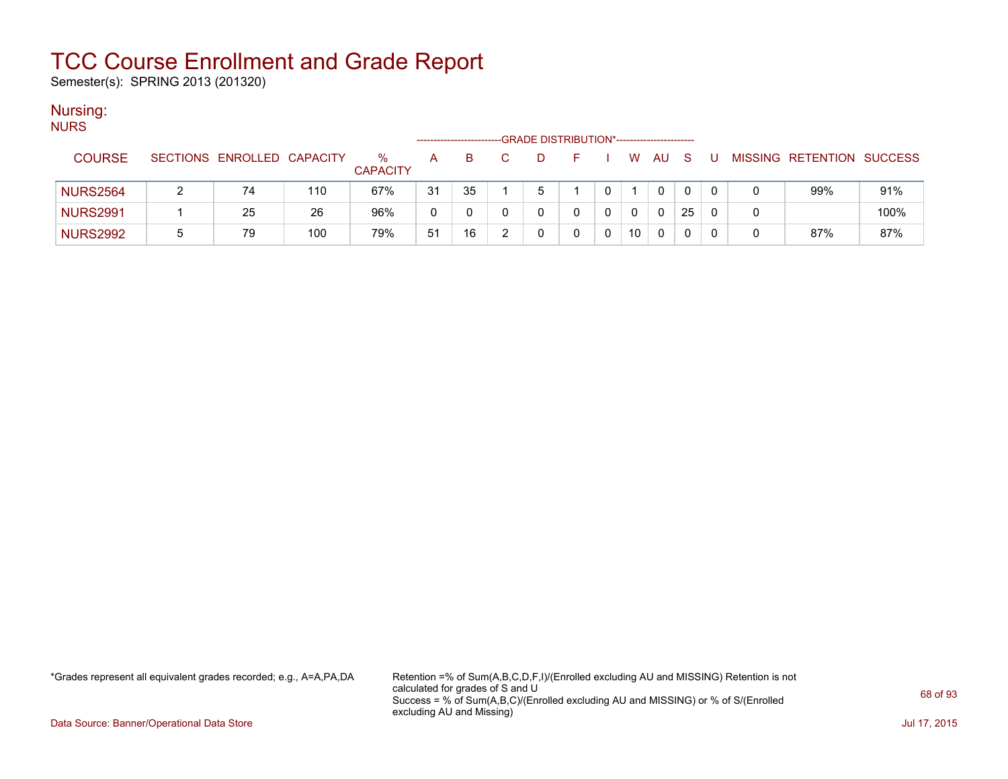Semester(s): SPRING 2013 (201320)

### Nursing:

| <b>NURS</b>     |   |                            |     |                         |    |    |   | -GRADE DISTRIBUTION*----------------------- |          |     |     |   |   |                           |      |
|-----------------|---|----------------------------|-----|-------------------------|----|----|---|---------------------------------------------|----------|-----|-----|---|---|---------------------------|------|
| <b>COURSE</b>   |   | SECTIONS ENROLLED CAPACITY |     | $\%$<br><b>CAPACITY</b> | A  | B. | D | E.                                          | <b>W</b> | AU. | - S | U |   | MISSING RETENTION SUCCESS |      |
| <b>NURS2564</b> |   | 74                         | 110 | 67%                     | 31 | 35 | 5 |                                             |          | 0   |     | 0 |   | 99%                       | 91%  |
| <b>NURS2991</b> |   | 25                         | 26  | 96%                     | 0  | 0  |   |                                             | 0        | 0   | 25  | 0 | 0 |                           | 100% |
| <b>NURS2992</b> | 5 | 79                         | 100 | 79%                     | 51 | 16 |   |                                             | 10       | 0   | 0   |   |   | 87%                       | 87%  |

\*Grades represent all equivalent grades recorded; e.g., A=A,PA,DA Retention =% of Sum(A,B,C,D,F,I)/(Enrolled excluding AU and MISSING) Retention is not calculated for grades of S and U Success = % of Sum(A,B,C)/(Enrolled excluding AU and MISSING) or % of S/(Enrolled excluding AU and Missing)

Data Source: Banner/Operational Data Store Jul 17, 2015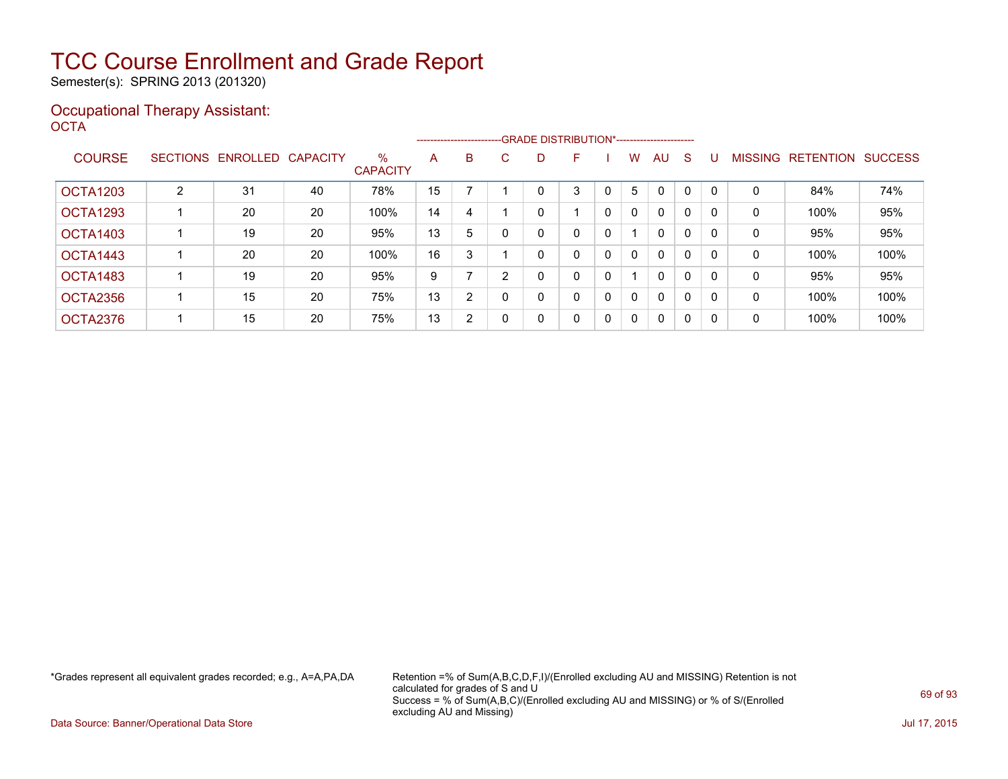Semester(s): SPRING 2013 (201320)

#### Occupational Therapy Assistant: OCTA<sup>'</sup>

|               |                 |          |                 |                         |    |                |    | ------------------------GRADE                DISTRIBUTION*---------------------- |   |              |             |              |              |          |                |                  |                |
|---------------|-----------------|----------|-----------------|-------------------------|----|----------------|----|----------------------------------------------------------------------------------|---|--------------|-------------|--------------|--------------|----------|----------------|------------------|----------------|
| <b>COURSE</b> | <b>SECTIONS</b> | ENROLLED | <b>CAPACITY</b> | $\%$<br><b>CAPACITY</b> | A  | B              | C. | D                                                                                | F |              | W           | AU           | <sub>S</sub> |          | <b>MISSING</b> | <b>RETENTION</b> | <b>SUCCESS</b> |
| OCTA1203      | 2               | 31       | 40              | 78%                     | 15 |                |    |                                                                                  | 3 |              | 5           | 0            | 0            | $\Omega$ | 0              | 84%              | 74%            |
| OCTA1293      |                 | 20       | 20              | 100%                    | 14 | 4              |    | 0                                                                                |   | $\mathbf{0}$ | $\Omega$    | $\mathbf{0}$ | 0            | 0        | 0              | 100%             | 95%            |
| OCTA1403      |                 | 19       | 20              | 95%                     | 13 | 5              |    | 0                                                                                | 0 | 0            |             | 0            | 0            | $\Omega$ | 0              | 95%              | 95%            |
| OCTA1443      |                 | 20       | 20              | 100%                    | 16 | 3              |    | 0                                                                                | 0 | 0            | $\Omega$    | $\mathbf{0}$ | 0            | $\Omega$ | 0              | 100%             | 100%           |
| OCTA1483      |                 | 19       | 20              | 95%                     | 9  |                | 2  | 0                                                                                | 0 | 0            |             | $\mathbf{0}$ | 0            | 0        | 0              | 95%              | 95%            |
| OCTA2356      |                 | 15       | 20              | 75%                     | 13 | $\overline{2}$ |    | 0                                                                                | 0 | $\mathbf{0}$ | $\Omega$    | $\mathbf{0}$ | 0            | $\Omega$ | 0              | 100%             | 100%           |
| OCTA2376      |                 | 15       | 20              | 75%                     | 13 | 2              |    | 0                                                                                | 0 | 0            | $\mathbf 0$ | 0            | 0            | 0        | 0              | 100%             | 100%           |

\*Grades represent all equivalent grades recorded; e.g., A=A,PA,DA Retention =% of Sum(A,B,C,D,F,I)/(Enrolled excluding AU and MISSING) Retention is not calculated for grades of S and U Success = % of Sum(A,B,C)/(Enrolled excluding AU and MISSING) or % of S/(Enrolled excluding AU and Missing)

Data Source: Banner/Operational Data Store Jul 17, 2015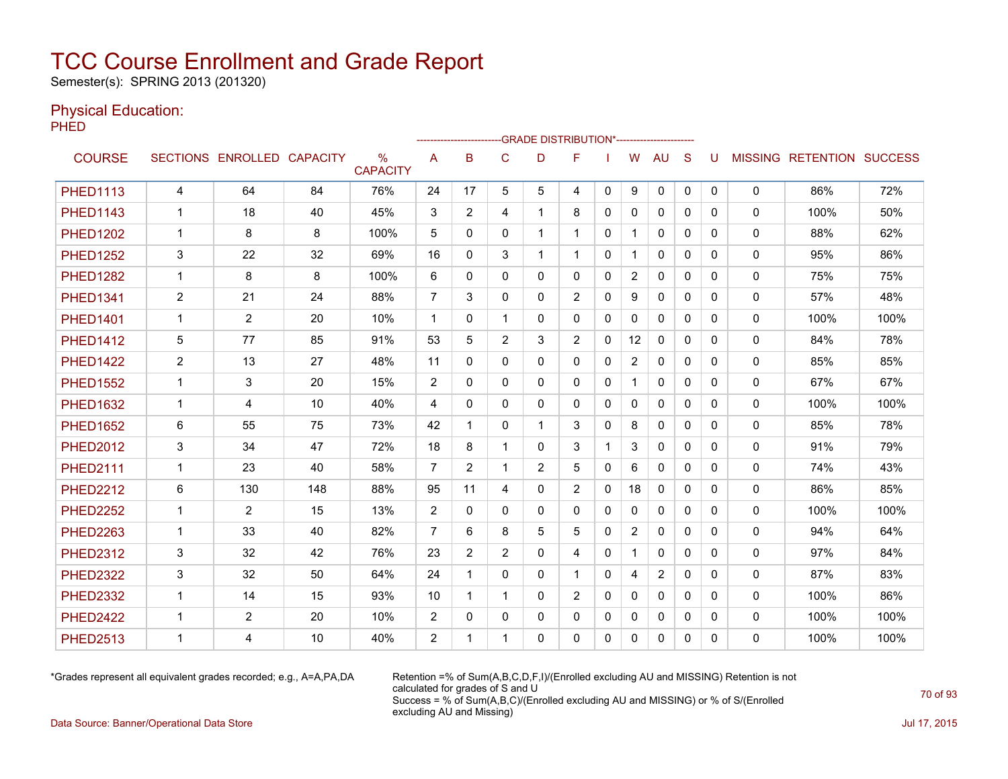Semester(s): SPRING 2013 (201320)

### Physical Education:

**PHED** 

|                 | -- GRADE DISTRIBUTION*-----------------------<br> |                            |     |                         |                |                |                |                |                |              |                |              |              |              |              |                                  |      |
|-----------------|---------------------------------------------------|----------------------------|-----|-------------------------|----------------|----------------|----------------|----------------|----------------|--------------|----------------|--------------|--------------|--------------|--------------|----------------------------------|------|
| <b>COURSE</b>   |                                                   | SECTIONS ENROLLED CAPACITY |     | $\%$<br><b>CAPACITY</b> | A              | B              | C              | D              | F              |              | W              | <b>AU</b>    | <sub>S</sub> | U            |              | <b>MISSING RETENTION SUCCESS</b> |      |
| <b>PHED1113</b> | 4                                                 | 64                         | 84  | 76%                     | 24             | 17             | 5              | 5              | 4              | $\mathbf{0}$ | 9              | 0            | 0            | 0            | 0            | 86%                              | 72%  |
| <b>PHED1143</b> | 1                                                 | 18                         | 40  | 45%                     | 3              | $\overline{2}$ | 4              | $\mathbf{1}$   | 8              | $\Omega$     | $\mathbf{0}$   | $\mathbf{0}$ | $\Omega$     | $\Omega$     | $\mathbf{0}$ | 100%                             | 50%  |
| <b>PHED1202</b> | 1                                                 | 8                          | 8   | 100%                    | 5              | $\Omega$       | 0              | $\mathbf 1$    | 1              | $\mathbf{0}$ |                | $\mathbf{0}$ | $\Omega$     | $\mathbf{0}$ | 0            | 88%                              | 62%  |
| <b>PHED1252</b> | 3                                                 | 22                         | 32  | 69%                     | 16             | 0              | 3              | 1              | 1.             | $\mathbf{0}$ | -1             | 0            | $\mathbf{0}$ | 0            | 0            | 95%                              | 86%  |
| <b>PHED1282</b> | $\mathbf{1}$                                      | 8                          | 8   | 100%                    | 6              | 0              | 0              | 0              | 0              | $\mathbf{0}$ | $\overline{2}$ | 0            | 0            | 0            | 0            | 75%                              | 75%  |
| <b>PHED1341</b> | $\overline{2}$                                    | 21                         | 24  | 88%                     | $\overline{7}$ | 3              | $\mathbf{0}$   | $\mathbf{0}$   | $\overline{2}$ | $\Omega$     | 9              | $\mathbf{0}$ | $\Omega$     | $\Omega$     | $\Omega$     | 57%                              | 48%  |
| <b>PHED1401</b> | $\mathbf{1}$                                      | $\overline{2}$             | 20  | 10%                     | $\overline{1}$ | 0              | $\mathbf{1}$   | 0              | 0              | $\mathbf{0}$ | $\mathbf{0}$   | $\Omega$     | $\mathbf{0}$ | $\mathbf{0}$ | $\mathbf 0$  | 100%                             | 100% |
| <b>PHED1412</b> | 5                                                 | 77                         | 85  | 91%                     | 53             | 5              | $\overline{2}$ | 3              | $\overline{2}$ | $\Omega$     | 12             | $\mathbf{0}$ | $\Omega$     | $\Omega$     | 0            | 84%                              | 78%  |
| <b>PHED1422</b> | $\overline{2}$                                    | 13                         | 27  | 48%                     | 11             | $\Omega$       | $\Omega$       | 0              | 0              | $\Omega$     | $\overline{2}$ | $\mathbf{0}$ | $\Omega$     | $\Omega$     | $\mathbf 0$  | 85%                              | 85%  |
| <b>PHED1552</b> | $\mathbf{1}$                                      | 3                          | 20  | 15%                     | 2              | $\Omega$       | 0              | 0              | 0              | $\mathbf{0}$ | $\mathbf 1$    | $\mathbf{0}$ | $\Omega$     | $\Omega$     | $\mathbf{0}$ | 67%                              | 67%  |
| <b>PHED1632</b> | 1                                                 | 4                          | 10  | 40%                     | 4              | $\Omega$       | 0              | 0              | 0              | $\mathbf{0}$ | $\mathbf{0}$   | $\mathbf{0}$ | $\Omega$     | $\mathbf{0}$ | 0            | 100%                             | 100% |
| <b>PHED1652</b> | 6                                                 | 55                         | 75  | 73%                     | 42             | 1              | 0              | $\mathbf{1}$   | 3              | $\mathbf{0}$ | 8              | $\mathbf{0}$ | $\mathbf{0}$ | $\mathbf{0}$ | $\mathbf{0}$ | 85%                              | 78%  |
| <b>PHED2012</b> | 3                                                 | 34                         | 47  | 72%                     | 18             | 8              | 1              | 0              | 3              |              | 3              | $\mathbf{0}$ | $\Omega$     | $\Omega$     | $\mathbf 0$  | 91%                              | 79%  |
| <b>PHED2111</b> | $\mathbf{1}$                                      | 23                         | 40  | 58%                     | $\overline{7}$ | $\overline{2}$ | $\mathbf 1$    | $\overline{2}$ | 5              | $\mathbf{0}$ | 6              | 0            | $\mathbf{0}$ | 0            | 0            | 74%                              | 43%  |
| <b>PHED2212</b> | 6                                                 | 130                        | 148 | 88%                     | 95             | 11             | 4              | 0              | $\overline{2}$ | $\mathbf{0}$ | 18             | $\mathbf{0}$ | $\Omega$     | $\Omega$     | $\mathbf 0$  | 86%                              | 85%  |
| <b>PHED2252</b> | $\mathbf{1}$                                      | $\overline{2}$             | 15  | 13%                     | 2              | 0              | 0              | 0              | 0              | $\Omega$     | $\mathbf{0}$   | $\mathbf{0}$ | $\Omega$     | $\Omega$     | 0            | 100%                             | 100% |
| <b>PHED2263</b> | $\mathbf{1}$                                      | 33                         | 40  | 82%                     | $\overline{7}$ | 6              | 8              | 5              | 5              | $\Omega$     | $\overline{2}$ | $\Omega$     | $\Omega$     | $\Omega$     | 0            | 94%                              | 64%  |
| <b>PHED2312</b> | 3                                                 | 32                         | 42  | 76%                     | 23             | $\overline{2}$ | 2              | 0              | 4              | $\mathbf{0}$ | 1              | $\mathbf{0}$ | $\Omega$     | $\Omega$     | 0            | 97%                              | 84%  |
| <b>PHED2322</b> | 3                                                 | 32                         | 50  | 64%                     | 24             | 1              | 0              | 0              | 1              | $\mathbf{0}$ | 4              | 2            | $\mathbf{0}$ | $\mathbf{0}$ | 0            | 87%                              | 83%  |
| <b>PHED2332</b> | $\mathbf{1}$                                      | 14                         | 15  | 93%                     | 10             | 1              | 1              | 0              | $\overline{2}$ | $\Omega$     | $\mathbf{0}$   | $\mathbf{0}$ | $\Omega$     | $\Omega$     | 0            | 100%                             | 86%  |
| <b>PHED2422</b> | 1                                                 | $\overline{c}$             | 20  | 10%                     | 2              | 0              | 0              | 0              | 0              | $\mathbf{0}$ | $\Omega$       | 0            | 0            | 0            | 0            | 100%                             | 100% |
| <b>PHED2513</b> | 1                                                 | 4                          | 10  | 40%                     | 2              | 1              |                | 0              | 0              | 0            | 0              | 0            | 0            | $\Omega$     | $\mathbf{0}$ | 100%                             | 100% |

\*Grades represent all equivalent grades recorded; e.g., A=A,PA,DA Retention =% of Sum(A,B,C,D,F,I)/(Enrolled excluding AU and MISSING) Retention is not calculated for grades of S and U Success = % of Sum(A,B,C)/(Enrolled excluding AU and MISSING) or % of S/(Enrolled excluding AU and Missing)

Data Source: Banner/Operational Data Store Jul 17, 2015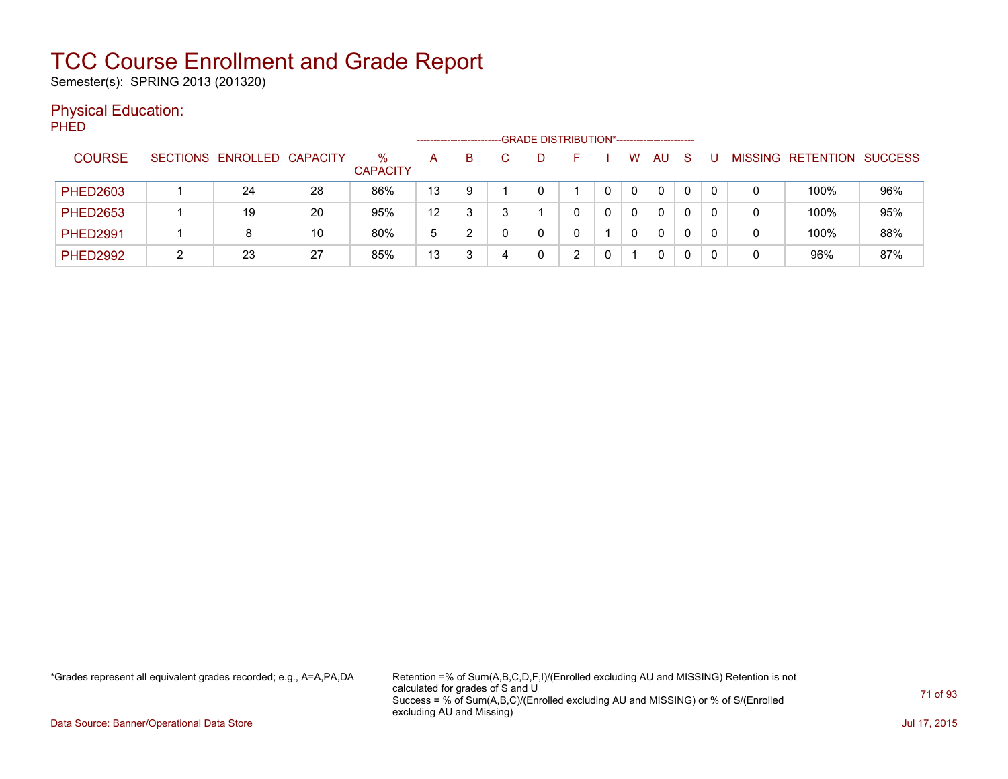Semester(s): SPRING 2013 (201320)

### Physical Education:

PHED

|                 |                            |    |                         | -GRADE DISTRIBUTION*-----------------------<br>-------------------- |   |  |   |   |  |   |              |              |  |                |                  |                |
|-----------------|----------------------------|----|-------------------------|---------------------------------------------------------------------|---|--|---|---|--|---|--------------|--------------|--|----------------|------------------|----------------|
| <b>COURSE</b>   | SECTIONS ENROLLED CAPACITY |    | $\%$<br><b>CAPACITY</b> | A                                                                   | B |  | D |   |  | w | AU           | <sub>S</sub> |  | <b>MISSING</b> | <b>RETENTION</b> | <b>SUCCESS</b> |
| <b>PHED2603</b> | 24                         | 28 | 86%                     | 13                                                                  | 9 |  |   |   |  | 0 | $\mathbf{0}$ |              |  |                | 100%             | 96%            |
| <b>PHED2653</b> | 19                         | 20 | 95%                     | 12                                                                  |   |  |   |   |  | 0 | $\mathbf{0}$ |              |  |                | 100%             | 95%            |
| <b>PHED2991</b> | 8                          | 10 | 80%                     | 5                                                                   | າ |  |   |   |  | 0 | $\mathbf{0}$ |              |  |                | 100%             | 88%            |
| <b>PHED2992</b> | 23                         | 27 | 85%                     | 13                                                                  |   |  |   | ົ |  |   | 0            |              |  |                | 96%              | 87%            |

\*Grades represent all equivalent grades recorded; e.g., A=A,PA,DA Retention =% of Sum(A,B,C,D,F,I)/(Enrolled excluding AU and MISSING) Retention is not calculated for grades of S and U Success = % of Sum(A,B,C)/(Enrolled excluding AU and MISSING) or % of S/(Enrolled excluding AU and Missing)

Data Source: Banner/Operational Data Store Jul 17, 2015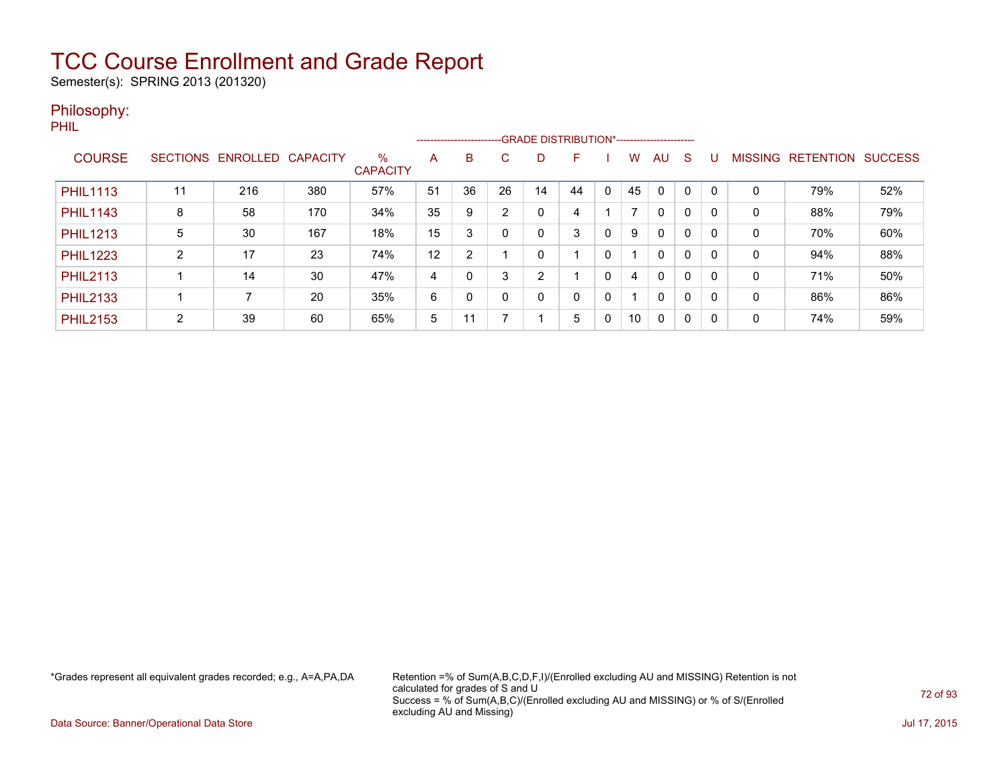Semester(s): SPRING 2013 (201320)

### Philosophy:

PHIL

|                 |                 |          |                 |                         | --------------------------GRADE DISTRIBUTION*----------------------- |                |    |    |    |              |    |              |              |   |                |                  |                |
|-----------------|-----------------|----------|-----------------|-------------------------|----------------------------------------------------------------------|----------------|----|----|----|--------------|----|--------------|--------------|---|----------------|------------------|----------------|
| <b>COURSE</b>   | <b>SECTIONS</b> | ENROLLED | <b>CAPACITY</b> | $\%$<br><b>CAPACITY</b> | A                                                                    | B              | C. | D  |    |              | w  | AU           | S            |   | <b>MISSING</b> | <b>RETENTION</b> | <b>SUCCESS</b> |
| <b>PHIL1113</b> | 11              | 216      | 380             | 57%                     | 51                                                                   | 36             | 26 | 14 | 44 | $\mathbf{0}$ | 45 | $\Omega$     | $\mathbf 0$  | 0 | 0              | 79%              | 52%            |
| <b>PHIL1143</b> | 8               | 58       | 170             | 34%                     | 35                                                                   | 9              | າ  | 0  | 4  |              |    | $\mathbf{0}$ | 0            | 0 | 0              | 88%              | 79%            |
| <b>PHIL1213</b> | 5               | 30       | 167             | 18%                     | 15                                                                   | 3              |    | 0  | 3  | 0            | 9  | $\mathbf{0}$ | 0            | 0 | 0              | 70%              | 60%            |
| <b>PHIL1223</b> | ົ               | 17       | 23              | 74%                     | 12                                                                   | $\overline{2}$ |    | 0  |    | 0            |    | $\mathbf{0}$ | 0            | 0 | 0              | 94%              | 88%            |
| <b>PHIL2113</b> |                 | 14       | 30              | 47%                     | 4                                                                    |                | 3  | 2  |    | 0            | 4  | $\mathbf{0}$ | 0            | 0 | 0              | 71%              | 50%            |
| <b>PHIL2133</b> |                 |          | 20              | 35%                     | 6                                                                    | $\Omega$       |    | 0  | 0  | 0            |    | $\mathbf{0}$ | $\Omega$     | 0 | 0              | 86%              | 86%            |
| <b>PHIL2153</b> | $\overline{2}$  | 39       | 60              | 65%                     | 5                                                                    | 11             |    |    | 5  | 0            | 10 | $\Omega$     | $\mathbf{0}$ | 0 | 0              | 74%              | 59%            |

\*Grades represent all equivalent grades recorded; e.g., A=A,PA,DA Retention =% of Sum(A,B,C,D,F,I)/(Enrolled excluding AU and MISSING) Retention is not calculated for grades of S and U Success = % of Sum(A,B,C)/(Enrolled excluding AU and MISSING) or % of S/(Enrolled excluding AU and Missing)

Data Source: Banner/Operational Data Store Jul 17, 2015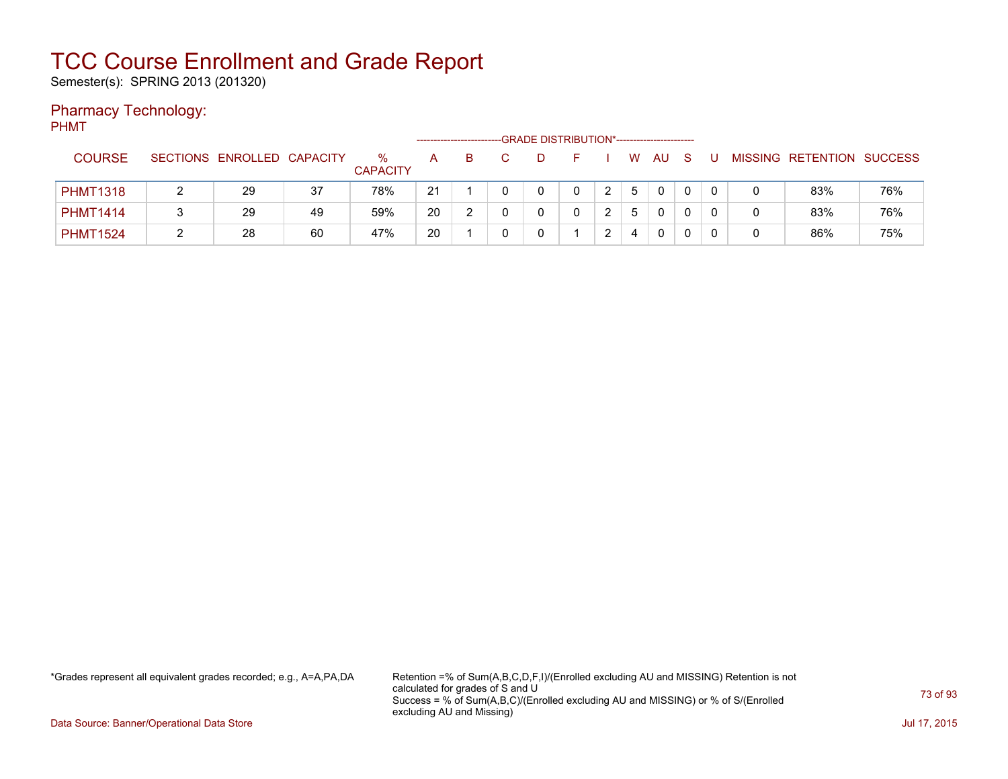Semester(s): SPRING 2013 (201320)

### Pharmacy Technology:

PHMT

|                 |                            |    |                         |    | ---------------------- | -GRADE DISTRIBUTION*----------------------- |   |                |   |              |   |  |                           |     |
|-----------------|----------------------------|----|-------------------------|----|------------------------|---------------------------------------------|---|----------------|---|--------------|---|--|---------------------------|-----|
| <b>COURSE</b>   | SECTIONS ENROLLED CAPACITY |    | $\%$<br><b>CAPACITY</b> | A  | B                      |                                             |   |                | W | AU           | S |  | MISSING RETENTION SUCCESS |     |
| <b>PHMT1318</b> | 29                         | 37 | 78%                     | 21 |                        |                                             | 0 | $\overline{2}$ | 5 | $\mathbf{0}$ |   |  | 83%                       | 76% |
| <b>PHMT1414</b> | 29                         | 49 | 59%                     | 20 |                        |                                             | 0 | ົ              | 5 | $\mathbf{0}$ |   |  | 83%                       | 76% |
| <b>PHMT1524</b> | 28                         | 60 | 47%                     | 20 |                        |                                             |   | ົ              |   | $\mathbf{0}$ |   |  | 86%                       | 75% |

\*Grades represent all equivalent grades recorded; e.g., A=A,PA,DA Retention =% of Sum(A,B,C,D,F,I)/(Enrolled excluding AU and MISSING) Retention is not calculated for grades of S and U Success = % of Sum(A,B,C)/(Enrolled excluding AU and MISSING) or % of S/(Enrolled excluding AU and Missing)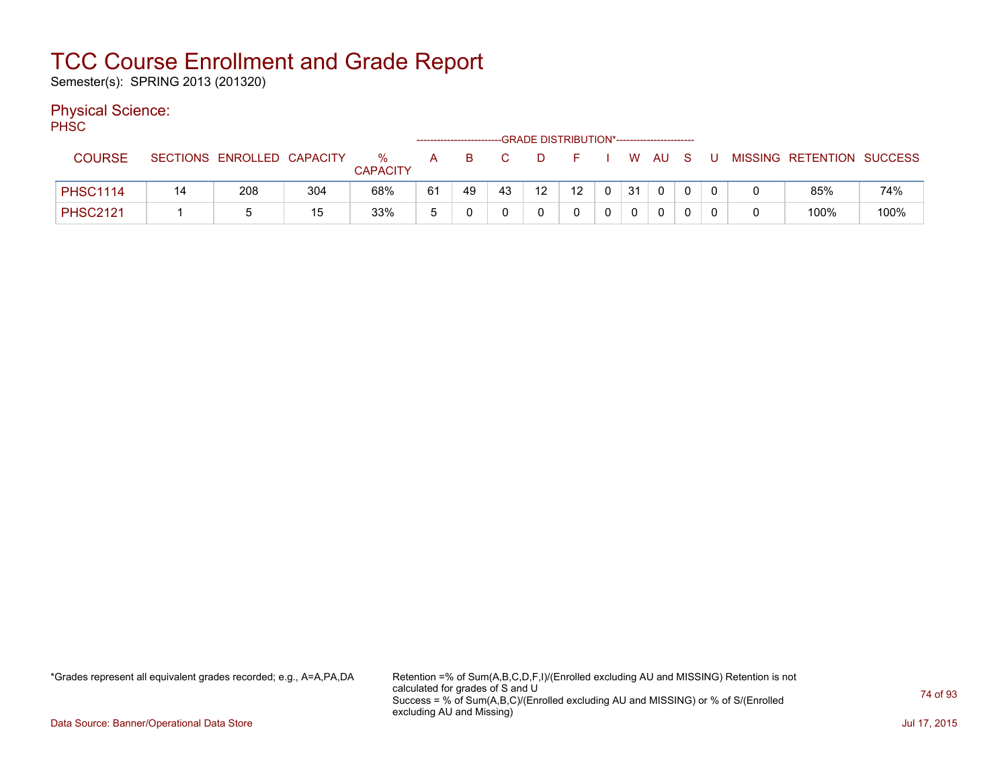Semester(s): SPRING 2013 (201320)

### Physical Science:

PH<sub>SC</sub>

| ----            |    |                            |     |                      |    |    |    | --GRADE DISTRIBUTION*---------------------- |                 |          |    |              |              |   |                           |      |
|-----------------|----|----------------------------|-----|----------------------|----|----|----|---------------------------------------------|-----------------|----------|----|--------------|--------------|---|---------------------------|------|
| <b>COURSE</b>   |    | SECTIONS ENROLLED CAPACITY |     | ℅<br><b>CAPACITY</b> | A  |    |    |                                             |                 |          |    | W AU S       |              |   | MISSING RETENTION SUCCESS |      |
| <b>PHSC1114</b> | 14 | 208                        | 304 | 68%                  | 61 | 49 | 43 | 12 <sup>12</sup>                            | 12 <sup>°</sup> | $\Omega$ | 31 | $\mathbf{0}$ | $\mathbf{0}$ |   | 85%                       | 74%  |
| <b>PHSC2121</b> |    |                            | 15  | 33%                  |    |    |    |                                             |                 |          |    |              |              | 0 | 100%                      | 100% |

\*Grades represent all equivalent grades recorded; e.g., A=A,PA,DA Retention =% of Sum(A,B,C,D,F,I)/(Enrolled excluding AU and MISSING) Retention is not calculated for grades of S and U Success = % of Sum(A,B,C)/(Enrolled excluding AU and MISSING) or % of S/(Enrolled excluding AU and Missing)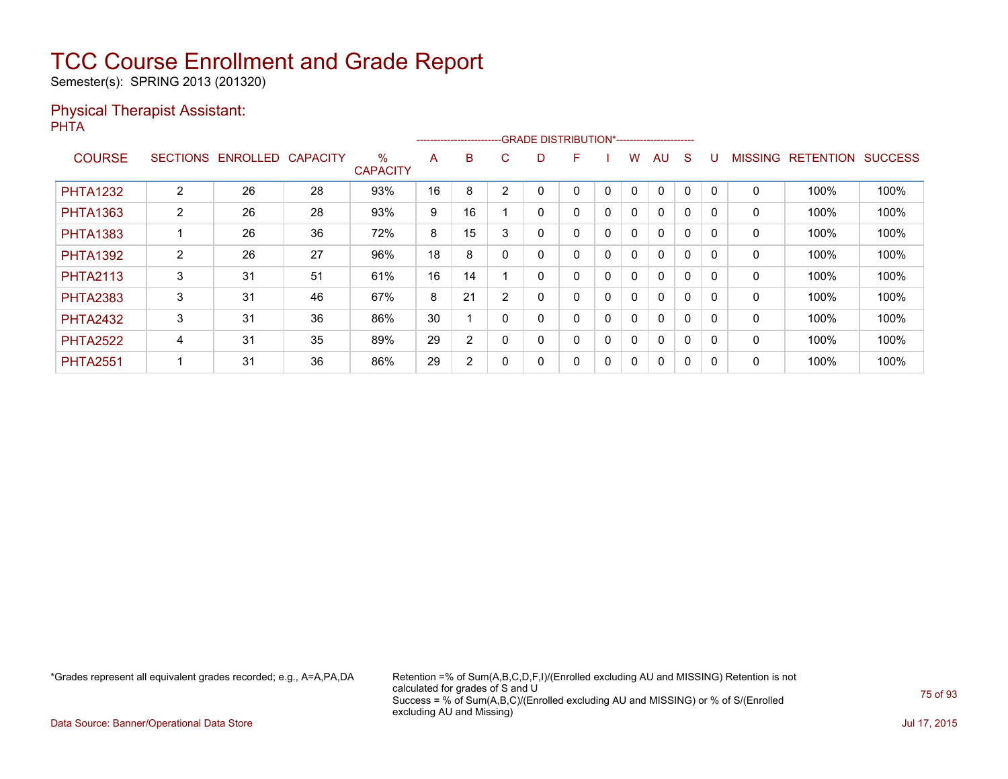Semester(s): SPRING 2013 (201320)

#### Physical Therapist Assistant: PHTA

|                 |                 |          |                 |                         |    |    |        | --------------------------GRADE DISTRIBUTION*----------------------- |   |              |              |              |          |          |                |                  |                |
|-----------------|-----------------|----------|-----------------|-------------------------|----|----|--------|----------------------------------------------------------------------|---|--------------|--------------|--------------|----------|----------|----------------|------------------|----------------|
| <b>COURSE</b>   | <b>SECTIONS</b> | ENROLLED | <b>CAPACITY</b> | $\%$<br><b>CAPACITY</b> | A  | B  | C.     | D                                                                    | F |              | w            | AU           | S        |          | <b>MISSING</b> | <b>RETENTION</b> | <b>SUCCESS</b> |
| <b>PHTA1232</b> | 2               | 26       | 28              | 93%                     | 16 | 8  | 2      | 0                                                                    | 0 | 0            | 0            | $\mathbf{0}$ | 0        | $\Omega$ | 0              | 100%             | 100%           |
| <b>PHTA1363</b> | $\overline{2}$  | 26       | 28              | 93%                     | 9  | 16 |        | 0                                                                    | 0 | 0            | 0            | $\mathbf{0}$ | 0        |          | 0              | 100%             | 100%           |
| <b>PHTA1383</b> |                 | 26       | 36              | 72%                     | 8  | 15 | 3      | 0                                                                    | 0 | $\mathbf{0}$ | $\mathbf{0}$ | $\mathbf{0}$ | $\Omega$ |          | 0              | 100%             | 100%           |
| <b>PHTA1392</b> | 2               | 26       | 27              | 96%                     | 18 | 8  |        | 0                                                                    | 0 | 0            | 0            | $\mathbf{0}$ | 0        | $\Omega$ | 0              | 100%             | 100%           |
| <b>PHTA2113</b> | 3               | 31       | 51              | 61%                     | 16 | 14 |        |                                                                      | 0 | 0            | 0            | $\mathbf{0}$ | 0        |          | 0              | 100%             | 100%           |
| <b>PHTA2383</b> | 3               | 31       | 46              | 67%                     | 8  | 21 | $\sim$ | 0                                                                    | 0 | $\mathbf{0}$ | $\mathbf{0}$ | $\mathbf{0}$ | $\Omega$ |          | 0              | 100%             | 100%           |
| <b>PHTA2432</b> | 3               | 31       | 36              | 86%                     | 30 |    |        | 0                                                                    | 0 | 0            | 0            | $\mathbf{0}$ | 0        | $\Omega$ | 0              | 100%             | 100%           |
| <b>PHTA2522</b> | 4               | 31       | 35              | 89%                     | 29 | 2  |        | 0                                                                    | 0 | 0            | 0            | $\mathbf{0}$ | 0        |          | 0              | 100%             | 100%           |
| <b>PHTA2551</b> |                 | 31       | 36              | 86%                     | 29 | 2  |        |                                                                      | 0 | 0            | 0            | $\mathbf{0}$ | 0        | 0        | 0              | 100%             | 100%           |

\*Grades represent all equivalent grades recorded; e.g., A=A,PA,DA Retention =% of Sum(A,B,C,D,F,I)/(Enrolled excluding AU and MISSING) Retention is not calculated for grades of S and U Success = % of Sum(A,B,C)/(Enrolled excluding AU and MISSING) or % of S/(Enrolled excluding AU and Missing)

Data Source: Banner/Operational Data Store Jul 17, 2015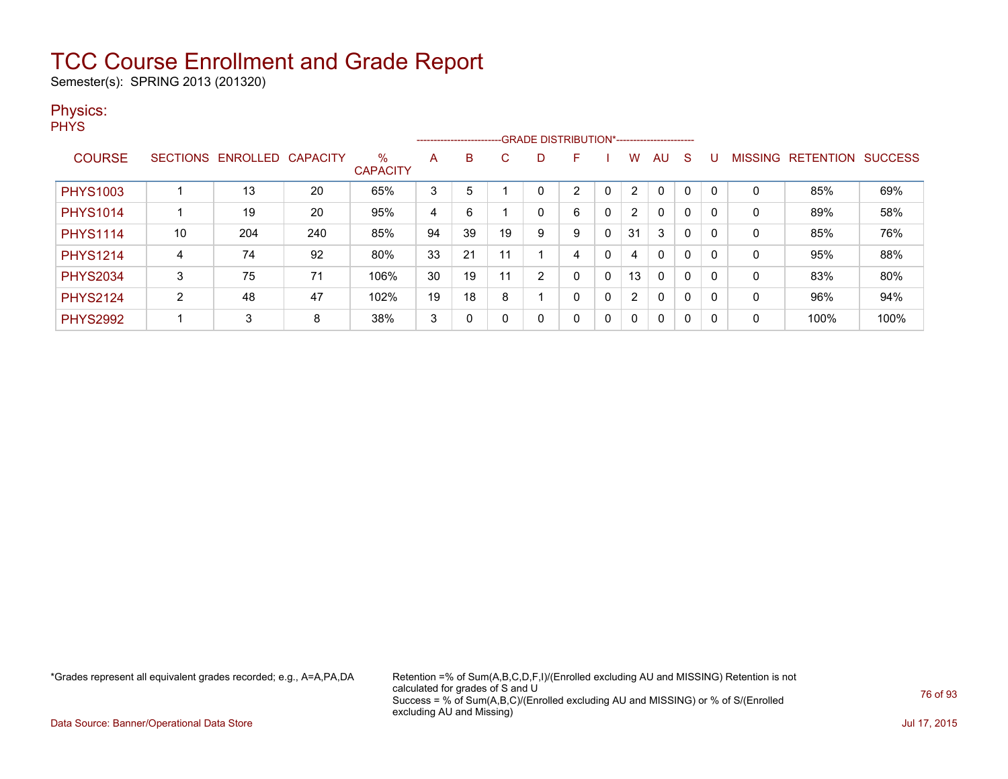Semester(s): SPRING 2013 (201320)

### Physics:

**PHYS** 

|                 |                 |          |                 |                         |    | --------------------------GRADE DISTRIBUTION*----------------------- |     |                |   |              |                      |              |              |          |                |                  |                |
|-----------------|-----------------|----------|-----------------|-------------------------|----|----------------------------------------------------------------------|-----|----------------|---|--------------|----------------------|--------------|--------------|----------|----------------|------------------|----------------|
| <b>COURSE</b>   | <b>SECTIONS</b> | ENROLLED | <b>CAPACITY</b> | $\%$<br><b>CAPACITY</b> | A  | B                                                                    | C   | D              | F |              | W                    | AU           | <sub>S</sub> |          | <b>MISSING</b> | <b>RETENTION</b> | <b>SUCCESS</b> |
| <b>PHYS1003</b> |                 | 13       | 20              | 65%                     | 3  | 5                                                                    |     |                | າ |              | $\overline{2}$       | $\mathbf 0$  | 0            |          | 0              | 85%              | 69%            |
| <b>PHYS1014</b> |                 | 19       | 20              | 95%                     | 4  | 6                                                                    |     | 0              | 6 | 0            | $\mathbf{2}^{\circ}$ | $\mathbf{0}$ | 0            |          | 0              | 89%              | 58%            |
| <b>PHYS1114</b> | 10              | 204      | 240             | 85%                     | 94 | 39                                                                   | 19  | 9              | 9 | 0            | 31                   | 3            | 0            |          | 0              | 85%              | 76%            |
| <b>PHYS1214</b> | 4               | 74       | 92              | 80%                     | 33 | 21                                                                   | 11  |                | 4 | 0            | 4                    | $\mathbf{0}$ | 0            |          | 0              | 95%              | 88%            |
| <b>PHYS2034</b> | 3               | 75       | 71              | 106%                    | 30 | 19                                                                   | -11 | $\overline{2}$ | 0 | 0            | 13                   | $\mathbf{0}$ | 0            | 0        | 0              | 83%              | 80%            |
| <b>PHYS2124</b> | 2               | 48       | 47              | 102%                    | 19 | 18                                                                   | 8   |                | 0 | $\mathbf{0}$ | $\overline{2}$       | $\mathbf{0}$ | 0            | $\Omega$ | 0              | 96%              | 94%            |
| <b>PHYS2992</b> |                 | 3        | 8               | 38%                     | 3  | 0                                                                    | 0   | 0              | 0 | $\mathbf{0}$ | $\Omega$             | $\mathbf{0}$ | 0            | -0       | 0              | 100%             | 100%           |

\*Grades represent all equivalent grades recorded; e.g., A=A,PA,DA Retention =% of Sum(A,B,C,D,F,I)/(Enrolled excluding AU and MISSING) Retention is not calculated for grades of S and U Success = % of Sum(A,B,C)/(Enrolled excluding AU and MISSING) or % of S/(Enrolled excluding AU and Missing)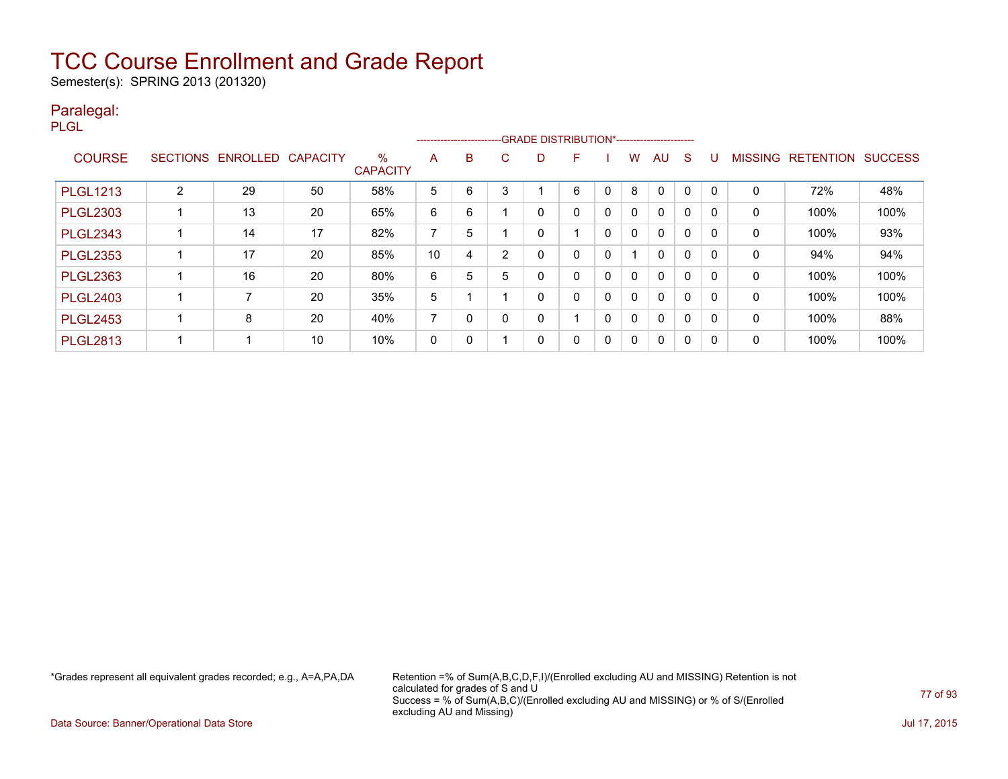Semester(s): SPRING 2013 (201320)

### Paralegal:

PLGL

|                 |                 |                          |    |                         |                |              |   |   | --------------------------GRADE DISTRIBUTION*----------------------- |   |   |              |              |              |                |                  |                |
|-----------------|-----------------|--------------------------|----|-------------------------|----------------|--------------|---|---|----------------------------------------------------------------------|---|---|--------------|--------------|--------------|----------------|------------------|----------------|
| <b>COURSE</b>   | <b>SECTIONS</b> | <b>ENROLLED CAPACITY</b> |    | $\%$<br><b>CAPACITY</b> | A              | B            | С | D |                                                                      |   | w | AU           | S            | U            | <b>MISSING</b> | <b>RETENTION</b> | <b>SUCCESS</b> |
| <b>PLGL1213</b> | C               | 29                       | 50 | 58%                     | 5              | 6            | 3 |   | 6                                                                    | 0 | 8 | 0            |              |              | 0              | 72%              | 48%            |
| <b>PLGL2303</b> |                 | 13                       | 20 | 65%                     | 6              | 6            |   | 0 | 0                                                                    | 0 | 0 | $\Omega$     | 0            | <sup>0</sup> | 0              | 100%             | 100%           |
| <b>PLGL2343</b> |                 | 14                       | 17 | 82%                     | $\overline{ }$ | 5            |   | 0 |                                                                      | 0 | 0 | $\Omega$     | $\Omega$     | $\Omega$     | $\mathbf{0}$   | 100%             | 93%            |
| <b>PLGL2353</b> |                 | 17                       | 20 | 85%                     | 10             | 4            | ົ | 0 | 0                                                                    | 0 |   | $\mathbf{0}$ | 0            |              | 0              | 94%              | 94%            |
| <b>PLGL2363</b> |                 | 16                       | 20 | 80%                     | 6              | 5            | 5 | 0 | $\Omega$                                                             | 0 | 0 | $\Omega$     | $\Omega$     | $\Omega$     | 0              | 100%             | 100%           |
| <b>PLGL2403</b> |                 |                          | 20 | 35%                     | 5              |              |   | 0 | 0                                                                    | 0 | 0 | $\Omega$     | $\mathbf{0}$ | O            | 0              | 100%             | 100%           |
| <b>PLGL2453</b> |                 | 8                        | 20 | 40%                     | ⇁              | <sup>0</sup> |   | 0 |                                                                      | 0 | 0 | $\mathbf{0}$ | 0            | 0            | 0              | 100%             | 88%            |
| <b>PLGL2813</b> |                 |                          | 10 | 10%                     | 0              |              |   | 0 | 0                                                                    | 0 | 0 | $\Omega$     | 0            | 0            | 0              | 100%             | 100%           |

\*Grades represent all equivalent grades recorded; e.g., A=A,PA,DA Retention =% of Sum(A,B,C,D,F,I)/(Enrolled excluding AU and MISSING) Retention is not calculated for grades of S and U Success = % of Sum(A,B,C)/(Enrolled excluding AU and MISSING) or % of S/(Enrolled excluding AU and Missing)

Data Source: Banner/Operational Data Store Jul 17, 2015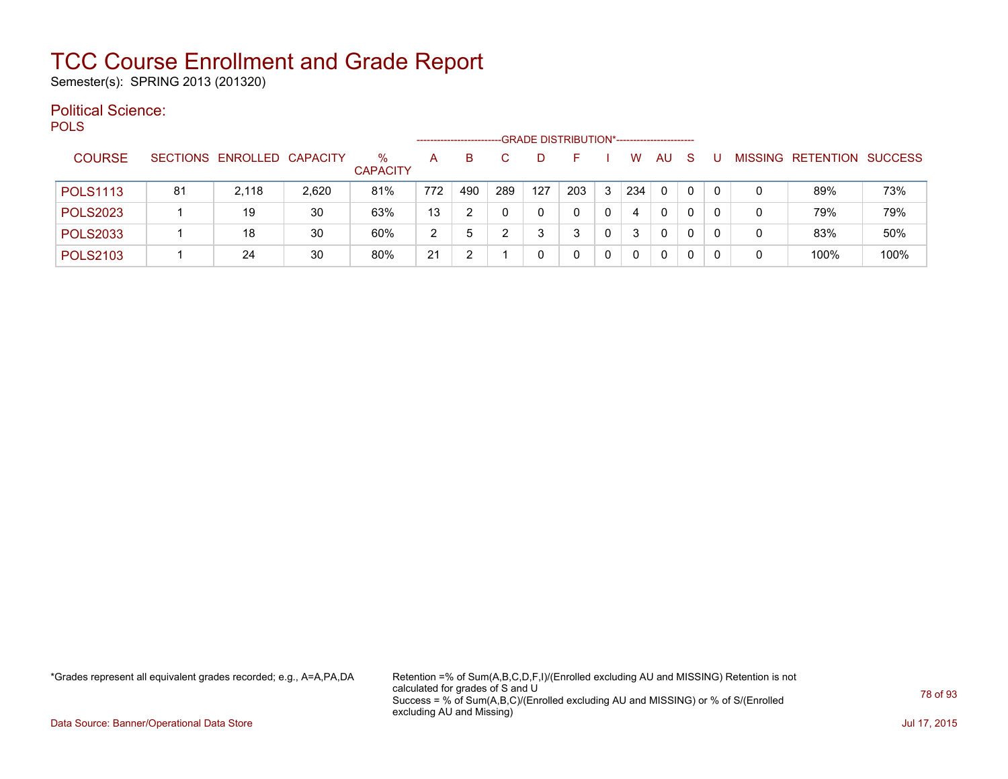Semester(s): SPRING 2013 (201320)

#### Political Science: POLS

| ິ               |    |                            |       |                         | -------------------- |     |     |     | -GRADE DISTRIBUTION*----------------------- |              |          |              |   |    |   |                   |                |
|-----------------|----|----------------------------|-------|-------------------------|----------------------|-----|-----|-----|---------------------------------------------|--------------|----------|--------------|---|----|---|-------------------|----------------|
| <b>COURSE</b>   |    | SECTIONS ENROLLED CAPACITY |       | $\%$<br><b>CAPACITY</b> | А                    | B   |     |     |                                             |              | W        | AU           | S |    |   | MISSING RETENTION | <b>SUCCESS</b> |
| <b>POLS1113</b> | 81 | 2.118                      | 2,620 | 81%                     | 772                  | 490 | 289 | 127 | 203                                         | 3            | 234      | 0            | 0 |    |   | 89%               | 73%            |
| <b>POLS2023</b> |    | 19                         | 30    | 63%                     | 13                   |     | 0   |     |                                             | 0            | 4        | $\mathbf{0}$ | 0 | -0 | 0 | 79%               | 79%            |
| <b>POLS2033</b> |    | 18                         | 30    | 60%                     | 2                    |     |     |     |                                             | $\mathbf{0}$ |          | $\mathbf{0}$ | 0 |    |   | 83%               | 50%            |
| <b>POLS2103</b> |    | 24                         | 30    | 80%                     | 21                   |     |     |     |                                             | 0            | $\Omega$ | $\mathbf{0}$ | 0 |    |   | 100%              | 100%           |

\*Grades represent all equivalent grades recorded; e.g., A=A,PA,DA Retention =% of Sum(A,B,C,D,F,I)/(Enrolled excluding AU and MISSING) Retention is not calculated for grades of S and U Success = % of Sum(A,B,C)/(Enrolled excluding AU and MISSING) or % of S/(Enrolled excluding AU and Missing)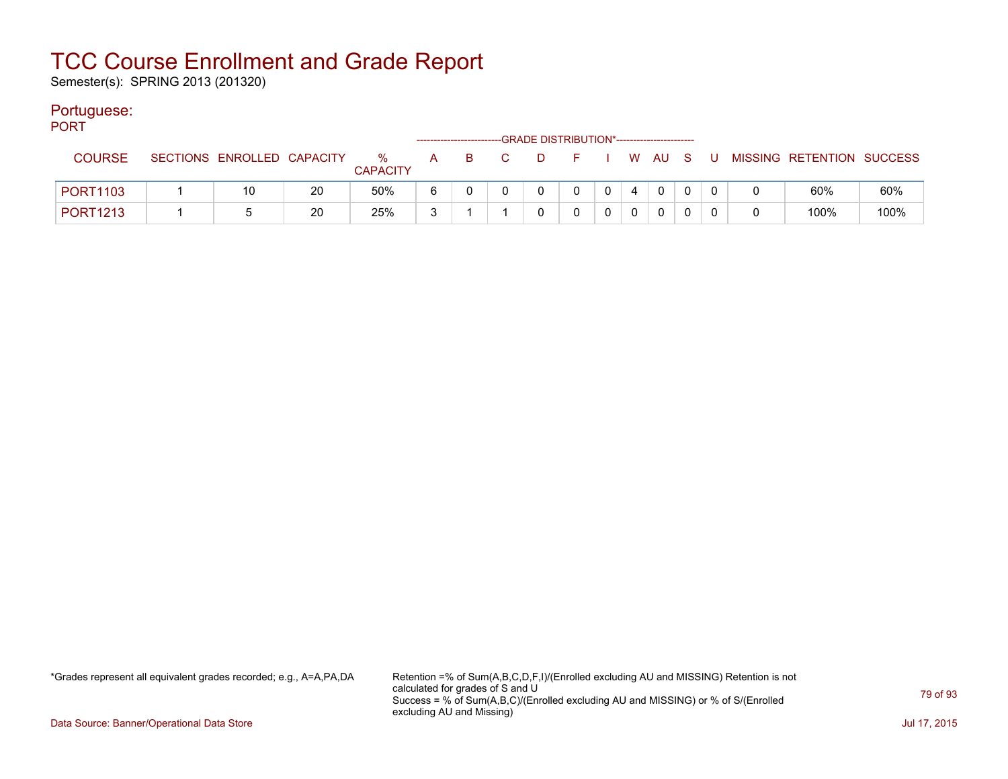Semester(s): SPRING 2013 (201320)

#### Portuguese:

| PORT            |                            |    |                         |    | ------------------------- |                |      | -GRADE DISTRIBUTION*----------------------- |                |          |     |                           |      |
|-----------------|----------------------------|----|-------------------------|----|---------------------------|----------------|------|---------------------------------------------|----------------|----------|-----|---------------------------|------|
| <b>COURSE</b>   | SECTIONS ENROLLED CAPACITY |    | $\%$<br><b>CAPACITY</b> | A. | B.                        | $\overline{C}$ | . D. | F I W AU S                                  |                |          | . U | MISSING RETENTION SUCCESS |      |
| <b>PORT1103</b> | 10                         | 20 | 50%                     | 6  |                           |                |      | 0                                           | $\overline{0}$ | $\Omega$ |     | 60%                       | 60%  |
| <b>PORT1213</b> |                            | 20 | 25%                     | ີ  |                           |                |      |                                             |                | 0        |     | 100%                      | 100% |

\*Grades represent all equivalent grades recorded; e.g., A=A,PA,DA Retention =% of Sum(A,B,C,D,F,I)/(Enrolled excluding AU and MISSING) Retention is not calculated for grades of S and U Success = % of Sum(A,B,C)/(Enrolled excluding AU and MISSING) or % of S/(Enrolled excluding AU and Missing)

Data Source: Banner/Operational Data Store Jul 17, 2015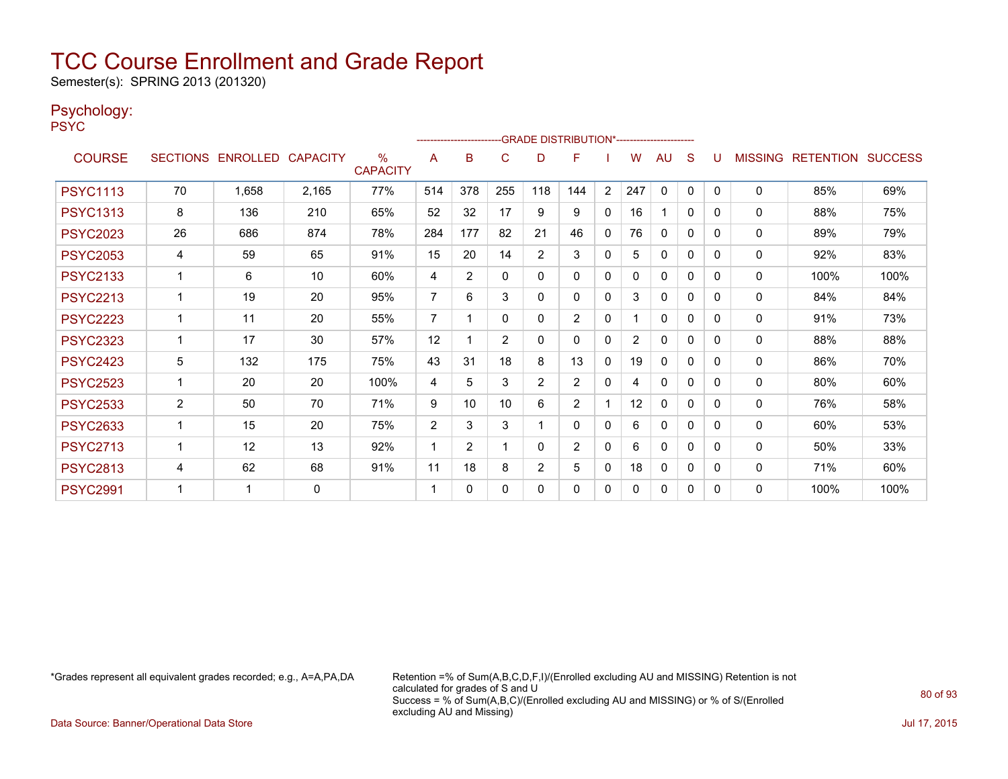Semester(s): SPRING 2013 (201320)

#### Psychology:

PSYC

|                 |                |                            |       |                         |                | ----------------------- |              |                | -GRADE DISTRIBUTION*---------------------- |                |                |              |              |          |              |                                  |      |
|-----------------|----------------|----------------------------|-------|-------------------------|----------------|-------------------------|--------------|----------------|--------------------------------------------|----------------|----------------|--------------|--------------|----------|--------------|----------------------------------|------|
| <b>COURSE</b>   |                | SECTIONS ENROLLED CAPACITY |       | $\%$<br><b>CAPACITY</b> | A              | B                       | C            | D              | F                                          |                | w              | AU           | S            |          |              | <b>MISSING RETENTION SUCCESS</b> |      |
| <b>PSYC1113</b> | 70             | 1,658                      | 2,165 | 77%                     | 514            | 378                     | 255          | 118            | 144                                        | $\overline{2}$ | 247            | $\mathbf{0}$ | $\mathbf{0}$ | $\Omega$ | 0            | 85%                              | 69%  |
| <b>PSYC1313</b> | 8              | 136                        | 210   | 65%                     | 52             | 32                      | 17           | 9              | 9                                          | $\mathbf{0}$   | 16             |              | $\mathbf{0}$ | 0        | 0            | 88%                              | 75%  |
| <b>PSYC2023</b> | 26             | 686                        | 874   | 78%                     | 284            | 177                     | 82           | 21             | 46                                         | $\mathbf{0}$   | 76             | 0            | 0            | 0        | 0            | 89%                              | 79%  |
| <b>PSYC2053</b> | 4              | 59                         | 65    | 91%                     | 15             | 20                      | 14           | $\overline{2}$ | 3                                          | $\mathbf{0}$   | 5.             | 0            | 0            | 0        | $\mathbf{0}$ | 92%                              | 83%  |
| <b>PSYC2133</b> |                | 6                          | 10    | 60%                     | 4              | 2                       | $\mathbf{0}$ | $\mathbf{0}$   | 0                                          | $\mathbf{0}$   | 0              | $\mathbf{0}$ | 0            | 0        | 0            | 100%                             | 100% |
| <b>PSYC2213</b> | 1              | 19                         | 20    | 95%                     | 7              | 6                       | 3            | $\mathbf{0}$   | 0                                          | $\mathbf{0}$   | 3              | $\mathbf{0}$ | $\mathbf{0}$ | 0        | 0            | 84%                              | 84%  |
| <b>PSYC2223</b> | 1              | 11                         | 20    | 55%                     | $\overline{7}$ | 1                       | $\mathbf{0}$ | 0              | $\overline{2}$                             | $\mathbf{0}$   |                | $\mathbf{0}$ | 0            | 0        | 0            | 91%                              | 73%  |
| <b>PSYC2323</b> |                | 17                         | 30    | 57%                     | 12             |                         | 2            | $\mathbf{0}$   | $\Omega$                                   | $\mathbf{0}$   | $\overline{2}$ | $\Omega$     | 0            | 0        | 0            | 88%                              | 88%  |
| <b>PSYC2423</b> | 5              | 132                        | 175   | 75%                     | 43             | 31                      | 18           | 8              | 13                                         | 0              | 19             | $\mathbf{0}$ | $\Omega$     | 0        | 0            | 86%                              | 70%  |
| <b>PSYC2523</b> | 1              | 20                         | 20    | 100%                    | 4              | 5                       | 3            | $\overline{2}$ | $\overline{2}$                             | $\mathbf{0}$   | 4              | $\mathbf{0}$ | 0            | 0        | 0            | 80%                              | 60%  |
| <b>PSYC2533</b> | $\overline{2}$ | 50                         | 70    | 71%                     | 9              | 10                      | 10           | 6              | $\overline{2}$                             |                | 12             | $\Omega$     | 0            | 0        | 0            | 76%                              | 58%  |
| <b>PSYC2633</b> | 1              | 15                         | 20    | 75%                     | 2              | 3                       | 3            |                | $\Omega$                                   | $\mathbf{0}$   | 6              | $\mathbf{0}$ | $\mathbf{0}$ | 0        | $\Omega$     | 60%                              | 53%  |
| <b>PSYC2713</b> | 1              | 12                         | 13    | 92%                     | 1              | $\overline{2}$          |              | $\Omega$       | $\overline{2}$                             | $\mathbf{0}$   | 6              | $\mathbf{0}$ | $\Omega$     | 0        | $\mathbf{0}$ | 50%                              | 33%  |
| <b>PSYC2813</b> | 4              | 62                         | 68    | 91%                     | 11             | 18                      | 8            | 2              | 5                                          | $\mathbf{0}$   | 18             | $\mathbf{0}$ | 0            | 0        | 0            | 71%                              | 60%  |
| <b>PSYC2991</b> | -1             | -1                         | 0     |                         | 1              | 0                       | $\Omega$     | 0              | 0                                          | 0              | 0              | $\mathbf{0}$ | 0            | 0        | $\mathbf{0}$ | 100%                             | 100% |

\*Grades represent all equivalent grades recorded; e.g., A=A,PA,DA Retention =% of Sum(A,B,C,D,F,I)/(Enrolled excluding AU and MISSING) Retention is not calculated for grades of S and U Success = % of Sum(A,B,C)/(Enrolled excluding AU and MISSING) or % of S/(Enrolled excluding AU and Missing)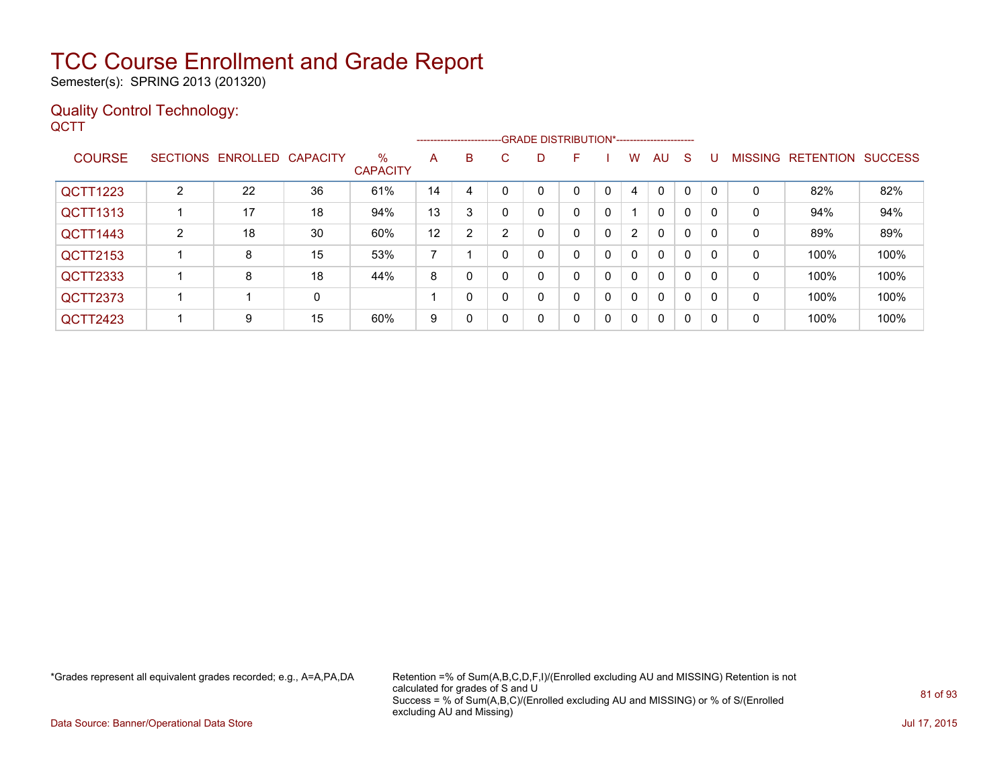Semester(s): SPRING 2013 (201320)

#### Quality Control Technology: **QCTT**

|                 |   |                            |    |                         |                |   |    |   | -------------------------GRADE DISTRIBUTION*----------------------- |             |                |              |              |          |                |                  |                |
|-----------------|---|----------------------------|----|-------------------------|----------------|---|----|---|---------------------------------------------------------------------|-------------|----------------|--------------|--------------|----------|----------------|------------------|----------------|
| <b>COURSE</b>   |   | SECTIONS ENROLLED CAPACITY |    | $\%$<br><b>CAPACITY</b> | A              | B | C. | D | F.                                                                  |             | W              | AU           | <sub>S</sub> | U        | <b>MISSING</b> | <b>RETENTION</b> | <b>SUCCESS</b> |
| <b>QCTT1223</b> | າ | 22                         | 36 | 61%                     | 14             | 4 |    |   |                                                                     |             | 4              | $\Omega$     | 0            |          | 0              | 82%              | 82%            |
| QCTT1313        |   | 17                         | 18 | 94%                     | 13             | 3 |    | 0 | 0                                                                   | 0           |                | $\mathbf{0}$ | 0            |          | 0              | 94%              | 94%            |
| QCTT1443        | 2 | 18                         | 30 | 60%                     | 12             | 2 |    |   | 0                                                                   | 0           | $\overline{2}$ | $\mathbf{0}$ | 0            |          | 0              | 89%              | 89%            |
| QCTT2153        |   | 8                          | 15 | 53%                     | $\overline{ }$ |   |    |   | 0                                                                   | $\mathbf 0$ | $\mathbf{0}$   | $\mathbf{0}$ | 0            | $\Omega$ | 0              | 100%             | 100%           |
| QCTT2333        |   | 8                          | 18 | 44%                     | 8              | 0 |    | 0 | 0                                                                   | 0           | $\mathbf{0}$   | $\mathbf{0}$ | 0            |          | $\mathbf{0}$   | 100%             | 100%           |
| QCTT2373        |   |                            | 0  |                         |                | 0 |    | 0 | 0                                                                   | 0           | $\mathbf{0}$   | $\mathbf{0}$ | 0            | $\Omega$ | 0              | 100%             | 100%           |
| QCTT2423        |   | 9                          | 15 | 60%                     | 9              | 0 |    | 0 | 0                                                                   | 0           | $\mathbf{0}$   | $\mathbf{0}$ | 0            | $\Omega$ | 0              | 100%             | 100%           |

\*Grades represent all equivalent grades recorded; e.g., A=A,PA,DA Retention =% of Sum(A,B,C,D,F,I)/(Enrolled excluding AU and MISSING) Retention is not calculated for grades of S and U Success = % of Sum(A,B,C)/(Enrolled excluding AU and MISSING) or % of S/(Enrolled excluding AU and Missing)

Data Source: Banner/Operational Data Store Jul 17, 2015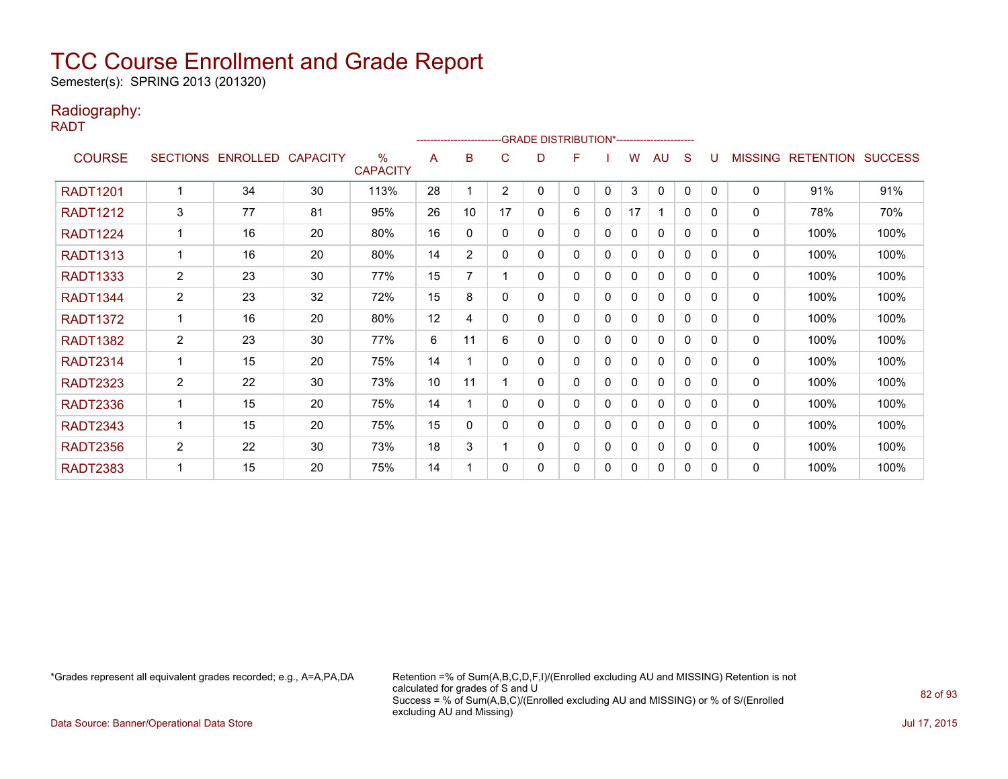Semester(s): SPRING 2013 (201320)

### Radiography:

RADT

|                 |                |                            |    |                                  |    |          | ------------------------GRADE            DISTRIBUTION*------------------------ |   |   |   |    |              |          |          |                |                  |                |
|-----------------|----------------|----------------------------|----|----------------------------------|----|----------|--------------------------------------------------------------------------------|---|---|---|----|--------------|----------|----------|----------------|------------------|----------------|
| <b>COURSE</b>   |                | SECTIONS ENROLLED CAPACITY |    | $\frac{0}{0}$<br><b>CAPACITY</b> | A  | в        | С                                                                              | D | F |   | w  | AU           | S        | U        | <b>MISSING</b> | <b>RETENTION</b> | <b>SUCCESS</b> |
| <b>RADT1201</b> |                | 34                         | 30 | 113%                             | 28 |          | 2                                                                              | 0 | 0 | 0 | 3  | $\mathbf{0}$ | 0        | $\Omega$ | 0              | 91%              | 91%            |
| <b>RADT1212</b> | 3              | 77                         | 81 | 95%                              | 26 | 10       | 17                                                                             | 0 | 6 | 0 | 17 | 1            | $\Omega$ | 0        | 0              | 78%              | 70%            |
| <b>RADT1224</b> |                | 16                         | 20 | 80%                              | 16 | $\Omega$ | $\Omega$                                                                       | 0 | 0 | 0 | 0  | $\mathbf{0}$ | 0        | $\Omega$ | 0              | 100%             | 100%           |
| <b>RADT1313</b> |                | 16                         | 20 | 80%                              | 14 | 2        | 0                                                                              | 0 | 0 | 0 | 0  | $\mathbf{0}$ | 0        | 0        | 0              | 100%             | 100%           |
| <b>RADT1333</b> | $\overline{2}$ | 23                         | 30 | 77%                              | 15 |          |                                                                                | 0 | 0 | 0 | 0  | $\Omega$     | 0        | 0        | 0              | 100%             | 100%           |
| <b>RADT1344</b> | $\overline{2}$ | 23                         | 32 | 72%                              | 15 | 8        | $\mathbf{0}$                                                                   | 0 | 0 | 0 | 0  | 0            | 0        | $\Omega$ | 0              | 100%             | 100%           |
| <b>RADT1372</b> |                | 16                         | 20 | 80%                              | 12 | 4        | 0                                                                              | 0 | 0 | 0 | 0  | $\mathbf{0}$ | 0        | 0        | 0              | 100%             | 100%           |
| <b>RADT1382</b> | $\overline{2}$ | 23                         | 30 | 77%                              | 6  | 11       | 6                                                                              | 0 | 0 | 0 | 0  | 0            | 0        | 0        | 0              | 100%             | 100%           |
| <b>RADT2314</b> |                | 15                         | 20 | 75%                              | 14 |          | $\Omega$                                                                       | 0 | 0 | 0 | 0  | $\mathbf{0}$ | 0        | 0        | 0              | 100%             | 100%           |
| <b>RADT2323</b> | 2              | 22                         | 30 | 73%                              | 10 | 11       |                                                                                | 0 | 0 | 0 | 0  | $\mathbf{0}$ | 0        | 0        | 0              | 100%             | 100%           |
| <b>RADT2336</b> |                | 15                         | 20 | 75%                              | 14 |          | $\Omega$                                                                       | 0 | 0 | 0 | 0  | $\mathbf{0}$ | 0        | 0        | 0              | 100%             | 100%           |
| <b>RADT2343</b> |                | 15                         | 20 | 75%                              | 15 | 0        | $\mathbf{0}$                                                                   | 0 | 0 | 0 | 0  | 0            | 0        | $\Omega$ | 0              | 100%             | 100%           |
| <b>RADT2356</b> | $\overline{2}$ | 22                         | 30 | 73%                              | 18 | 3        |                                                                                | 0 | 0 | 0 | 0  | $\mathbf{0}$ | 0        | $\Omega$ | 0              | 100%             | 100%           |
| <b>RADT2383</b> |                | 15                         | 20 | 75%                              | 14 |          | $\Omega$                                                                       | 0 | 0 | 0 | 0  | $\mathbf{0}$ | 0        | $\Omega$ | 0              | 100%             | 100%           |

\*Grades represent all equivalent grades recorded; e.g., A=A,PA,DA Retention =% of Sum(A,B,C,D,F,I)/(Enrolled excluding AU and MISSING) Retention is not calculated for grades of S and U Success = % of Sum(A,B,C)/(Enrolled excluding AU and MISSING) or % of S/(Enrolled excluding AU and Missing)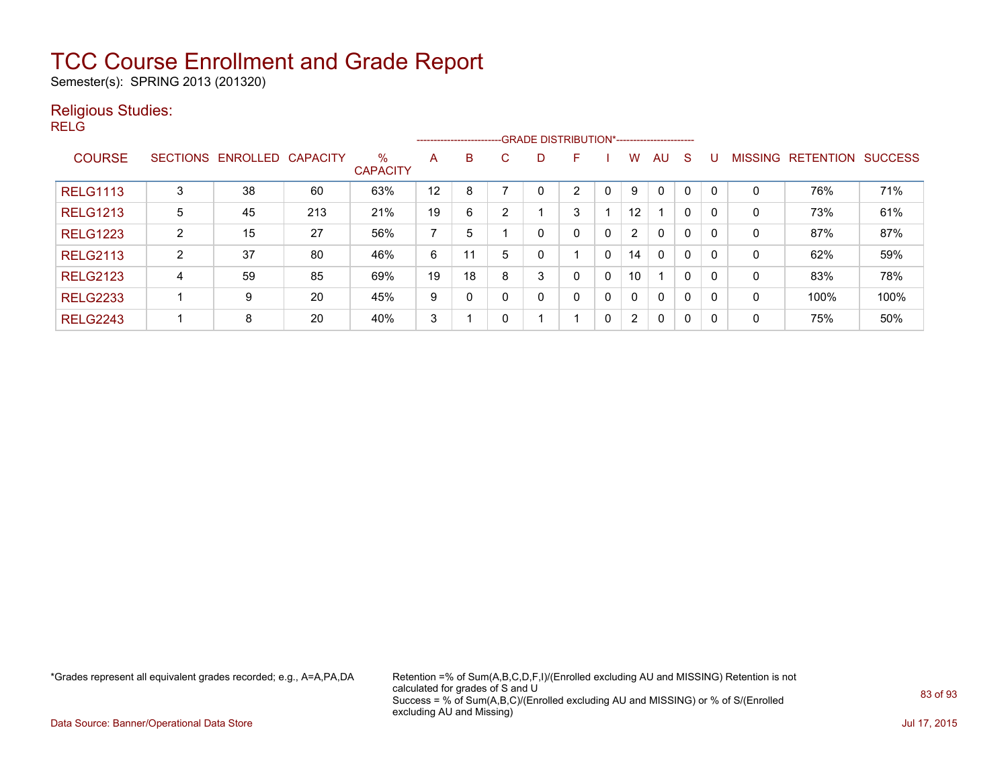Semester(s): SPRING 2013 (201320)

#### Religious Studies:

RELG

|                 |                 |          |                 |                         |    | --------------------------GRADE DISTRIBUTION*----------------------- |   |   |                |   |                |              |              |              |                |                  |                |
|-----------------|-----------------|----------|-----------------|-------------------------|----|----------------------------------------------------------------------|---|---|----------------|---|----------------|--------------|--------------|--------------|----------------|------------------|----------------|
| <b>COURSE</b>   | <b>SECTIONS</b> | ENROLLED | <b>CAPACITY</b> | $\%$<br><b>CAPACITY</b> | A  | B                                                                    | С | D |                |   | w              | AU.          | <sub>S</sub> |              | <b>MISSING</b> | <b>RETENTION</b> | <b>SUCCESS</b> |
| <b>RELG1113</b> | 3               | 38       | 60              | 63%                     | 12 | 8                                                                    |   | 0 | $\overline{2}$ |   | 9              | $\mathbf 0$  | $\Omega$     | $\Omega$     | 0              | 76%              | 71%            |
| <b>RELG1213</b> | 5               | 45       | 213             | 21%                     | 19 | 6                                                                    | ົ |   | 3              |   | 12             |              | 0            | $\mathbf{0}$ | 0              | 73%              | 61%            |
| <b>RELG1223</b> | $\overline{2}$  | 15       | 27              | 56%                     | 7  | 5                                                                    |   | 0 | $\Omega$       | 0 | $\overline{2}$ | $\mathbf{0}$ | 0            | $\mathbf{0}$ | 0              | 87%              | 87%            |
| <b>RELG2113</b> | າ               | 37       | 80              | 46%                     | 6  | 11                                                                   | 5 | 0 |                | 0 | 14             | $\mathbf{0}$ | $\mathbf{0}$ | $\mathbf{0}$ | 0              | 62%              | 59%            |
| <b>RELG2123</b> | 4               | 59       | 85              | 69%                     | 19 | 18                                                                   | 8 | 3 | 0              | 0 | 10             | 1            | $\mathbf{0}$ | $\mathbf{0}$ | 0              | 83%              | 78%            |
| <b>RELG2233</b> |                 | 9        | 20              | 45%                     | 9  |                                                                      |   | 0 | 0              | 0 | 0              | $\mathbf{0}$ | $\mathbf{0}$ | $\mathbf{0}$ | 0              | 100%             | 100%           |
| <b>RELG2243</b> |                 | 8        | 20              | 40%                     | 3  |                                                                      |   |   | -1             | 0 | $\overline{2}$ | $\mathbf{0}$ | $\Omega$     | $\mathbf{0}$ | 0              | 75%              | 50%            |

\*Grades represent all equivalent grades recorded; e.g., A=A,PA,DA Retention =% of Sum(A,B,C,D,F,I)/(Enrolled excluding AU and MISSING) Retention is not calculated for grades of S and U Success = % of Sum(A,B,C)/(Enrolled excluding AU and MISSING) or % of S/(Enrolled excluding AU and Missing)

Data Source: Banner/Operational Data Store Jul 17, 2015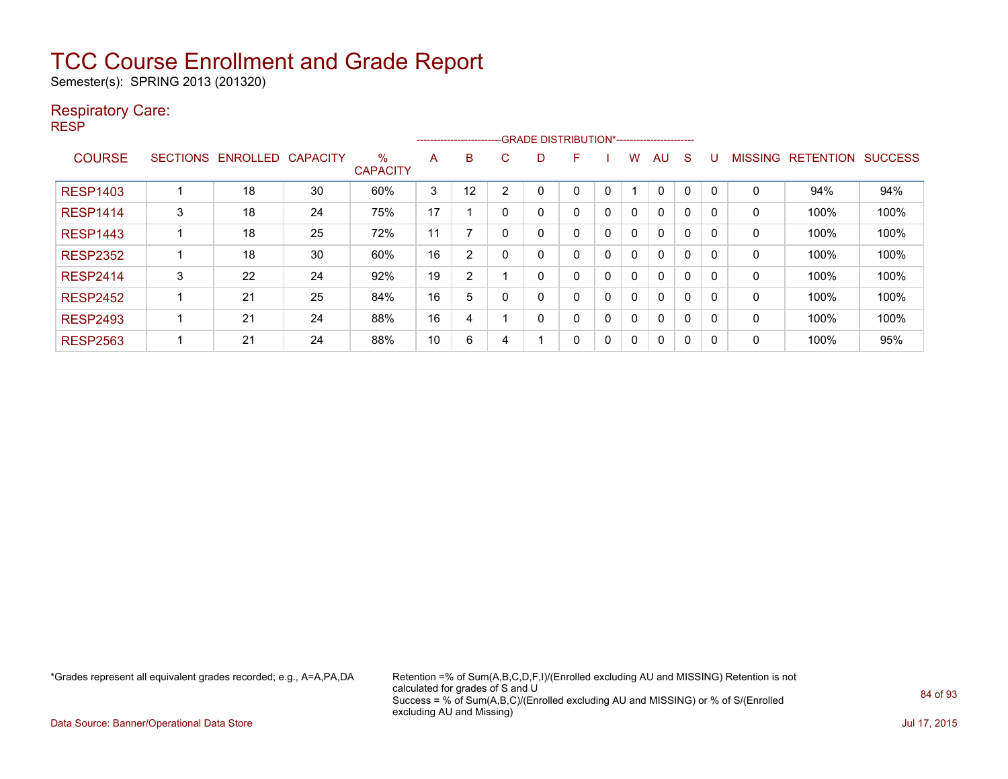Semester(s): SPRING 2013 (201320)

#### Respiratory Care:

RESP

|                 |                 |                 |                 |                         |    | ------------------------ |                | -- GRADE DISTRIBUTION*------------------------ |   |              |   |          |          |          |                |                  |                |
|-----------------|-----------------|-----------------|-----------------|-------------------------|----|--------------------------|----------------|------------------------------------------------|---|--------------|---|----------|----------|----------|----------------|------------------|----------------|
| <b>COURSE</b>   | <b>SECTIONS</b> | <b>ENROLLED</b> | <b>CAPACITY</b> | $\%$<br><b>CAPACITY</b> | A  | B                        | C              | D                                              | F |              | w | AU       | S        |          | <b>MISSING</b> | <b>RETENTION</b> | <b>SUCCESS</b> |
| <b>RESP1403</b> |                 | 18              | 30              | 60%                     | 3  | 12                       | $\overline{2}$ | 0                                              | 0 | 0            |   | 0        | 0        | 0        | 0              | 94%              | 94%            |
| <b>RESP1414</b> | 3               | 18              | 24              | 75%                     | 17 |                          | n              | 0                                              | 0 | 0            | 0 | 0        | 0        | 0        | 0              | 100%             | 100%           |
| <b>RESP1443</b> |                 | 18              | 25              | 72%                     | 11 |                          |                | 0                                              | 0 | 0            | 0 | $\Omega$ | $\Omega$ | $\Omega$ | 0              | 100%             | 100%           |
| <b>RESP2352</b> |                 | 18              | 30              | 60%                     | 16 | 2                        |                | 0                                              | 0 | 0            | 0 | $\Omega$ | 0        | 0        | 0              | 100%             | 100%           |
| <b>RESP2414</b> | 3               | 22              | 24              | 92%                     | 19 | 2                        |                | 0                                              | 0 | 0            | 0 | $\Omega$ | $\Omega$ | 0        | 0              | 100%             | 100%           |
| <b>RESP2452</b> |                 | 21              | 25              | 84%                     | 16 | 5                        |                | 0                                              | 0 | 0            | 0 | $\Omega$ | 0        | 0        | 0              | 100%             | 100%           |
| <b>RESP2493</b> |                 | 21              | 24              | 88%                     | 16 | 4                        |                | $\mathbf{0}$                                   | 0 | $\mathbf{0}$ | 0 | 0        | 0        | 0        | 0              | 100%             | 100%           |
| <b>RESP2563</b> |                 | 21              | 24              | 88%                     | 10 | 6                        |                |                                                | 0 | 0            | 0 | $\Omega$ | 0        | 0        | 0              | 100%             | 95%            |

\*Grades represent all equivalent grades recorded; e.g., A=A,PA,DA Retention =% of Sum(A,B,C,D,F,I)/(Enrolled excluding AU and MISSING) Retention is not calculated for grades of S and U Success = % of Sum(A,B,C)/(Enrolled excluding AU and MISSING) or % of S/(Enrolled excluding AU and Missing)

Data Source: Banner/Operational Data Store Jul 17, 2015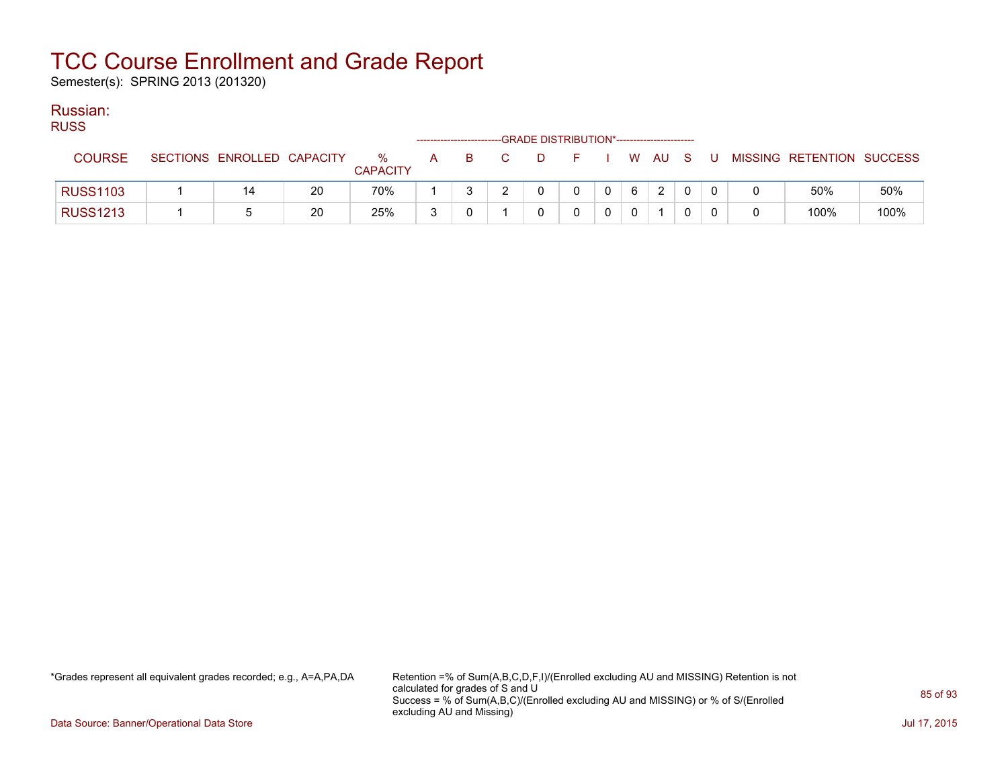Semester(s): SPRING 2013 (201320)

#### Russian:

RUSS

| $\sim$          |                            |    |                      |   | --------------------------- | -GRADE DISTRIBUTION*----------------------- |  |   |        |              |   |   |                           |      |
|-----------------|----------------------------|----|----------------------|---|-----------------------------|---------------------------------------------|--|---|--------|--------------|---|---|---------------------------|------|
| <b>COURSE</b>   | SECTIONS ENROLLED CAPACITY |    | %<br><b>CAPACITY</b> | А | в                           | D.                                          |  |   | W AU S |              | U |   | MISSING RETENTION SUCCESS |      |
| <b>RUSS1103</b> | 14                         | 20 | 70%                  |   |                             |                                             |  | 6 | 2      | $\mathbf{0}$ |   |   | 50%                       | 50%  |
| <b>RUSS1213</b> |                            | 20 | 25%                  | ຸ |                             |                                             |  |   |        | 0            |   | 0 | 100%                      | 100% |

\*Grades represent all equivalent grades recorded; e.g., A=A,PA,DA Retention =% of Sum(A,B,C,D,F,I)/(Enrolled excluding AU and MISSING) Retention is not calculated for grades of S and U Success = % of Sum(A,B,C)/(Enrolled excluding AU and MISSING) or % of S/(Enrolled excluding AU and Missing)

Data Source: Banner/Operational Data Store Jul 17, 2015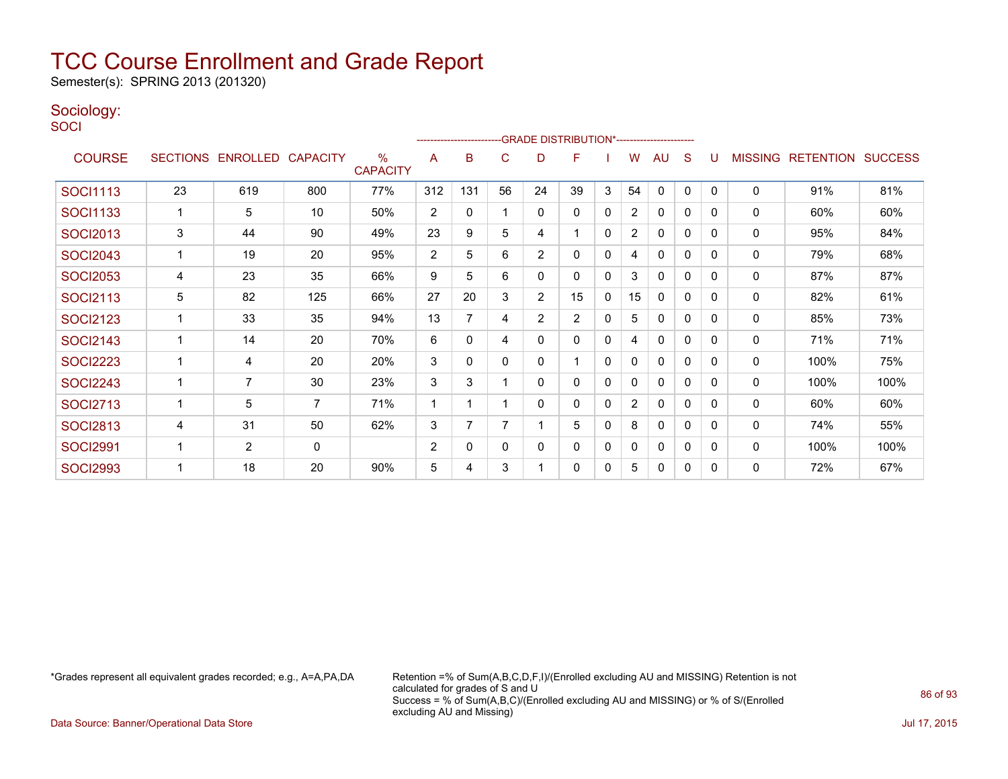Semester(s): SPRING 2013 (201320)

### Sociology:

**SOCI** 

|                 |    |                   |                 |                                  |                |              |          | ------------------------GRADE                DISTRIBUTION*---------------------- |                |              |                |              |              |              |                |                  |                |
|-----------------|----|-------------------|-----------------|----------------------------------|----------------|--------------|----------|----------------------------------------------------------------------------------|----------------|--------------|----------------|--------------|--------------|--------------|----------------|------------------|----------------|
| <b>COURSE</b>   |    | SECTIONS ENROLLED | <b>CAPACITY</b> | $\frac{0}{0}$<br><b>CAPACITY</b> | A              | в            | C        | D                                                                                | F              |              | w              | AU           | S            | U            | <b>MISSING</b> | <b>RETENTION</b> | <b>SUCCESS</b> |
| <b>SOCI1113</b> | 23 | 619               | 800             | 77%                              | 312            | 131          | 56       | 24                                                                               | 39             | 3            | 54             | 0            | 0            | $\Omega$     | 0              | 91%              | 81%            |
| <b>SOCI1133</b> |    | 5                 | 10              | 50%                              | $\overline{2}$ | $\mathbf{0}$ |          | 0                                                                                | 0              | $\mathbf{0}$ | $\overline{2}$ | 0            | 0            | 0            | 0              | 60%              | 60%            |
| <b>SOCI2013</b> | 3  | 44                | 90              | 49%                              | 23             | 9            | 5        | 4                                                                                | 1              | $\mathbf{0}$ | $\overline{2}$ | $\mathbf{0}$ | $\mathbf{0}$ | $\Omega$     | 0              | 95%              | 84%            |
| <b>SOCI2043</b> |    | 19                | 20              | 95%                              | $\overline{2}$ | 5            | 6        | $\overline{2}$                                                                   | 0              | 0            | 4              | $\mathbf{0}$ | $\mathbf{0}$ | 0            | 0              | 79%              | 68%            |
| <b>SOCI2053</b> | 4  | 23                | 35              | 66%                              | 9              | 5            | 6        | 0                                                                                | 0              | 0            | 3              | 0            | 0            | $\Omega$     | 0              | 87%              | 87%            |
| <b>SOCI2113</b> | 5  | 82                | 125             | 66%                              | 27             | 20           | 3        | $\overline{2}$                                                                   | 15             | 0            | 15             | 0            | $\mathbf{0}$ | $\mathbf{0}$ | 0              | 82%              | 61%            |
| <b>SOCI2123</b> |    | 33                | 35              | 94%                              | 13             | 7            | 4        | $\overline{2}$                                                                   | $\overline{2}$ | 0            | 5              | 0            | $\Omega$     | 0            | 0              | 85%              | 73%            |
| <b>SOCI2143</b> |    | 14                | 20              | 70%                              | 6              | 0            | 4        | 0                                                                                | 0              | 0            | 4              | $\Omega$     | 0            | 0            | 0              | 71%              | 71%            |
| <b>SOCI2223</b> |    | 4                 | 20              | 20%                              | 3              | $\mathbf{0}$ | $\Omega$ | 0                                                                                |                | $\mathbf 0$  | 0              | $\mathbf{0}$ | $\mathbf{0}$ | $\Omega$     | 0              | 100%             | 75%            |
| <b>SOCI2243</b> |    | $\overline{7}$    | 30              | 23%                              | 3              | 3            |          | 0                                                                                | 0              | 0            | 0              | $\mathbf{0}$ | $\mathbf{0}$ | $\Omega$     | 0              | 100%             | 100%           |
| <b>SOCI2713</b> |    | 5                 | 7               | 71%                              | 1              |              |          | 0                                                                                | 0              | 0            | 2              | 0            | 0            | $\Omega$     | 0              | 60%              | 60%            |
| <b>SOCI2813</b> | 4  | 31                | 50              | 62%                              | 3              | 7            |          |                                                                                  | 5              | $\mathbf 0$  | 8              | $\mathbf{0}$ | $\mathbf{0}$ | $\Omega$     | 0              | 74%              | 55%            |
| <b>SOCI2991</b> |    | $\overline{2}$    | $\mathbf{0}$    |                                  | 2              | $\mathbf{0}$ | $\Omega$ | 0                                                                                | 0              | $\mathbf{0}$ | 0              | $\mathbf{0}$ | $\mathbf{0}$ | $\Omega$     | $\mathbf{0}$   | 100%             | 100%           |
| <b>SOCI2993</b> |    | 18                | 20              | 90%                              | 5              | 4            | 3        |                                                                                  | 0              | 0            | 5              | 0            | 0            | $\Omega$     | 0              | 72%              | 67%            |

\*Grades represent all equivalent grades recorded; e.g., A=A,PA,DA Retention =% of Sum(A,B,C,D,F,I)/(Enrolled excluding AU and MISSING) Retention is not calculated for grades of S and U Success = % of Sum(A,B,C)/(Enrolled excluding AU and MISSING) or % of S/(Enrolled excluding AU and Missing)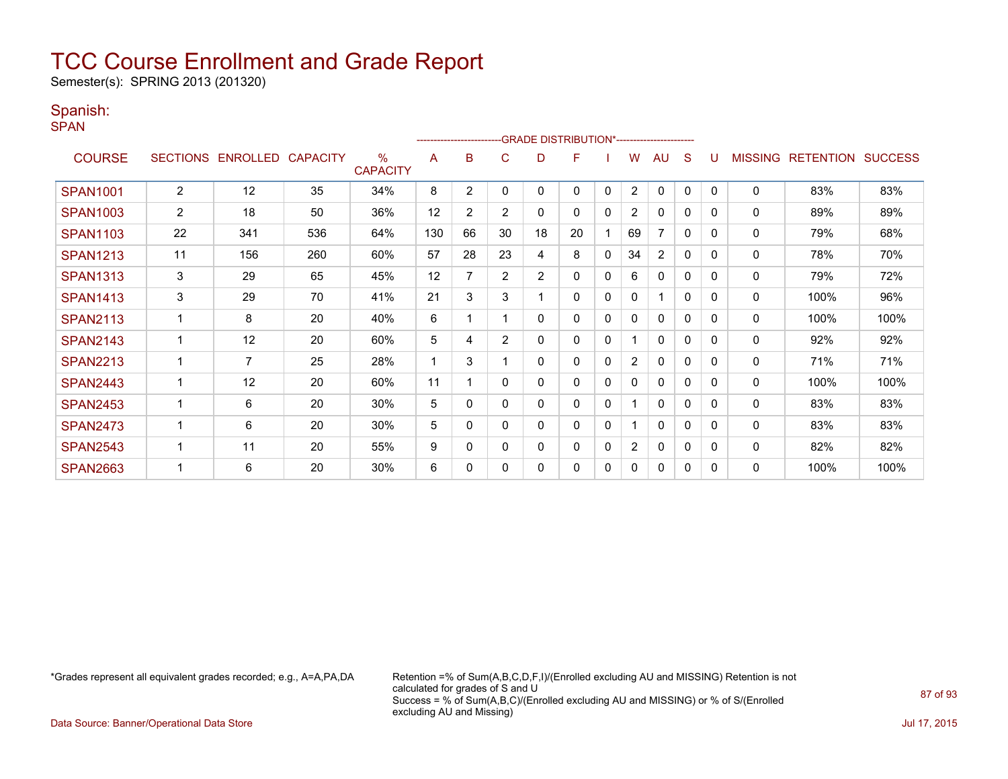Semester(s): SPRING 2013 (201320)

#### Spanish:

SPAN

|                 |                |                   |                 |                                  |     | ------------------------ |                | -GRADE DISTRIBUTION*---------------------- |    |              |                |                |              |          |                |                  |                |
|-----------------|----------------|-------------------|-----------------|----------------------------------|-----|--------------------------|----------------|--------------------------------------------|----|--------------|----------------|----------------|--------------|----------|----------------|------------------|----------------|
| <b>COURSE</b>   |                | SECTIONS ENROLLED | <b>CAPACITY</b> | $\frac{0}{0}$<br><b>CAPACITY</b> | A   | в                        | C              | D                                          | F  |              | W              | AU             | S            |          | <b>MISSING</b> | <b>RETENTION</b> | <b>SUCCESS</b> |
| <b>SPAN1001</b> | $\overline{2}$ | 12                | 35              | 34%                              | 8   | $\overline{2}$           | $\Omega$       | 0                                          | 0  | $\mathbf{0}$ | $\overline{2}$ | $\mathbf{0}$   | $\mathbf{0}$ | $\Omega$ | $\mathbf 0$    | 83%              | 83%            |
| <b>SPAN1003</b> | 2              | 18                | 50              | 36%                              | 12  | $\overline{2}$           | $\overline{2}$ | 0                                          | 0  | 0            | 2              | 0              | 0            | $\Omega$ | 0              | 89%              | 89%            |
| <b>SPAN1103</b> | 22             | 341               | 536             | 64%                              | 130 | 66                       | 30             | 18                                         | 20 |              | 69             | 7              | $\Omega$     | $\Omega$ | 0              | 79%              | 68%            |
| <b>SPAN1213</b> | 11             | 156               | 260             | 60%                              | 57  | 28                       | 23             | 4                                          | 8  | $\mathbf{0}$ | 34             | $\overline{2}$ | $\mathbf{0}$ | $\Omega$ | 0              | 78%              | 70%            |
| <b>SPAN1313</b> | 3              | 29                | 65              | 45%                              | 12  |                          | $\overline{2}$ | $\overline{2}$                             | 0  | 0            | 6              | $\mathbf{0}$   | 0            | $\Omega$ | 0              | 79%              | 72%            |
| <b>SPAN1413</b> | 3              | 29                | 70              | 41%                              | 21  | 3                        | 3              |                                            | 0  | $\mathbf{0}$ | 0              | 1              | $\Omega$     | $\Omega$ | 0              | 100%             | 96%            |
| <b>SPAN2113</b> |                | 8                 | 20              | 40%                              | 6   |                          |                | 0                                          | 0  | 0            | 0              | $\mathbf{0}$   | $\Omega$     | $\Omega$ | 0              | 100%             | 100%           |
| <b>SPAN2143</b> |                | 12                | 20              | 60%                              | 5   | 4                        | $\overline{2}$ | 0                                          | 0  | 0            |                | $\mathbf{0}$   | $\mathbf{0}$ | $\Omega$ | 0              | 92%              | 92%            |
| <b>SPAN2213</b> |                | $\overline{7}$    | 25              | 28%                              |     | 3                        |                | 0                                          | 0  | 0            | $\overline{2}$ | $\mathbf{0}$   | $\Omega$     | $\Omega$ | 0              | 71%              | 71%            |
| <b>SPAN2443</b> |                | 12                | 20              | 60%                              | 11  |                          | 0              | 0                                          | 0  | 0            | 0              | $\mathbf{0}$   | 0            | $\Omega$ | 0              | 100%             | 100%           |
| <b>SPAN2453</b> |                | 6                 | 20              | 30%                              | 5   | $\Omega$                 | $\Omega$       | 0                                          | 0  | 0            |                | $\mathbf{0}$   | 0            | $\Omega$ | $\mathbf{0}$   | 83%              | 83%            |
| <b>SPAN2473</b> |                | 6                 | 20              | 30%                              | 5   | 0                        | 0              | 0                                          | 0  | 0            |                | $\mathbf{0}$   | 0            | $\Omega$ | 0              | 83%              | 83%            |
| <b>SPAN2543</b> |                | 11                | 20              | 55%                              | 9   | 0                        | 0              | 0                                          | 0  | 0            | $\overline{2}$ | 0              | 0            | $\Omega$ | 0              | 82%              | 82%            |
| <b>SPAN2663</b> |                | 6                 | 20              | 30%                              | 6   | $\Omega$                 | $\Omega$       | 0                                          | 0  | 0            | 0              | 0              | 0            | $\Omega$ | $\mathbf{0}$   | 100%             | 100%           |

\*Grades represent all equivalent grades recorded; e.g., A=A,PA,DA Retention =% of Sum(A,B,C,D,F,I)/(Enrolled excluding AU and MISSING) Retention is not calculated for grades of S and U Success = % of Sum(A,B,C)/(Enrolled excluding AU and MISSING) or % of S/(Enrolled excluding AU and Missing)

Data Source: Banner/Operational Data Store Jul 17, 2015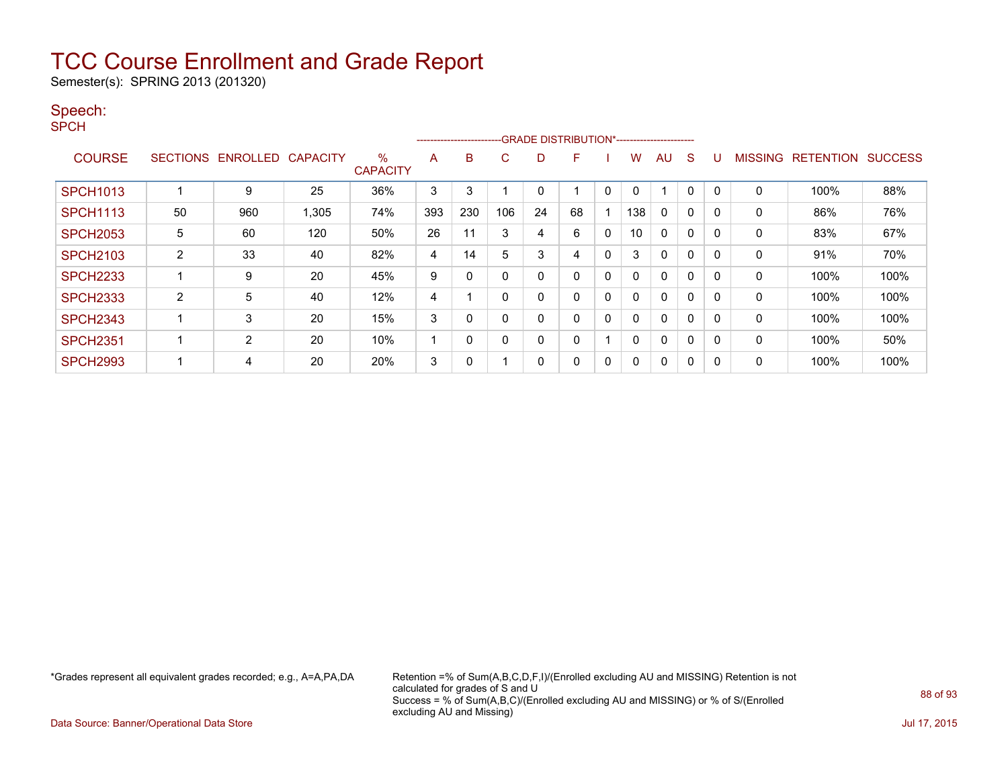Semester(s): SPRING 2013 (201320)

#### Speech:

SPCH

|                 |                 |                 |                 |                         |     | ----------------------- |             |             | -GRADE DISTRIBUTION*----------------------- |              |     |              |              |   |                |                  |                |
|-----------------|-----------------|-----------------|-----------------|-------------------------|-----|-------------------------|-------------|-------------|---------------------------------------------|--------------|-----|--------------|--------------|---|----------------|------------------|----------------|
| <b>COURSE</b>   | <b>SECTIONS</b> | <b>ENROLLED</b> | <b>CAPACITY</b> | $\%$<br><b>CAPACITY</b> | A   | B                       | C           | D           | F                                           |              | w   | AU           | S            |   | <b>MISSING</b> | <b>RETENTION</b> | <b>SUCCESS</b> |
| <b>SPCH1013</b> |                 | 9               | 25              | 36%                     | 3   | 3                       |             | $\mathbf 0$ |                                             | 0            |     |              | $\Omega$     | 0 | $\mathbf 0$    | 100%             | 88%            |
| <b>SPCH1113</b> | 50              | 960             | 305. ا          | 74%                     | 393 | 230                     | 106         | 24          | 68                                          |              | 138 | $\mathbf{0}$ | $\mathbf{0}$ |   | $\mathbf 0$    | 86%              | 76%            |
| <b>SPCH2053</b> | 5               | 60              | 120             | 50%                     | 26  | 11                      | 3           | 4           | 6                                           | $\mathbf{0}$ | 10  | $\Omega$     | 0            | 0 | 0              | 83%              | 67%            |
| <b>SPCH2103</b> | 2               | 33              | 40              | 82%                     | 4   | 14                      | 5           | 3           | 4                                           | 0            | 3   | 0            | 0            |   | 0              | 91%              | 70%            |
| <b>SPCH2233</b> |                 | 9               | 20              | 45%                     | 9   | 0                       | $\mathbf 0$ | 0           | 0                                           | 0            |     | $\Omega$     | 0            | 0 | 0              | 100%             | 100%           |
| <b>SPCH2333</b> | 2               | 5               | 40              | 12%                     | 4   |                         | $\mathbf 0$ | 0           | 0                                           | 0            |     | $\mathbf{0}$ | 0            |   | 0              | 100%             | 100%           |
| <b>SPCH2343</b> |                 | 3               | 20              | 15%                     | 3   | $\Omega$                | $\mathbf 0$ | 0           | 0                                           | 0            |     | $\mathbf{0}$ | 0            | 0 | $\mathbf{0}$   | 100%             | 100%           |
| <b>SPCH2351</b> |                 | 2               | 20              | 10%                     | и   | 0                       | $\Omega$    | 0           | $\Omega$                                    |              |     | $\Omega$     | 0            | 0 | 0              | 100%             | 50%            |
| <b>SPCH2993</b> |                 | 4               | 20              | 20%                     | 3   | $\Omega$                |             | 0           | 0                                           | 0            |     | $\mathbf{0}$ | 0            |   | $\mathbf 0$    | 100%             | 100%           |

\*Grades represent all equivalent grades recorded; e.g., A=A,PA,DA Retention =% of Sum(A,B,C,D,F,I)/(Enrolled excluding AU and MISSING) Retention is not calculated for grades of S and U Success = % of Sum(A,B,C)/(Enrolled excluding AU and MISSING) or % of S/(Enrolled excluding AU and Missing)

Data Source: Banner/Operational Data Store Jul 17, 2015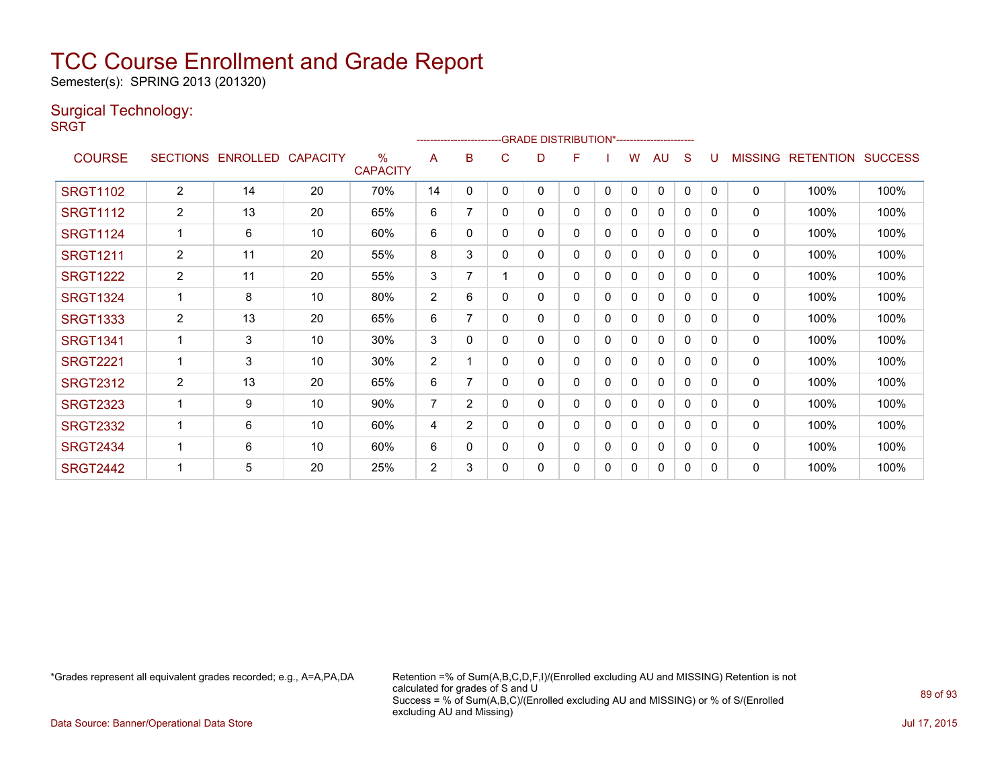Semester(s): SPRING 2013 (201320)

### Surgical Technology:

**SRGT** 

|                 |                 |                 |                 |                         |                |                |   |   | <u>-----------------------GRADE DISTRIBUTION</u> |              |              | `------------------------ |              |              |                |                  |                |
|-----------------|-----------------|-----------------|-----------------|-------------------------|----------------|----------------|---|---|--------------------------------------------------|--------------|--------------|---------------------------|--------------|--------------|----------------|------------------|----------------|
| <b>COURSE</b>   | <b>SECTIONS</b> | <b>ENROLLED</b> | <b>CAPACITY</b> | $\%$<br><b>CAPACITY</b> | A              | B              | C | D | F                                                |              | W            | AU                        | S            | U            | <b>MISSING</b> | <b>RETENTION</b> | <b>SUCCESS</b> |
| <b>SRGT1102</b> | $\overline{2}$  | 14              | 20              | 70%                     | 14             | 0              | 0 | 0 | 0                                                | $\mathbf{0}$ | $\mathbf{0}$ | $\mathbf{0}$              | $\mathbf{0}$ | $\mathbf{0}$ | $\Omega$       | 100%             | 100%           |
| <b>SRGT1112</b> | $\overline{2}$  | 13              | 20              | 65%                     | 6              | 7              | 0 | 0 | 0                                                | 0            | 0            | $\mathbf{0}$              | 0            | $\Omega$     | 0              | 100%             | 100%           |
| <b>SRGT1124</b> | 1               | 6               | 10              | 60%                     | 6              | 0              | 0 | 0 | 0                                                | 0            | 0            | 0                         | 0            | $\Omega$     | 0              | 100%             | 100%           |
| <b>SRGT1211</b> | $\overline{2}$  | 11              | 20              | 55%                     | 8              | 3              | 0 | 0 | 0                                                | 0            | 0            | $\mathbf{0}$              | 0            | 0            | 0              | 100%             | 100%           |
| <b>SRGT1222</b> | $\overline{2}$  | 11              | 20              | 55%                     | 3              | 7              |   | 0 | 0                                                | 0            | 0            | $\mathbf{0}$              | 0            | $\Omega$     | 0              | 100%             | 100%           |
| <b>SRGT1324</b> | 1               | 8               | 10              | 80%                     | $\overline{2}$ | 6              | 0 | 0 | 0                                                | 0            | 0            | 0                         | 0            | 0            | $\mathbf{0}$   | 100%             | 100%           |
| <b>SRGT1333</b> | $\overline{2}$  | 13              | 20              | 65%                     | 6              | 7              | 0 | 0 | 0                                                | $\Omega$     | 0            | 0                         | 0            | 0            | 0              | 100%             | 100%           |
| <b>SRGT1341</b> |                 | 3               | 10              | 30%                     | 3              | 0              | 0 | 0 | 0                                                | 0            | 0            | $\mathbf{0}$              | 0            | $\Omega$     | $\mathbf 0$    | 100%             | 100%           |
| <b>SRGT2221</b> |                 | 3               | 10              | 30%                     | $\overline{2}$ |                | 0 | 0 | 0                                                | 0            | 0            | 0                         | 0            | $\Omega$     | $\mathbf{0}$   | 100%             | 100%           |
| <b>SRGT2312</b> | $\overline{2}$  | 13              | 20              | 65%                     | 6              | 7              | 0 | 0 | 0                                                | 0            | 0            | 0                         | 0            | 0            | 0              | 100%             | 100%           |
| <b>SRGT2323</b> |                 | 9               | 10              | 90%                     | 7              | $\overline{2}$ | 0 | 0 | 0                                                | 0            | 0            | $\mathbf{0}$              | $\Omega$     | $\Omega$     | 0              | 100%             | 100%           |
| <b>SRGT2332</b> |                 | 6               | 10              | 60%                     | 4              | $\overline{2}$ | 0 | 0 | 0                                                | 0            | 0            | 0                         | 0            | $\Omega$     | $\mathbf{0}$   | 100%             | 100%           |
| <b>SRGT2434</b> |                 | 6               | 10              | 60%                     | 6              | 0              | 0 | 0 | 0                                                | 0            | 0            | 0                         | 0            | 0            | 0              | 100%             | 100%           |
| <b>SRGT2442</b> |                 | 5               | 20              | 25%                     | $\overline{2}$ | 3              | 0 | 0 | 0                                                | 0            | 0            | $\mathbf 0$               | 0            | 0            | $\mathbf{0}$   | 100%             | 100%           |

 $-0.01855$  DIOTOIDUTIONS

\*Grades represent all equivalent grades recorded; e.g., A=A,PA,DA Retention =% of Sum(A,B,C,D,F,I)/(Enrolled excluding AU and MISSING) Retention is not calculated for grades of S and U Success = % of Sum(A,B,C)/(Enrolled excluding AU and MISSING) or % of S/(Enrolled excluding AU and Missing)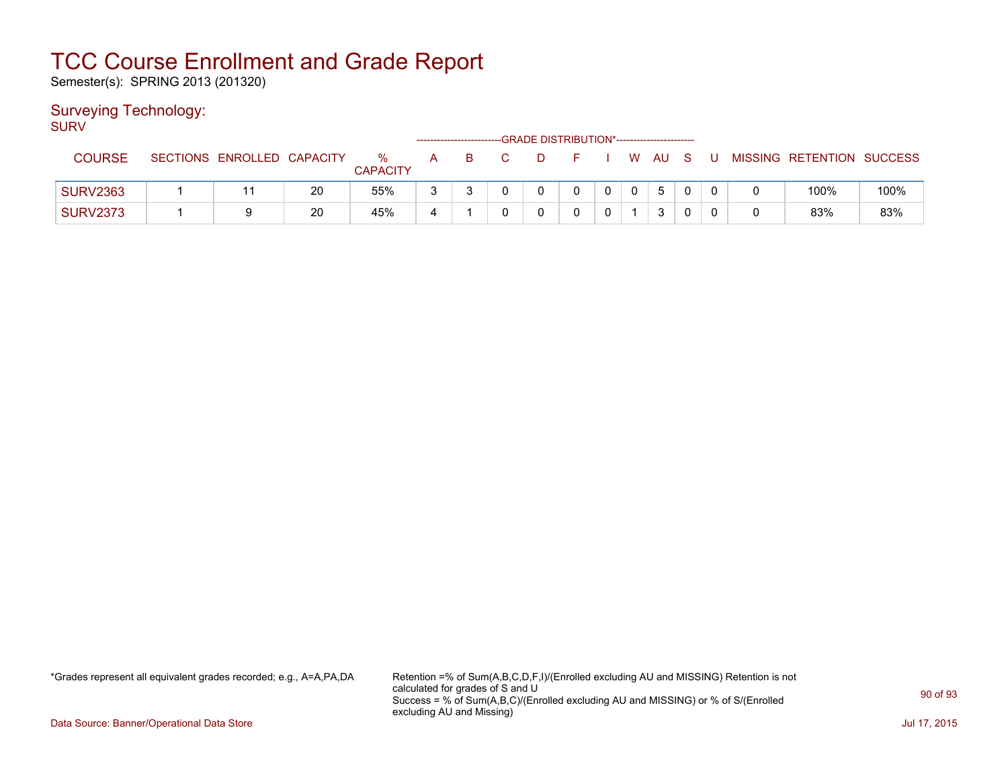Semester(s): SPRING 2013 (201320)

### Surveying Technology:

SURV

| <b>COURSE</b>   | SECTIONS ENROLLED CAPACITY |    | ℅<br><b>CAPACITY</b> | A | B |  |             |              | W AU | - S |  | MISSING RETENTION SUCCESS |      |
|-----------------|----------------------------|----|----------------------|---|---|--|-------------|--------------|------|-----|--|---------------------------|------|
| <b>SURV2363</b> |                            | 20 | 55%                  | 2 |   |  | $\mathbf 0$ | $\mathbf{0}$ | 5    |     |  | 100%                      | 100% |
| <b>SURV2373</b> |                            | 20 | 45%                  |   |   |  |             |              | ີ    |     |  | 83%                       | 83%  |

\*Grades represent all equivalent grades recorded; e.g., A=A,PA,DA Retention =% of Sum(A,B,C,D,F,I)/(Enrolled excluding AU and MISSING) Retention is not calculated for grades of S and U Success = % of Sum(A,B,C)/(Enrolled excluding AU and MISSING) or % of S/(Enrolled excluding AU and Missing)

Data Source: Banner/Operational Data Store Jul 17, 2015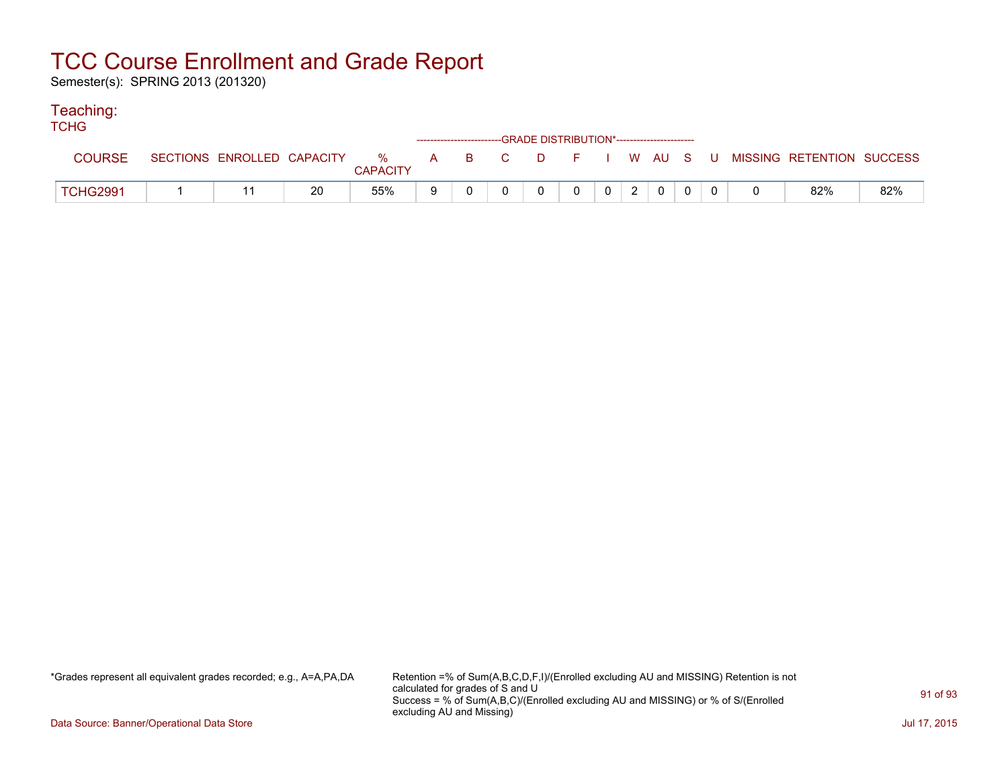Semester(s): SPRING 2013 (201320)

#### Teaching:

| <b>TCHG</b>     |  |    |                 |  | ------------------------GRADE DISTRIBUTION*----------------------- |                |                                                                           |  |  |                                                                             |     |
|-----------------|--|----|-----------------|--|--------------------------------------------------------------------|----------------|---------------------------------------------------------------------------|--|--|-----------------------------------------------------------------------------|-----|
| <b>COURSE</b>   |  |    | <b>CAPACITY</b> |  |                                                                    |                |                                                                           |  |  | SECTIONS ENROLLED CAPACITY % A B C D F I W AU S U MISSING RETENTION SUCCESS |     |
| <b>TCHG2991</b> |  | 20 | 55%             |  | $\Omega$                                                           | $\overline{0}$ | $\begin{array}{c c c c c c c} \hline 0 & 2 & 0 & 0 \\ \hline \end{array}$ |  |  | 82%                                                                         | 82% |

\*Grades represent all equivalent grades recorded; e.g., A=A,PA,DA Retention =% of Sum(A,B,C,D,F,I)/(Enrolled excluding AU and MISSING) Retention is not calculated for grades of S and U Success = % of Sum(A,B,C)/(Enrolled excluding AU and MISSING) or % of S/(Enrolled excluding AU and Missing)

Data Source: Banner/Operational Data Store Jul 17, 2015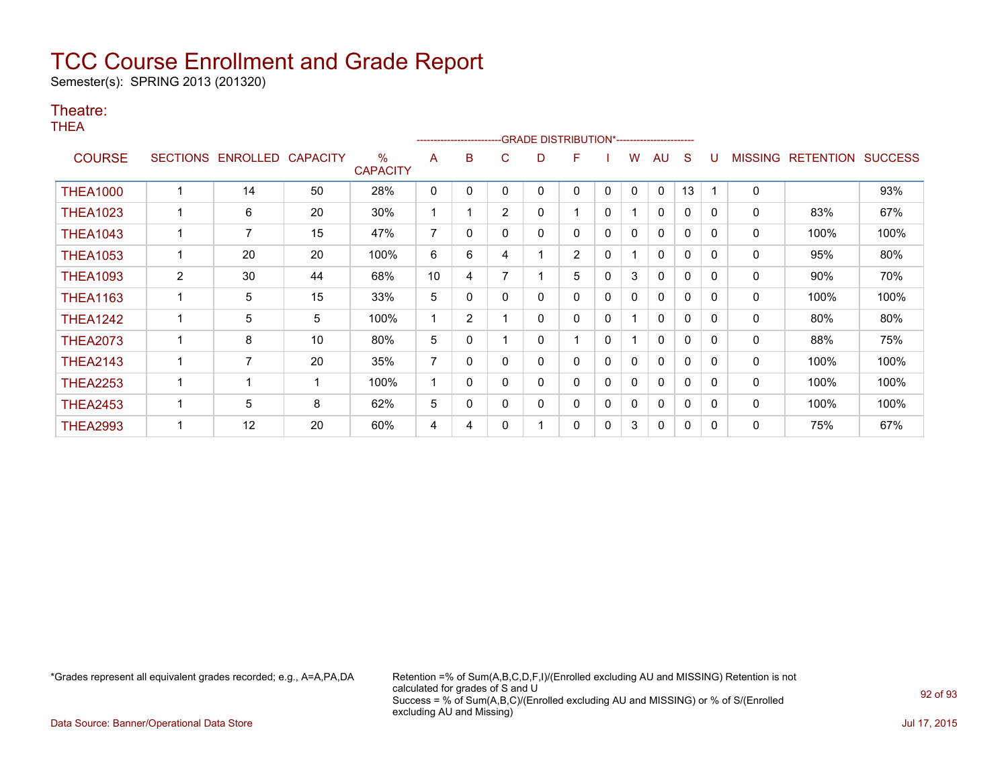Semester(s): SPRING 2013 (201320)

#### Theatre:

THEA

|                 |                 |          |                 |                                  |    | ------------------------ |                | -GRADE DISTRIBUTION*---------------------- |                |              |          |              |              |          |                |                  |                |
|-----------------|-----------------|----------|-----------------|----------------------------------|----|--------------------------|----------------|--------------------------------------------|----------------|--------------|----------|--------------|--------------|----------|----------------|------------------|----------------|
| <b>COURSE</b>   | <b>SECTIONS</b> | ENROLLED | <b>CAPACITY</b> | $\frac{0}{0}$<br><b>CAPACITY</b> | A  | B                        | С              | D                                          | F              |              | w        | AU           | S            |          | <b>MISSING</b> | <b>RETENTION</b> | <b>SUCCESS</b> |
| <b>THEA1000</b> |                 | 14       | 50              | 28%                              | 0  | 0                        | 0              | 0                                          | 0              | $\mathbf{0}$ | $\Omega$ | $\mathbf{0}$ | 13           |          | $\mathbf 0$    |                  | 93%            |
| <b>THEA1023</b> |                 | 6        | 20              | 30%                              |    |                          | $\overline{2}$ | 0                                          |                | $\mathbf{0}$ |          | $\mathbf{0}$ | $\mathbf{0}$ | $\Omega$ | 0              | 83%              | 67%            |
| <b>THEA1043</b> |                 | 7        | 15              | 47%                              | 7  | 0                        | 0              | 0                                          | 0              | 0            | 0        | 0            | $\mathbf{0}$ | $\Omega$ | 0              | 100%             | 100%           |
| <b>THEA1053</b> |                 | 20       | 20              | 100%                             | 6  | 6                        | 4              |                                            | $\overline{2}$ | $\mathbf{0}$ |          | $\mathbf{0}$ | $\mathbf{0}$ | $\Omega$ | 0              | 95%              | 80%            |
| <b>THEA1093</b> | $\overline{2}$  | 30       | 44              | 68%                              | 10 | 4                        |                |                                            | 5              | 0            | 3        | 0            | 0            | $\Omega$ | 0              | 90%              | 70%            |
| <b>THEA1163</b> |                 | 5        | 15              | 33%                              | 5  | 0                        | 0              | 0                                          | 0              | 0            | 0        | $\mathbf{0}$ | 0            | $\Omega$ | 0              | 100%             | 100%           |
| <b>THEA1242</b> |                 | 5        | 5               | 100%                             |    | $\overline{2}$           |                | 0                                          | 0              | $\mathbf{0}$ |          | 0            | $\mathbf 0$  | 0        | 0              | 80%              | 80%            |
| <b>THEA2073</b> |                 | 8        | 10              | 80%                              | 5  | 0                        |                | 0                                          |                | $\mathbf{0}$ |          | $\mathbf{0}$ | $\mathbf{0}$ | $\Omega$ | 0              | 88%              | 75%            |
| <b>THEA2143</b> |                 | 7        | 20              | 35%                              | 7  | 0                        | 0              | 0                                          | 0              | $\Omega$     | 0        | $\mathbf{0}$ | $\mathbf{0}$ | $\Omega$ | 0              | 100%             | 100%           |
| <b>THEA2253</b> |                 |          | -1              | 100%                             |    | 0                        | 0              | 0                                          | 0              | $\mathbf{0}$ | $\Omega$ | $\mathbf{0}$ | $\mathbf 0$  | 0        | 0              | 100%             | 100%           |
| <b>THEA2453</b> |                 | 5        | 8               | 62%                              | 5  | 0                        | 0              | 0                                          | 0              | 0            | 0        | $\mathbf{0}$ | 0            | $\Omega$ | 0              | 100%             | 100%           |
| <b>THEA2993</b> |                 | 12       | 20              | 60%                              | 4  | 4                        | 0              |                                            | 0              | $\mathbf{0}$ | 3        | 0            | 0            | $\Omega$ | 0              | 75%              | 67%            |

\*Grades represent all equivalent grades recorded; e.g., A=A,PA,DA Retention =% of Sum(A,B,C,D,F,I)/(Enrolled excluding AU and MISSING) Retention is not calculated for grades of S and U Success = % of Sum(A,B,C)/(Enrolled excluding AU and MISSING) or % of S/(Enrolled excluding AU and Missing)